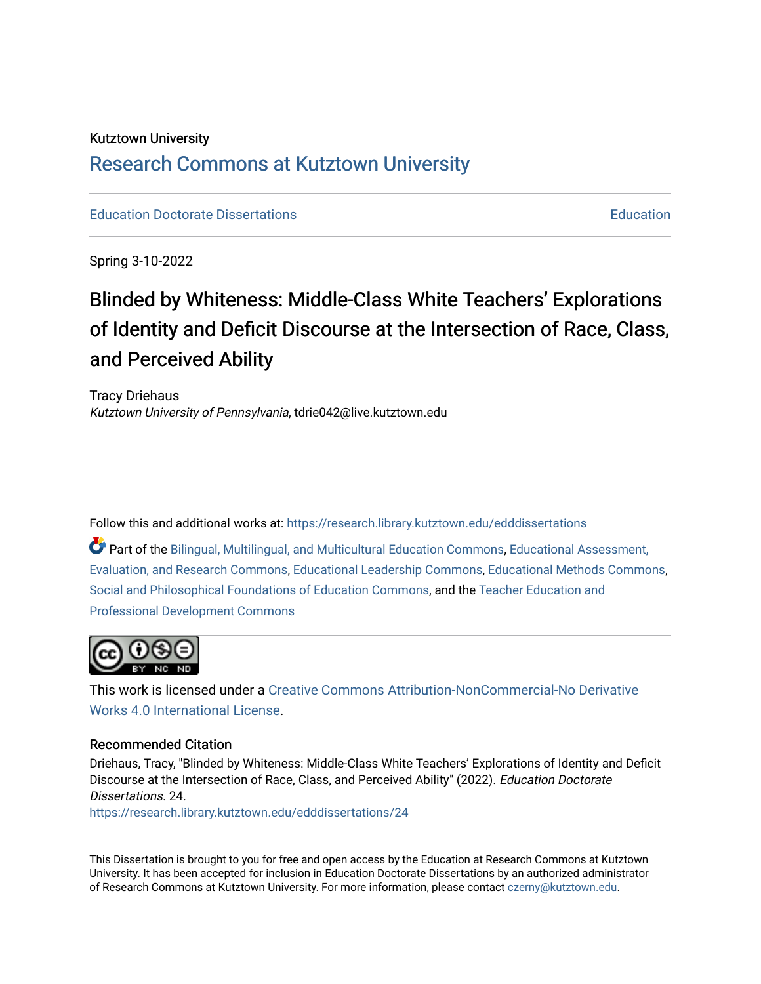# Kutztown University [Research Commons at Kutztown University](https://research.library.kutztown.edu/)

[Education Doctorate Dissertations](https://research.library.kutztown.edu/edddissertations) [Education](https://research.library.kutztown.edu/education) 

Spring 3-10-2022

# Blinded by Whiteness: Middle-Class White Teachers' Explorations of Identity and Deficit Discourse at the Intersection of Race, Class, and Perceived Ability

Tracy Driehaus Kutztown University of Pennsylvania, tdrie042@live.kutztown.edu

Follow this and additional works at: [https://research.library.kutztown.edu/edddissertations](https://research.library.kutztown.edu/edddissertations?utm_source=research.library.kutztown.edu%2Fedddissertations%2F24&utm_medium=PDF&utm_campaign=PDFCoverPages)

Part of the [Bilingual, Multilingual, and Multicultural Education Commons,](http://network.bepress.com/hgg/discipline/785?utm_source=research.library.kutztown.edu%2Fedddissertations%2F24&utm_medium=PDF&utm_campaign=PDFCoverPages) [Educational Assessment,](http://network.bepress.com/hgg/discipline/796?utm_source=research.library.kutztown.edu%2Fedddissertations%2F24&utm_medium=PDF&utm_campaign=PDFCoverPages)  [Evaluation, and Research Commons,](http://network.bepress.com/hgg/discipline/796?utm_source=research.library.kutztown.edu%2Fedddissertations%2F24&utm_medium=PDF&utm_campaign=PDFCoverPages) [Educational Leadership Commons](http://network.bepress.com/hgg/discipline/1230?utm_source=research.library.kutztown.edu%2Fedddissertations%2F24&utm_medium=PDF&utm_campaign=PDFCoverPages), [Educational Methods Commons](http://network.bepress.com/hgg/discipline/1227?utm_source=research.library.kutztown.edu%2Fedddissertations%2F24&utm_medium=PDF&utm_campaign=PDFCoverPages), [Social and Philosophical Foundations of Education Commons](http://network.bepress.com/hgg/discipline/799?utm_source=research.library.kutztown.edu%2Fedddissertations%2F24&utm_medium=PDF&utm_campaign=PDFCoverPages), and the [Teacher Education and](http://network.bepress.com/hgg/discipline/803?utm_source=research.library.kutztown.edu%2Fedddissertations%2F24&utm_medium=PDF&utm_campaign=PDFCoverPages)  [Professional Development Commons](http://network.bepress.com/hgg/discipline/803?utm_source=research.library.kutztown.edu%2Fedddissertations%2F24&utm_medium=PDF&utm_campaign=PDFCoverPages)



This work is licensed under a [Creative Commons Attribution-NonCommercial-No Derivative](https://creativecommons.org/licenses/by-nc-nd/4.0/) [Works 4.0 International License.](https://creativecommons.org/licenses/by-nc-nd/4.0/)

## Recommended Citation

Driehaus, Tracy, "Blinded by Whiteness: Middle-Class White Teachers' Explorations of Identity and Deficit Discourse at the Intersection of Race, Class, and Perceived Ability" (2022). Education Doctorate Dissertations. 24.

[https://research.library.kutztown.edu/edddissertations/24](https://research.library.kutztown.edu/edddissertations/24?utm_source=research.library.kutztown.edu%2Fedddissertations%2F24&utm_medium=PDF&utm_campaign=PDFCoverPages) 

This Dissertation is brought to you for free and open access by the Education at Research Commons at Kutztown University. It has been accepted for inclusion in Education Doctorate Dissertations by an authorized administrator of Research Commons at Kutztown University. For more information, please contact [czerny@kutztown.edu.](mailto:czerny@kutztown.edu)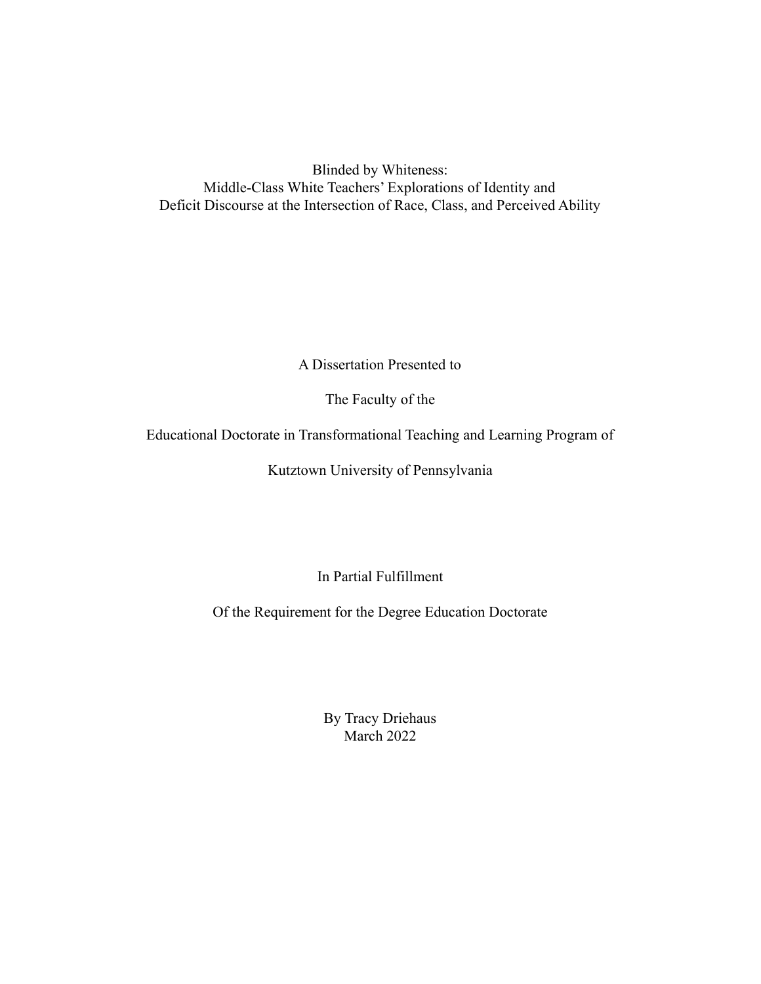Blinded by Whiteness: Middle-Class White Teachers' Explorations of Identity and Deficit Discourse at the Intersection of Race, Class, and Perceived Ability

A Dissertation Presented to

The Faculty of the

Educational Doctorate in Transformational Teaching and Learning Program of

Kutztown University of Pennsylvania

In Partial Fulfillment

Of the Requirement for the Degree Education Doctorate

By Tracy Driehaus March 2022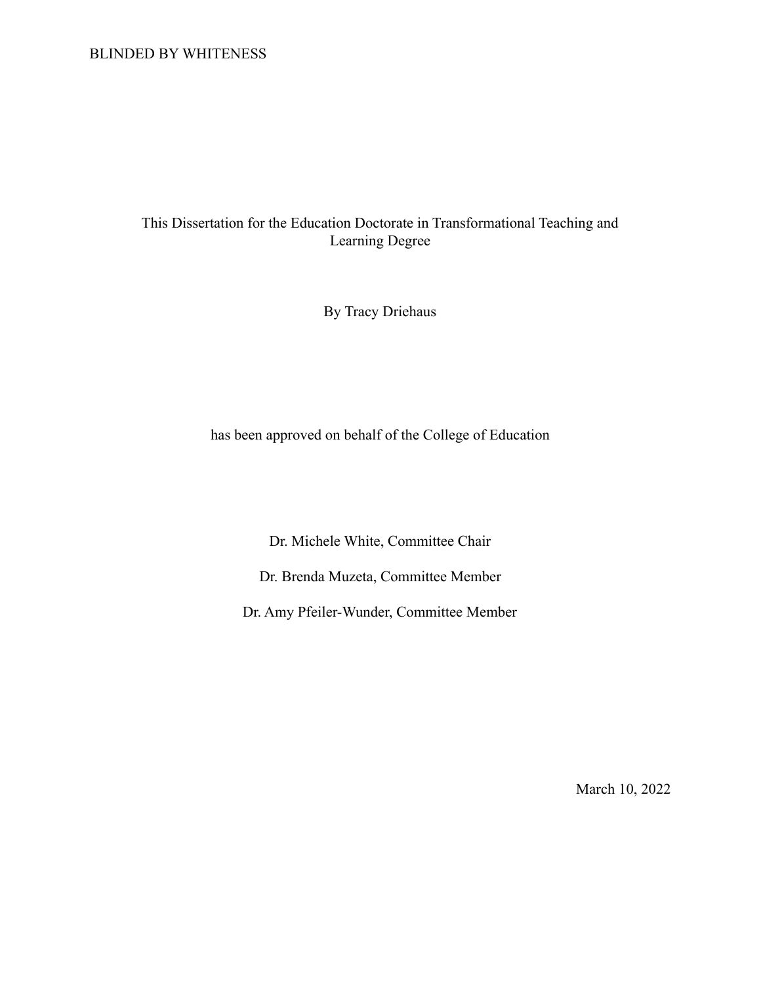## BLINDED BY WHITENESS

# This Dissertation for the Education Doctorate in Transformational Teaching and Learning Degree

By Tracy Driehaus

has been approved on behalf of the College of Education

Dr. Michele White, Committee Chair

Dr. Brenda Muzeta, Committee Member

Dr. Amy Pfeiler-Wunder, Committee Member

March 10, 2022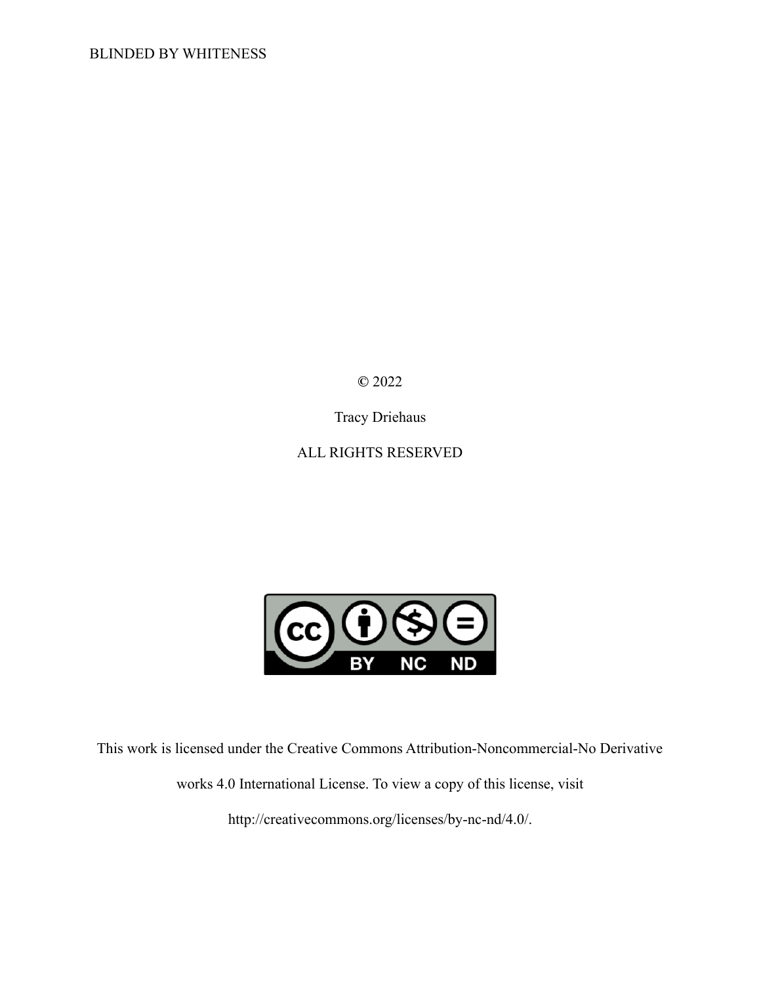**©** 2022

Tracy Driehaus

ALL RIGHTS RESERVED



This work is licensed under the Creative Commons Attribution-Noncommercial-No Derivative works 4.0 International License. To view a copy of this license, visit http://creativecommons.org/licenses/by-nc-nd/4.0/.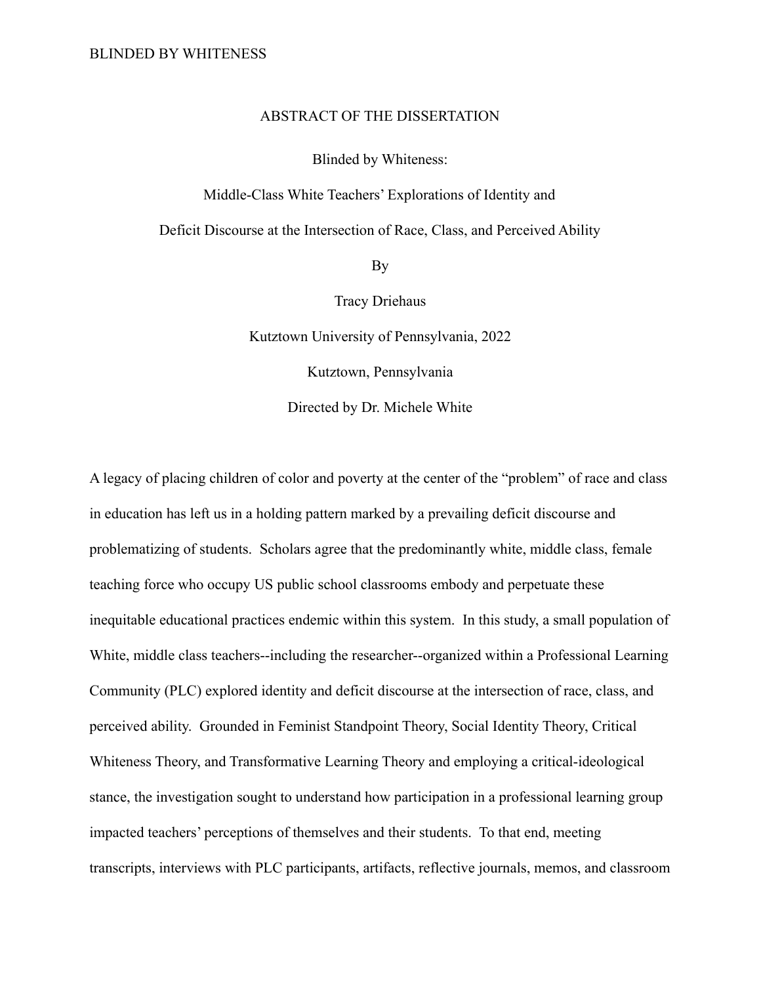## ABSTRACT OF THE DISSERTATION

Blinded by Whiteness:

Middle-Class White Teachers' Explorations of Identity and

Deficit Discourse at the Intersection of Race, Class, and Perceived Ability

By

Tracy Driehaus

Kutztown University of Pennsylvania, 2022

Kutztown, Pennsylvania

Directed by Dr. Michele White

A legacy of placing children of color and poverty at the center of the "problem" of race and class in education has left us in a holding pattern marked by a prevailing deficit discourse and problematizing of students. Scholars agree that the predominantly white, middle class, female teaching force who occupy US public school classrooms embody and perpetuate these inequitable educational practices endemic within this system. In this study, a small population of White, middle class teachers--including the researcher--organized within a Professional Learning Community (PLC) explored identity and deficit discourse at the intersection of race, class, and perceived ability. Grounded in Feminist Standpoint Theory, Social Identity Theory, Critical Whiteness Theory, and Transformative Learning Theory and employing a critical-ideological stance, the investigation sought to understand how participation in a professional learning group impacted teachers' perceptions of themselves and their students. To that end, meeting transcripts, interviews with PLC participants, artifacts, reflective journals, memos, and classroom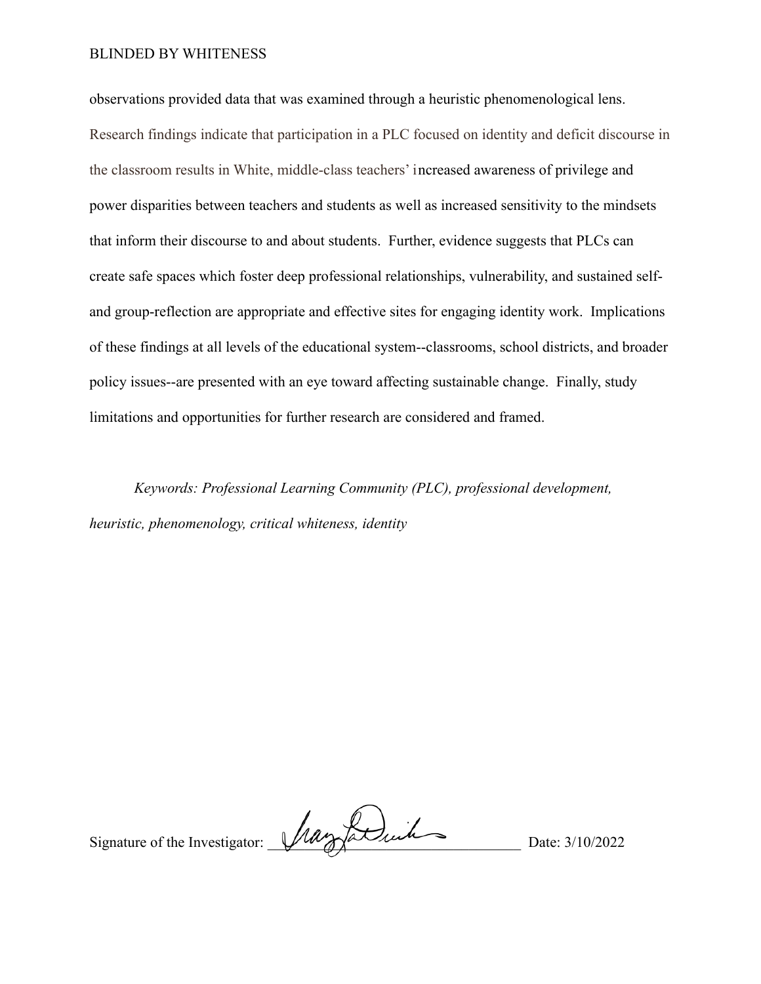#### BLINDED BY WHITENESS

observations provided data that was examined through a heuristic phenomenological lens. Research findings indicate that participation in a PLC focused on identity and deficit discourse in the classroom results in White, middle-class teachers' increased awareness of privilege and power disparities between teachers and students as well as increased sensitivity to the mindsets that inform their discourse to and about students. Further, evidence suggests that PLCs can create safe spaces which foster deep professional relationships, vulnerability, and sustained selfand group-reflection are appropriate and effective sites for engaging identity work. Implications of these findings at all levels of the educational system--classrooms, school districts, and broader policy issues--are presented with an eye toward affecting sustainable change. Finally, study limitations and opportunities for further research are considered and framed.

*Keywords: Professional Learning Community (PLC), professional development, heuristic, phenomenology, critical whiteness, identity*

Signature of the Investigator:  $\mu$  of determining Date: 3/10/2022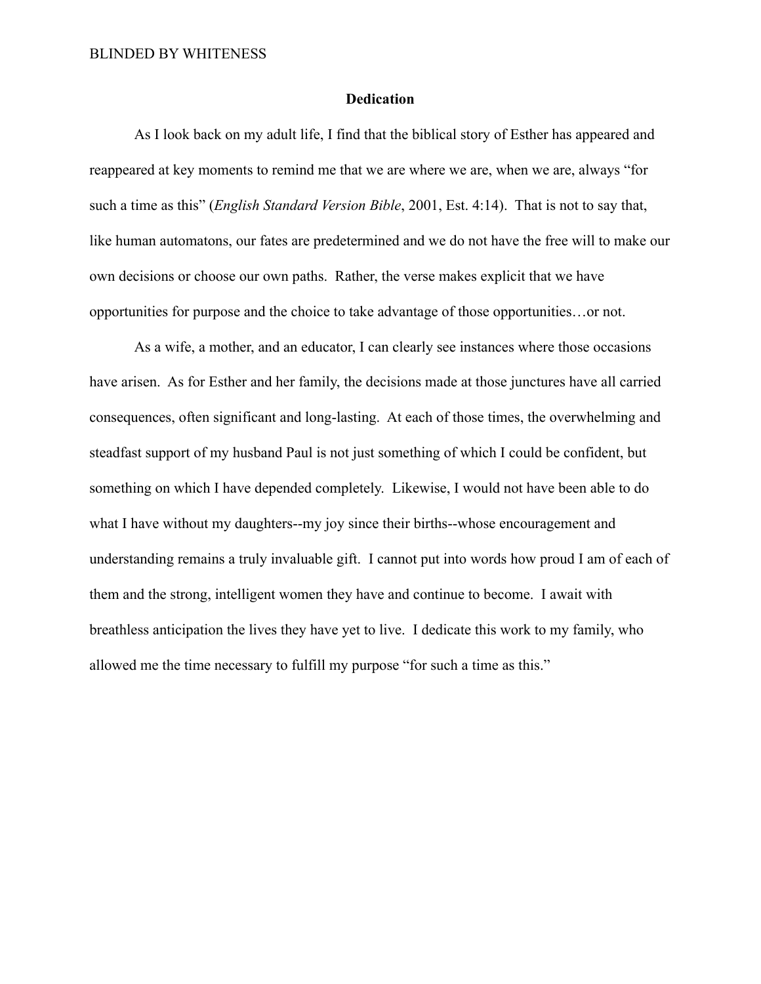#### **Dedication**

As I look back on my adult life, I find that the biblical story of Esther has appeared and reappeared at key moments to remind me that we are where we are, when we are, always "for such a time as this" (*English Standard Version Bible*, 2001, Est. 4:14). That is not to say that, like human automatons, our fates are predetermined and we do not have the free will to make our own decisions or choose our own paths. Rather, the verse makes explicit that we have opportunities for purpose and the choice to take advantage of those opportunities…or not.

As a wife, a mother, and an educator, I can clearly see instances where those occasions have arisen. As for Esther and her family, the decisions made at those junctures have all carried consequences, often significant and long-lasting. At each of those times, the overwhelming and steadfast support of my husband Paul is not just something of which I could be confident, but something on which I have depended completely. Likewise, I would not have been able to do what I have without my daughters--my joy since their births--whose encouragement and understanding remains a truly invaluable gift. I cannot put into words how proud I am of each of them and the strong, intelligent women they have and continue to become. I await with breathless anticipation the lives they have yet to live. I dedicate this work to my family, who allowed me the time necessary to fulfill my purpose "for such a time as this."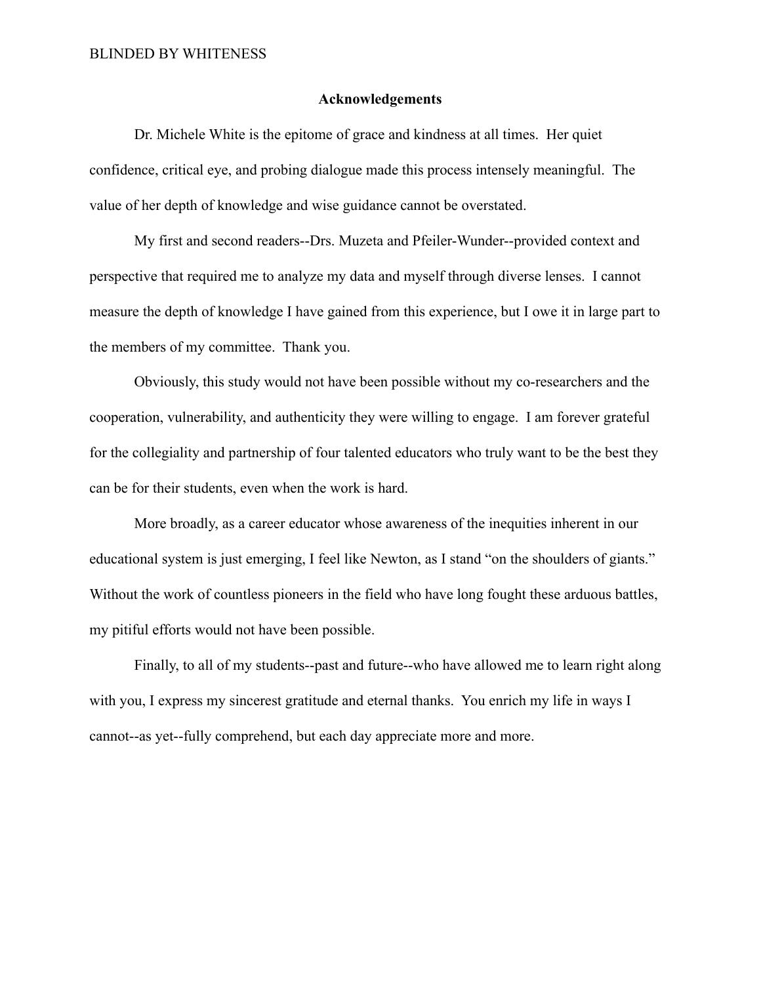#### **Acknowledgements**

Dr. Michele White is the epitome of grace and kindness at all times. Her quiet confidence, critical eye, and probing dialogue made this process intensely meaningful. The value of her depth of knowledge and wise guidance cannot be overstated.

My first and second readers--Drs. Muzeta and Pfeiler-Wunder--provided context and perspective that required me to analyze my data and myself through diverse lenses. I cannot measure the depth of knowledge I have gained from this experience, but I owe it in large part to the members of my committee. Thank you.

Obviously, this study would not have been possible without my co-researchers and the cooperation, vulnerability, and authenticity they were willing to engage. I am forever grateful for the collegiality and partnership of four talented educators who truly want to be the best they can be for their students, even when the work is hard.

More broadly, as a career educator whose awareness of the inequities inherent in our educational system is just emerging, I feel like Newton, as I stand "on the shoulders of giants." Without the work of countless pioneers in the field who have long fought these arduous battles, my pitiful efforts would not have been possible.

Finally, to all of my students--past and future--who have allowed me to learn right along with you, I express my sincerest gratitude and eternal thanks. You enrich my life in ways I cannot--as yet--fully comprehend, but each day appreciate more and more.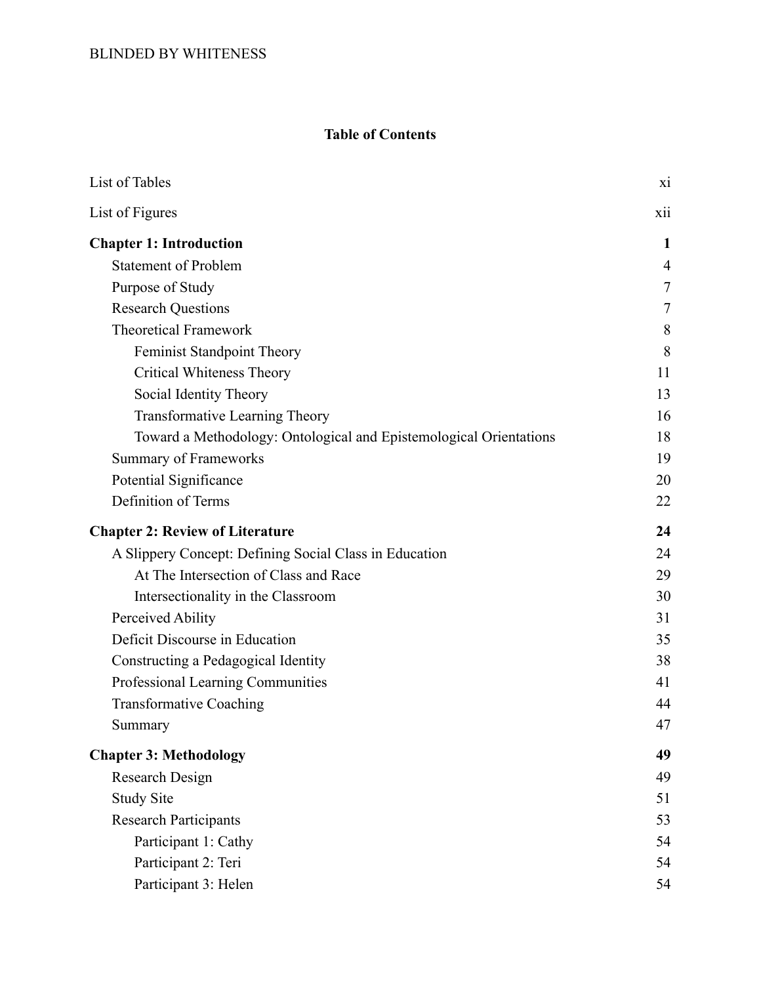# **Table of Contents**

| List of Tables                                                     | X1             |
|--------------------------------------------------------------------|----------------|
| List of Figures                                                    | xii            |
| <b>Chapter 1: Introduction</b>                                     | $\mathbf{1}$   |
| <b>Statement of Problem</b>                                        | $\overline{4}$ |
| Purpose of Study                                                   | $\tau$         |
| <b>Research Questions</b>                                          | 7              |
| <b>Theoretical Framework</b>                                       | 8              |
| Feminist Standpoint Theory                                         | 8              |
| <b>Critical Whiteness Theory</b>                                   | 11             |
| Social Identity Theory                                             | 13             |
| <b>Transformative Learning Theory</b>                              | 16             |
| Toward a Methodology: Ontological and Epistemological Orientations | 18             |
| <b>Summary of Frameworks</b>                                       | 19             |
| Potential Significance                                             | 20             |
| Definition of Terms                                                | 22             |
| <b>Chapter 2: Review of Literature</b>                             | 24             |
| A Slippery Concept: Defining Social Class in Education             | 24             |
| At The Intersection of Class and Race                              | 29             |
| Intersectionality in the Classroom                                 | 30             |
| Perceived Ability                                                  | 31             |
| Deficit Discourse in Education                                     | 35             |
| Constructing a Pedagogical Identity                                | 38             |
| Professional Learning Communities                                  | 41             |
| <b>Transformative Coaching</b>                                     | 44             |
| Summary                                                            | 47             |
| <b>Chapter 3: Methodology</b>                                      | 49             |
| Research Design                                                    | 49             |
| <b>Study Site</b>                                                  | 51             |
| <b>Research Participants</b>                                       | 53             |
| Participant 1: Cathy                                               | 54             |
| Participant 2: Teri                                                | 54             |
| Participant 3: Helen                                               | 54             |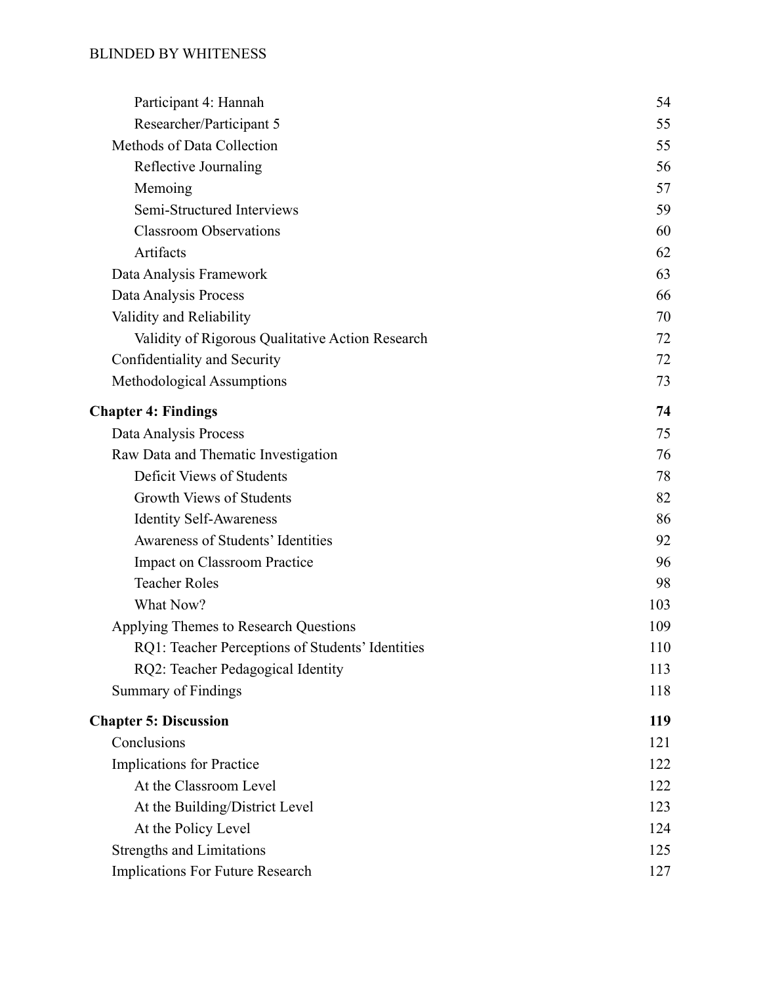# BLINDED BY WHITENESS

| Participant 4: Hannah                            | 54  |
|--------------------------------------------------|-----|
| Researcher/Participant 5                         | 55  |
| Methods of Data Collection                       | 55  |
| Reflective Journaling                            | 56  |
| Memoing                                          | 57  |
| Semi-Structured Interviews                       | 59  |
| <b>Classroom Observations</b>                    | 60  |
| Artifacts                                        | 62  |
| Data Analysis Framework                          | 63  |
| Data Analysis Process                            | 66  |
| Validity and Reliability                         | 70  |
| Validity of Rigorous Qualitative Action Research | 72  |
| Confidentiality and Security                     | 72  |
| Methodological Assumptions                       | 73  |
| <b>Chapter 4: Findings</b>                       | 74  |
| Data Analysis Process                            | 75  |
| Raw Data and Thematic Investigation              | 76  |
| Deficit Views of Students                        | 78  |
| Growth Views of Students                         | 82  |
| <b>Identity Self-Awareness</b>                   | 86  |
| Awareness of Students' Identities                | 92  |
| <b>Impact on Classroom Practice</b>              | 96  |
| <b>Teacher Roles</b>                             | 98  |
| What Now?                                        | 103 |
| Applying Themes to Research Questions            | 109 |
| RQ1: Teacher Perceptions of Students' Identities | 110 |
| RQ2: Teacher Pedagogical Identity                | 113 |
| <b>Summary of Findings</b>                       | 118 |
| <b>Chapter 5: Discussion</b>                     | 119 |
| Conclusions                                      | 121 |
| <b>Implications</b> for Practice                 | 122 |
| At the Classroom Level                           | 122 |
| At the Building/District Level                   | 123 |
| At the Policy Level                              | 124 |
| <b>Strengths and Limitations</b>                 | 125 |
| Implications For Future Research                 | 127 |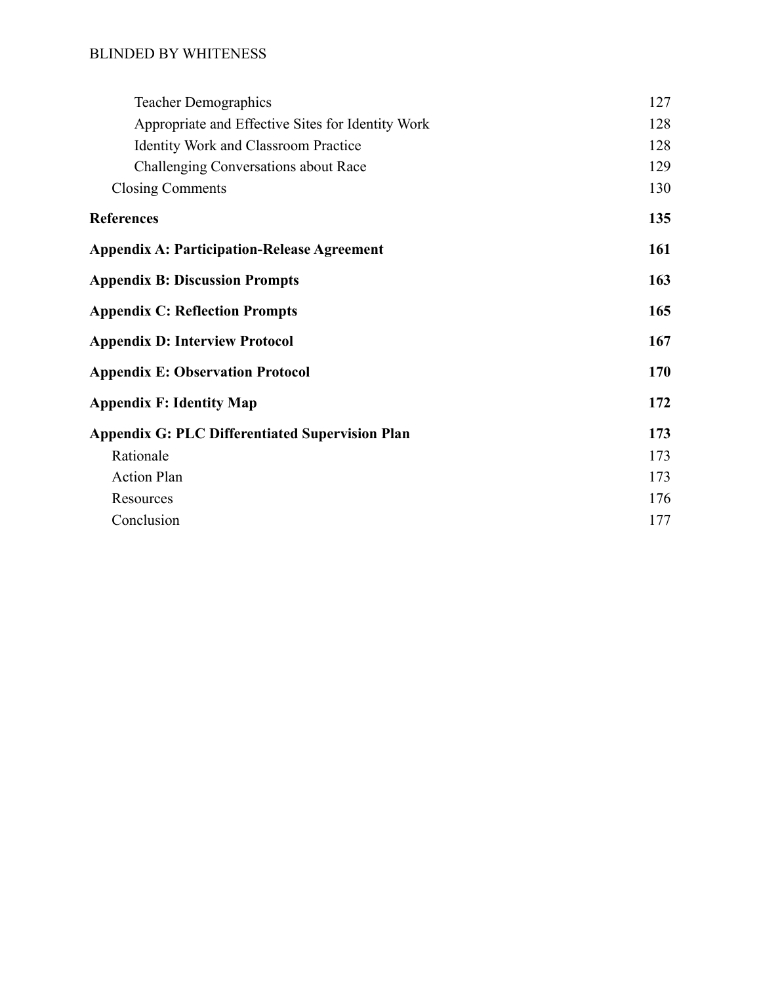## BLINDED BY WHITENESS

| <b>Teacher Demographics</b>                            | 127 |
|--------------------------------------------------------|-----|
| Appropriate and Effective Sites for Identity Work      | 128 |
| <b>Identity Work and Classroom Practice</b>            | 128 |
| <b>Challenging Conversations about Race</b>            | 129 |
| <b>Closing Comments</b>                                | 130 |
| <b>References</b>                                      | 135 |
| <b>Appendix A: Participation-Release Agreement</b>     | 161 |
| <b>Appendix B: Discussion Prompts</b>                  | 163 |
| <b>Appendix C: Reflection Prompts</b>                  | 165 |
| <b>Appendix D: Interview Protocol</b>                  | 167 |
| <b>Appendix E: Observation Protocol</b>                | 170 |
| <b>Appendix F: Identity Map</b>                        | 172 |
| <b>Appendix G: PLC Differentiated Supervision Plan</b> | 173 |
| Rationale                                              | 173 |
| <b>Action Plan</b>                                     | 173 |
| Resources                                              | 176 |
| Conclusion                                             | 177 |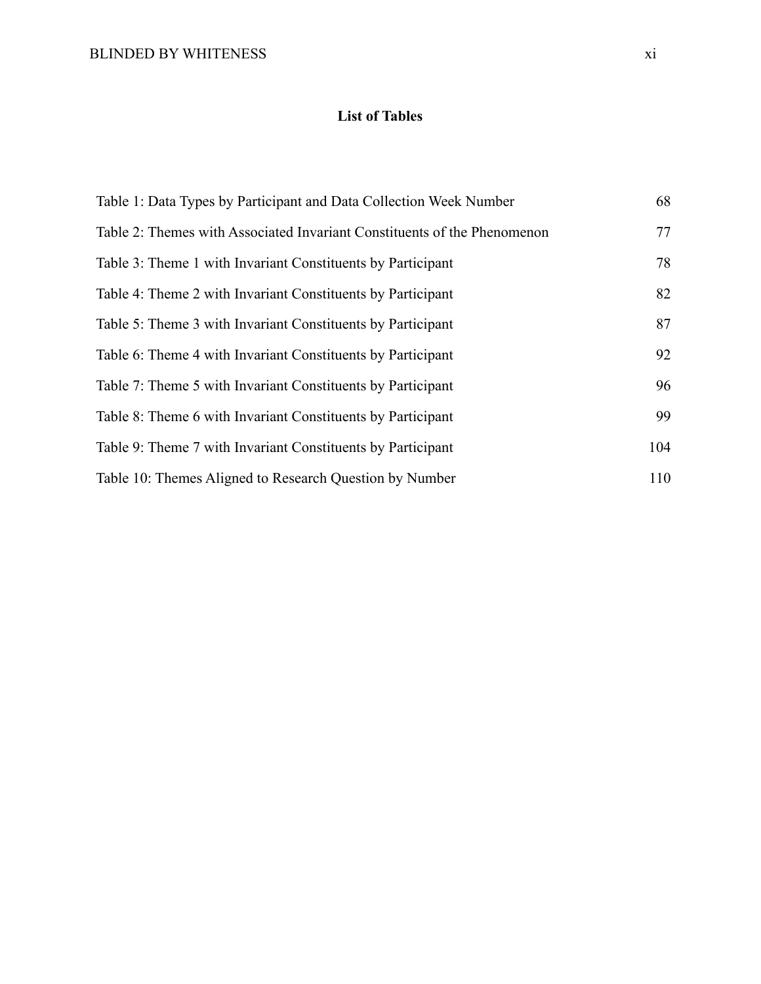# **List of Tables**

<span id="page-11-0"></span>

| Table 1: Data Types by Participant and Data Collection Week Number       | 68  |
|--------------------------------------------------------------------------|-----|
| Table 2: Themes with Associated Invariant Constituents of the Phenomenon | 77  |
| Table 3: Theme 1 with Invariant Constituents by Participant              | 78  |
| Table 4: Theme 2 with Invariant Constituents by Participant              | 82  |
| Table 5: Theme 3 with Invariant Constituents by Participant              | 87  |
| Table 6: Theme 4 with Invariant Constituents by Participant              | 92  |
| Table 7: Theme 5 with Invariant Constituents by Participant              | 96  |
| Table 8: Theme 6 with Invariant Constituents by Participant              | 99  |
| Table 9: Theme 7 with Invariant Constituents by Participant              | 104 |
| Table 10: Themes Aligned to Research Question by Number                  | 110 |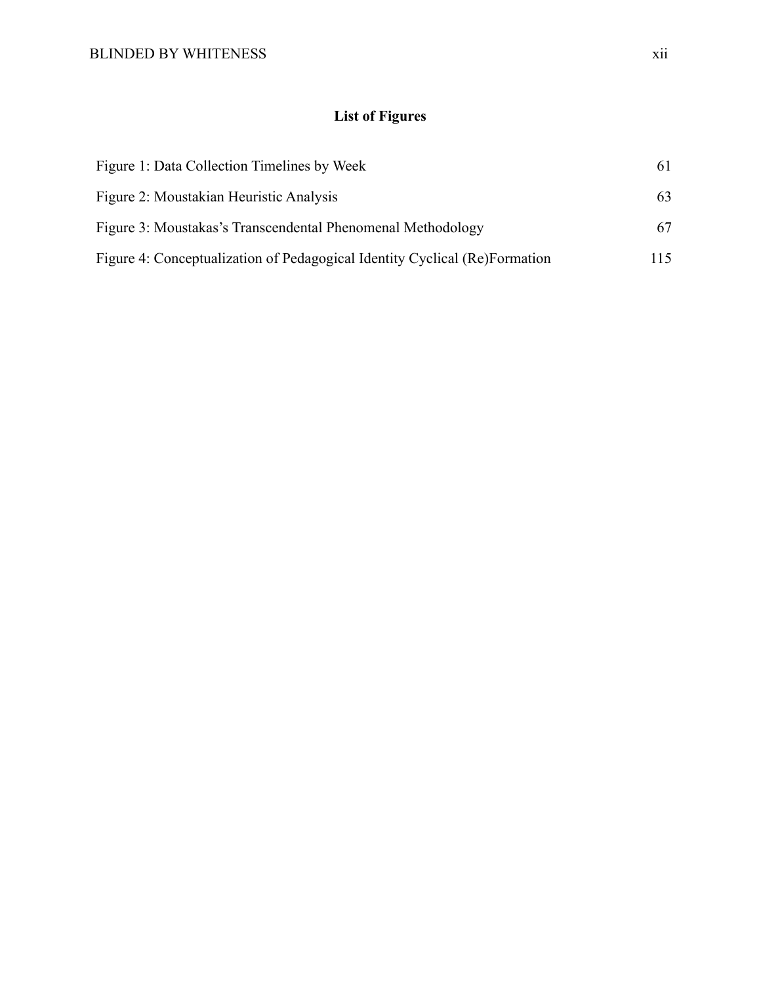# **List of Figures**

<span id="page-12-0"></span>

| Figure 1: Data Collection Timelines by Week                                | 61  |
|----------------------------------------------------------------------------|-----|
| Figure 2: Moustakian Heuristic Analysis                                    | 63  |
| Figure 3: Moustakas's Transcendental Phenomenal Methodology                | 67  |
| Figure 4: Conceptualization of Pedagogical Identity Cyclical (Re)Formation | 115 |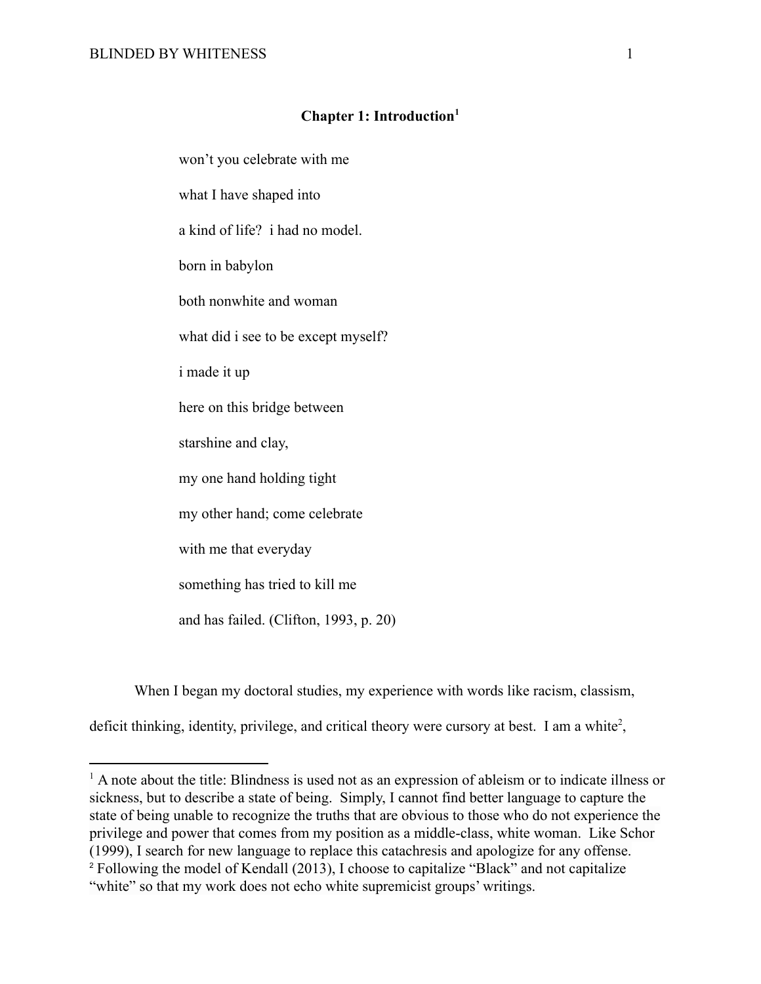## **Chapter 1: Introduction<sup>1</sup>**

<span id="page-13-0"></span>won't you celebrate with me what I have shaped into a kind of life? i had no model. born in babylon both nonwhite and woman what did i see to be except myself? i made it up here on this bridge between starshine and clay, my one hand holding tight my other hand; come celebrate with me that everyday something has tried to kill me and has failed. (Clifton, 1993, p. 20)

When I began my doctoral studies, my experience with words like racism, classism,

deficit thinking, identity, privilege, and critical theory were cursory at best. I am a white<sup>2</sup>,

<sup>&</sup>lt;sup>2</sup> Following the model of Kendall (2013), I choose to capitalize "Black" and not capitalize "white" so that my work does not echo white supremicist groups' writings. <sup>1</sup> A note about the title: Blindness is used not as an expression of ableism or to indicate illness or sickness, but to describe a state of being. Simply, I cannot find better language to capture the state of being unable to recognize the truths that are obvious to those who do not experience the privilege and power that comes from my position as a middle-class, white woman. Like Schor (1999), I search for new language to replace this catachresis and apologize for any offense.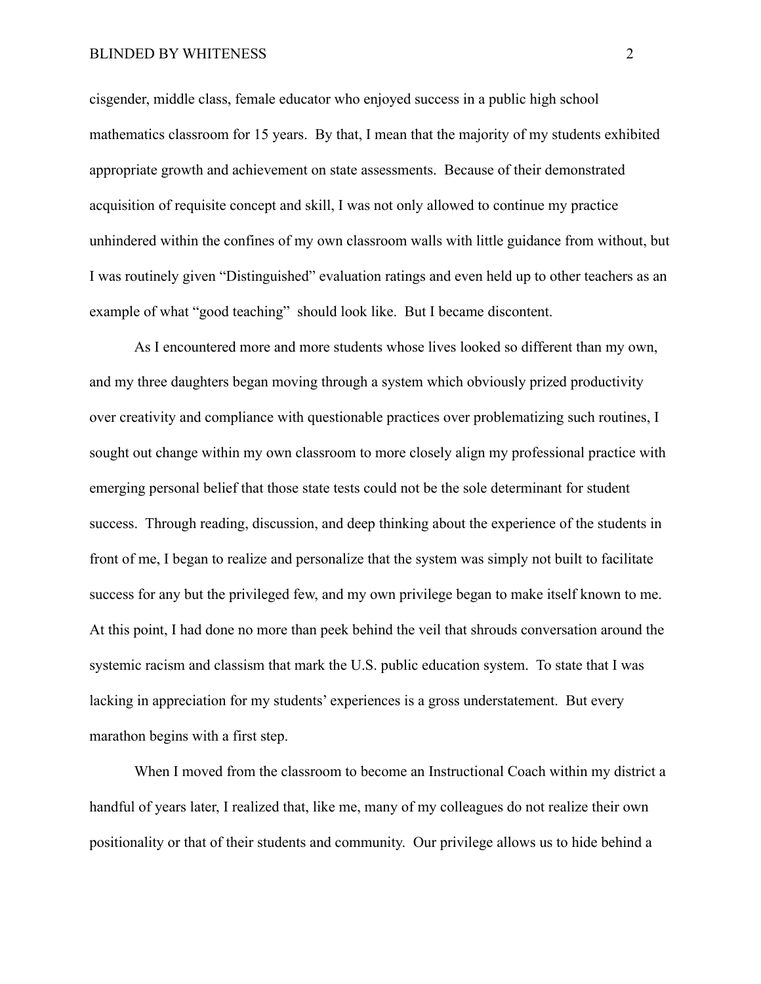cisgender, middle class, female educator who enjoyed success in a public high school mathematics classroom for 15 years. By that, I mean that the majority of my students exhibited appropriate growth and achievement on state assessments. Because of their demonstrated acquisition of requisite concept and skill, I was not only allowed to continue my practice unhindered within the confines of my own classroom walls with little guidance from without, but I was routinely given "Distinguished" evaluation ratings and even held up to other teachers as an example of what "good teaching" should look like. But I became discontent.

As I encountered more and more students whose lives looked so different than my own, and my three daughters began moving through a system which obviously prized productivity over creativity and compliance with questionable practices over problematizing such routines, I sought out change within my own classroom to more closely align my professional practice with emerging personal belief that those state tests could not be the sole determinant for student success. Through reading, discussion, and deep thinking about the experience of the students in front of me, I began to realize and personalize that the system was simply not built to facilitate success for any but the privileged few, and my own privilege began to make itself known to me. At this point, I had done no more than peek behind the veil that shrouds conversation around the systemic racism and classism that mark the U.S. public education system. To state that I was lacking in appreciation for my students' experiences is a gross understatement. But every marathon begins with a first step.

When I moved from the classroom to become an Instructional Coach within my district a handful of years later, I realized that, like me, many of my colleagues do not realize their own positionality or that of their students and community. Our privilege allows us to hide behind a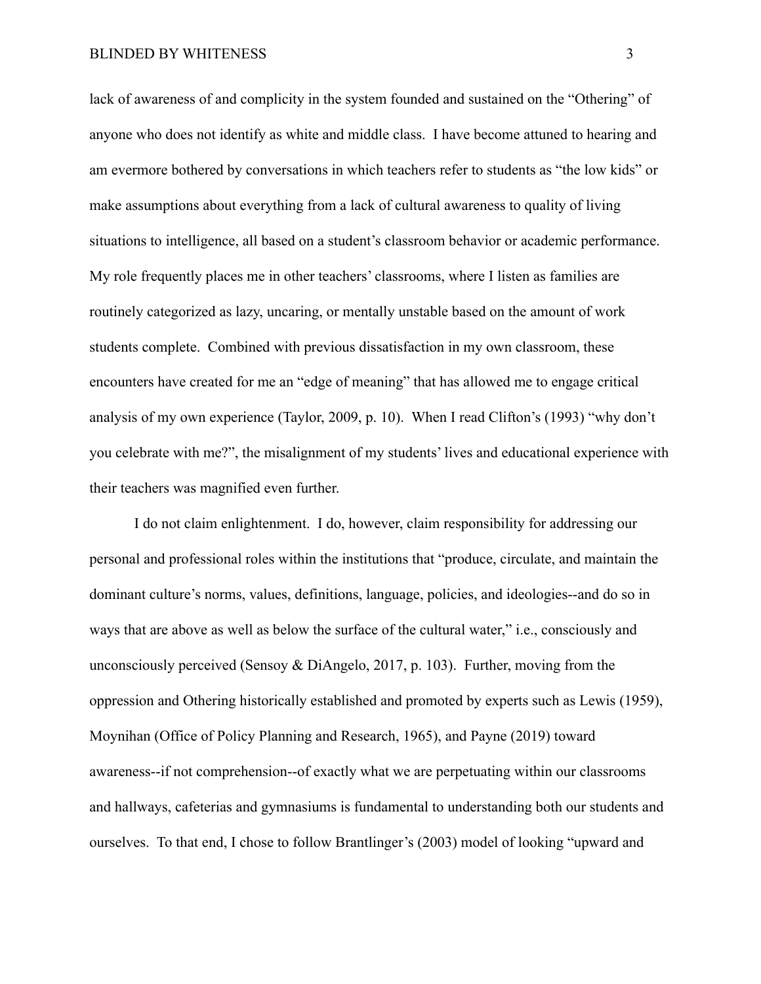lack of awareness of and complicity in the system founded and sustained on the "Othering" of anyone who does not identify as white and middle class. I have become attuned to hearing and am evermore bothered by conversations in which teachers refer to students as "the low kids" or make assumptions about everything from a lack of cultural awareness to quality of living situations to intelligence, all based on a student's classroom behavior or academic performance. My role frequently places me in other teachers' classrooms, where I listen as families are routinely categorized as lazy, uncaring, or mentally unstable based on the amount of work students complete. Combined with previous dissatisfaction in my own classroom, these encounters have created for me an "edge of meaning" that has allowed me to engage critical analysis of my own experience (Taylor, 2009, p. 10). When I read Clifton's (1993) "why don't you celebrate with me?", the misalignment of my students' lives and educational experience with their teachers was magnified even further.

I do not claim enlightenment. I do, however, claim responsibility for addressing our personal and professional roles within the institutions that "produce, circulate, and maintain the dominant culture's norms, values, definitions, language, policies, and ideologies--and do so in ways that are above as well as below the surface of the cultural water," i.e., consciously and unconsciously perceived (Sensoy & DiAngelo, 2017, p. 103). Further, moving from the oppression and Othering historically established and promoted by experts such as Lewis (1959), Moynihan (Office of Policy Planning and Research, 1965), and Payne (2019) toward awareness--if not comprehension--of exactly what we are perpetuating within our classrooms and hallways, cafeterias and gymnasiums is fundamental to understanding both our students and ourselves. To that end, I chose to follow Brantlinger's (2003) model of looking "upward and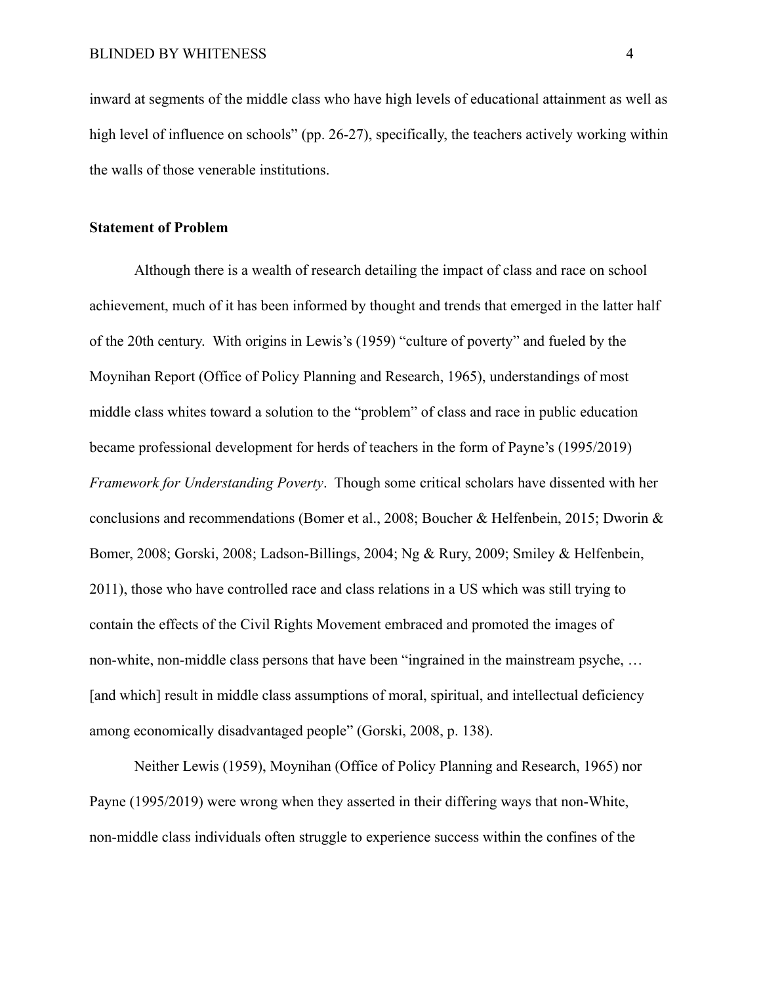inward at segments of the middle class who have high levels of educational attainment as well as high level of influence on schools" (pp. 26-27), specifically, the teachers actively working within the walls of those venerable institutions.

#### <span id="page-16-0"></span>**Statement of Problem**

Although there is a wealth of research detailing the impact of class and race on school achievement, much of it has been informed by thought and trends that emerged in the latter half of the 20th century. With origins in Lewis's (1959) "culture of poverty" and fueled by the Moynihan Report (Office of Policy Planning and Research, 1965), understandings of most middle class whites toward a solution to the "problem" of class and race in public education became professional development for herds of teachers in the form of Payne's (1995/2019) *Framework for Understanding Poverty*. Though some critical scholars have dissented with her conclusions and recommendations (Bomer et al., 2008; Boucher & Helfenbein, 2015; Dworin & Bomer, 2008; Gorski, 2008; Ladson-Billings, 2004; Ng & Rury, 2009; Smiley & Helfenbein, 2011), those who have controlled race and class relations in a US which was still trying to contain the effects of the Civil Rights Movement embraced and promoted the images of non-white, non-middle class persons that have been "ingrained in the mainstream psyche, … [and which] result in middle class assumptions of moral, spiritual, and intellectual deficiency among economically disadvantaged people" (Gorski, 2008, p. 138).

Neither Lewis (1959), Moynihan (Office of Policy Planning and Research, 1965) nor Payne (1995/2019) were wrong when they asserted in their differing ways that non-White, non-middle class individuals often struggle to experience success within the confines of the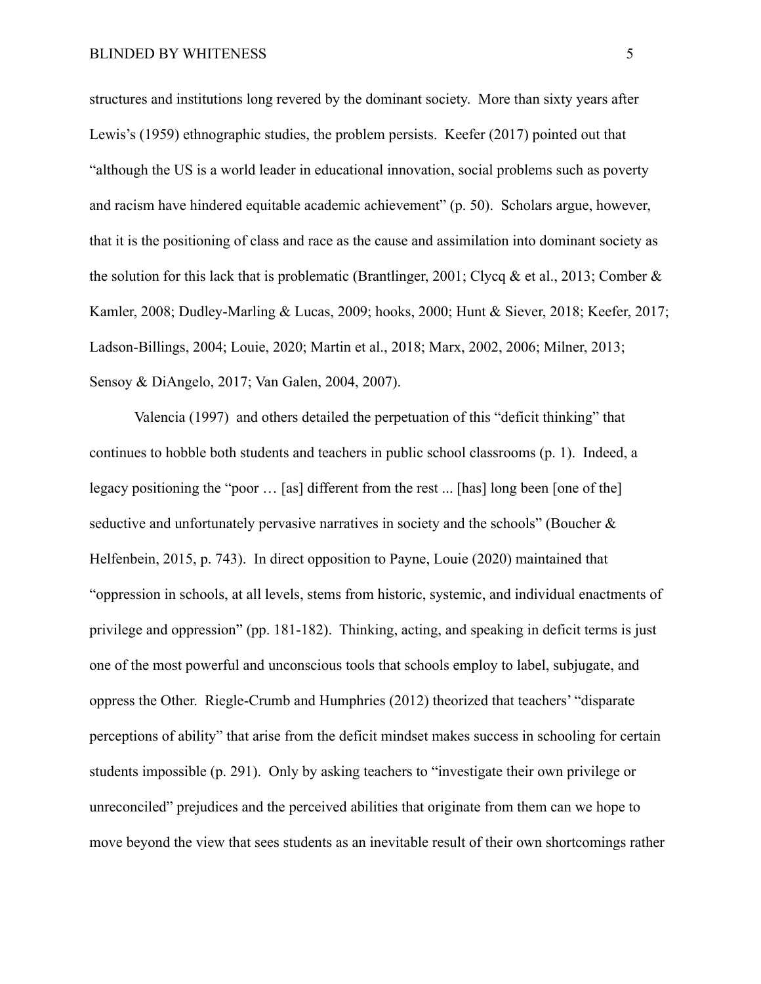structures and institutions long revered by the dominant society. More than sixty years after Lewis's (1959) ethnographic studies, the problem persists. Keefer (2017) pointed out that "although the US is a world leader in educational innovation, social problems such as poverty and racism have hindered equitable academic achievement" (p. 50). Scholars argue, however, that it is the positioning of class and race as the cause and assimilation into dominant society as the solution for this lack that is problematic (Brantlinger, 2001; Clycq & et al., 2013; Comber  $\&$ Kamler, 2008; Dudley-Marling & Lucas, 2009; hooks, 2000; Hunt & Siever, 2018; Keefer, 2017; Ladson-Billings, 2004; Louie, 2020; Martin et al., 2018; Marx, 2002, 2006; Milner, 2013; Sensoy & DiAngelo, 2017; Van Galen, 2004, 2007).

Valencia (1997) and others detailed the perpetuation of this "deficit thinking" that continues to hobble both students and teachers in public school classrooms (p. 1). Indeed, a legacy positioning the "poor … [as] different from the rest ... [has] long been [one of the] seductive and unfortunately pervasive narratives in society and the schools" (Boucher & Helfenbein, 2015, p. 743). In direct opposition to Payne, Louie (2020) maintained that "oppression in schools, at all levels, stems from historic, systemic, and individual enactments of privilege and oppression" (pp. 181-182). Thinking, acting, and speaking in deficit terms is just one of the most powerful and unconscious tools that schools employ to label, subjugate, and oppress the Other. Riegle-Crumb and Humphries (2012) theorized that teachers' "disparate perceptions of ability" that arise from the deficit mindset makes success in schooling for certain students impossible (p. 291). Only by asking teachers to "investigate their own privilege or unreconciled" prejudices and the perceived abilities that originate from them can we hope to move beyond the view that sees students as an inevitable result of their own shortcomings rather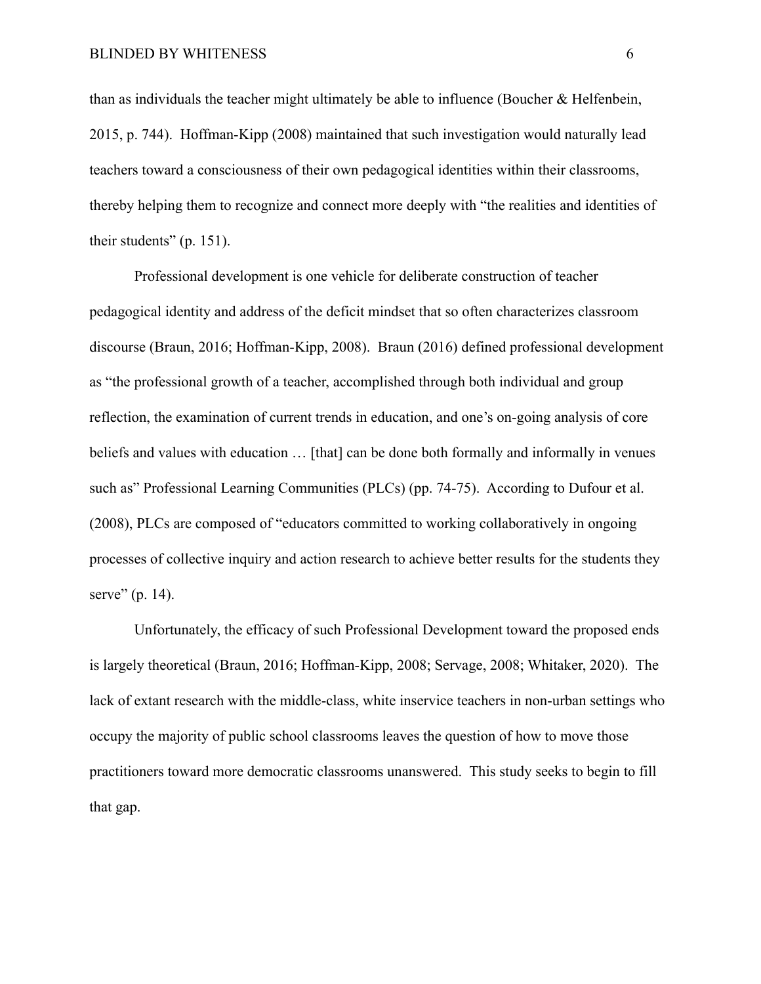than as individuals the teacher might ultimately be able to influence (Boucher & Helfenbein, 2015, p. 744). Hoffman-Kipp (2008) maintained that such investigation would naturally lead teachers toward a consciousness of their own pedagogical identities within their classrooms, thereby helping them to recognize and connect more deeply with "the realities and identities of their students" (p. 151).

Professional development is one vehicle for deliberate construction of teacher pedagogical identity and address of the deficit mindset that so often characterizes classroom discourse (Braun, 2016; Hoffman-Kipp, 2008). Braun (2016) defined professional development as "the professional growth of a teacher, accomplished through both individual and group reflection, the examination of current trends in education, and one's on-going analysis of core beliefs and values with education ... [that] can be done both formally and informally in venues such as" Professional Learning Communities (PLCs) (pp. 74-75). According to Dufour et al. (2008), PLCs are composed of "educators committed to working collaboratively in ongoing processes of collective inquiry and action research to achieve better results for the students they serve" (p. 14).

Unfortunately, the efficacy of such Professional Development toward the proposed ends is largely theoretical (Braun, 2016; Hoffman-Kipp, 2008; Servage, 2008; Whitaker, 2020). The lack of extant research with the middle-class, white inservice teachers in non-urban settings who occupy the majority of public school classrooms leaves the question of how to move those practitioners toward more democratic classrooms unanswered. This study seeks to begin to fill that gap.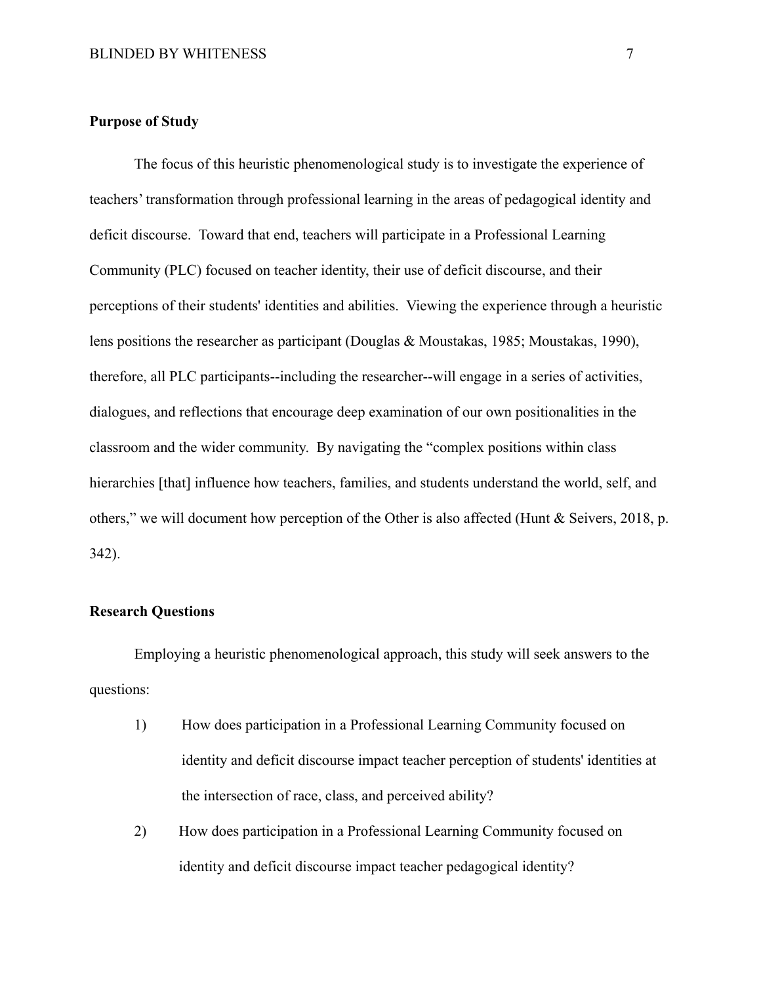#### <span id="page-19-0"></span>**Purpose of Study**

The focus of this heuristic phenomenological study is to investigate the experience of teachers' transformation through professional learning in the areas of pedagogical identity and deficit discourse. Toward that end, teachers will participate in a Professional Learning Community (PLC) focused on teacher identity, their use of deficit discourse, and their perceptions of their students' identities and abilities. Viewing the experience through a heuristic lens positions the researcher as participant (Douglas & Moustakas, 1985; Moustakas, 1990), therefore, all PLC participants--including the researcher--will engage in a series of activities, dialogues, and reflections that encourage deep examination of our own positionalities in the classroom and the wider community. By navigating the "complex positions within class hierarchies [that] influence how teachers, families, and students understand the world, self, and others," we will document how perception of the Other is also affected (Hunt & Seivers, 2018, p. 342).

## <span id="page-19-1"></span>**Research Questions**

Employing a heuristic phenomenological approach, this study will seek answers to the questions:

- 1) How does participation in a Professional Learning Community focused on identity and deficit discourse impact teacher perception of students' identities at the intersection of race, class, and perceived ability?
- 2) How does participation in a Professional Learning Community focused on identity and deficit discourse impact teacher pedagogical identity?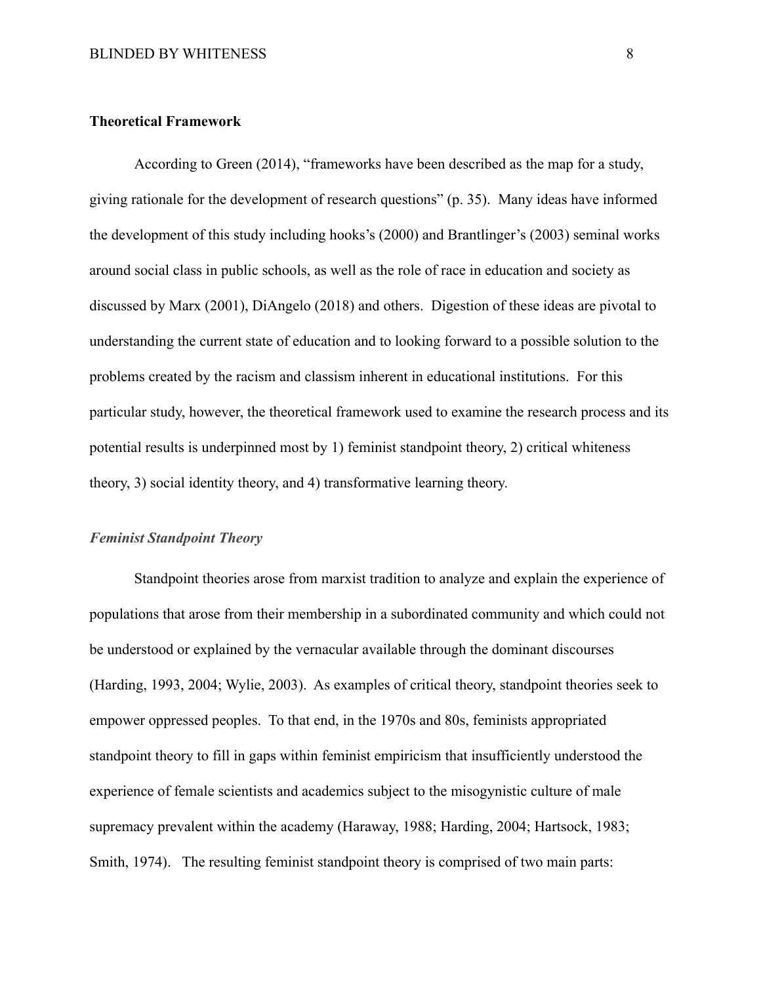#### <span id="page-20-0"></span>**Theoretical Framework**

According to Green (2014), "frameworks have been described as the map for a study, giving rationale for the development of research questions" (p. 35). Many ideas have informed the development of this study including hooks's (2000) and Brantlinger's (2003) seminal works around social class in public schools, as well as the role of race in education and society as discussed by Marx (2001), DiAngelo (2018) and others. Digestion of these ideas are pivotal to understanding the current state of education and to looking forward to a possible solution to the problems created by the racism and classism inherent in educational institutions. For this particular study, however, the theoretical framework used to examine the research process and its potential results is underpinned most by 1) feminist standpoint theory, 2) critical whiteness theory, 3) social identity theory, and 4) transformative learning theory.

#### <span id="page-20-1"></span>*Feminist Standpoint Theory*

Standpoint theories arose from marxist tradition to analyze and explain the experience of populations that arose from their membership in a subordinated community and which could not be understood or explained by the vernacular available through the dominant discourses (Harding, 1993, 2004; Wylie, 2003). As examples of critical theory, standpoint theories seek to empower oppressed peoples. To that end, in the 1970s and 80s, feminists appropriated standpoint theory to fill in gaps within feminist empiricism that insufficiently understood the experience of female scientists and academics subject to the misogynistic culture of male supremacy prevalent within the academy (Haraway, 1988; Harding, 2004; Hartsock, 1983; Smith, 1974). The resulting feminist standpoint theory is comprised of two main parts: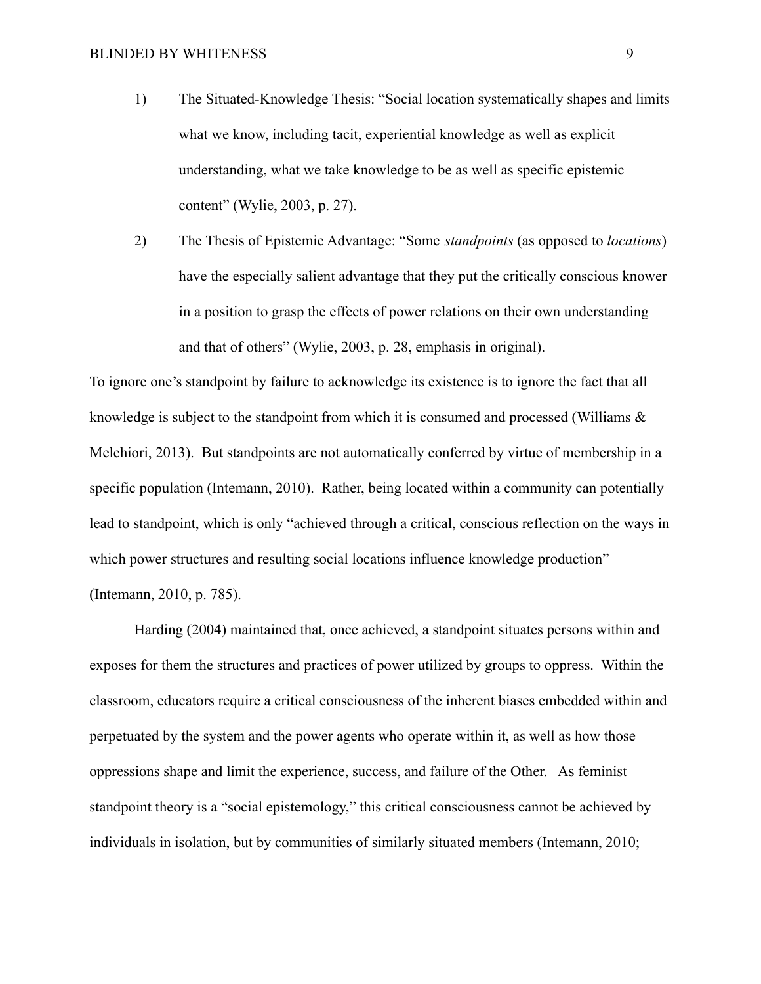1) The Situated-Knowledge Thesis: "Social location systematically shapes and limits what we know, including tacit, experiential knowledge as well as explicit understanding, what we take knowledge to be as well as specific epistemic content" (Wylie, 2003, p. 27).

2) The Thesis of Epistemic Advantage: "Some *standpoints* (as opposed to *locations*) have the especially salient advantage that they put the critically conscious knower in a position to grasp the effects of power relations on their own understanding and that of others" (Wylie, 2003, p. 28, emphasis in original).

To ignore one's standpoint by failure to acknowledge its existence is to ignore the fact that all knowledge is subject to the standpoint from which it is consumed and processed (Williams & Melchiori, 2013). But standpoints are not automatically conferred by virtue of membership in a specific population (Intemann, 2010). Rather, being located within a community can potentially lead to standpoint, which is only "achieved through a critical, conscious reflection on the ways in which power structures and resulting social locations influence knowledge production" (Intemann, 2010, p. 785).

Harding (2004) maintained that, once achieved, a standpoint situates persons within and exposes for them the structures and practices of power utilized by groups to oppress. Within the classroom, educators require a critical consciousness of the inherent biases embedded within and perpetuated by the system and the power agents who operate within it, as well as how those oppressions shape and limit the experience, success, and failure of the Other. As feminist standpoint theory is a "social epistemology," this critical consciousness cannot be achieved by individuals in isolation, but by communities of similarly situated members (Intemann, 2010;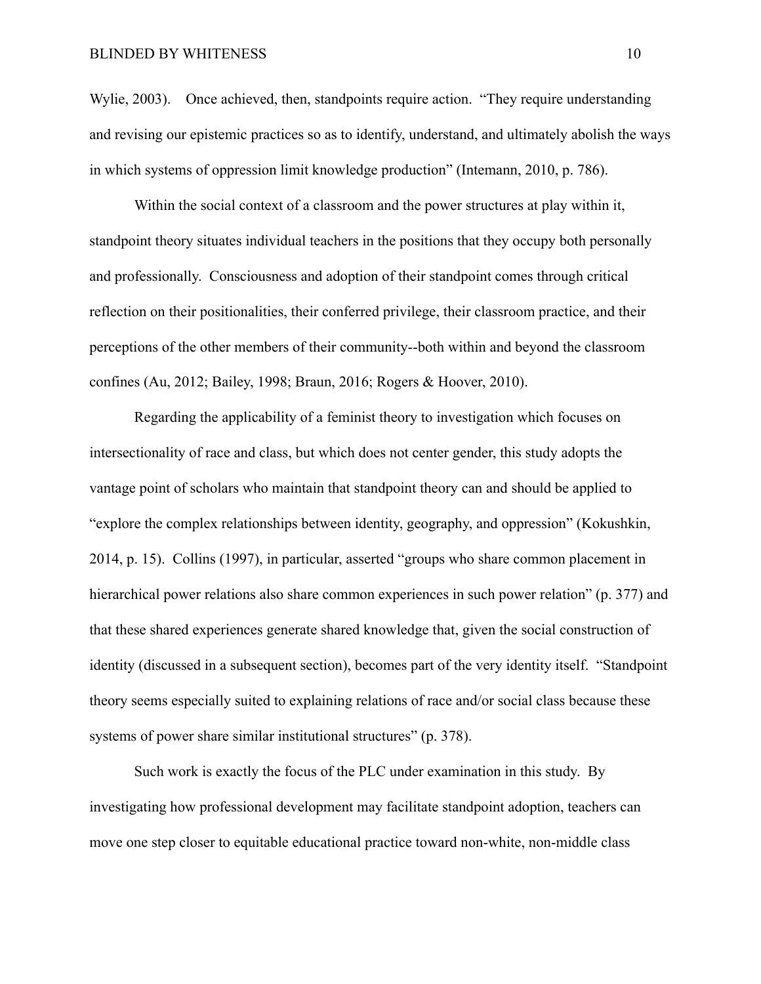#### BLINDED BY WHITENESS 10

Wylie, 2003). Once achieved, then, standpoints require action. "They require understanding and revising our epistemic practices so as to identify, understand, and ultimately abolish the ways in which systems of oppression limit knowledge production" (Intemann, 2010, p. 786).

Within the social context of a classroom and the power structures at play within it, standpoint theory situates individual teachers in the positions that they occupy both personally and professionally. Consciousness and adoption of their standpoint comes through critical reflection on their positionalities, their conferred privilege, their classroom practice, and their perceptions of the other members of their community--both within and beyond the classroom confines (Au, 2012; Bailey, 1998; Braun, 2016; Rogers & Hoover, 2010).

Regarding the applicability of a feminist theory to investigation which focuses on intersectionality of race and class, but which does not center gender, this study adopts the vantage point of scholars who maintain that standpoint theory can and should be applied to "explore the complex relationships between identity, geography, and oppression" (Kokushkin, 2014, p. 15). Collins (1997), in particular, asserted "groups who share common placement in hierarchical power relations also share common experiences in such power relation" (p. 377) and that these shared experiences generate shared knowledge that, given the social construction of identity (discussed in a subsequent section), becomes part of the very identity itself. "Standpoint theory seems especially suited to explaining relations of race and/or social class because these systems of power share similar institutional structures" (p. 378).

Such work is exactly the focus of the PLC under examination in this study. By investigating how professional development may facilitate standpoint adoption, teachers can move one step closer to equitable educational practice toward non-white, non-middle class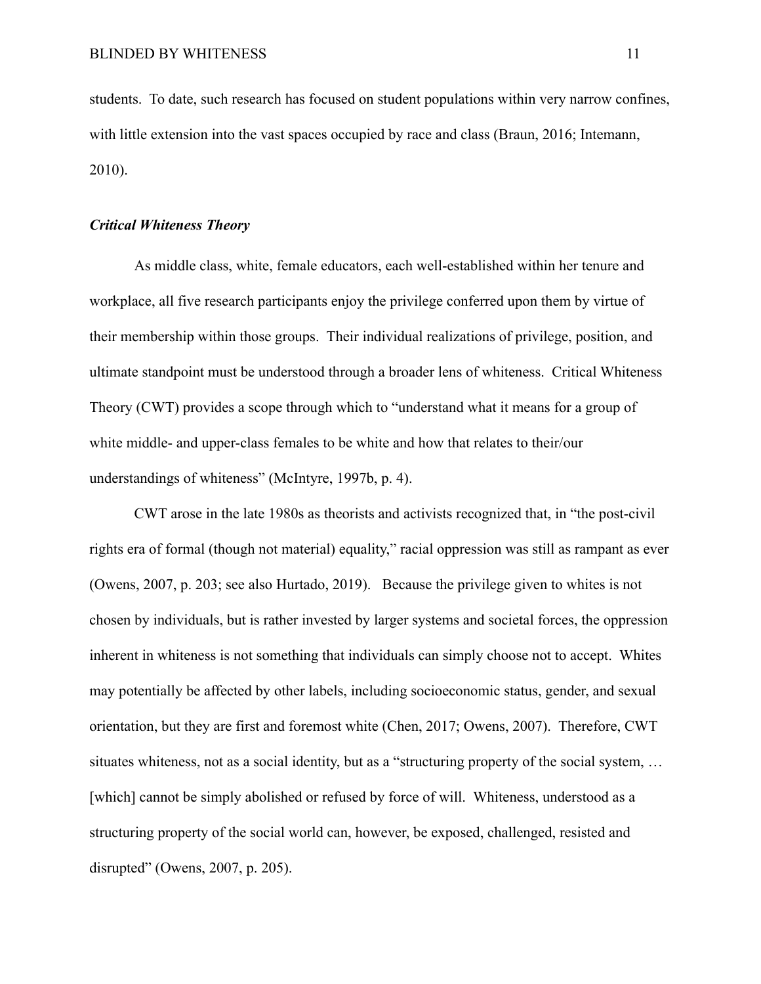students. To date, such research has focused on student populations within very narrow confines, with little extension into the vast spaces occupied by race and class (Braun, 2016; Intemann, 2010).

## <span id="page-23-0"></span>*Critical Whiteness Theory*

As middle class, white, female educators, each well-established within her tenure and workplace, all five research participants enjoy the privilege conferred upon them by virtue of their membership within those groups. Their individual realizations of privilege, position, and ultimate standpoint must be understood through a broader lens of whiteness. Critical Whiteness Theory (CWT) provides a scope through which to "understand what it means for a group of white middle- and upper-class females to be white and how that relates to their/our understandings of whiteness" (McIntyre, 1997b, p. 4).

CWT arose in the late 1980s as theorists and activists recognized that, in "the post-civil rights era of formal (though not material) equality," racial oppression was still as rampant as ever (Owens, 2007, p. 203; see also Hurtado, 2019). Because the privilege given to whites is not chosen by individuals, but is rather invested by larger systems and societal forces, the oppression inherent in whiteness is not something that individuals can simply choose not to accept. Whites may potentially be affected by other labels, including socioeconomic status, gender, and sexual orientation, but they are first and foremost white (Chen, 2017; Owens, 2007). Therefore, CWT situates whiteness, not as a social identity, but as a "structuring property of the social system, ... [which] cannot be simply abolished or refused by force of will. Whiteness, understood as a structuring property of the social world can, however, be exposed, challenged, resisted and disrupted" (Owens, 2007, p. 205).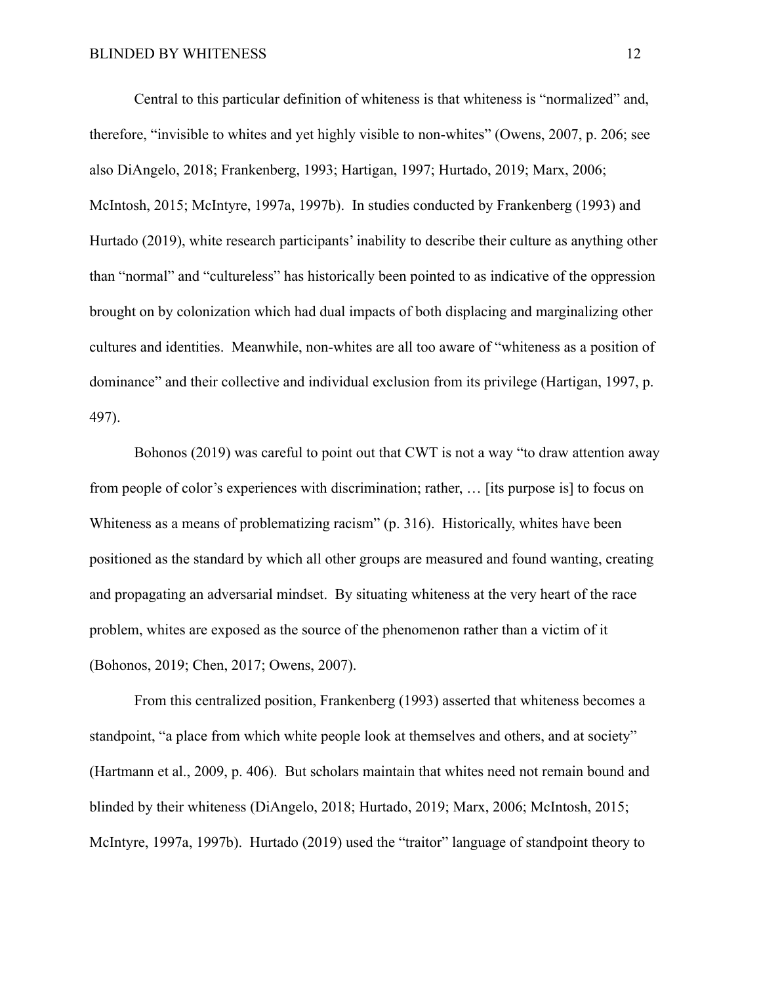Central to this particular definition of whiteness is that whiteness is "normalized" and, therefore, "invisible to whites and yet highly visible to non-whites" (Owens, 2007, p. 206; see also DiAngelo, 2018; Frankenberg, 1993; Hartigan, 1997; Hurtado, 2019; Marx, 2006; McIntosh, 2015; McIntyre, 1997a, 1997b). In studies conducted by Frankenberg (1993) and Hurtado (2019), white research participants' inability to describe their culture as anything other than "normal" and "cultureless" has historically been pointed to as indicative of the oppression brought on by colonization which had dual impacts of both displacing and marginalizing other cultures and identities. Meanwhile, non-whites are all too aware of "whiteness as a position of dominance" and their collective and individual exclusion from its privilege (Hartigan, 1997, p. 497).

Bohonos (2019) was careful to point out that CWT is not a way "to draw attention away from people of color's experiences with discrimination; rather, … [its purpose is] to focus on Whiteness as a means of problematizing racism" (p. 316). Historically, whites have been positioned as the standard by which all other groups are measured and found wanting, creating and propagating an adversarial mindset. By situating whiteness at the very heart of the race problem, whites are exposed as the source of the phenomenon rather than a victim of it (Bohonos, 2019; Chen, 2017; Owens, 2007).

From this centralized position, Frankenberg (1993) asserted that whiteness becomes a standpoint, "a place from which white people look at themselves and others, and at society" (Hartmann et al., 2009, p. 406). But scholars maintain that whites need not remain bound and blinded by their whiteness (DiAngelo, 2018; Hurtado, 2019; Marx, 2006; McIntosh, 2015; McIntyre, 1997a, 1997b). Hurtado (2019) used the "traitor" language of standpoint theory to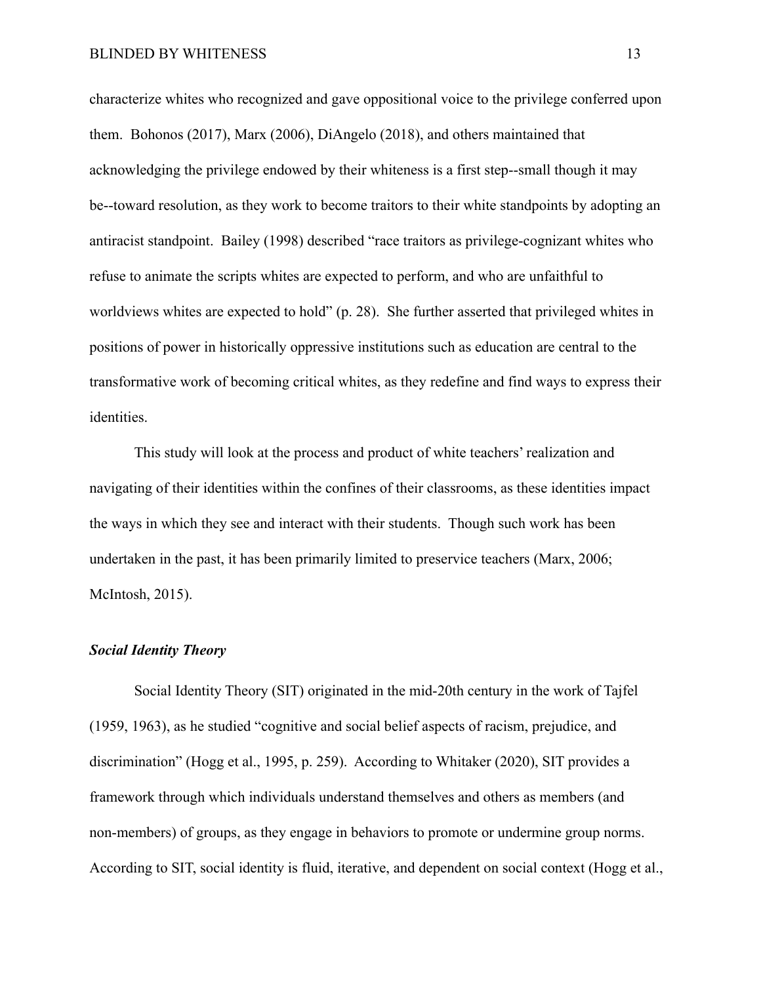characterize whites who recognized and gave oppositional voice to the privilege conferred upon them. Bohonos (2017), Marx (2006), DiAngelo (2018), and others maintained that acknowledging the privilege endowed by their whiteness is a first step--small though it may be--toward resolution, as they work to become traitors to their white standpoints by adopting an antiracist standpoint. Bailey (1998) described "race traitors as privilege-cognizant whites who refuse to animate the scripts whites are expected to perform, and who are unfaithful to worldviews whites are expected to hold" (p. 28). She further asserted that privileged whites in positions of power in historically oppressive institutions such as education are central to the transformative work of becoming critical whites, as they redefine and find ways to express their identities.

This study will look at the process and product of white teachers' realization and navigating of their identities within the confines of their classrooms, as these identities impact the ways in which they see and interact with their students. Though such work has been undertaken in the past, it has been primarily limited to preservice teachers (Marx, 2006; McIntosh, 2015).

#### <span id="page-25-0"></span>*Social Identity Theory*

Social Identity Theory (SIT) originated in the mid-20th century in the work of Tajfel (1959, 1963), as he studied "cognitive and social belief aspects of racism, prejudice, and discrimination" (Hogg et al., 1995, p. 259). According to Whitaker (2020), SIT provides a framework through which individuals understand themselves and others as members (and non-members) of groups, as they engage in behaviors to promote or undermine group norms. According to SIT, social identity is fluid, iterative, and dependent on social context (Hogg et al.,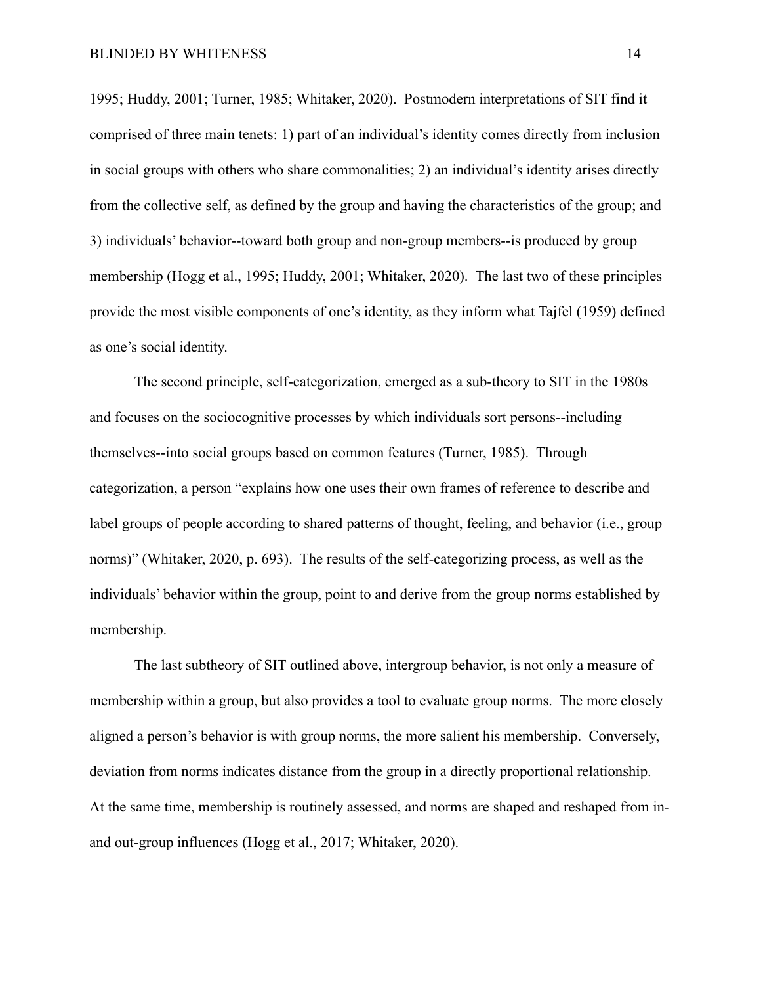1995; Huddy, 2001; Turner, 1985; Whitaker, 2020). Postmodern interpretations of SIT find it comprised of three main tenets: 1) part of an individual's identity comes directly from inclusion in social groups with others who share commonalities; 2) an individual's identity arises directly from the collective self, as defined by the group and having the characteristics of the group; and 3) individuals' behavior--toward both group and non-group members--is produced by group membership (Hogg et al., 1995; Huddy, 2001; Whitaker, 2020). The last two of these principles provide the most visible components of one's identity, as they inform what Tajfel (1959) defined as one's social identity.

The second principle, self-categorization, emerged as a sub-theory to SIT in the 1980s and focuses on the sociocognitive processes by which individuals sort persons--including themselves--into social groups based on common features (Turner, 1985). Through categorization, a person "explains how one uses their own frames of reference to describe and label groups of people according to shared patterns of thought, feeling, and behavior (i.e., group norms)" (Whitaker, 2020, p. 693). The results of the self-categorizing process, as well as the individuals' behavior within the group, point to and derive from the group norms established by membership.

The last subtheory of SIT outlined above, intergroup behavior, is not only a measure of membership within a group, but also provides a tool to evaluate group norms. The more closely aligned a person's behavior is with group norms, the more salient his membership. Conversely, deviation from norms indicates distance from the group in a directly proportional relationship. At the same time, membership is routinely assessed, and norms are shaped and reshaped from inand out-group influences (Hogg et al., 2017; Whitaker, 2020).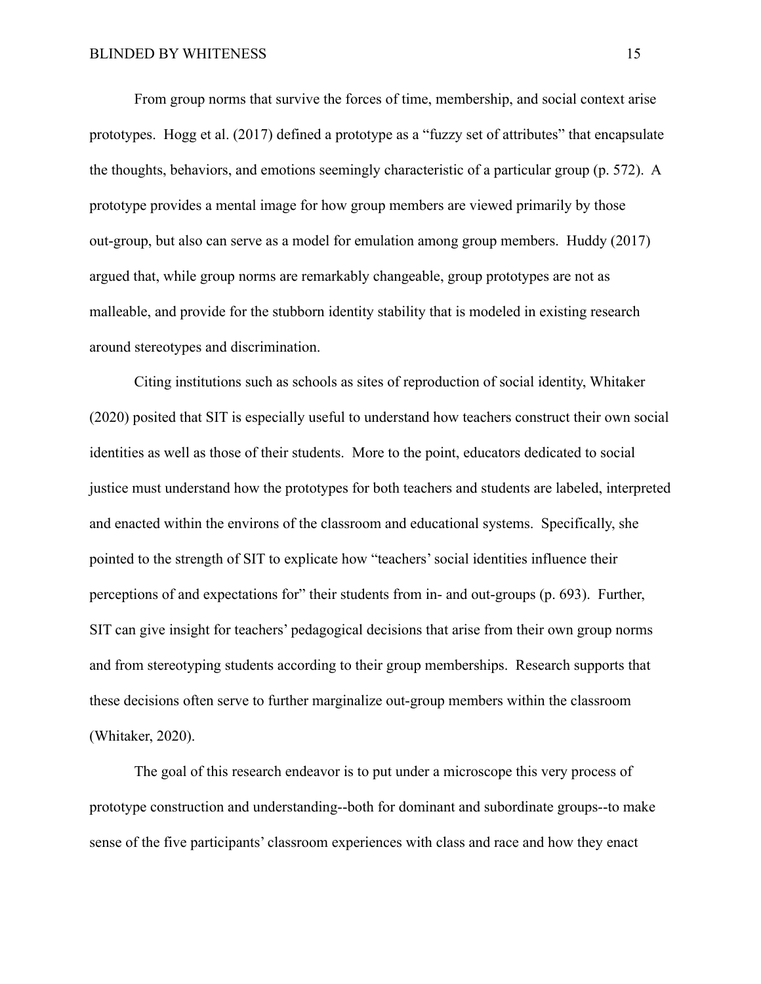From group norms that survive the forces of time, membership, and social context arise prototypes. Hogg et al. (2017) defined a prototype as a "fuzzy set of attributes" that encapsulate the thoughts, behaviors, and emotions seemingly characteristic of a particular group (p. 572). A prototype provides a mental image for how group members are viewed primarily by those out-group, but also can serve as a model for emulation among group members. Huddy (2017) argued that, while group norms are remarkably changeable, group prototypes are not as malleable, and provide for the stubborn identity stability that is modeled in existing research around stereotypes and discrimination.

Citing institutions such as schools as sites of reproduction of social identity, Whitaker (2020) posited that SIT is especially useful to understand how teachers construct their own social identities as well as those of their students. More to the point, educators dedicated to social justice must understand how the prototypes for both teachers and students are labeled, interpreted and enacted within the environs of the classroom and educational systems. Specifically, she pointed to the strength of SIT to explicate how "teachers' social identities influence their perceptions of and expectations for" their students from in- and out-groups (p. 693). Further, SIT can give insight for teachers' pedagogical decisions that arise from their own group norms and from stereotyping students according to their group memberships. Research supports that these decisions often serve to further marginalize out-group members within the classroom (Whitaker, 2020).

The goal of this research endeavor is to put under a microscope this very process of prototype construction and understanding--both for dominant and subordinate groups--to make sense of the five participants' classroom experiences with class and race and how they enact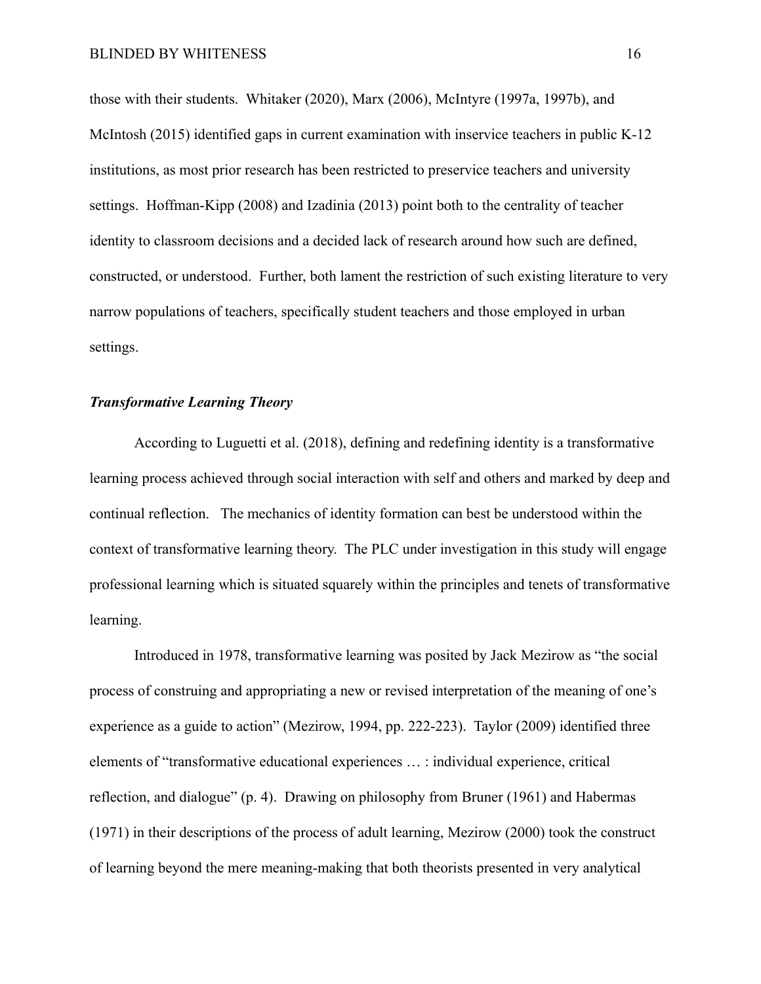those with their students. Whitaker (2020), Marx (2006), McIntyre (1997a, 1997b), and McIntosh (2015) identified gaps in current examination with inservice teachers in public K-12 institutions, as most prior research has been restricted to preservice teachers and university settings. Hoffman-Kipp (2008) and Izadinia (2013) point both to the centrality of teacher identity to classroom decisions and a decided lack of research around how such are defined, constructed, or understood. Further, both lament the restriction of such existing literature to very narrow populations of teachers, specifically student teachers and those employed in urban settings.

#### <span id="page-28-0"></span>*Transformative Learning Theory*

According to Luguetti et al. (2018), defining and redefining identity is a transformative learning process achieved through social interaction with self and others and marked by deep and continual reflection. The mechanics of identity formation can best be understood within the context of transformative learning theory. The PLC under investigation in this study will engage professional learning which is situated squarely within the principles and tenets of transformative learning.

Introduced in 1978, transformative learning was posited by Jack Mezirow as "the social process of construing and appropriating a new or revised interpretation of the meaning of one's experience as a guide to action" (Mezirow, 1994, pp. 222-223). Taylor (2009) identified three elements of "transformative educational experiences … : individual experience, critical reflection, and dialogue" (p. 4). Drawing on philosophy from Bruner (1961) and Habermas (1971) in their descriptions of the process of adult learning, Mezirow (2000) took the construct of learning beyond the mere meaning-making that both theorists presented in very analytical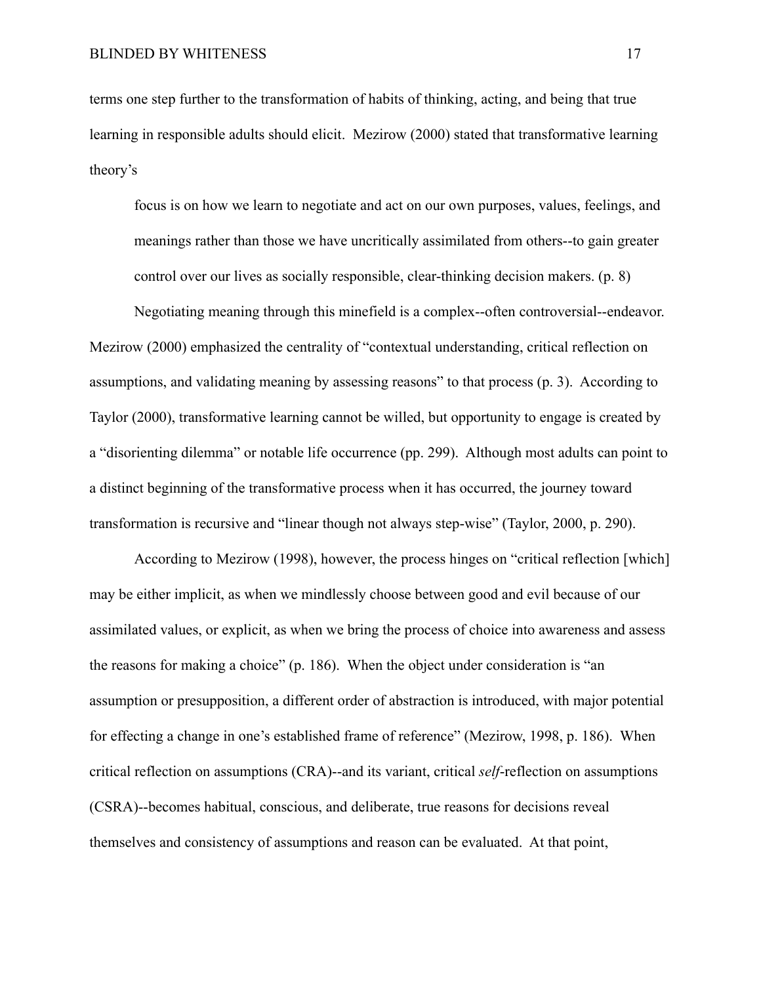terms one step further to the transformation of habits of thinking, acting, and being that true learning in responsible adults should elicit. Mezirow (2000) stated that transformative learning theory's

focus is on how we learn to negotiate and act on our own purposes, values, feelings, and meanings rather than those we have uncritically assimilated from others--to gain greater control over our lives as socially responsible, clear-thinking decision makers. (p. 8)

Negotiating meaning through this minefield is a complex--often controversial--endeavor. Mezirow (2000) emphasized the centrality of "contextual understanding, critical reflection on assumptions, and validating meaning by assessing reasons" to that process (p. 3). According to Taylor (2000), transformative learning cannot be willed, but opportunity to engage is created by a "disorienting dilemma" or notable life occurrence (pp. 299). Although most adults can point to a distinct beginning of the transformative process when it has occurred, the journey toward transformation is recursive and "linear though not always step-wise" (Taylor, 2000, p. 290).

According to Mezirow (1998), however, the process hinges on "critical reflection [which] may be either implicit, as when we mindlessly choose between good and evil because of our assimilated values, or explicit, as when we bring the process of choice into awareness and assess the reasons for making a choice" (p. 186). When the object under consideration is "an assumption or presupposition, a different order of abstraction is introduced, with major potential for effecting a change in one's established frame of reference" (Mezirow, 1998, p. 186). When critical reflection on assumptions (CRA)--and its variant, critical *self*-reflection on assumptions (CSRA)--becomes habitual, conscious, and deliberate, true reasons for decisions reveal themselves and consistency of assumptions and reason can be evaluated. At that point,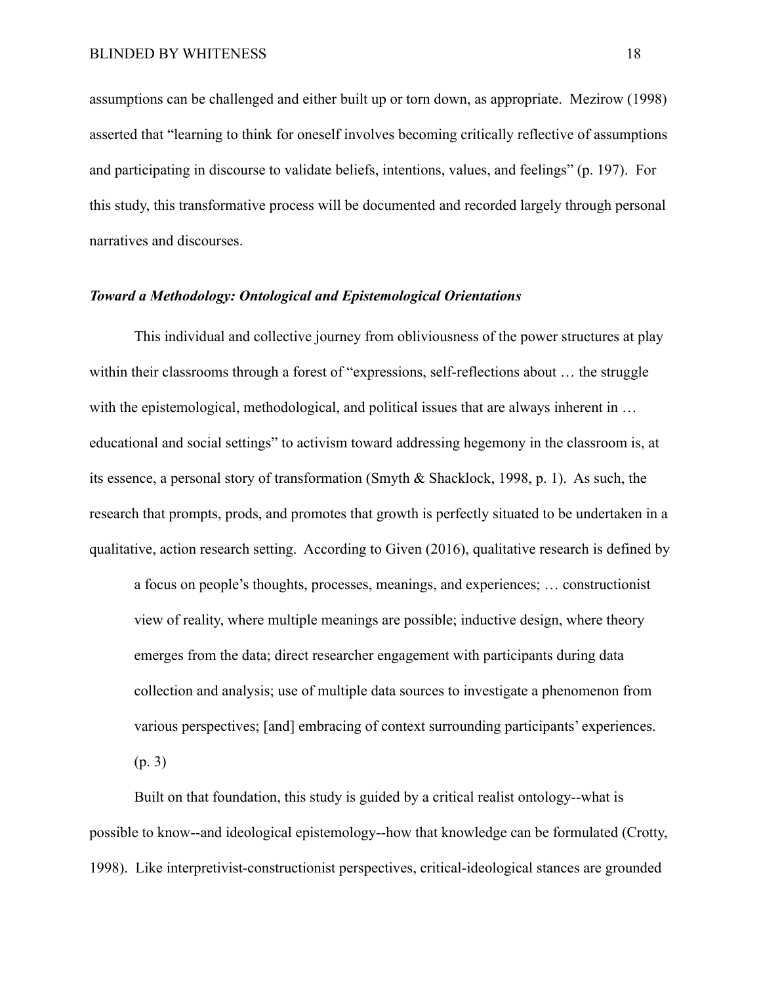assumptions can be challenged and either built up or torn down, as appropriate. Mezirow (1998) asserted that "learning to think for oneself involves becoming critically reflective of assumptions and participating in discourse to validate beliefs, intentions, values, and feelings" (p. 197). For this study, this transformative process will be documented and recorded largely through personal narratives and discourses.

#### <span id="page-30-0"></span>*Toward a Methodology: Ontological and Epistemological Orientations*

This individual and collective journey from obliviousness of the power structures at play within their classrooms through a forest of "expressions, self-reflections about ... the struggle with the epistemological, methodological, and political issues that are always inherent in ... educational and social settings" to activism toward addressing hegemony in the classroom is, at its essence, a personal story of transformation (Smyth & Shacklock, 1998, p. 1). As such, the research that prompts, prods, and promotes that growth is perfectly situated to be undertaken in a qualitative, action research setting. According to Given (2016), qualitative research is defined by

a focus on people's thoughts, processes, meanings, and experiences; … constructionist view of reality, where multiple meanings are possible; inductive design, where theory emerges from the data; direct researcher engagement with participants during data collection and analysis; use of multiple data sources to investigate a phenomenon from various perspectives; [and] embracing of context surrounding participants' experiences.

(p. 3)

Built on that foundation, this study is guided by a critical realist ontology--what is possible to know--and ideological epistemology--how that knowledge can be formulated (Crotty, 1998). Like interpretivist-constructionist perspectives, critical-ideological stances are grounded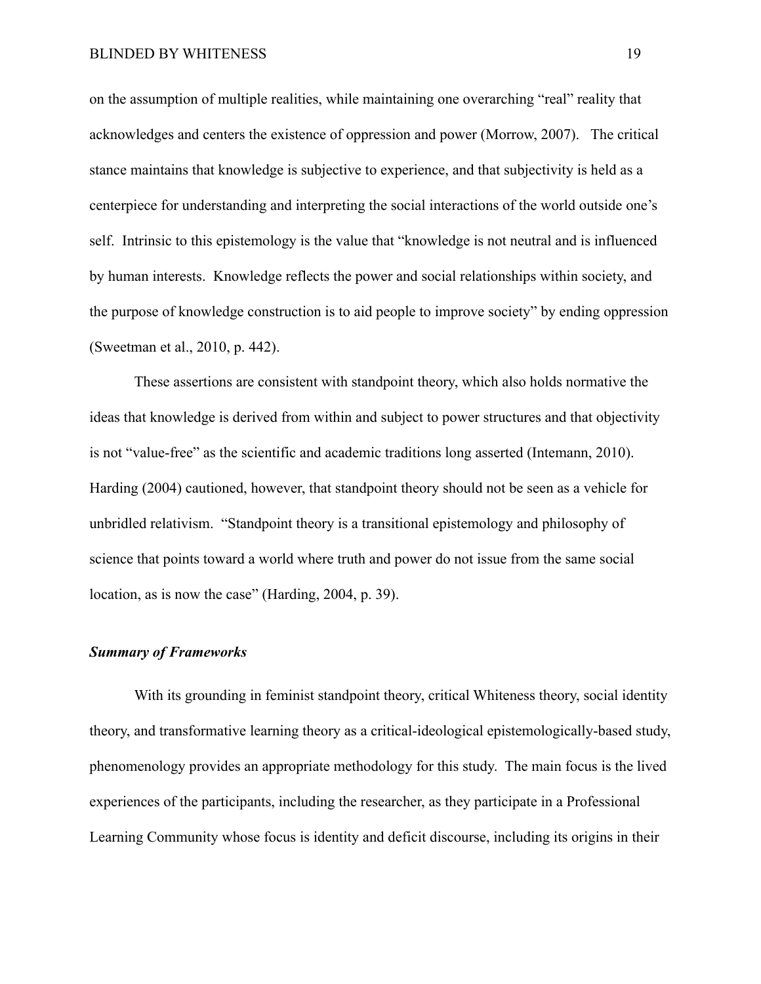on the assumption of multiple realities, while maintaining one overarching "real" reality that acknowledges and centers the existence of oppression and power (Morrow, 2007). The critical stance maintains that knowledge is subjective to experience, and that subjectivity is held as a centerpiece for understanding and interpreting the social interactions of the world outside one's self. Intrinsic to this epistemology is the value that "knowledge is not neutral and is influenced by human interests. Knowledge reflects the power and social relationships within society, and the purpose of knowledge construction is to aid people to improve society" by ending oppression (Sweetman et al., 2010, p. 442).

These assertions are consistent with standpoint theory, which also holds normative the ideas that knowledge is derived from within and subject to power structures and that objectivity is not "value-free" as the scientific and academic traditions long asserted (Intemann, 2010). Harding (2004) cautioned, however, that standpoint theory should not be seen as a vehicle for unbridled relativism. "Standpoint theory is a transitional epistemology and philosophy of science that points toward a world where truth and power do not issue from the same social location, as is now the case" (Harding, 2004, p. 39).

#### <span id="page-31-0"></span>*Summary of Frameworks*

With its grounding in feminist standpoint theory, critical Whiteness theory, social identity theory, and transformative learning theory as a critical-ideological epistemologically-based study, phenomenology provides an appropriate methodology for this study. The main focus is the lived experiences of the participants, including the researcher, as they participate in a Professional Learning Community whose focus is identity and deficit discourse, including its origins in their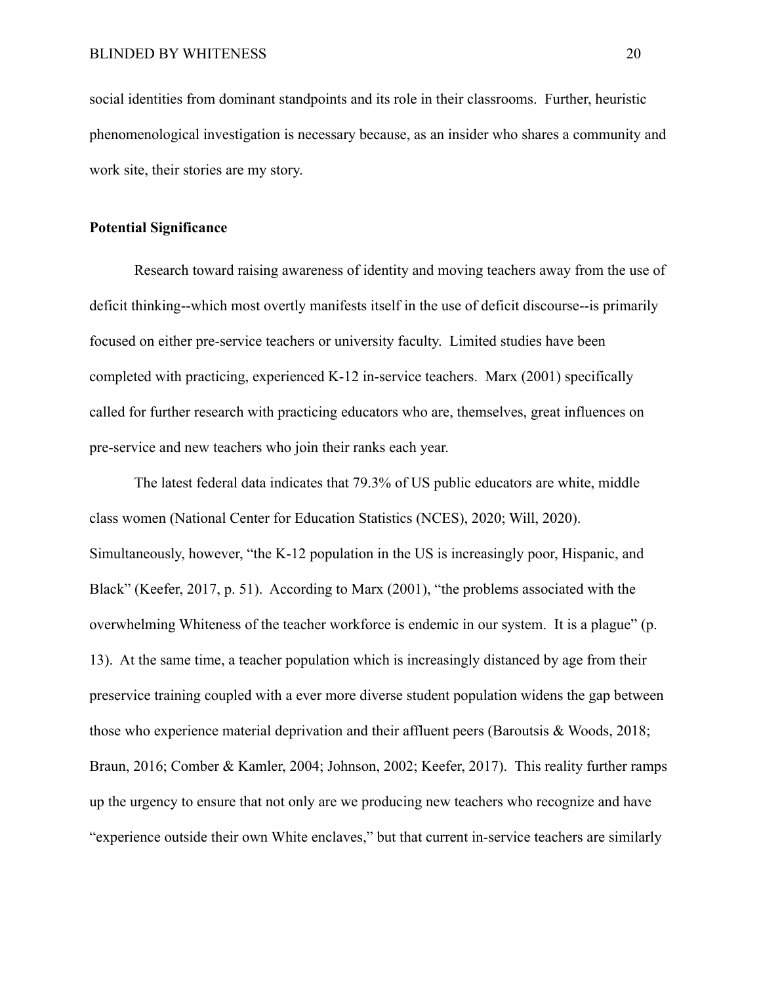social identities from dominant standpoints and its role in their classrooms. Further, heuristic phenomenological investigation is necessary because, as an insider who shares a community and work site, their stories are my story.

#### <span id="page-32-0"></span>**Potential Significance**

Research toward raising awareness of identity and moving teachers away from the use of deficit thinking--which most overtly manifests itself in the use of deficit discourse--is primarily focused on either pre-service teachers or university faculty. Limited studies have been completed with practicing, experienced K-12 in-service teachers. Marx (2001) specifically called for further research with practicing educators who are, themselves, great influences on pre-service and new teachers who join their ranks each year.

The latest federal data indicates that 79.3% of US public educators are white, middle class women (National Center for Education Statistics (NCES), 2020; Will, 2020). Simultaneously, however, "the K-12 population in the US is increasingly poor, Hispanic, and Black" (Keefer, 2017, p. 51). According to Marx (2001), "the problems associated with the overwhelming Whiteness of the teacher workforce is endemic in our system. It is a plague" (p. 13). At the same time, a teacher population which is increasingly distanced by age from their preservice training coupled with a ever more diverse student population widens the gap between those who experience material deprivation and their affluent peers (Baroutsis & Woods, 2018; Braun, 2016; Comber & Kamler, 2004; Johnson, 2002; Keefer, 2017). This reality further ramps up the urgency to ensure that not only are we producing new teachers who recognize and have "experience outside their own White enclaves," but that current in-service teachers are similarly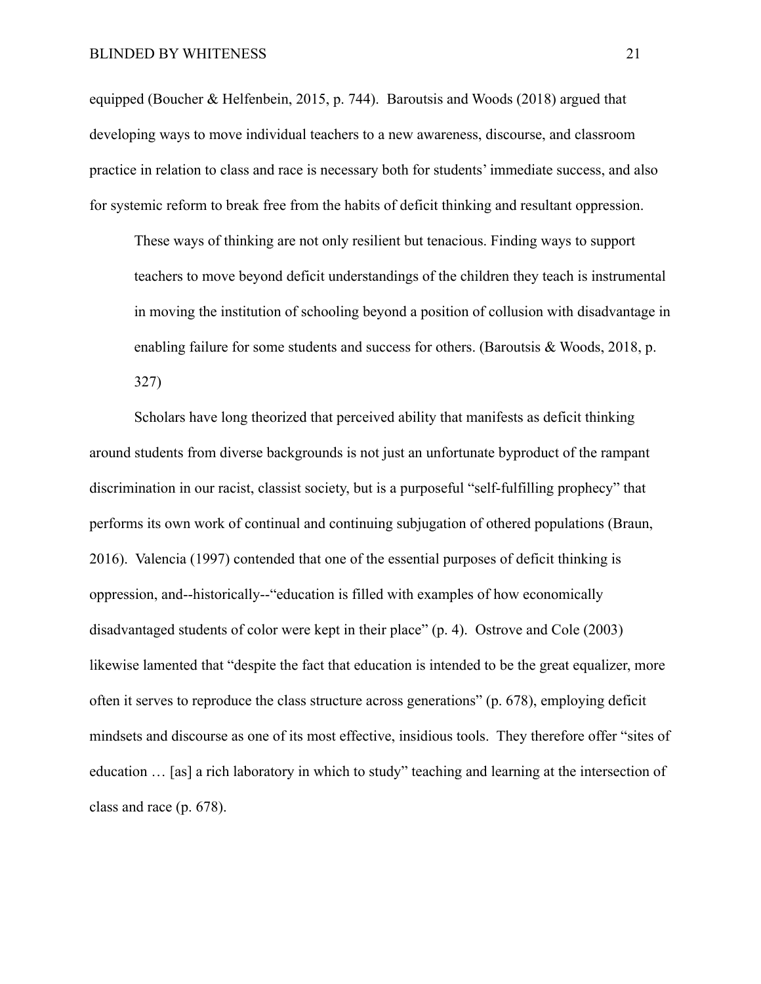#### BLINDED BY WHITENESS 21

equipped (Boucher & Helfenbein, 2015, p. 744). Baroutsis and Woods (2018) argued that developing ways to move individual teachers to a new awareness, discourse, and classroom practice in relation to class and race is necessary both for students' immediate success, and also for systemic reform to break free from the habits of deficit thinking and resultant oppression.

These ways of thinking are not only resilient but tenacious. Finding ways to support teachers to move beyond deficit understandings of the children they teach is instrumental in moving the institution of schooling beyond a position of collusion with disadvantage in enabling failure for some students and success for others. (Baroutsis & Woods, 2018, p. 327)

Scholars have long theorized that perceived ability that manifests as deficit thinking around students from diverse backgrounds is not just an unfortunate byproduct of the rampant discrimination in our racist, classist society, but is a purposeful "self-fulfilling prophecy" that performs its own work of continual and continuing subjugation of othered populations (Braun, 2016). Valencia (1997) contended that one of the essential purposes of deficit thinking is oppression, and--historically--"education is filled with examples of how economically disadvantaged students of color were kept in their place" (p. 4). Ostrove and Cole (2003) likewise lamented that "despite the fact that education is intended to be the great equalizer, more often it serves to reproduce the class structure across generations" (p. 678), employing deficit mindsets and discourse as one of its most effective, insidious tools. They therefore offer "sites of education … [as] a rich laboratory in which to study" teaching and learning at the intersection of class and race (p. 678).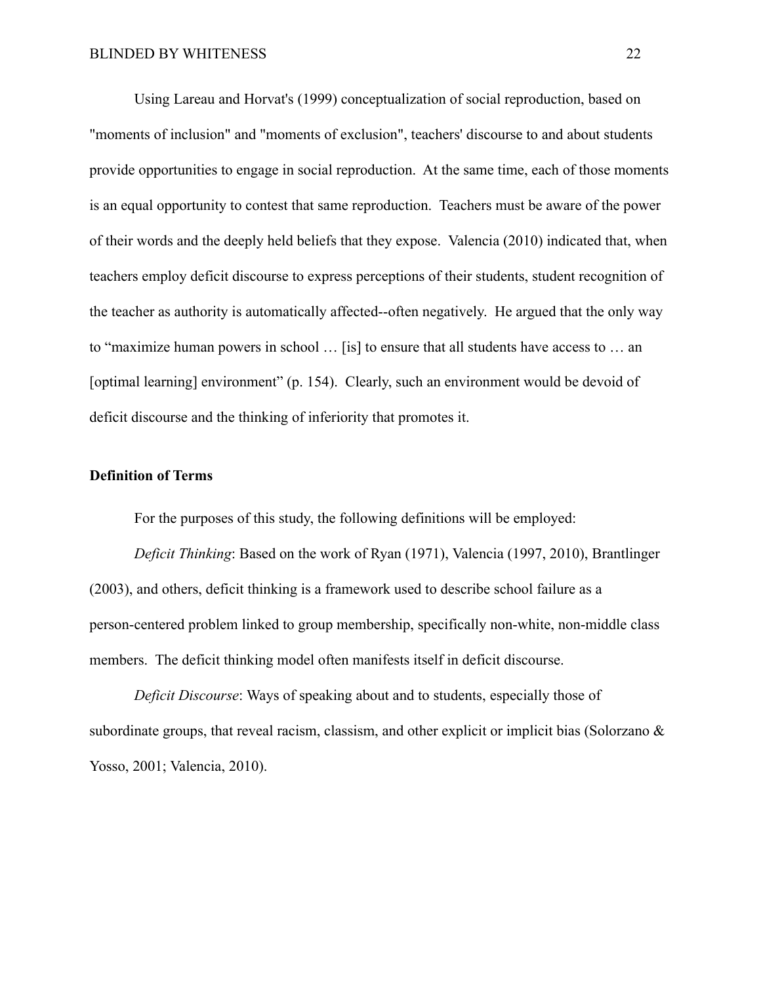Using Lareau and Horvat's (1999) conceptualization of social reproduction, based on "moments of inclusion" and "moments of exclusion", teachers' discourse to and about students provide opportunities to engage in social reproduction. At the same time, each of those moments is an equal opportunity to contest that same reproduction. Teachers must be aware of the power of their words and the deeply held beliefs that they expose. Valencia (2010) indicated that, when teachers employ deficit discourse to express perceptions of their students, student recognition of the teacher as authority is automatically affected--often negatively. He argued that the only way to "maximize human powers in school … [is] to ensure that all students have access to … an [optimal learning] environment" (p. 154). Clearly, such an environment would be devoid of deficit discourse and the thinking of inferiority that promotes it.

## <span id="page-34-0"></span>**Definition of Terms**

For the purposes of this study, the following definitions will be employed:

*Deficit Thinking*: Based on the work of Ryan (1971), Valencia (1997, 2010), Brantlinger (2003), and others, deficit thinking is a framework used to describe school failure as a person-centered problem linked to group membership, specifically non-white, non-middle class members. The deficit thinking model often manifests itself in deficit discourse.

*Deficit Discourse*: Ways of speaking about and to students, especially those of subordinate groups, that reveal racism, classism, and other explicit or implicit bias (Solorzano & Yosso, 2001; Valencia, 2010).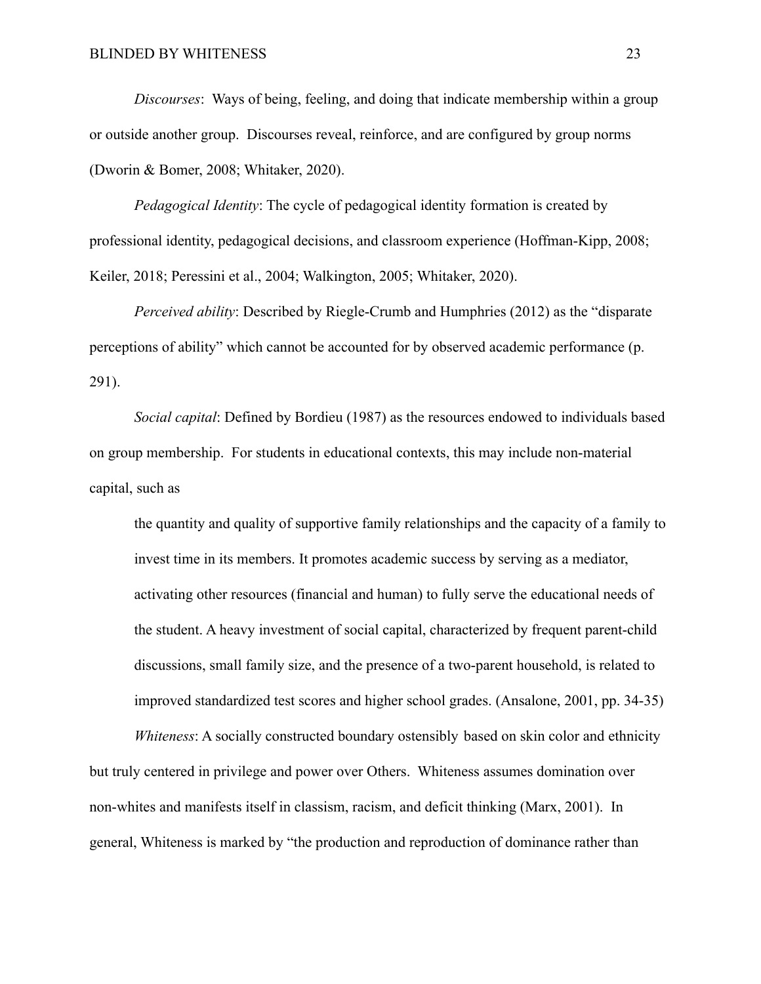*Discourses*: Ways of being, feeling, and doing that indicate membership within a group or outside another group. Discourses reveal, reinforce, and are configured by group norms (Dworin & Bomer, 2008; Whitaker, 2020).

*Pedagogical Identity*: The cycle of pedagogical identity formation is created by professional identity, pedagogical decisions, and classroom experience (Hoffman-Kipp, 2008; Keiler, 2018; Peressini et al., 2004; Walkington, 2005; Whitaker, 2020).

*Perceived ability*: Described by Riegle-Crumb and Humphries (2012) as the "disparate perceptions of ability" which cannot be accounted for by observed academic performance (p. 291).

*Social capital*: Defined by Bordieu (1987) as the resources endowed to individuals based on group membership. For students in educational contexts, this may include non-material capital, such as

the quantity and quality of supportive family relationships and the capacity of a family to invest time in its members. It promotes academic success by serving as a mediator, activating other resources (financial and human) to fully serve the educational needs of the student. A heavy investment of social capital, characterized by frequent parent-child discussions, small family size, and the presence of a two-parent household, is related to improved standardized test scores and higher school grades. (Ansalone, 2001, pp. 34-35)

*Whiteness*: A socially constructed boundary ostensibly based on skin color and ethnicity but truly centered in privilege and power over Others. Whiteness assumes domination over non-whites and manifests itself in classism, racism, and deficit thinking (Marx, 2001). In general, Whiteness is marked by "the production and reproduction of dominance rather than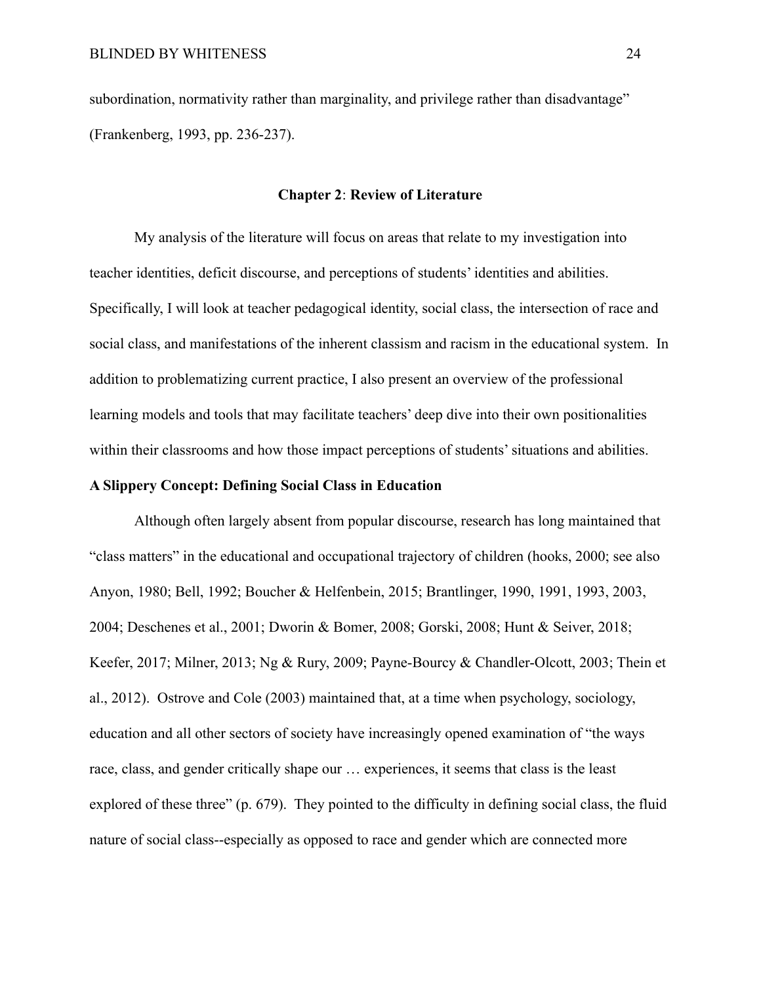subordination, normativity rather than marginality, and privilege rather than disadvantage" (Frankenberg, 1993, pp. 236-237).

#### **Chapter 2**: **Review of Literature**

My analysis of the literature will focus on areas that relate to my investigation into teacher identities, deficit discourse, and perceptions of students' identities and abilities. Specifically, I will look at teacher pedagogical identity, social class, the intersection of race and social class, and manifestations of the inherent classism and racism in the educational system. In addition to problematizing current practice, I also present an overview of the professional learning models and tools that may facilitate teachers' deep dive into their own positionalities within their classrooms and how those impact perceptions of students' situations and abilities.

## **A Slippery Concept: Defining Social Class in Education**

Although often largely absent from popular discourse, research has long maintained that "class matters" in the educational and occupational trajectory of children (hooks, 2000; see also Anyon, 1980; Bell, 1992; Boucher & Helfenbein, 2015; Brantlinger, 1990, 1991, 1993, 2003, 2004; Deschenes et al., 2001; Dworin & Bomer, 2008; Gorski, 2008; Hunt & Seiver, 2018; Keefer, 2017; Milner, 2013; Ng & Rury, 2009; Payne-Bourcy & Chandler-Olcott, 2003; Thein et al., 2012). Ostrove and Cole (2003) maintained that, at a time when psychology, sociology, education and all other sectors of society have increasingly opened examination of "the ways race, class, and gender critically shape our … experiences, it seems that class is the least explored of these three" (p. 679). They pointed to the difficulty in defining social class, the fluid nature of social class--especially as opposed to race and gender which are connected more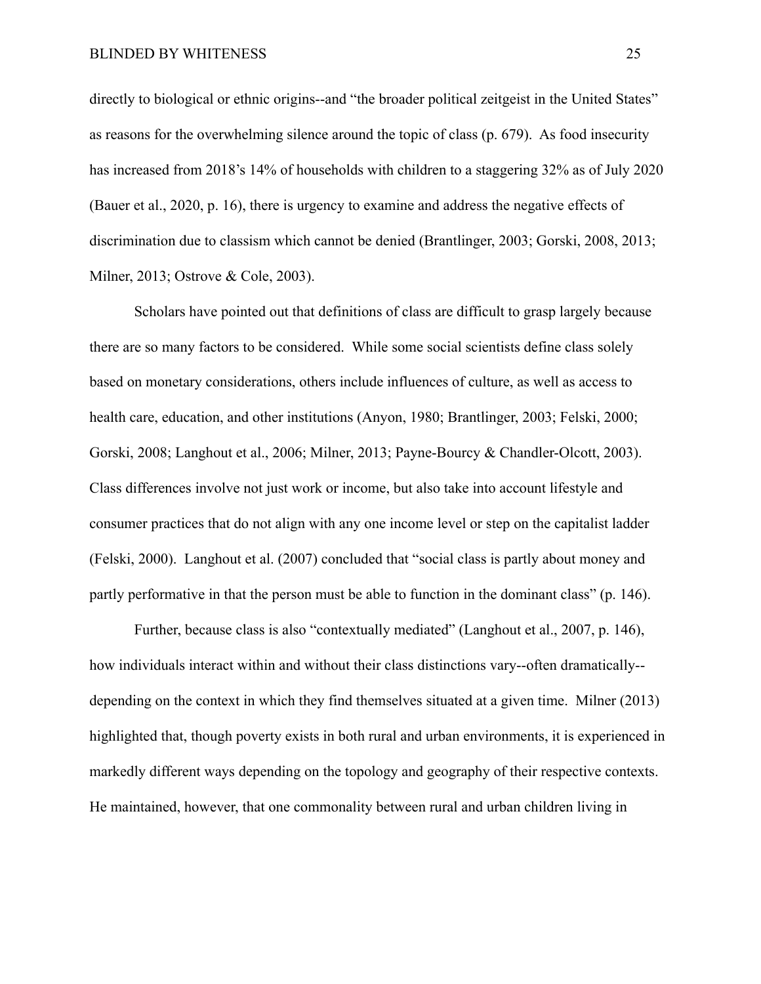directly to biological or ethnic origins--and "the broader political zeitgeist in the United States" as reasons for the overwhelming silence around the topic of class (p. 679). As food insecurity has increased from 2018's 14% of households with children to a staggering 32% as of July 2020 (Bauer et al., 2020, p. 16), there is urgency to examine and address the negative effects of discrimination due to classism which cannot be denied (Brantlinger, 2003; Gorski, 2008, 2013; Milner, 2013; Ostrove & Cole, 2003).

Scholars have pointed out that definitions of class are difficult to grasp largely because there are so many factors to be considered. While some social scientists define class solely based on monetary considerations, others include influences of culture, as well as access to health care, education, and other institutions (Anyon, 1980; Brantlinger, 2003; Felski, 2000; Gorski, 2008; Langhout et al., 2006; Milner, 2013; Payne-Bourcy & Chandler-Olcott, 2003). Class differences involve not just work or income, but also take into account lifestyle and consumer practices that do not align with any one income level or step on the capitalist ladder (Felski, 2000). Langhout et al. (2007) concluded that "social class is partly about money and partly performative in that the person must be able to function in the dominant class" (p. 146).

Further, because class is also "contextually mediated" (Langhout et al., 2007, p. 146), how individuals interact within and without their class distinctions vary--often dramatically- depending on the context in which they find themselves situated at a given time. Milner (2013) highlighted that, though poverty exists in both rural and urban environments, it is experienced in markedly different ways depending on the topology and geography of their respective contexts. He maintained, however, that one commonality between rural and urban children living in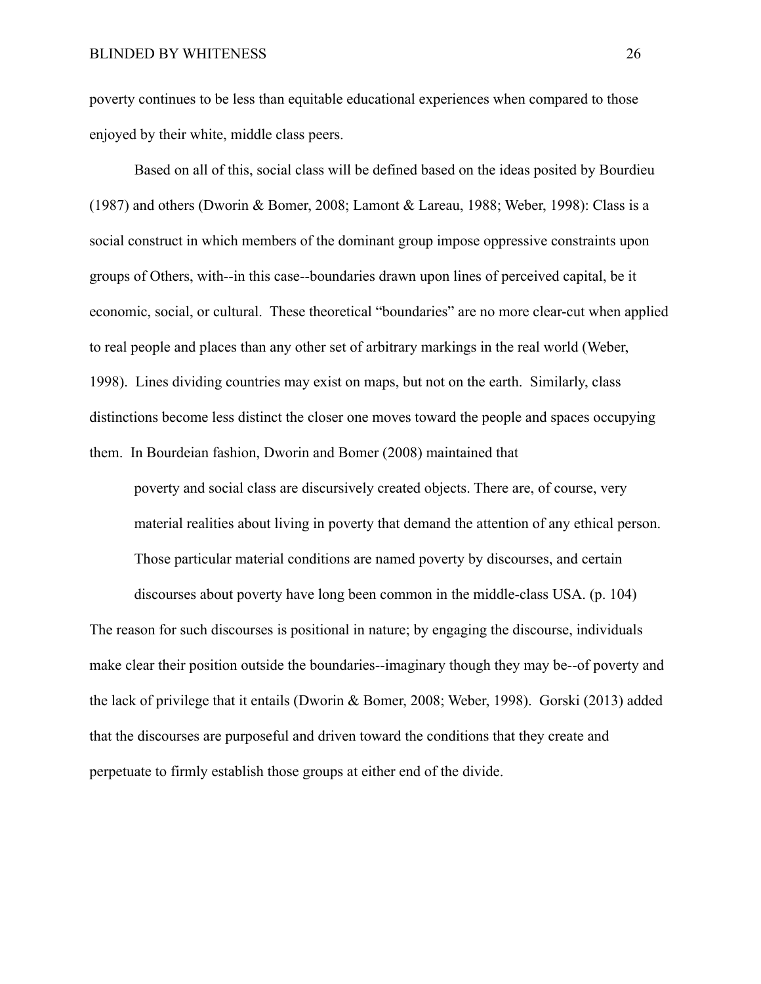poverty continues to be less than equitable educational experiences when compared to those enjoyed by their white, middle class peers.

Based on all of this, social class will be defined based on the ideas posited by Bourdieu (1987) and others (Dworin & Bomer, 2008; Lamont & Lareau, 1988; Weber, 1998): Class is a social construct in which members of the dominant group impose oppressive constraints upon groups of Others, with--in this case--boundaries drawn upon lines of perceived capital, be it economic, social, or cultural. These theoretical "boundaries" are no more clear-cut when applied to real people and places than any other set of arbitrary markings in the real world (Weber, 1998). Lines dividing countries may exist on maps, but not on the earth. Similarly, class distinctions become less distinct the closer one moves toward the people and spaces occupying them. In Bourdeian fashion, Dworin and Bomer (2008) maintained that

poverty and social class are discursively created objects. There are, of course, very material realities about living in poverty that demand the attention of any ethical person. Those particular material conditions are named poverty by discourses, and certain

discourses about poverty have long been common in the middle-class USA. (p. 104)

The reason for such discourses is positional in nature; by engaging the discourse, individuals make clear their position outside the boundaries--imaginary though they may be--of poverty and the lack of privilege that it entails (Dworin & Bomer, 2008; Weber, 1998). Gorski (2013) added that the discourses are purposeful and driven toward the conditions that they create and perpetuate to firmly establish those groups at either end of the divide.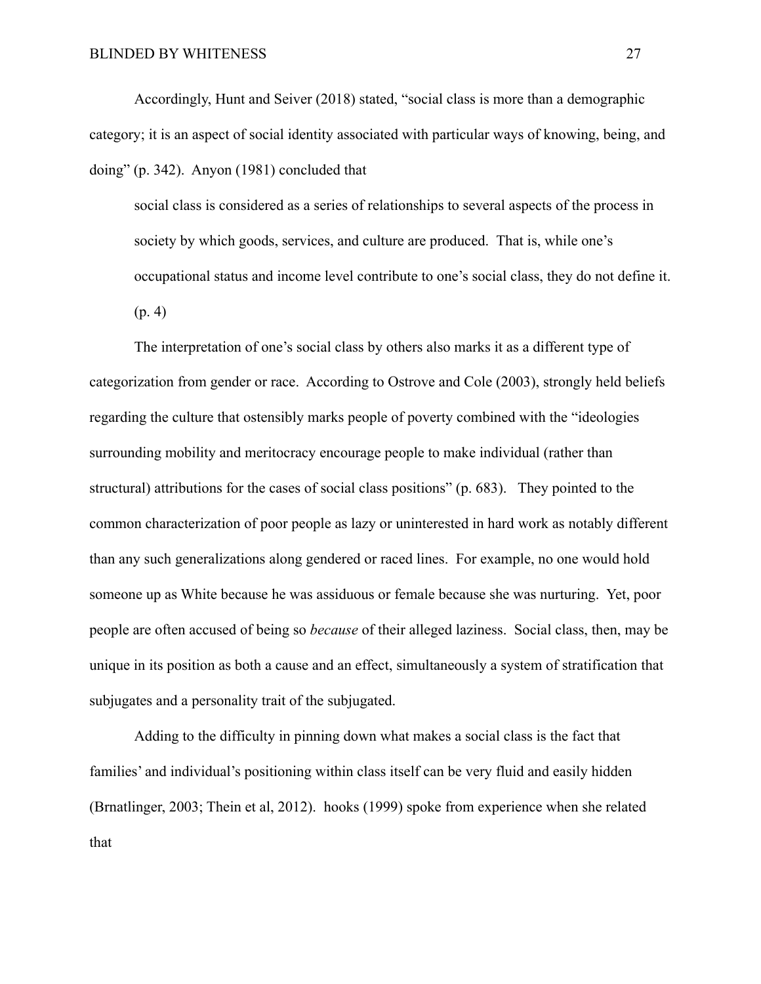Accordingly, Hunt and Seiver (2018) stated, "social class is more than a demographic category; it is an aspect of social identity associated with particular ways of knowing, being, and doing" (p. 342). Anyon (1981) concluded that

social class is considered as a series of relationships to several aspects of the process in society by which goods, services, and culture are produced. That is, while one's occupational status and income level contribute to one's social class, they do not define it. (p. 4)

The interpretation of one's social class by others also marks it as a different type of categorization from gender or race. According to Ostrove and Cole (2003), strongly held beliefs regarding the culture that ostensibly marks people of poverty combined with the "ideologies surrounding mobility and meritocracy encourage people to make individual (rather than structural) attributions for the cases of social class positions" (p. 683). They pointed to the common characterization of poor people as lazy or uninterested in hard work as notably different than any such generalizations along gendered or raced lines. For example, no one would hold someone up as White because he was assiduous or female because she was nurturing. Yet, poor people are often accused of being so *because* of their alleged laziness. Social class, then, may be unique in its position as both a cause and an effect, simultaneously a system of stratification that subjugates and a personality trait of the subjugated.

Adding to the difficulty in pinning down what makes a social class is the fact that families' and individual's positioning within class itself can be very fluid and easily hidden (Brnatlinger, 2003; Thein et al, 2012). hooks (1999) spoke from experience when she related that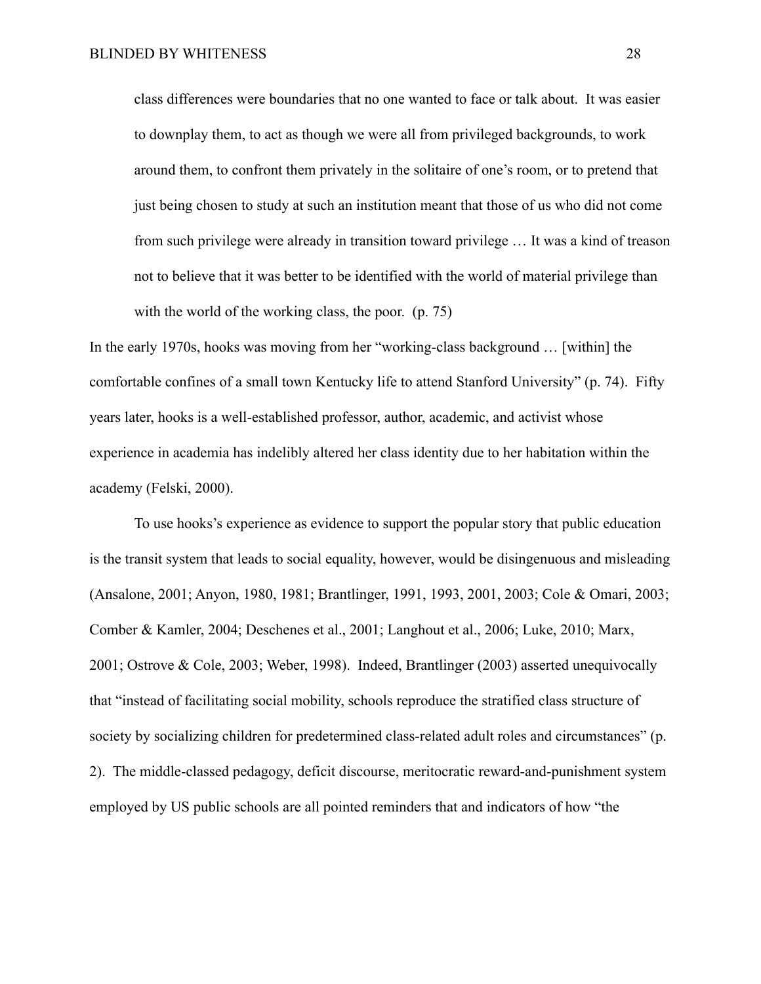class differences were boundaries that no one wanted to face or talk about. It was easier to downplay them, to act as though we were all from privileged backgrounds, to work around them, to confront them privately in the solitaire of one's room, or to pretend that just being chosen to study at such an institution meant that those of us who did not come from such privilege were already in transition toward privilege … It was a kind of treason not to believe that it was better to be identified with the world of material privilege than with the world of the working class, the poor. (p. 75)

In the early 1970s, hooks was moving from her "working-class background … [within] the comfortable confines of a small town Kentucky life to attend Stanford University" (p. 74). Fifty years later, hooks is a well-established professor, author, academic, and activist whose experience in academia has indelibly altered her class identity due to her habitation within the academy (Felski, 2000).

To use hooks's experience as evidence to support the popular story that public education is the transit system that leads to social equality, however, would be disingenuous and misleading (Ansalone, 2001; Anyon, 1980, 1981; Brantlinger, 1991, 1993, 2001, 2003; Cole & Omari, 2003; Comber & Kamler, 2004; Deschenes et al., 2001; Langhout et al., 2006; Luke, 2010; Marx, 2001; Ostrove & Cole, 2003; Weber, 1998). Indeed, Brantlinger (2003) asserted unequivocally that "instead of facilitating social mobility, schools reproduce the stratified class structure of society by socializing children for predetermined class-related adult roles and circumstances" (p. 2). The middle-classed pedagogy, deficit discourse, meritocratic reward-and-punishment system employed by US public schools are all pointed reminders that and indicators of how "the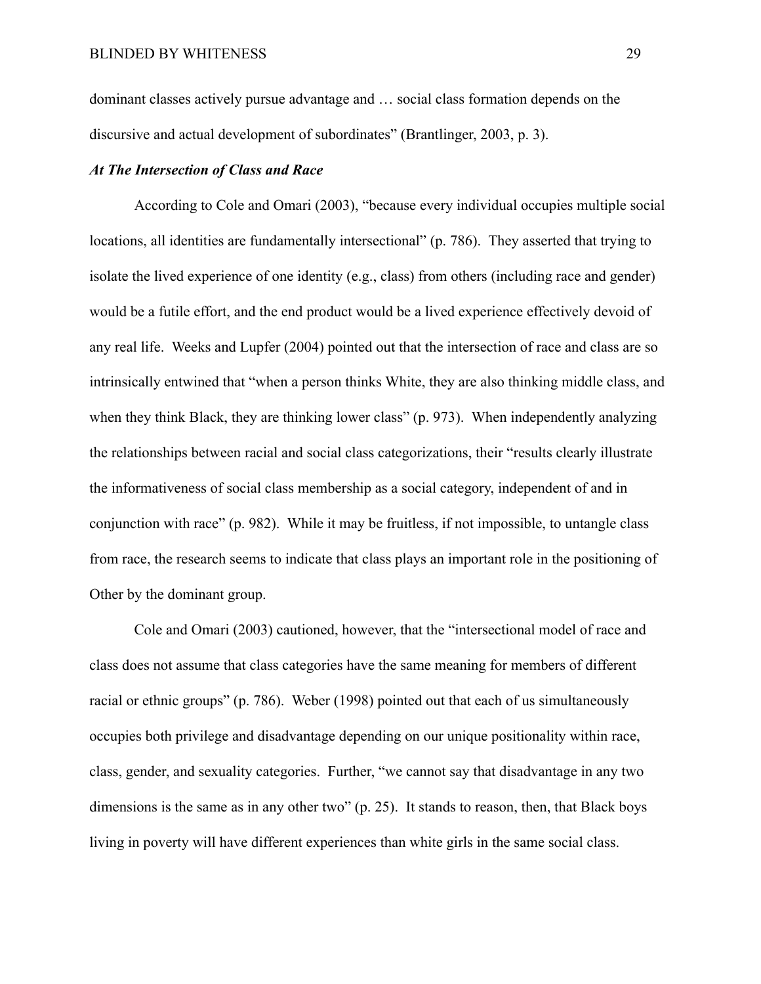dominant classes actively pursue advantage and … social class formation depends on the discursive and actual development of subordinates" (Brantlinger, 2003, p. 3).

#### *At The Intersection of Class and Race*

According to Cole and Omari (2003), "because every individual occupies multiple social locations, all identities are fundamentally intersectional" (p. 786). They asserted that trying to isolate the lived experience of one identity (e.g., class) from others (including race and gender) would be a futile effort, and the end product would be a lived experience effectively devoid of any real life. Weeks and Lupfer (2004) pointed out that the intersection of race and class are so intrinsically entwined that "when a person thinks White, they are also thinking middle class, and when they think Black, they are thinking lower class" (p. 973). When independently analyzing the relationships between racial and social class categorizations, their "results clearly illustrate the informativeness of social class membership as a social category, independent of and in conjunction with race" (p. 982). While it may be fruitless, if not impossible, to untangle class from race, the research seems to indicate that class plays an important role in the positioning of Other by the dominant group.

Cole and Omari (2003) cautioned, however, that the "intersectional model of race and class does not assume that class categories have the same meaning for members of different racial or ethnic groups" (p. 786). Weber (1998) pointed out that each of us simultaneously occupies both privilege and disadvantage depending on our unique positionality within race, class, gender, and sexuality categories. Further, "we cannot say that disadvantage in any two dimensions is the same as in any other two" (p. 25). It stands to reason, then, that Black boys living in poverty will have different experiences than white girls in the same social class.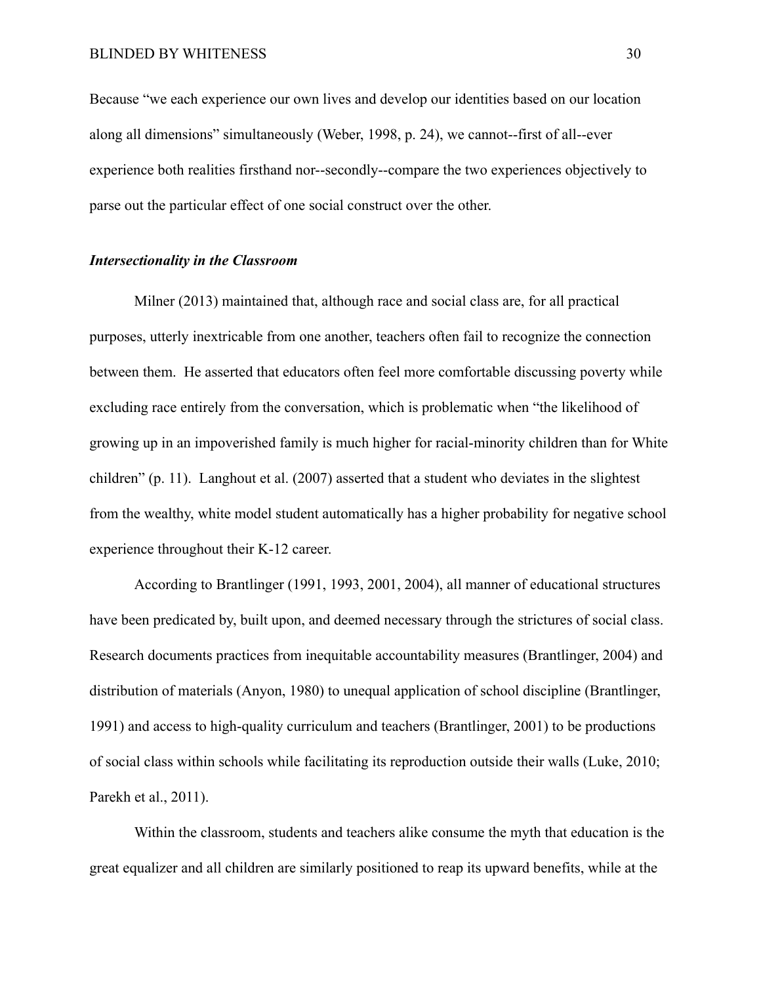Because "we each experience our own lives and develop our identities based on our location along all dimensions" simultaneously (Weber, 1998, p. 24), we cannot--first of all--ever experience both realities firsthand nor--secondly--compare the two experiences objectively to parse out the particular effect of one social construct over the other.

## *Intersectionality in the Classroom*

Milner (2013) maintained that, although race and social class are, for all practical purposes, utterly inextricable from one another, teachers often fail to recognize the connection between them. He asserted that educators often feel more comfortable discussing poverty while excluding race entirely from the conversation, which is problematic when "the likelihood of growing up in an impoverished family is much higher for racial-minority children than for White children" (p. 11). Langhout et al. (2007) asserted that a student who deviates in the slightest from the wealthy, white model student automatically has a higher probability for negative school experience throughout their K-12 career.

According to Brantlinger (1991, 1993, 2001, 2004), all manner of educational structures have been predicated by, built upon, and deemed necessary through the strictures of social class. Research documents practices from inequitable accountability measures (Brantlinger, 2004) and distribution of materials (Anyon, 1980) to unequal application of school discipline (Brantlinger, 1991) and access to high-quality curriculum and teachers (Brantlinger, 2001) to be productions of social class within schools while facilitating its reproduction outside their walls (Luke, 2010; Parekh et al., 2011).

Within the classroom, students and teachers alike consume the myth that education is the great equalizer and all children are similarly positioned to reap its upward benefits, while at the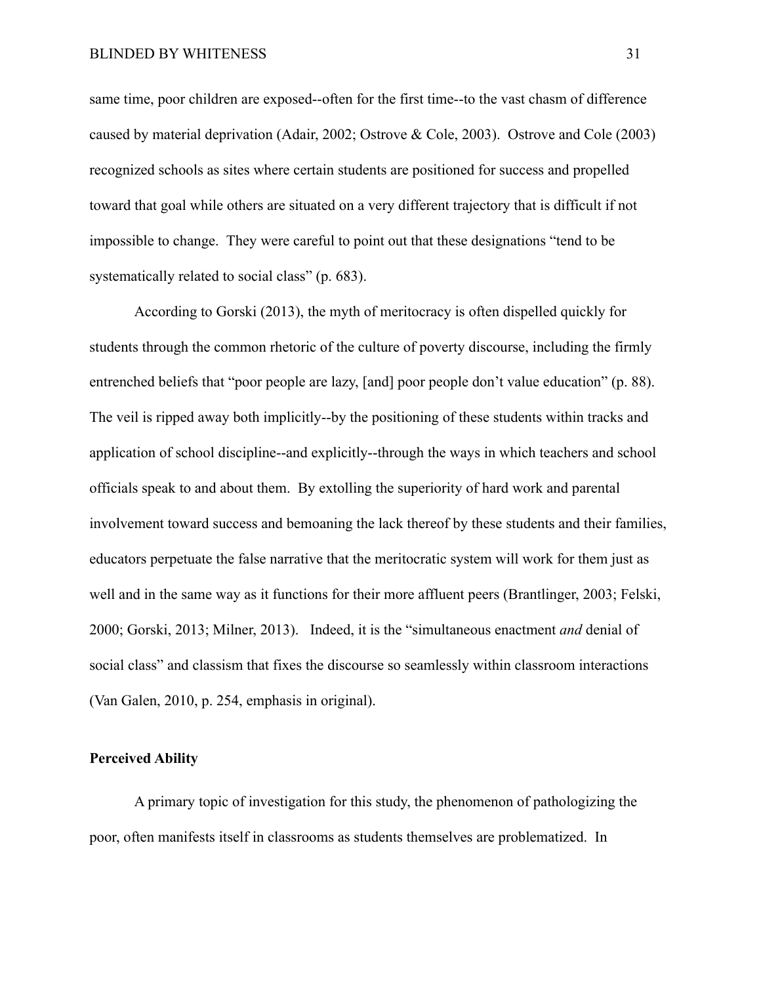same time, poor children are exposed--often for the first time--to the vast chasm of difference caused by material deprivation (Adair, 2002; Ostrove & Cole, 2003). Ostrove and Cole (2003) recognized schools as sites where certain students are positioned for success and propelled toward that goal while others are situated on a very different trajectory that is difficult if not impossible to change. They were careful to point out that these designations "tend to be systematically related to social class" (p. 683).

According to Gorski (2013), the myth of meritocracy is often dispelled quickly for students through the common rhetoric of the culture of poverty discourse, including the firmly entrenched beliefs that "poor people are lazy, [and] poor people don't value education" (p. 88). The veil is ripped away both implicitly--by the positioning of these students within tracks and application of school discipline--and explicitly--through the ways in which teachers and school officials speak to and about them. By extolling the superiority of hard work and parental involvement toward success and bemoaning the lack thereof by these students and their families, educators perpetuate the false narrative that the meritocratic system will work for them just as well and in the same way as it functions for their more affluent peers (Brantlinger, 2003; Felski, 2000; Gorski, 2013; Milner, 2013). Indeed, it is the "simultaneous enactment *and* denial of social class" and classism that fixes the discourse so seamlessly within classroom interactions (Van Galen, 2010, p. 254, emphasis in original).

## **Perceived Ability**

A primary topic of investigation for this study, the phenomenon of pathologizing the poor, often manifests itself in classrooms as students themselves are problematized. In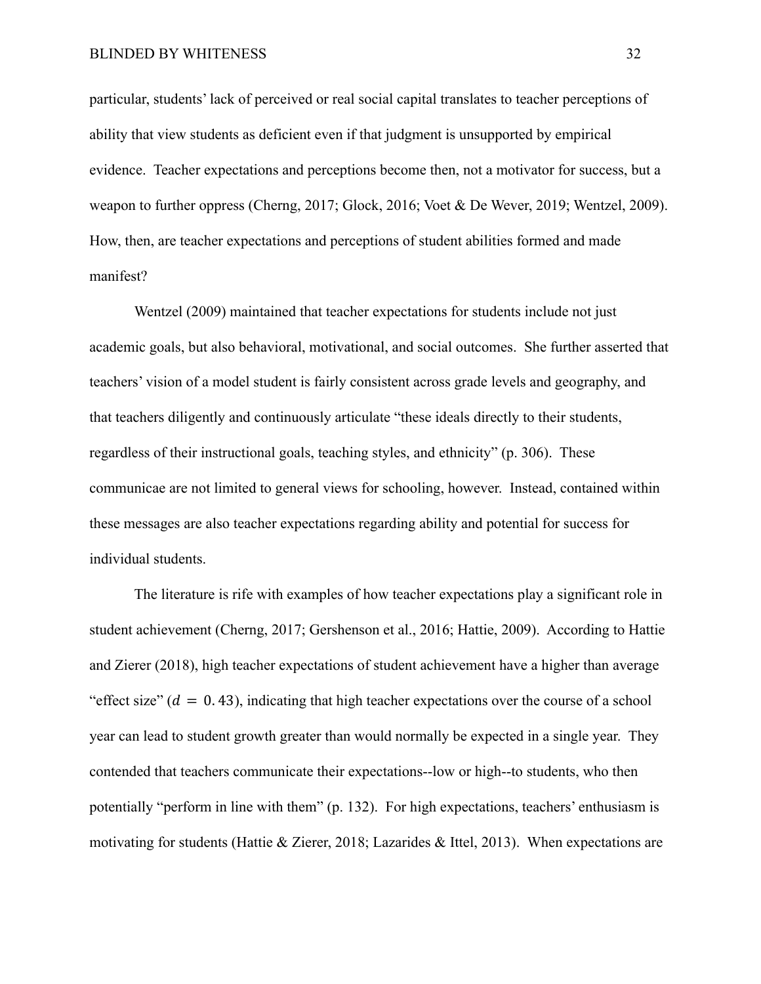particular, students' lack of perceived or real social capital translates to teacher perceptions of ability that view students as deficient even if that judgment is unsupported by empirical evidence. Teacher expectations and perceptions become then, not a motivator for success, but a weapon to further oppress (Cherng, 2017; Glock, 2016; Voet & De Wever, 2019; Wentzel, 2009). How, then, are teacher expectations and perceptions of student abilities formed and made manifest?

Wentzel (2009) maintained that teacher expectations for students include not just academic goals, but also behavioral, motivational, and social outcomes. She further asserted that teachers' vision of a model student is fairly consistent across grade levels and geography, and that teachers diligently and continuously articulate "these ideals directly to their students, regardless of their instructional goals, teaching styles, and ethnicity" (p. 306). These communicae are not limited to general views for schooling, however. Instead, contained within these messages are also teacher expectations regarding ability and potential for success for individual students.

The literature is rife with examples of how teacher expectations play a significant role in student achievement (Cherng, 2017; Gershenson et al., 2016; Hattie, 2009). According to Hattie and Zierer (2018), high teacher expectations of student achievement have a higher than average "effect size"  $(d = 0.43)$ , indicating that high teacher expectations over the course of a school year can lead to student growth greater than would normally be expected in a single year. They contended that teachers communicate their expectations--low or high--to students, who then potentially "perform in line with them" (p. 132). For high expectations, teachers' enthusiasm is motivating for students (Hattie & Zierer, 2018; Lazarides & Ittel, 2013). When expectations are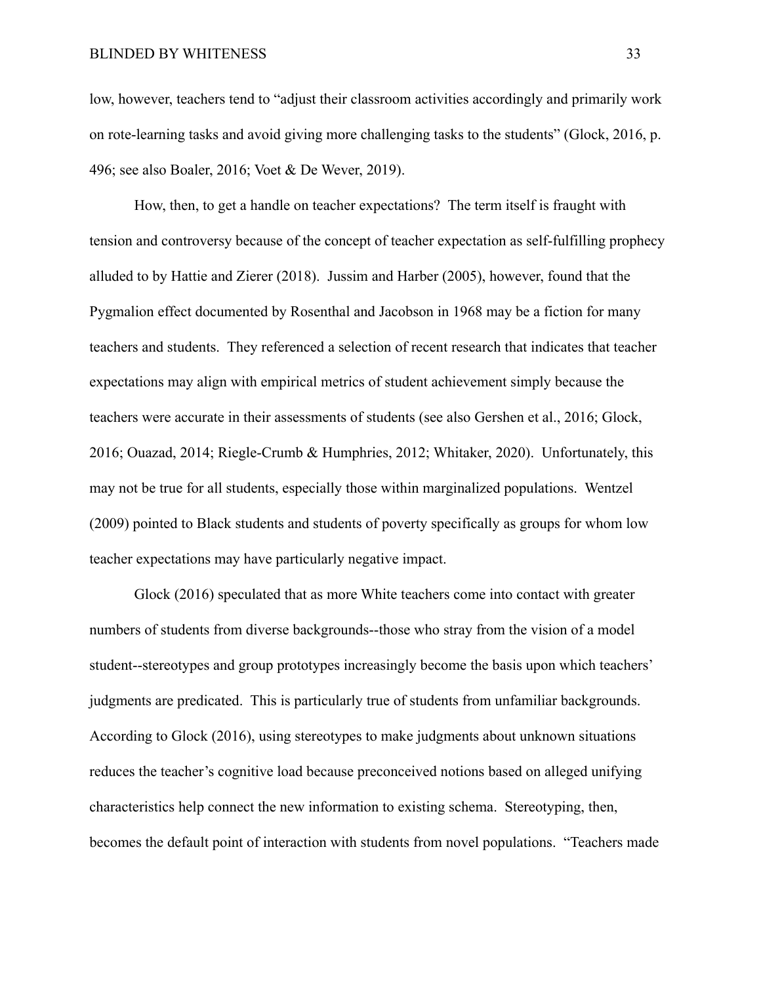low, however, teachers tend to "adjust their classroom activities accordingly and primarily work on rote-learning tasks and avoid giving more challenging tasks to the students" (Glock, 2016, p. 496; see also Boaler, 2016; Voet & De Wever, 2019).

How, then, to get a handle on teacher expectations? The term itself is fraught with tension and controversy because of the concept of teacher expectation as self-fulfilling prophecy alluded to by Hattie and Zierer (2018). Jussim and Harber (2005), however, found that the Pygmalion effect documented by Rosenthal and Jacobson in 1968 may be a fiction for many teachers and students. They referenced a selection of recent research that indicates that teacher expectations may align with empirical metrics of student achievement simply because the teachers were accurate in their assessments of students (see also Gershen et al., 2016; Glock, 2016; Ouazad, 2014; Riegle-Crumb & Humphries, 2012; Whitaker, 2020). Unfortunately, this may not be true for all students, especially those within marginalized populations. Wentzel (2009) pointed to Black students and students of poverty specifically as groups for whom low teacher expectations may have particularly negative impact.

Glock (2016) speculated that as more White teachers come into contact with greater numbers of students from diverse backgrounds--those who stray from the vision of a model student--stereotypes and group prototypes increasingly become the basis upon which teachers' judgments are predicated. This is particularly true of students from unfamiliar backgrounds. According to Glock (2016), using stereotypes to make judgments about unknown situations reduces the teacher's cognitive load because preconceived notions based on alleged unifying characteristics help connect the new information to existing schema. Stereotyping, then, becomes the default point of interaction with students from novel populations. "Teachers made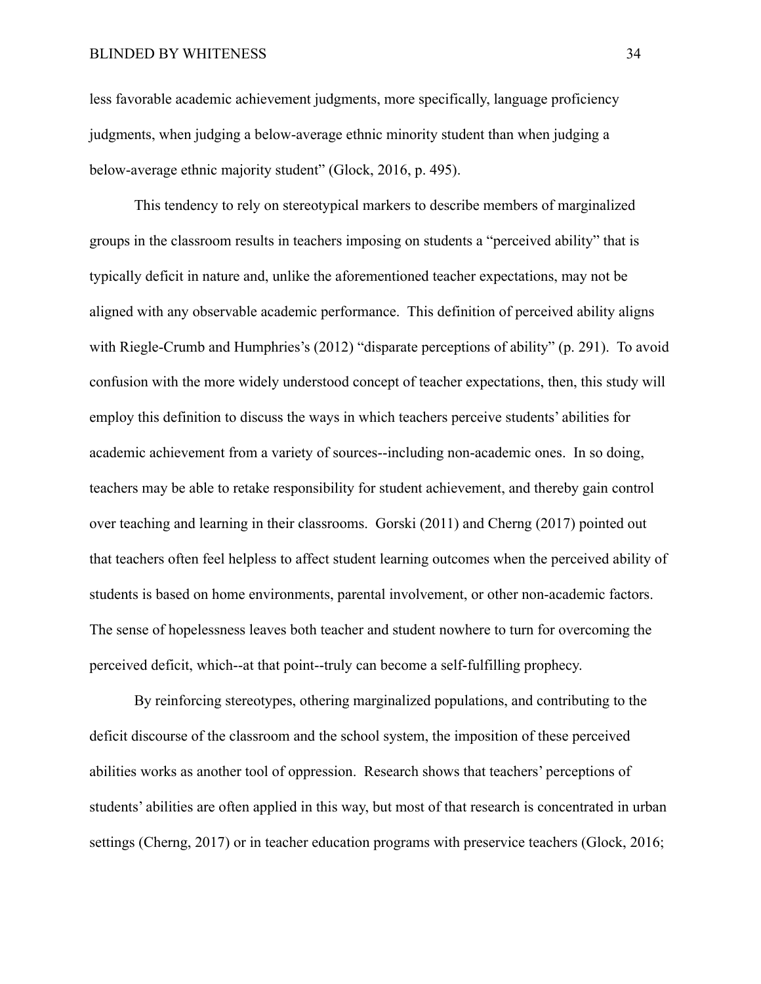#### BLINDED BY WHITENESS 34

less favorable academic achievement judgments, more specifically, language proficiency judgments, when judging a below-average ethnic minority student than when judging a below-average ethnic majority student" (Glock, 2016, p. 495).

This tendency to rely on stereotypical markers to describe members of marginalized groups in the classroom results in teachers imposing on students a "perceived ability" that is typically deficit in nature and, unlike the aforementioned teacher expectations, may not be aligned with any observable academic performance. This definition of perceived ability aligns with Riegle-Crumb and Humphries's (2012) "disparate perceptions of ability" (p. 291). To avoid confusion with the more widely understood concept of teacher expectations, then, this study will employ this definition to discuss the ways in which teachers perceive students' abilities for academic achievement from a variety of sources--including non-academic ones. In so doing, teachers may be able to retake responsibility for student achievement, and thereby gain control over teaching and learning in their classrooms. Gorski (2011) and Cherng (2017) pointed out that teachers often feel helpless to affect student learning outcomes when the perceived ability of students is based on home environments, parental involvement, or other non-academic factors. The sense of hopelessness leaves both teacher and student nowhere to turn for overcoming the perceived deficit, which--at that point--truly can become a self-fulfilling prophecy.

By reinforcing stereotypes, othering marginalized populations, and contributing to the deficit discourse of the classroom and the school system, the imposition of these perceived abilities works as another tool of oppression. Research shows that teachers' perceptions of students' abilities are often applied in this way, but most of that research is concentrated in urban settings (Cherng, 2017) or in teacher education programs with preservice teachers (Glock, 2016;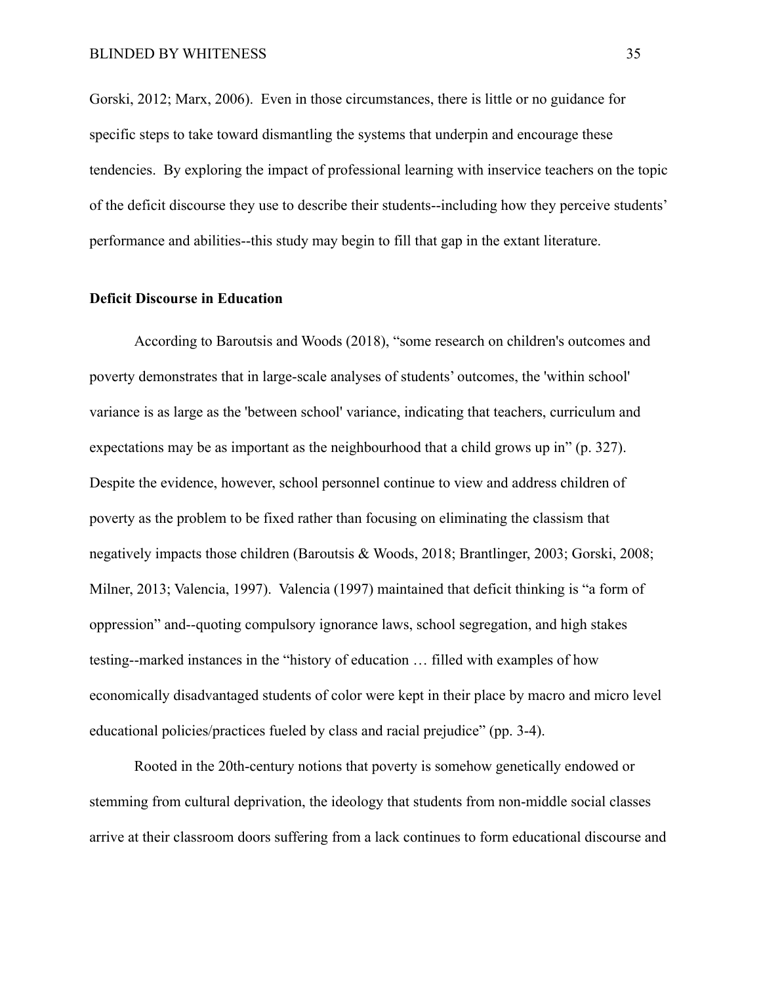Gorski, 2012; Marx, 2006). Even in those circumstances, there is little or no guidance for specific steps to take toward dismantling the systems that underpin and encourage these tendencies. By exploring the impact of professional learning with inservice teachers on the topic of the deficit discourse they use to describe their students--including how they perceive students' performance and abilities--this study may begin to fill that gap in the extant literature.

#### **Deficit Discourse in Education**

According to Baroutsis and Woods (2018), "some research on children's outcomes and poverty demonstrates that in large-scale analyses of students' outcomes, the 'within school' variance is as large as the 'between school' variance, indicating that teachers, curriculum and expectations may be as important as the neighbourhood that a child grows up in" (p. 327). Despite the evidence, however, school personnel continue to view and address children of poverty as the problem to be fixed rather than focusing on eliminating the classism that negatively impacts those children (Baroutsis & Woods, 2018; Brantlinger, 2003; Gorski, 2008; Milner, 2013; Valencia, 1997). Valencia (1997) maintained that deficit thinking is "a form of oppression" and--quoting compulsory ignorance laws, school segregation, and high stakes testing--marked instances in the "history of education … filled with examples of how economically disadvantaged students of color were kept in their place by macro and micro level educational policies/practices fueled by class and racial prejudice" (pp. 3-4).

Rooted in the 20th-century notions that poverty is somehow genetically endowed or stemming from cultural deprivation, the ideology that students from non-middle social classes arrive at their classroom doors suffering from a lack continues to form educational discourse and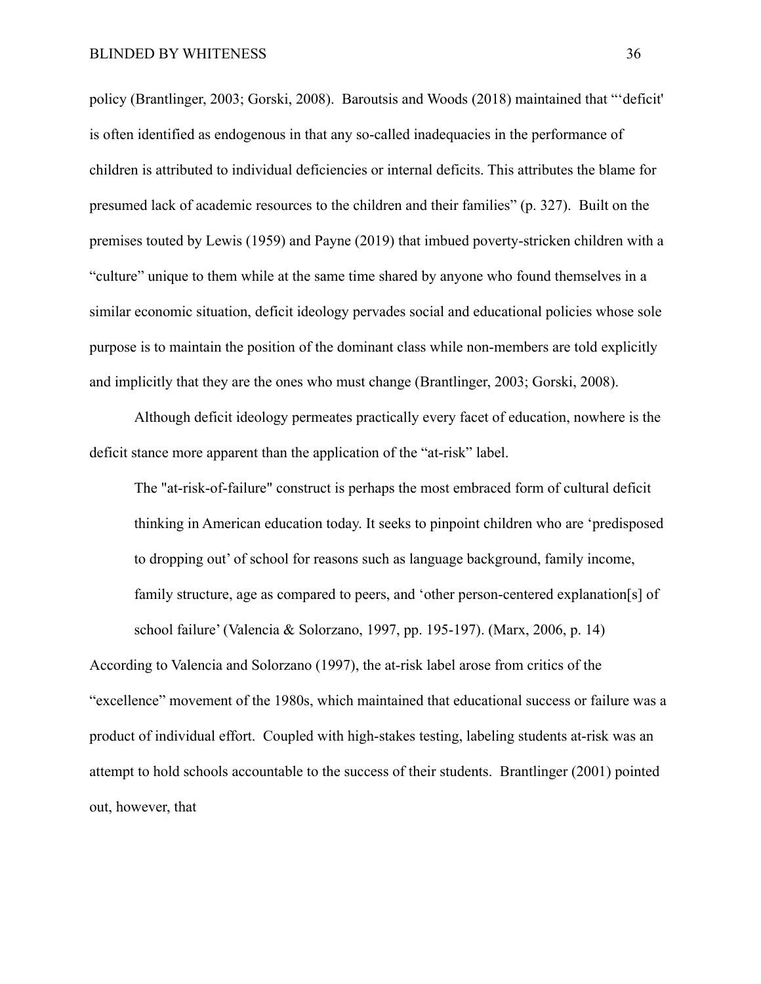policy (Brantlinger, 2003; Gorski, 2008). Baroutsis and Woods (2018) maintained that "'deficit' is often identified as endogenous in that any so-called inadequacies in the performance of children is attributed to individual deficiencies or internal deficits. This attributes the blame for presumed lack of academic resources to the children and their families" (p. 327). Built on the premises touted by Lewis (1959) and Payne (2019) that imbued poverty-stricken children with a "culture" unique to them while at the same time shared by anyone who found themselves in a similar economic situation, deficit ideology pervades social and educational policies whose sole purpose is to maintain the position of the dominant class while non-members are told explicitly and implicitly that they are the ones who must change (Brantlinger, 2003; Gorski, 2008).

Although deficit ideology permeates practically every facet of education, nowhere is the deficit stance more apparent than the application of the "at-risk" label.

The "at-risk-of-failure" construct is perhaps the most embraced form of cultural deficit thinking in American education today. It seeks to pinpoint children who are 'predisposed to dropping out' of school for reasons such as language background, family income, family structure, age as compared to peers, and 'other person-centered explanation[s] of school failure' (Valencia & Solorzano, 1997, pp. 195-197). (Marx, 2006, p. 14) According to Valencia and Solorzano (1997), the at-risk label arose from critics of the "excellence" movement of the 1980s, which maintained that educational success or failure was a product of individual effort. Coupled with high-stakes testing, labeling students at-risk was an attempt to hold schools accountable to the success of their students. Brantlinger (2001) pointed out, however, that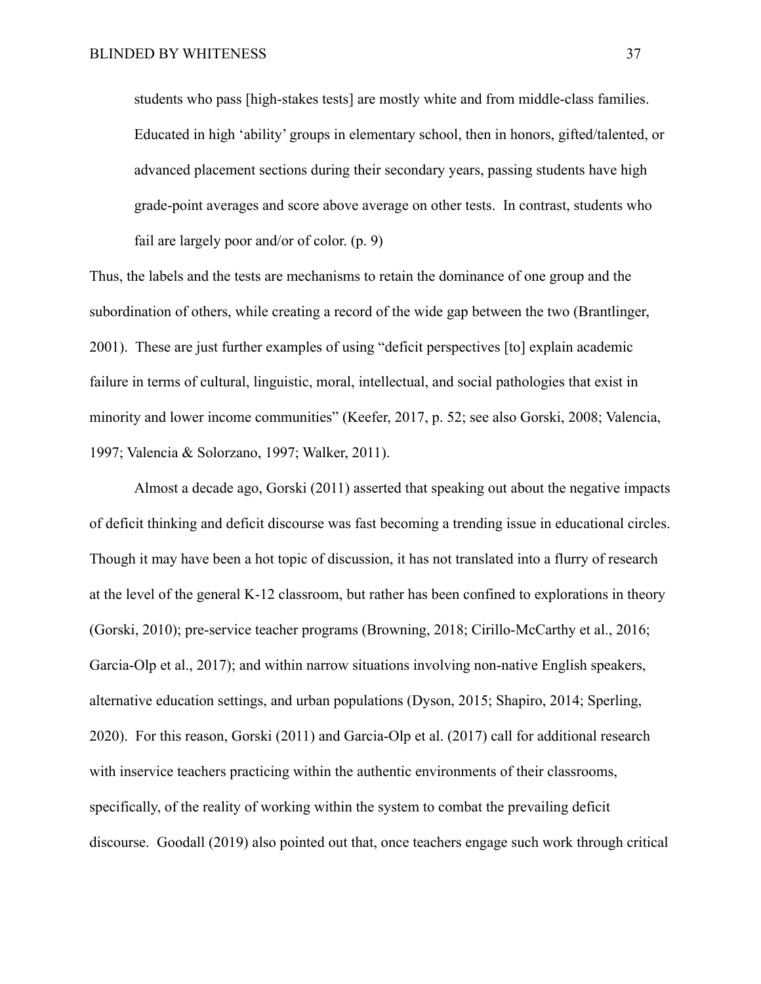students who pass [high-stakes tests] are mostly white and from middle-class families. Educated in high 'ability' groups in elementary school, then in honors, gifted/talented, or advanced placement sections during their secondary years, passing students have high grade-point averages and score above average on other tests. In contrast, students who fail are largely poor and/or of color. (p. 9)

Thus, the labels and the tests are mechanisms to retain the dominance of one group and the subordination of others, while creating a record of the wide gap between the two (Brantlinger, 2001). These are just further examples of using "deficit perspectives [to] explain academic failure in terms of cultural, linguistic, moral, intellectual, and social pathologies that exist in minority and lower income communities" (Keefer, 2017, p. 52; see also Gorski, 2008; Valencia, 1997; Valencia & Solorzano, 1997; Walker, 2011).

Almost a decade ago, Gorski (2011) asserted that speaking out about the negative impacts of deficit thinking and deficit discourse was fast becoming a trending issue in educational circles. Though it may have been a hot topic of discussion, it has not translated into a flurry of research at the level of the general K-12 classroom, but rather has been confined to explorations in theory (Gorski, 2010); pre-service teacher programs (Browning, 2018; Cirillo-McCarthy et al., 2016; Garcia-Olp et al., 2017); and within narrow situations involving non-native English speakers, alternative education settings, and urban populations (Dyson, 2015; Shapiro, 2014; Sperling, 2020). For this reason, Gorski (2011) and Garcia-Olp et al. (2017) call for additional research with inservice teachers practicing within the authentic environments of their classrooms, specifically, of the reality of working within the system to combat the prevailing deficit discourse. Goodall (2019) also pointed out that, once teachers engage such work through critical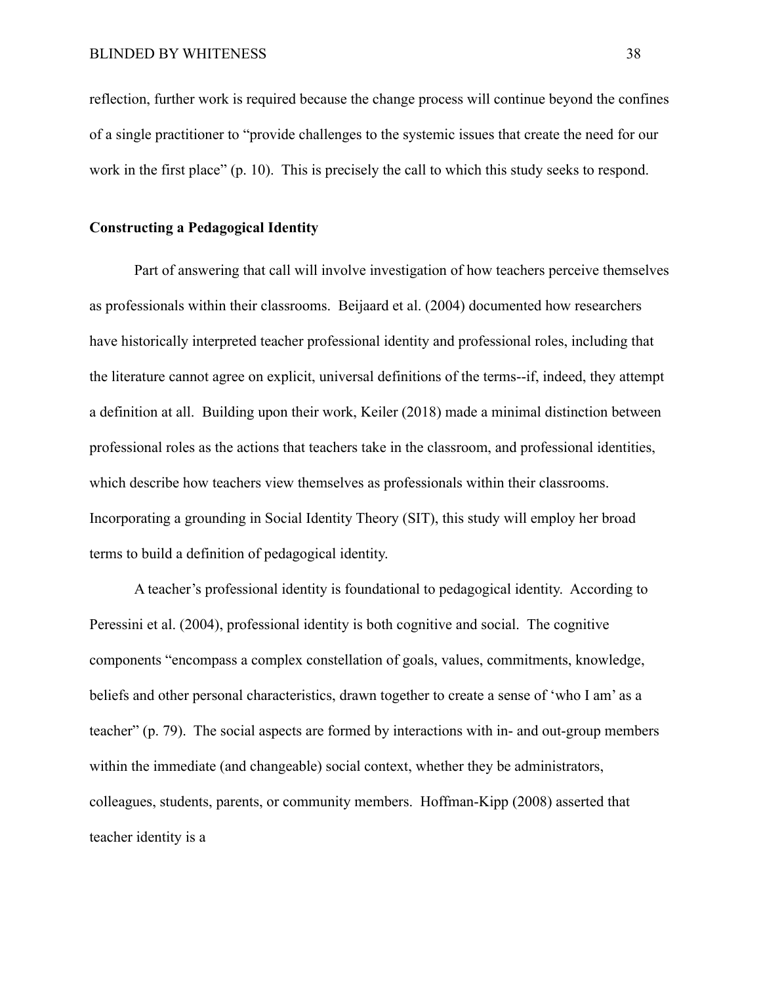reflection, further work is required because the change process will continue beyond the confines of a single practitioner to "provide challenges to the systemic issues that create the need for our work in the first place" (p. 10). This is precisely the call to which this study seeks to respond.

## **Constructing a Pedagogical Identity**

Part of answering that call will involve investigation of how teachers perceive themselves as professionals within their classrooms. Beijaard et al. (2004) documented how researchers have historically interpreted teacher professional identity and professional roles, including that the literature cannot agree on explicit, universal definitions of the terms--if, indeed, they attempt a definition at all. Building upon their work, Keiler (2018) made a minimal distinction between professional roles as the actions that teachers take in the classroom, and professional identities, which describe how teachers view themselves as professionals within their classrooms. Incorporating a grounding in Social Identity Theory (SIT), this study will employ her broad terms to build a definition of pedagogical identity.

A teacher's professional identity is foundational to pedagogical identity. According to Peressini et al. (2004), professional identity is both cognitive and social. The cognitive components "encompass a complex constellation of goals, values, commitments, knowledge, beliefs and other personal characteristics, drawn together to create a sense of 'who I am' as a teacher" (p. 79). The social aspects are formed by interactions with in- and out-group members within the immediate (and changeable) social context, whether they be administrators, colleagues, students, parents, or community members. Hoffman-Kipp (2008) asserted that teacher identity is a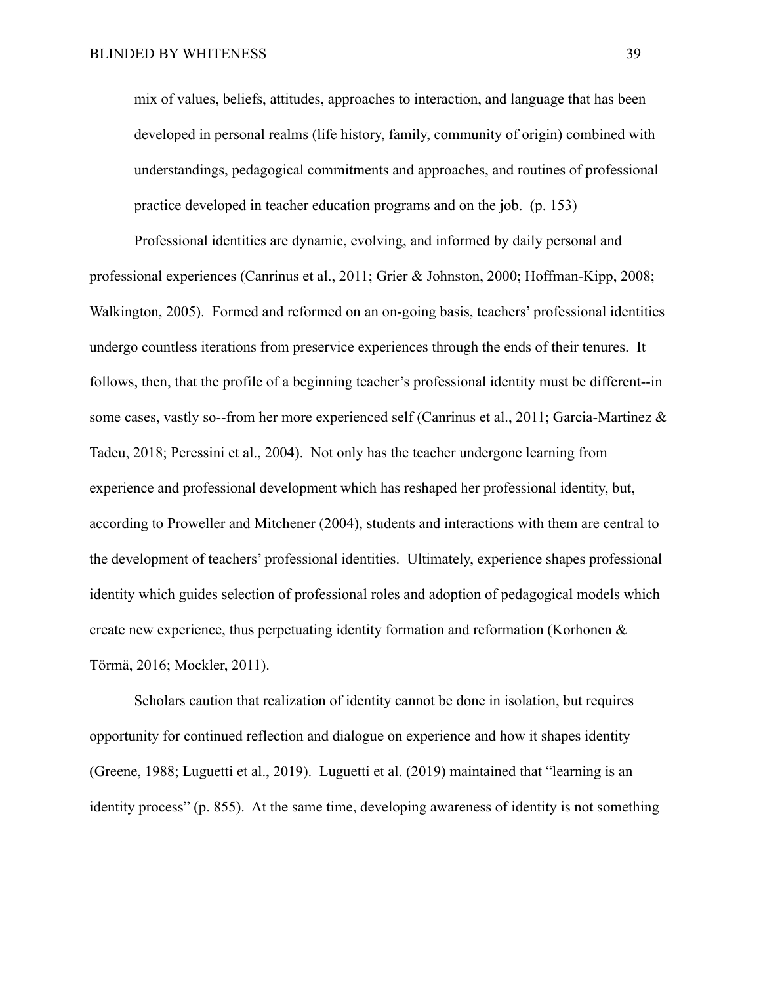mix of values, beliefs, attitudes, approaches to interaction, and language that has been developed in personal realms (life history, family, community of origin) combined with understandings, pedagogical commitments and approaches, and routines of professional practice developed in teacher education programs and on the job. (p. 153)

Professional identities are dynamic, evolving, and informed by daily personal and professional experiences (Canrinus et al., 2011; Grier & Johnston, 2000; Hoffman-Kipp, 2008; Walkington, 2005). Formed and reformed on an on-going basis, teachers' professional identities undergo countless iterations from preservice experiences through the ends of their tenures. It follows, then, that the profile of a beginning teacher's professional identity must be different--in some cases, vastly so--from her more experienced self (Canrinus et al., 2011; Garcia-Martinez & Tadeu, 2018; Peressini et al., 2004). Not only has the teacher undergone learning from experience and professional development which has reshaped her professional identity, but, according to Proweller and Mitchener (2004), students and interactions with them are central to the development of teachers' professional identities. Ultimately, experience shapes professional identity which guides selection of professional roles and adoption of pedagogical models which create new experience, thus perpetuating identity formation and reformation (Korhonen & Törmä, 2016; Mockler, 2011).

Scholars caution that realization of identity cannot be done in isolation, but requires opportunity for continued reflection and dialogue on experience and how it shapes identity (Greene, 1988; Luguetti et al., 2019). Luguetti et al. (2019) maintained that "learning is an identity process" (p. 855). At the same time, developing awareness of identity is not something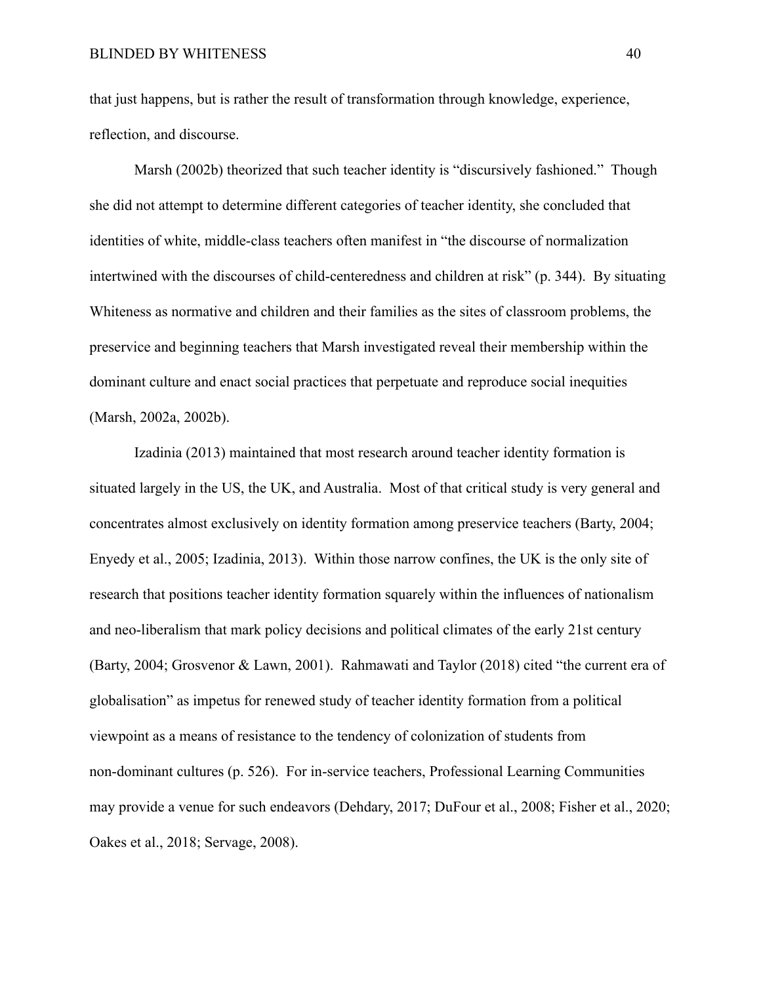that just happens, but is rather the result of transformation through knowledge, experience, reflection, and discourse.

Marsh (2002b) theorized that such teacher identity is "discursively fashioned." Though she did not attempt to determine different categories of teacher identity, she concluded that identities of white, middle-class teachers often manifest in "the discourse of normalization intertwined with the discourses of child-centeredness and children at risk" (p. 344). By situating Whiteness as normative and children and their families as the sites of classroom problems, the preservice and beginning teachers that Marsh investigated reveal their membership within the dominant culture and enact social practices that perpetuate and reproduce social inequities (Marsh, 2002a, 2002b).

Izadinia (2013) maintained that most research around teacher identity formation is situated largely in the US, the UK, and Australia. Most of that critical study is very general and concentrates almost exclusively on identity formation among preservice teachers (Barty, 2004; Enyedy et al., 2005; Izadinia, 2013). Within those narrow confines, the UK is the only site of research that positions teacher identity formation squarely within the influences of nationalism and neo-liberalism that mark policy decisions and political climates of the early 21st century (Barty, 2004; Grosvenor & Lawn, 2001). Rahmawati and Taylor (2018) cited "the current era of globalisation" as impetus for renewed study of teacher identity formation from a political viewpoint as a means of resistance to the tendency of colonization of students from non-dominant cultures (p. 526). For in-service teachers, Professional Learning Communities may provide a venue for such endeavors (Dehdary, 2017; DuFour et al., 2008; Fisher et al., 2020; Oakes et al., 2018; Servage, 2008).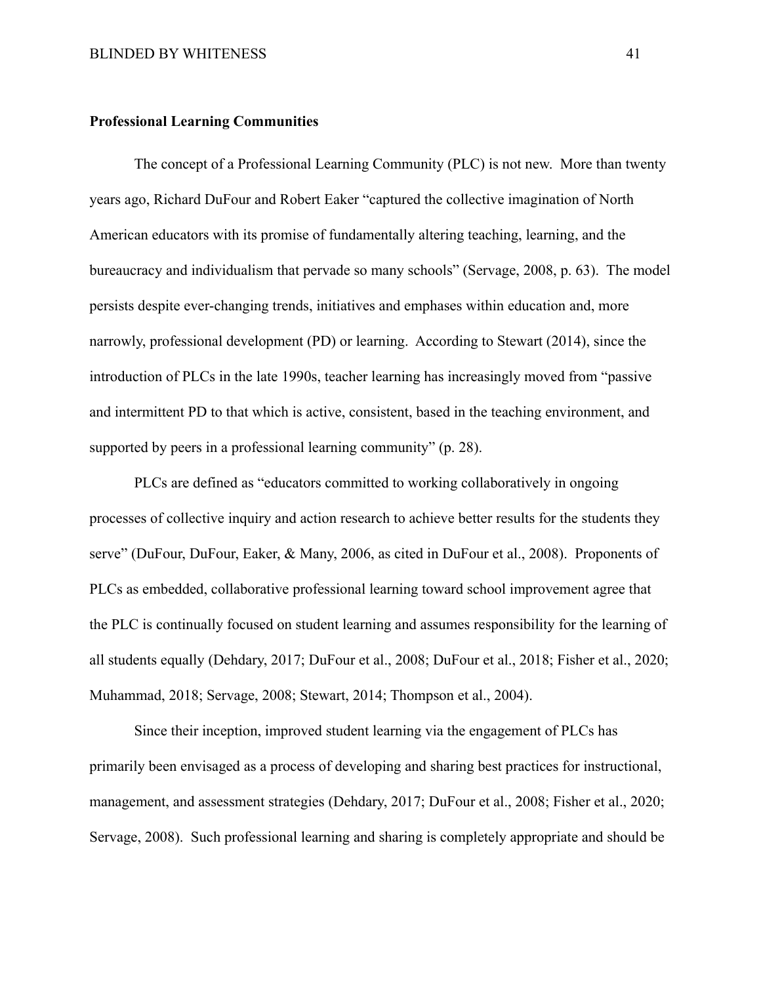#### **Professional Learning Communities**

The concept of a Professional Learning Community (PLC) is not new. More than twenty years ago, Richard DuFour and Robert Eaker "captured the collective imagination of North American educators with its promise of fundamentally altering teaching, learning, and the bureaucracy and individualism that pervade so many schools" (Servage, 2008, p. 63). The model persists despite ever-changing trends, initiatives and emphases within education and, more narrowly, professional development (PD) or learning. According to Stewart (2014), since the introduction of PLCs in the late 1990s, teacher learning has increasingly moved from "passive and intermittent PD to that which is active, consistent, based in the teaching environment, and supported by peers in a professional learning community" (p. 28).

PLCs are defined as "educators committed to working collaboratively in ongoing processes of collective inquiry and action research to achieve better results for the students they serve" (DuFour, DuFour, Eaker, & Many, 2006, as cited in DuFour et al., 2008). Proponents of PLCs as embedded, collaborative professional learning toward school improvement agree that the PLC is continually focused on student learning and assumes responsibility for the learning of all students equally (Dehdary, 2017; DuFour et al., 2008; DuFour et al., 2018; Fisher et al., 2020; Muhammad, 2018; Servage, 2008; Stewart, 2014; Thompson et al., 2004).

Since their inception, improved student learning via the engagement of PLCs has primarily been envisaged as a process of developing and sharing best practices for instructional, management, and assessment strategies (Dehdary, 2017; DuFour et al., 2008; Fisher et al., 2020; Servage, 2008). Such professional learning and sharing is completely appropriate and should be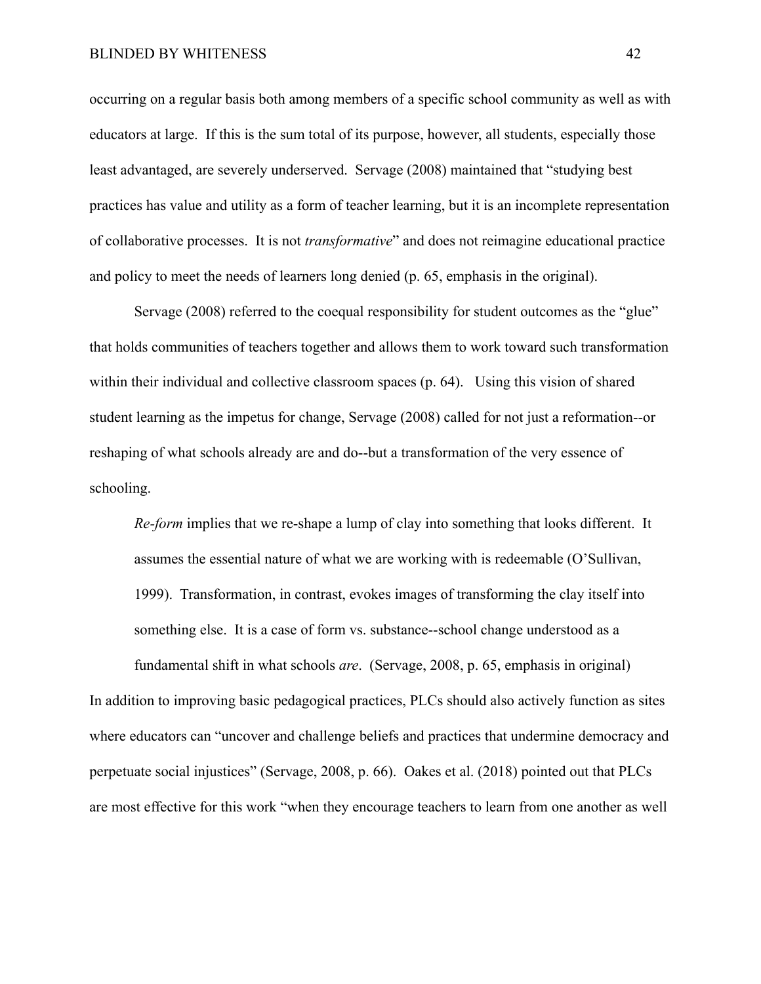#### BLINDED BY WHITENESS 42

occurring on a regular basis both among members of a specific school community as well as with educators at large. If this is the sum total of its purpose, however, all students, especially those least advantaged, are severely underserved. Servage (2008) maintained that "studying best practices has value and utility as a form of teacher learning, but it is an incomplete representation of collaborative processes. It is not *transformative*" and does not reimagine educational practice and policy to meet the needs of learners long denied (p. 65, emphasis in the original).

Servage (2008) referred to the coequal responsibility for student outcomes as the "glue" that holds communities of teachers together and allows them to work toward such transformation within their individual and collective classroom spaces (p. 64). Using this vision of shared student learning as the impetus for change, Servage (2008) called for not just a reformation--or reshaping of what schools already are and do--but a transformation of the very essence of schooling.

*Re-form* implies that we re-shape a lump of clay into something that looks different. It assumes the essential nature of what we are working with is redeemable (O'Sullivan, 1999). Transformation, in contrast, evokes images of transforming the clay itself into something else. It is a case of form vs. substance--school change understood as a

fundamental shift in what schools *are*. (Servage, 2008, p. 65, emphasis in original) In addition to improving basic pedagogical practices, PLCs should also actively function as sites where educators can "uncover and challenge beliefs and practices that undermine democracy and perpetuate social injustices" (Servage, 2008, p. 66). Oakes et al. (2018) pointed out that PLCs are most effective for this work "when they encourage teachers to learn from one another as well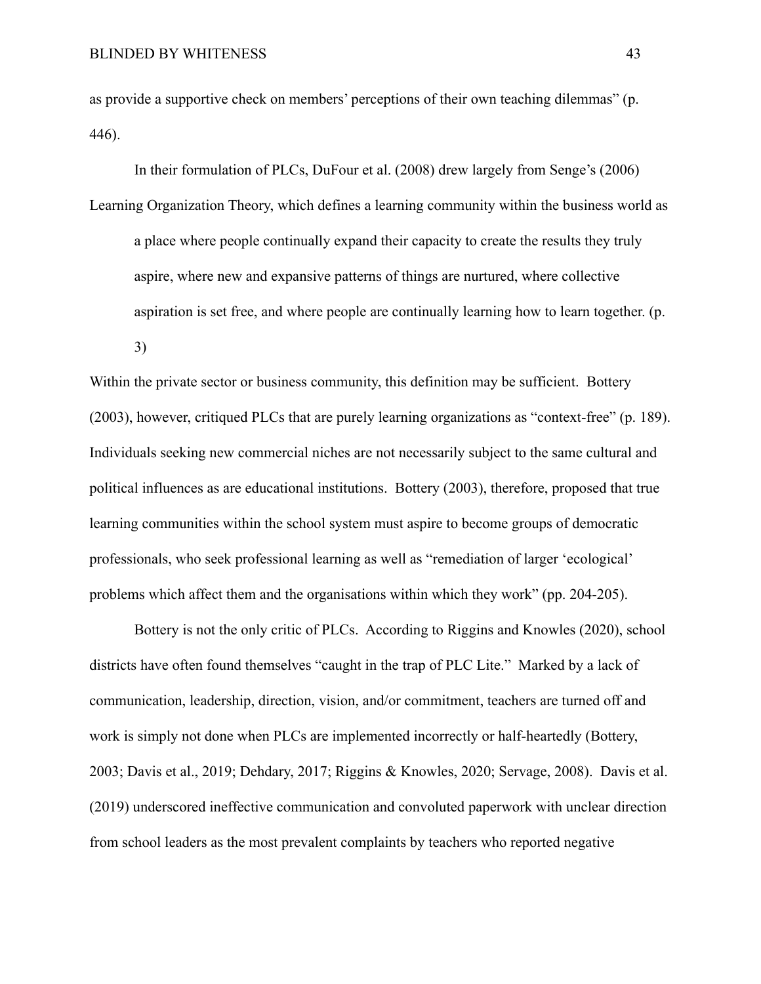as provide a supportive check on members' perceptions of their own teaching dilemmas" (p. 446).

In their formulation of PLCs, DuFour et al. (2008) drew largely from Senge's (2006) Learning Organization Theory, which defines a learning community within the business world as a place where people continually expand their capacity to create the results they truly aspire, where new and expansive patterns of things are nurtured, where collective aspiration is set free, and where people are continually learning how to learn together. (p. 3)

Within the private sector or business community, this definition may be sufficient. Bottery (2003), however, critiqued PLCs that are purely learning organizations as "context-free" (p. 189). Individuals seeking new commercial niches are not necessarily subject to the same cultural and political influences as are educational institutions. Bottery (2003), therefore, proposed that true learning communities within the school system must aspire to become groups of democratic professionals, who seek professional learning as well as "remediation of larger 'ecological' problems which affect them and the organisations within which they work" (pp. 204-205).

Bottery is not the only critic of PLCs. According to Riggins and Knowles (2020), school districts have often found themselves "caught in the trap of PLC Lite." Marked by a lack of communication, leadership, direction, vision, and/or commitment, teachers are turned off and work is simply not done when PLCs are implemented incorrectly or half-heartedly (Bottery, 2003; Davis et al., 2019; Dehdary, 2017; Riggins & Knowles, 2020; Servage, 2008). Davis et al. (2019) underscored ineffective communication and convoluted paperwork with unclear direction from school leaders as the most prevalent complaints by teachers who reported negative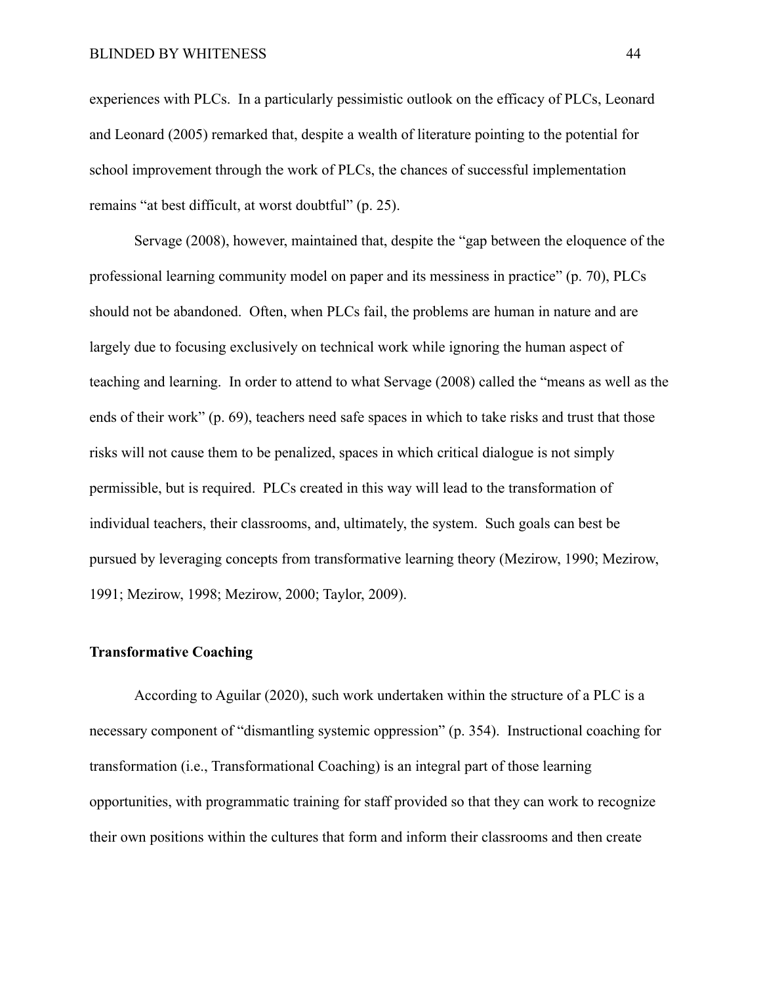experiences with PLCs. In a particularly pessimistic outlook on the efficacy of PLCs, Leonard and Leonard (2005) remarked that, despite a wealth of literature pointing to the potential for school improvement through the work of PLCs, the chances of successful implementation remains "at best difficult, at worst doubtful" (p. 25).

Servage (2008), however, maintained that, despite the "gap between the eloquence of the professional learning community model on paper and its messiness in practice" (p. 70), PLCs should not be abandoned. Often, when PLCs fail, the problems are human in nature and are largely due to focusing exclusively on technical work while ignoring the human aspect of teaching and learning. In order to attend to what Servage (2008) called the "means as well as the ends of their work" (p. 69), teachers need safe spaces in which to take risks and trust that those risks will not cause them to be penalized, spaces in which critical dialogue is not simply permissible, but is required. PLCs created in this way will lead to the transformation of individual teachers, their classrooms, and, ultimately, the system. Such goals can best be pursued by leveraging concepts from transformative learning theory (Mezirow, 1990; Mezirow, 1991; Mezirow, 1998; Mezirow, 2000; Taylor, 2009).

## **Transformative Coaching**

According to Aguilar (2020), such work undertaken within the structure of a PLC is a necessary component of "dismantling systemic oppression" (p. 354). Instructional coaching for transformation (i.e., Transformational Coaching) is an integral part of those learning opportunities, with programmatic training for staff provided so that they can work to recognize their own positions within the cultures that form and inform their classrooms and then create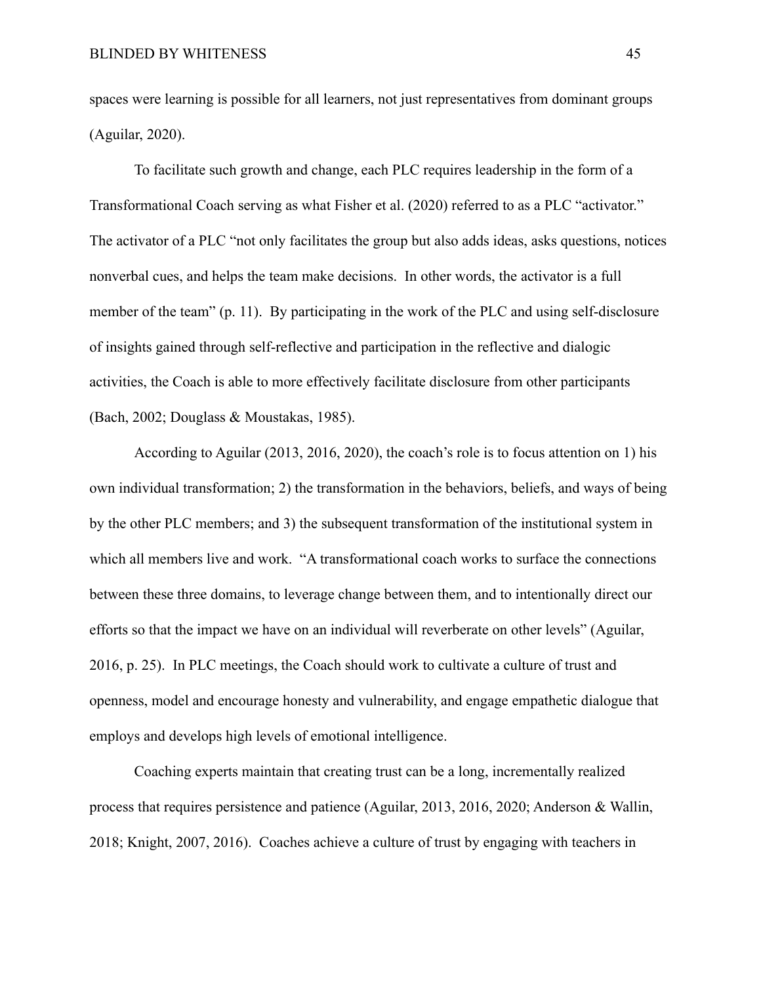spaces were learning is possible for all learners, not just representatives from dominant groups (Aguilar, 2020).

To facilitate such growth and change, each PLC requires leadership in the form of a Transformational Coach serving as what Fisher et al. (2020) referred to as a PLC "activator." The activator of a PLC "not only facilitates the group but also adds ideas, asks questions, notices nonverbal cues, and helps the team make decisions. In other words, the activator is a full member of the team" (p. 11). By participating in the work of the PLC and using self-disclosure of insights gained through self-reflective and participation in the reflective and dialogic activities, the Coach is able to more effectively facilitate disclosure from other participants (Bach, 2002; Douglass & Moustakas, 1985).

According to Aguilar (2013, 2016, 2020), the coach's role is to focus attention on 1) his own individual transformation; 2) the transformation in the behaviors, beliefs, and ways of being by the other PLC members; and 3) the subsequent transformation of the institutional system in which all members live and work. "A transformational coach works to surface the connections between these three domains, to leverage change between them, and to intentionally direct our efforts so that the impact we have on an individual will reverberate on other levels" (Aguilar, 2016, p. 25). In PLC meetings, the Coach should work to cultivate a culture of trust and openness, model and encourage honesty and vulnerability, and engage empathetic dialogue that employs and develops high levels of emotional intelligence.

Coaching experts maintain that creating trust can be a long, incrementally realized process that requires persistence and patience (Aguilar, 2013, 2016, 2020; Anderson & Wallin, 2018; Knight, 2007, 2016). Coaches achieve a culture of trust by engaging with teachers in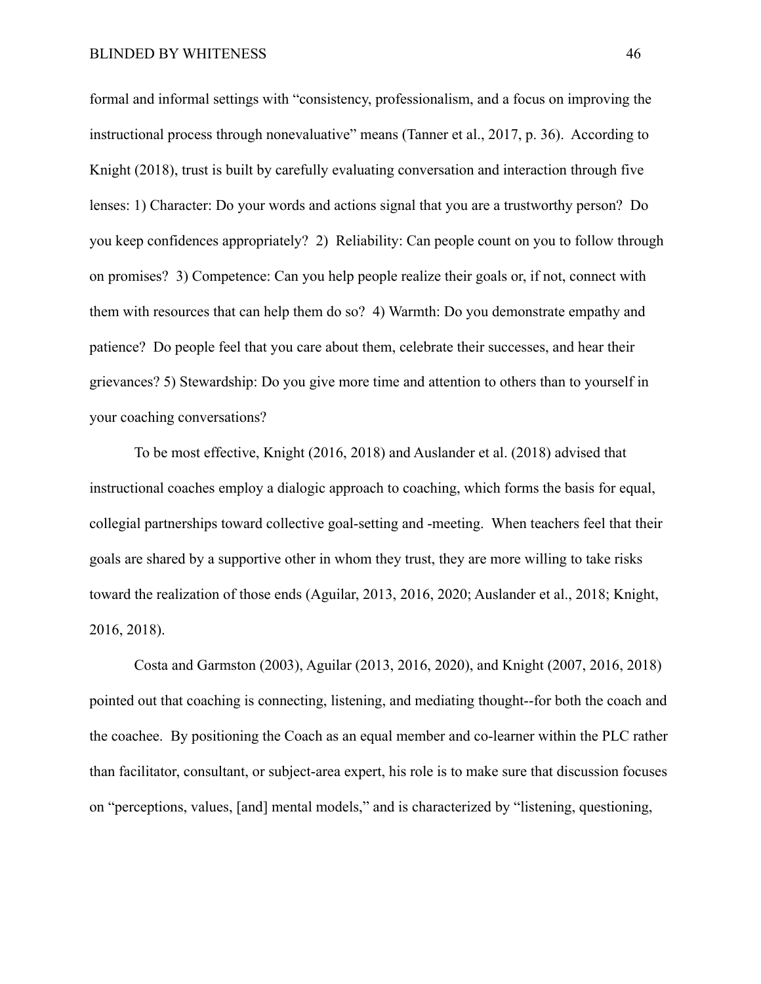formal and informal settings with "consistency, professionalism, and a focus on improving the instructional process through nonevaluative" means (Tanner et al., 2017, p. 36). According to Knight (2018), trust is built by carefully evaluating conversation and interaction through five lenses: 1) Character: Do your words and actions signal that you are a trustworthy person? Do you keep confidences appropriately? 2) Reliability: Can people count on you to follow through on promises? 3) Competence: Can you help people realize their goals or, if not, connect with them with resources that can help them do so? 4) Warmth: Do you demonstrate empathy and patience? Do people feel that you care about them, celebrate their successes, and hear their grievances? 5) Stewardship: Do you give more time and attention to others than to yourself in your coaching conversations?

To be most effective, Knight (2016, 2018) and Auslander et al. (2018) advised that instructional coaches employ a dialogic approach to coaching, which forms the basis for equal, collegial partnerships toward collective goal-setting and -meeting. When teachers feel that their goals are shared by a supportive other in whom they trust, they are more willing to take risks toward the realization of those ends (Aguilar, 2013, 2016, 2020; Auslander et al., 2018; Knight, 2016, 2018).

Costa and Garmston (2003), Aguilar (2013, 2016, 2020), and Knight (2007, 2016, 2018) pointed out that coaching is connecting, listening, and mediating thought--for both the coach and the coachee. By positioning the Coach as an equal member and co-learner within the PLC rather than facilitator, consultant, or subject-area expert, his role is to make sure that discussion focuses on "perceptions, values, [and] mental models," and is characterized by "listening, questioning,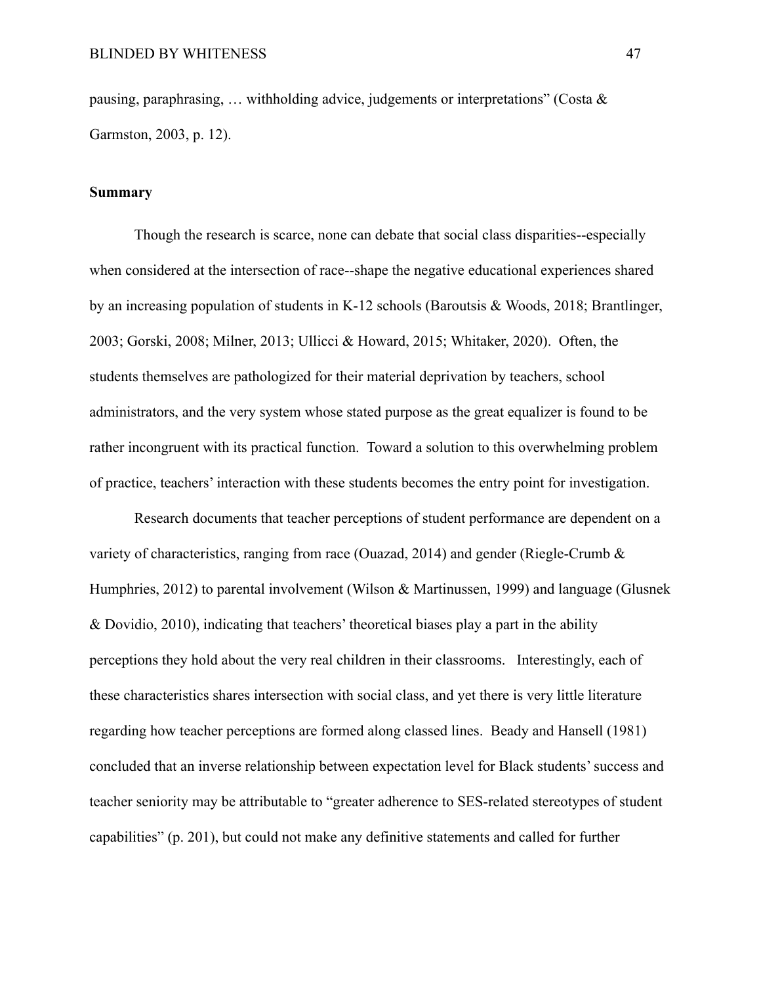pausing, paraphrasing, ... withholding advice, judgements or interpretations" (Costa  $\&$ Garmston, 2003, p. 12).

#### **Summary**

Though the research is scarce, none can debate that social class disparities--especially when considered at the intersection of race--shape the negative educational experiences shared by an increasing population of students in K-12 schools (Baroutsis & Woods, 2018; Brantlinger, 2003; Gorski, 2008; Milner, 2013; Ullicci & Howard, 2015; Whitaker, 2020). Often, the students themselves are pathologized for their material deprivation by teachers, school administrators, and the very system whose stated purpose as the great equalizer is found to be rather incongruent with its practical function. Toward a solution to this overwhelming problem of practice, teachers' interaction with these students becomes the entry point for investigation.

Research documents that teacher perceptions of student performance are dependent on a variety of characteristics, ranging from race (Ouazad, 2014) and gender (Riegle-Crumb & Humphries, 2012) to parental involvement (Wilson & Martinussen, 1999) and language (Glusnek & Dovidio, 2010), indicating that teachers' theoretical biases play a part in the ability perceptions they hold about the very real children in their classrooms. Interestingly, each of these characteristics shares intersection with social class, and yet there is very little literature regarding how teacher perceptions are formed along classed lines. Beady and Hansell (1981) concluded that an inverse relationship between expectation level for Black students' success and teacher seniority may be attributable to "greater adherence to SES-related stereotypes of student capabilities" (p. 201), but could not make any definitive statements and called for further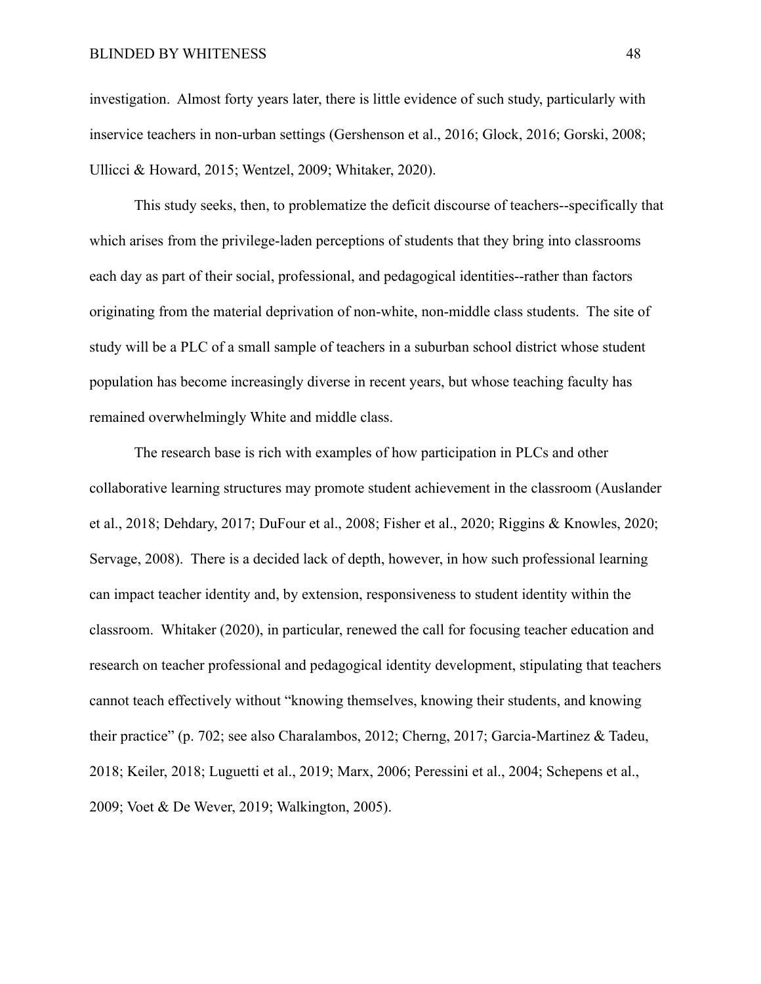#### BLINDED BY WHITENESS 48

investigation. Almost forty years later, there is little evidence of such study, particularly with inservice teachers in non-urban settings (Gershenson et al., 2016; Glock, 2016; Gorski, 2008; Ullicci & Howard, 2015; Wentzel, 2009; Whitaker, 2020).

This study seeks, then, to problematize the deficit discourse of teachers--specifically that which arises from the privilege-laden perceptions of students that they bring into classrooms each day as part of their social, professional, and pedagogical identities--rather than factors originating from the material deprivation of non-white, non-middle class students. The site of study will be a PLC of a small sample of teachers in a suburban school district whose student population has become increasingly diverse in recent years, but whose teaching faculty has remained overwhelmingly White and middle class.

The research base is rich with examples of how participation in PLCs and other collaborative learning structures may promote student achievement in the classroom (Auslander et al., 2018; Dehdary, 2017; DuFour et al., 2008; Fisher et al., 2020; Riggins & Knowles, 2020; Servage, 2008). There is a decided lack of depth, however, in how such professional learning can impact teacher identity and, by extension, responsiveness to student identity within the classroom. Whitaker (2020), in particular, renewed the call for focusing teacher education and research on teacher professional and pedagogical identity development, stipulating that teachers cannot teach effectively without "knowing themselves, knowing their students, and knowing their practice" (p. 702; see also Charalambos, 2012; Cherng, 2017; Garcia-Martinez & Tadeu, 2018; Keiler, 2018; Luguetti et al., 2019; Marx, 2006; Peressini et al., 2004; Schepens et al., 2009; Voet & De Wever, 2019; Walkington, 2005).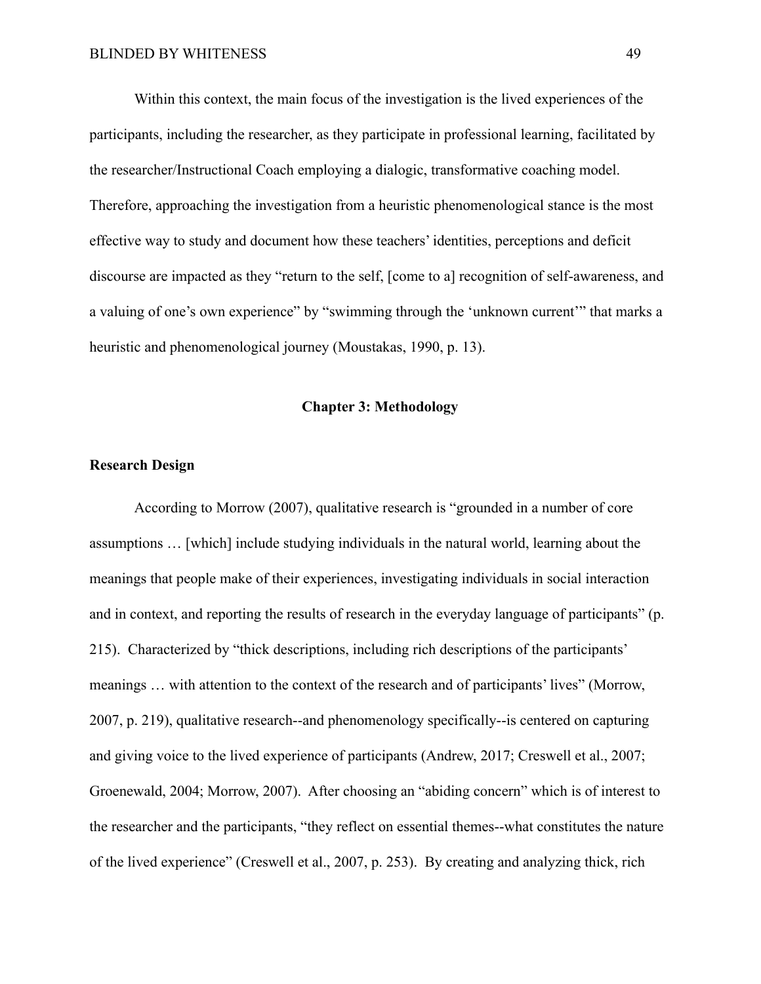Within this context, the main focus of the investigation is the lived experiences of the participants, including the researcher, as they participate in professional learning, facilitated by the researcher/Instructional Coach employing a dialogic, transformative coaching model. Therefore, approaching the investigation from a heuristic phenomenological stance is the most effective way to study and document how these teachers' identities, perceptions and deficit discourse are impacted as they "return to the self, [come to a] recognition of self-awareness, and a valuing of one's own experience" by "swimming through the 'unknown current'" that marks a heuristic and phenomenological journey (Moustakas, 1990, p. 13).

#### **Chapter 3: Methodology**

## **Research Design**

According to Morrow (2007), qualitative research is "grounded in a number of core assumptions … [which] include studying individuals in the natural world, learning about the meanings that people make of their experiences, investigating individuals in social interaction and in context, and reporting the results of research in the everyday language of participants" (p. 215). Characterized by "thick descriptions, including rich descriptions of the participants' meanings … with attention to the context of the research and of participants' lives" (Morrow, 2007, p. 219), qualitative research--and phenomenology specifically--is centered on capturing and giving voice to the lived experience of participants (Andrew, 2017; Creswell et al., 2007; Groenewald, 2004; Morrow, 2007). After choosing an "abiding concern" which is of interest to the researcher and the participants, "they reflect on essential themes--what constitutes the nature of the lived experience" (Creswell et al., 2007, p. 253). By creating and analyzing thick, rich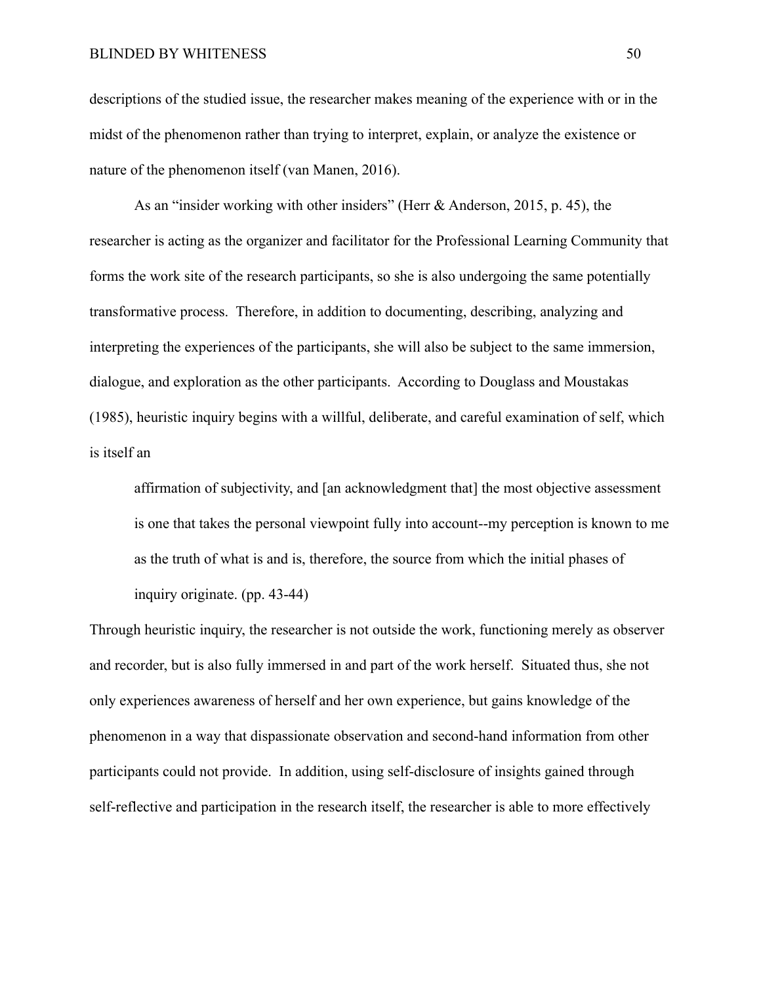descriptions of the studied issue, the researcher makes meaning of the experience with or in the midst of the phenomenon rather than trying to interpret, explain, or analyze the existence or nature of the phenomenon itself (van Manen, 2016).

As an "insider working with other insiders" (Herr & Anderson, 2015, p. 45), the researcher is acting as the organizer and facilitator for the Professional Learning Community that forms the work site of the research participants, so she is also undergoing the same potentially transformative process. Therefore, in addition to documenting, describing, analyzing and interpreting the experiences of the participants, she will also be subject to the same immersion, dialogue, and exploration as the other participants. According to Douglass and Moustakas (1985), heuristic inquiry begins with a willful, deliberate, and careful examination of self, which is itself an

affirmation of subjectivity, and [an acknowledgment that] the most objective assessment is one that takes the personal viewpoint fully into account--my perception is known to me as the truth of what is and is, therefore, the source from which the initial phases of inquiry originate. (pp. 43-44)

Through heuristic inquiry, the researcher is not outside the work, functioning merely as observer and recorder, but is also fully immersed in and part of the work herself. Situated thus, she not only experiences awareness of herself and her own experience, but gains knowledge of the phenomenon in a way that dispassionate observation and second-hand information from other participants could not provide. In addition, using self-disclosure of insights gained through self-reflective and participation in the research itself, the researcher is able to more effectively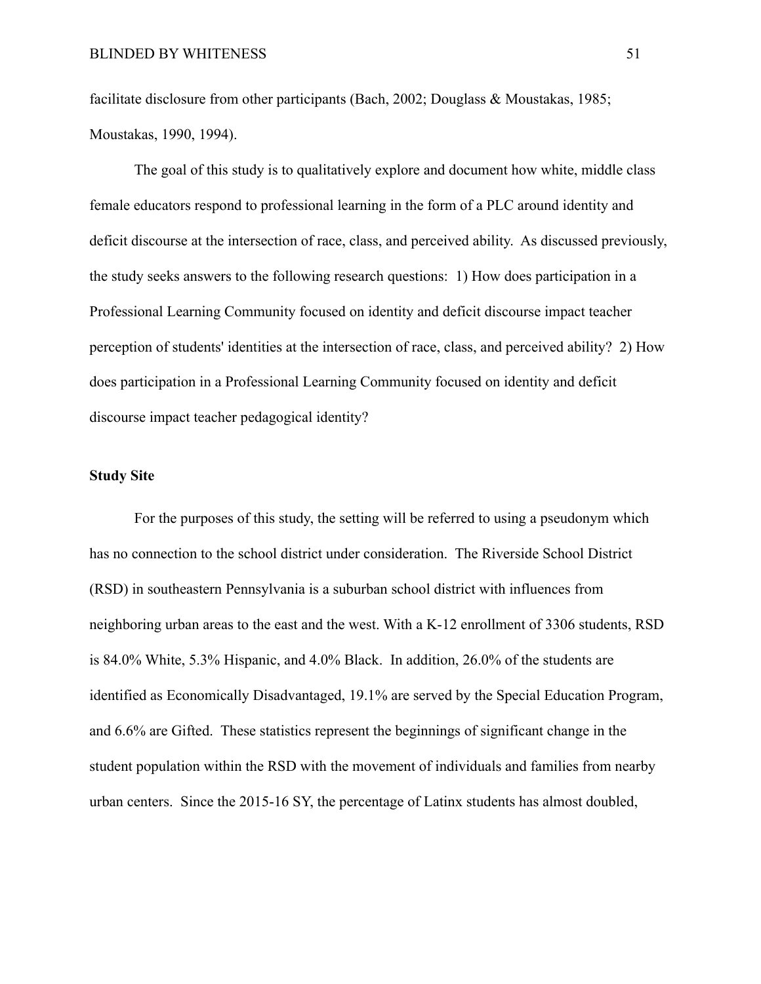facilitate disclosure from other participants (Bach, 2002; Douglass & Moustakas, 1985; Moustakas, 1990, 1994).

The goal of this study is to qualitatively explore and document how white, middle class female educators respond to professional learning in the form of a PLC around identity and deficit discourse at the intersection of race, class, and perceived ability. As discussed previously, the study seeks answers to the following research questions: 1) How does participation in a Professional Learning Community focused on identity and deficit discourse impact teacher perception of students' identities at the intersection of race, class, and perceived ability? 2) How does participation in a Professional Learning Community focused on identity and deficit discourse impact teacher pedagogical identity?

## **Study Site**

For the purposes of this study, the setting will be referred to using a pseudonym which has no connection to the school district under consideration. The Riverside School District (RSD) in southeastern Pennsylvania is a suburban school district with influences from neighboring urban areas to the east and the west. With a K-12 enrollment of 3306 students, RSD is 84.0% White, 5.3% Hispanic, and 4.0% Black. In addition, 26.0% of the students are identified as Economically Disadvantaged, 19.1% are served by the Special Education Program, and 6.6% are Gifted. These statistics represent the beginnings of significant change in the student population within the RSD with the movement of individuals and families from nearby urban centers. Since the 2015-16 SY, the percentage of Latinx students has almost doubled,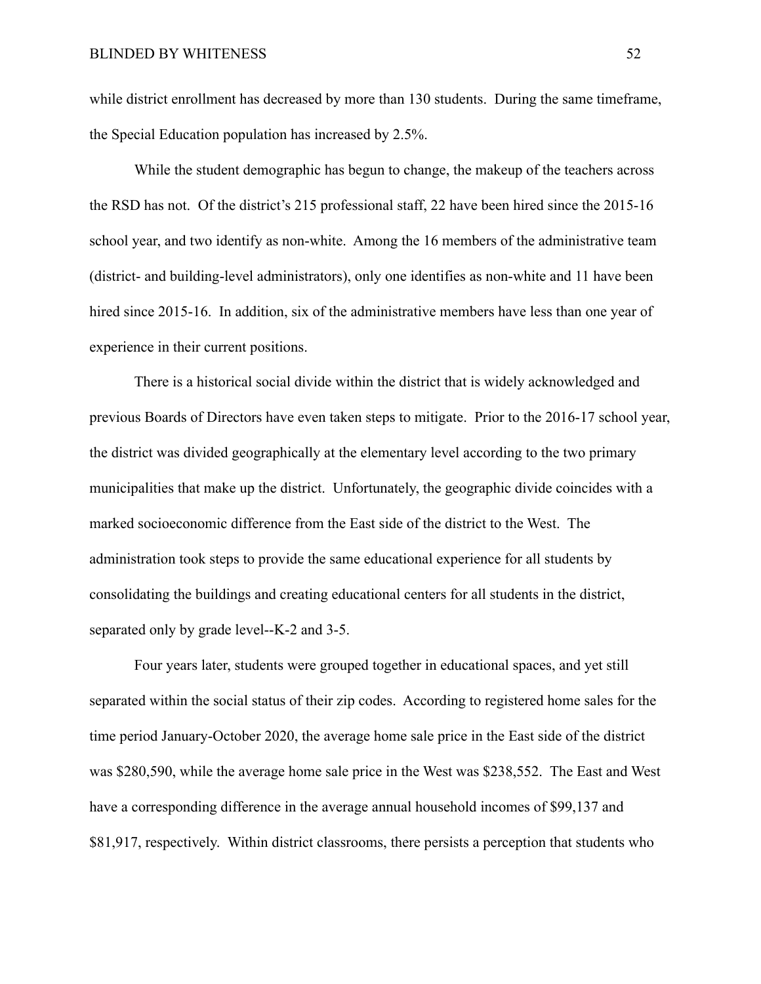while district enrollment has decreased by more than 130 students. During the same timeframe, the Special Education population has increased by 2.5%.

While the student demographic has begun to change, the makeup of the teachers across the RSD has not. Of the district's 215 professional staff, 22 have been hired since the 2015-16 school year, and two identify as non-white. Among the 16 members of the administrative team (district- and building-level administrators), only one identifies as non-white and 11 have been hired since 2015-16. In addition, six of the administrative members have less than one year of experience in their current positions.

There is a historical social divide within the district that is widely acknowledged and previous Boards of Directors have even taken steps to mitigate. Prior to the 2016-17 school year, the district was divided geographically at the elementary level according to the two primary municipalities that make up the district. Unfortunately, the geographic divide coincides with a marked socioeconomic difference from the East side of the district to the West. The administration took steps to provide the same educational experience for all students by consolidating the buildings and creating educational centers for all students in the district, separated only by grade level--K-2 and 3-5.

Four years later, students were grouped together in educational spaces, and yet still separated within the social status of their zip codes. According to registered home sales for the time period January-October 2020, the average home sale price in the East side of the district was \$280,590, while the average home sale price in the West was \$238,552. The East and West have a corresponding difference in the average annual household incomes of \$99,137 and \$81,917, respectively. Within district classrooms, there persists a perception that students who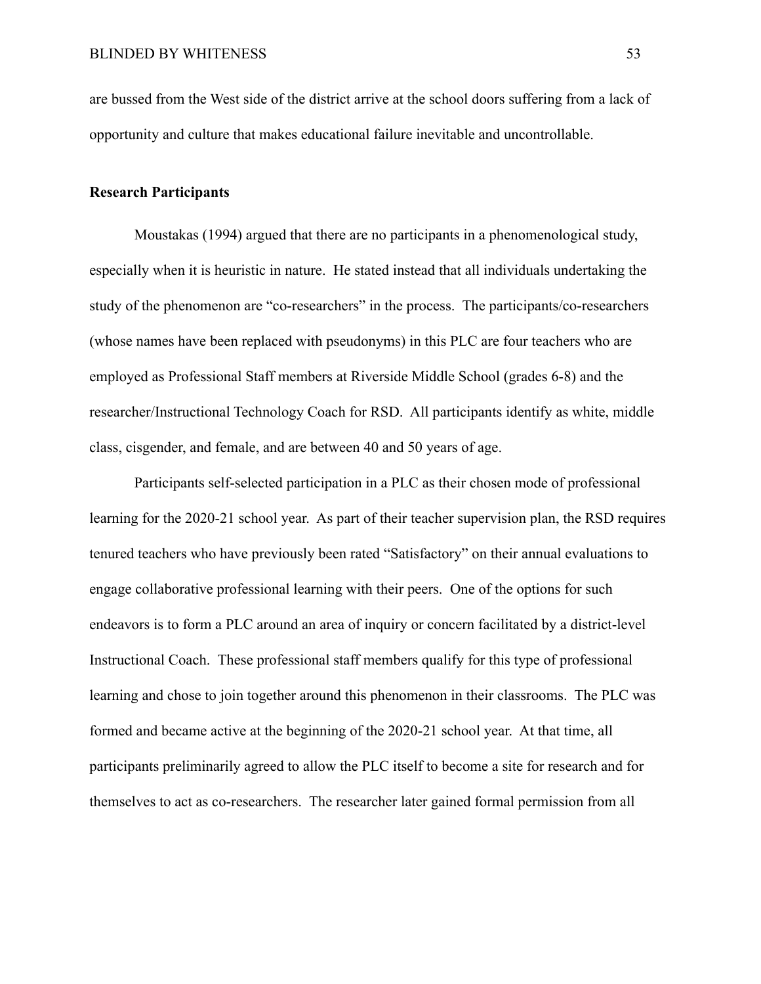are bussed from the West side of the district arrive at the school doors suffering from a lack of opportunity and culture that makes educational failure inevitable and uncontrollable.

# **Research Participants**

Moustakas (1994) argued that there are no participants in a phenomenological study, especially when it is heuristic in nature. He stated instead that all individuals undertaking the study of the phenomenon are "co-researchers" in the process. The participants/co-researchers (whose names have been replaced with pseudonyms) in this PLC are four teachers who are employed as Professional Staff members at Riverside Middle School (grades 6-8) and the researcher/Instructional Technology Coach for RSD. All participants identify as white, middle class, cisgender, and female, and are between 40 and 50 years of age.

Participants self-selected participation in a PLC as their chosen mode of professional learning for the 2020-21 school year. As part of their teacher supervision plan, the RSD requires tenured teachers who have previously been rated "Satisfactory" on their annual evaluations to engage collaborative professional learning with their peers. One of the options for such endeavors is to form a PLC around an area of inquiry or concern facilitated by a district-level Instructional Coach. These professional staff members qualify for this type of professional learning and chose to join together around this phenomenon in their classrooms. The PLC was formed and became active at the beginning of the 2020-21 school year. At that time, all participants preliminarily agreed to allow the PLC itself to become a site for research and for themselves to act as co-researchers. The researcher later gained formal permission from all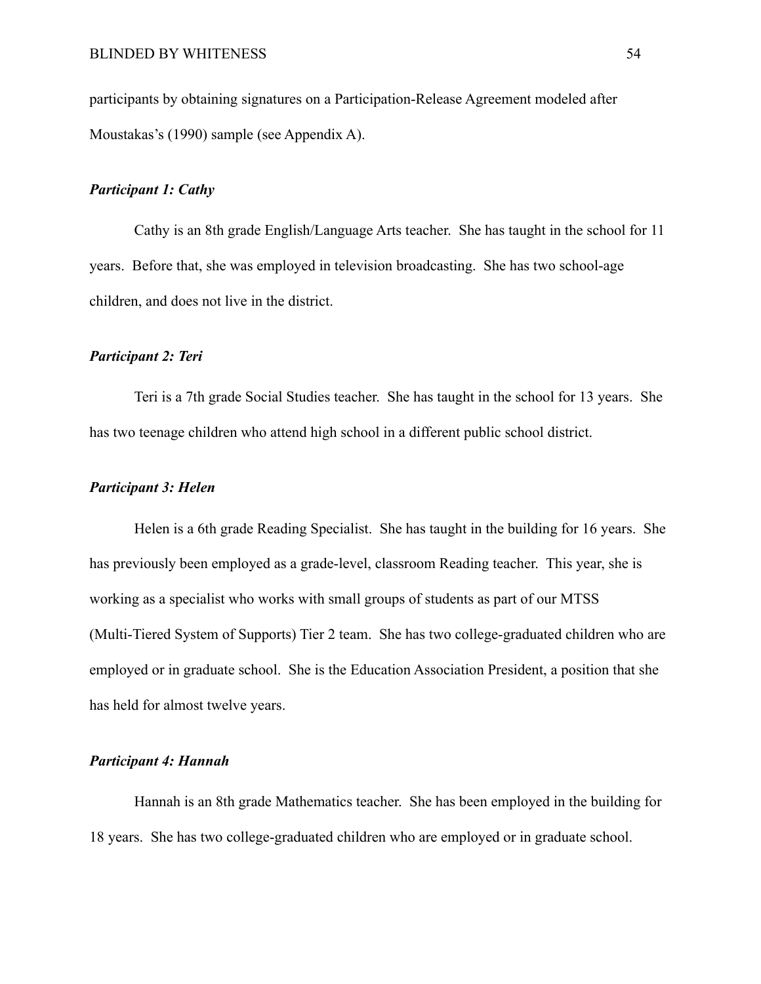participants by obtaining signatures on a Participation-Release Agreement modeled after Moustakas's (1990) sample (see Appendix A).

#### *Participant 1: Cathy*

Cathy is an 8th grade English/Language Arts teacher. She has taught in the school for 11 years. Before that, she was employed in television broadcasting. She has two school-age children, and does not live in the district.

## *Participant 2: Teri*

Teri is a 7th grade Social Studies teacher. She has taught in the school for 13 years. She has two teenage children who attend high school in a different public school district.

# *Participant 3: Helen*

Helen is a 6th grade Reading Specialist. She has taught in the building for 16 years. She has previously been employed as a grade-level, classroom Reading teacher. This year, she is working as a specialist who works with small groups of students as part of our MTSS (Multi-Tiered System of Supports) Tier 2 team. She has two college-graduated children who are employed or in graduate school. She is the Education Association President, a position that she has held for almost twelve years.

## *Participant 4: Hannah*

Hannah is an 8th grade Mathematics teacher. She has been employed in the building for 18 years. She has two college-graduated children who are employed or in graduate school.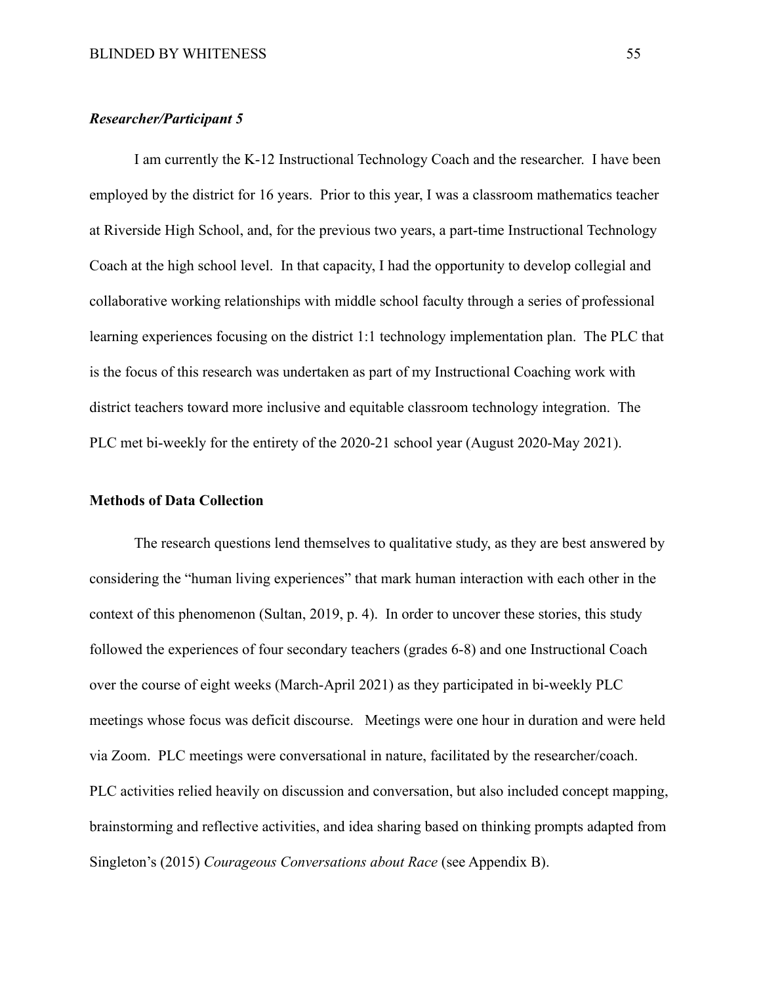# *Researcher/Participant 5*

I am currently the K-12 Instructional Technology Coach and the researcher. I have been employed by the district for 16 years. Prior to this year, I was a classroom mathematics teacher at Riverside High School, and, for the previous two years, a part-time Instructional Technology Coach at the high school level. In that capacity, I had the opportunity to develop collegial and collaborative working relationships with middle school faculty through a series of professional learning experiences focusing on the district 1:1 technology implementation plan. The PLC that is the focus of this research was undertaken as part of my Instructional Coaching work with district teachers toward more inclusive and equitable classroom technology integration. The PLC met bi-weekly for the entirety of the 2020-21 school year (August 2020-May 2021).

## **Methods of Data Collection**

The research questions lend themselves to qualitative study, as they are best answered by considering the "human living experiences" that mark human interaction with each other in the context of this phenomenon (Sultan, 2019, p. 4). In order to uncover these stories, this study followed the experiences of four secondary teachers (grades 6-8) and one Instructional Coach over the course of eight weeks (March-April 2021) as they participated in bi-weekly PLC meetings whose focus was deficit discourse. Meetings were one hour in duration and were held via Zoom. PLC meetings were conversational in nature, facilitated by the researcher/coach. PLC activities relied heavily on discussion and conversation, but also included concept mapping, brainstorming and reflective activities, and idea sharing based on thinking prompts adapted from Singleton's (2015) *Courageous Conversations about Race* (see Appendix B).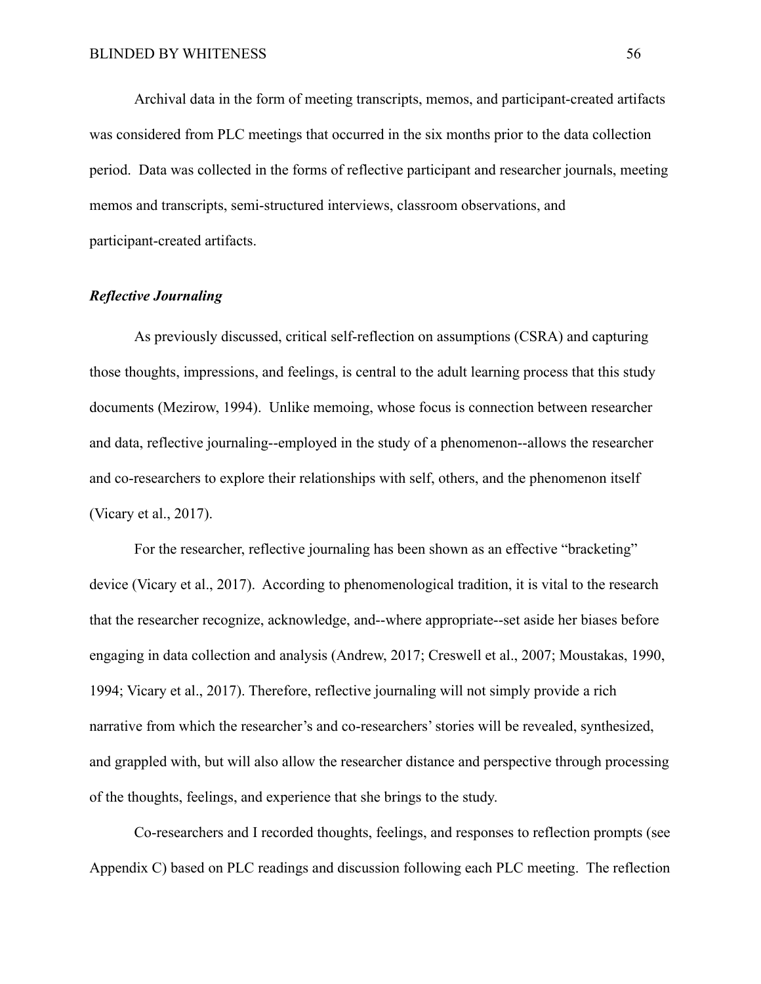Archival data in the form of meeting transcripts, memos, and participant-created artifacts was considered from PLC meetings that occurred in the six months prior to the data collection period. Data was collected in the forms of reflective participant and researcher journals, meeting memos and transcripts, semi-structured interviews, classroom observations, and participant-created artifacts.

# *Reflective Journaling*

As previously discussed, critical self-reflection on assumptions (CSRA) and capturing those thoughts, impressions, and feelings, is central to the adult learning process that this study documents (Mezirow, 1994). Unlike memoing, whose focus is connection between researcher and data, reflective journaling--employed in the study of a phenomenon--allows the researcher and co-researchers to explore their relationships with self, others, and the phenomenon itself (Vicary et al., 2017).

For the researcher, reflective journaling has been shown as an effective "bracketing" device (Vicary et al., 2017). According to phenomenological tradition, it is vital to the research that the researcher recognize, acknowledge, and--where appropriate--set aside her biases before engaging in data collection and analysis (Andrew, 2017; Creswell et al., 2007; Moustakas, 1990, 1994; Vicary et al., 2017). Therefore, reflective journaling will not simply provide a rich narrative from which the researcher's and co-researchers' stories will be revealed, synthesized, and grappled with, but will also allow the researcher distance and perspective through processing of the thoughts, feelings, and experience that she brings to the study.

Co-researchers and I recorded thoughts, feelings, and responses to reflection prompts (see Appendix C) based on PLC readings and discussion following each PLC meeting. The reflection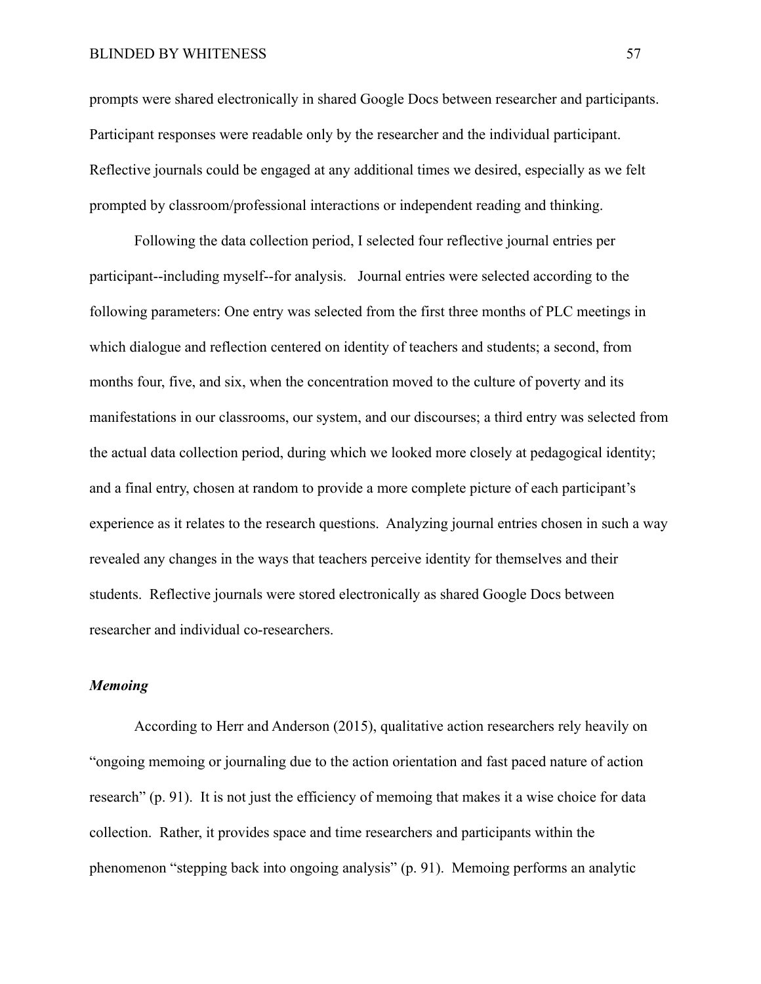#### BLINDED BY WHITENESS 57

prompts were shared electronically in shared Google Docs between researcher and participants. Participant responses were readable only by the researcher and the individual participant. Reflective journals could be engaged at any additional times we desired, especially as we felt prompted by classroom/professional interactions or independent reading and thinking.

Following the data collection period, I selected four reflective journal entries per participant--including myself--for analysis. Journal entries were selected according to the following parameters: One entry was selected from the first three months of PLC meetings in which dialogue and reflection centered on identity of teachers and students; a second, from months four, five, and six, when the concentration moved to the culture of poverty and its manifestations in our classrooms, our system, and our discourses; a third entry was selected from the actual data collection period, during which we looked more closely at pedagogical identity; and a final entry, chosen at random to provide a more complete picture of each participant's experience as it relates to the research questions. Analyzing journal entries chosen in such a way revealed any changes in the ways that teachers perceive identity for themselves and their students. Reflective journals were stored electronically as shared Google Docs between researcher and individual co-researchers.

## *Memoing*

According to Herr and Anderson (2015), qualitative action researchers rely heavily on "ongoing memoing or journaling due to the action orientation and fast paced nature of action research" (p. 91). It is not just the efficiency of memoing that makes it a wise choice for data collection. Rather, it provides space and time researchers and participants within the phenomenon "stepping back into ongoing analysis" (p. 91). Memoing performs an analytic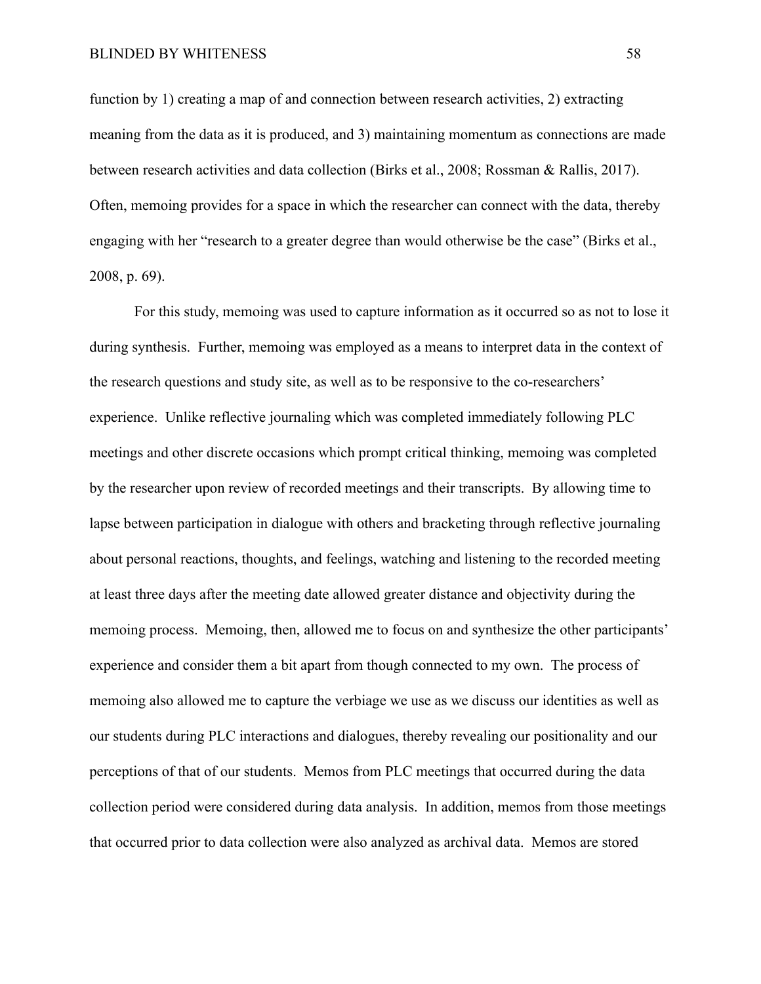function by 1) creating a map of and connection between research activities, 2) extracting meaning from the data as it is produced, and 3) maintaining momentum as connections are made between research activities and data collection (Birks et al., 2008; Rossman & Rallis, 2017). Often, memoing provides for a space in which the researcher can connect with the data, thereby engaging with her "research to a greater degree than would otherwise be the case" (Birks et al., 2008, p. 69).

For this study, memoing was used to capture information as it occurred so as not to lose it during synthesis. Further, memoing was employed as a means to interpret data in the context of the research questions and study site, as well as to be responsive to the co-researchers' experience. Unlike reflective journaling which was completed immediately following PLC meetings and other discrete occasions which prompt critical thinking, memoing was completed by the researcher upon review of recorded meetings and their transcripts. By allowing time to lapse between participation in dialogue with others and bracketing through reflective journaling about personal reactions, thoughts, and feelings, watching and listening to the recorded meeting at least three days after the meeting date allowed greater distance and objectivity during the memoing process. Memoing, then, allowed me to focus on and synthesize the other participants' experience and consider them a bit apart from though connected to my own. The process of memoing also allowed me to capture the verbiage we use as we discuss our identities as well as our students during PLC interactions and dialogues, thereby revealing our positionality and our perceptions of that of our students. Memos from PLC meetings that occurred during the data collection period were considered during data analysis. In addition, memos from those meetings that occurred prior to data collection were also analyzed as archival data. Memos are stored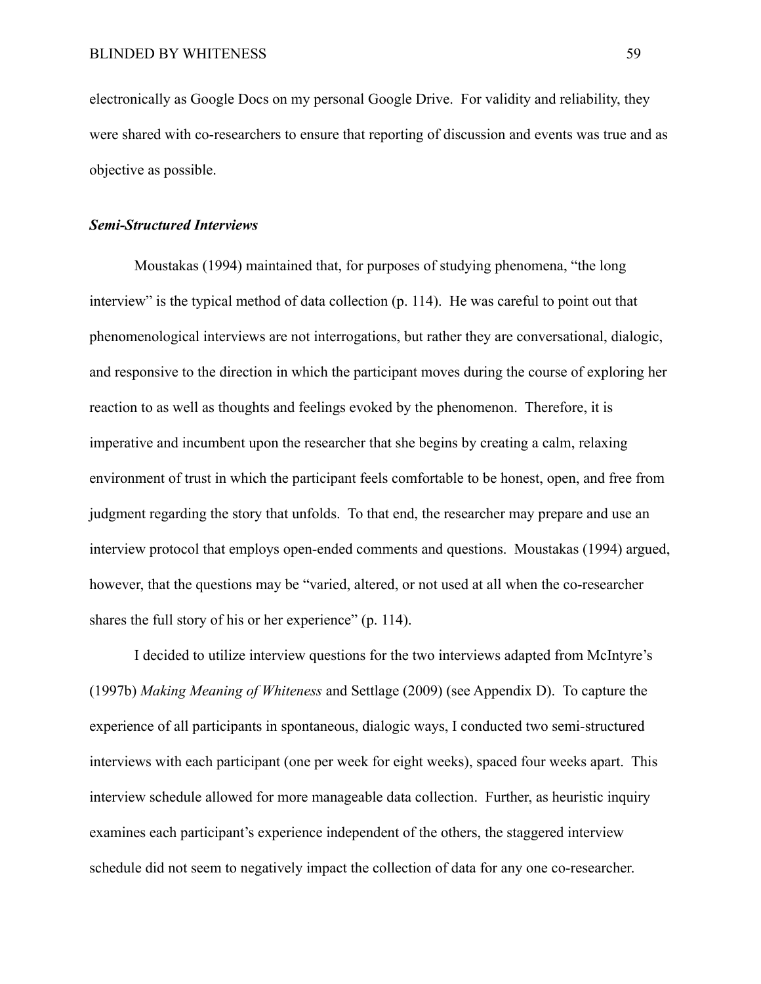electronically as Google Docs on my personal Google Drive. For validity and reliability, they were shared with co-researchers to ensure that reporting of discussion and events was true and as objective as possible.

#### *Semi-Structured Interviews*

Moustakas (1994) maintained that, for purposes of studying phenomena, "the long interview" is the typical method of data collection (p. 114). He was careful to point out that phenomenological interviews are not interrogations, but rather they are conversational, dialogic, and responsive to the direction in which the participant moves during the course of exploring her reaction to as well as thoughts and feelings evoked by the phenomenon. Therefore, it is imperative and incumbent upon the researcher that she begins by creating a calm, relaxing environment of trust in which the participant feels comfortable to be honest, open, and free from judgment regarding the story that unfolds. To that end, the researcher may prepare and use an interview protocol that employs open-ended comments and questions. Moustakas (1994) argued, however, that the questions may be "varied, altered, or not used at all when the co-researcher shares the full story of his or her experience" (p. 114).

I decided to utilize interview questions for the two interviews adapted from McIntyre's (1997b) *Making Meaning of Whiteness* and Settlage (2009) (see Appendix D). To capture the experience of all participants in spontaneous, dialogic ways, I conducted two semi-structured interviews with each participant (one per week for eight weeks), spaced four weeks apart. This interview schedule allowed for more manageable data collection. Further, as heuristic inquiry examines each participant's experience independent of the others, the staggered interview schedule did not seem to negatively impact the collection of data for any one co-researcher.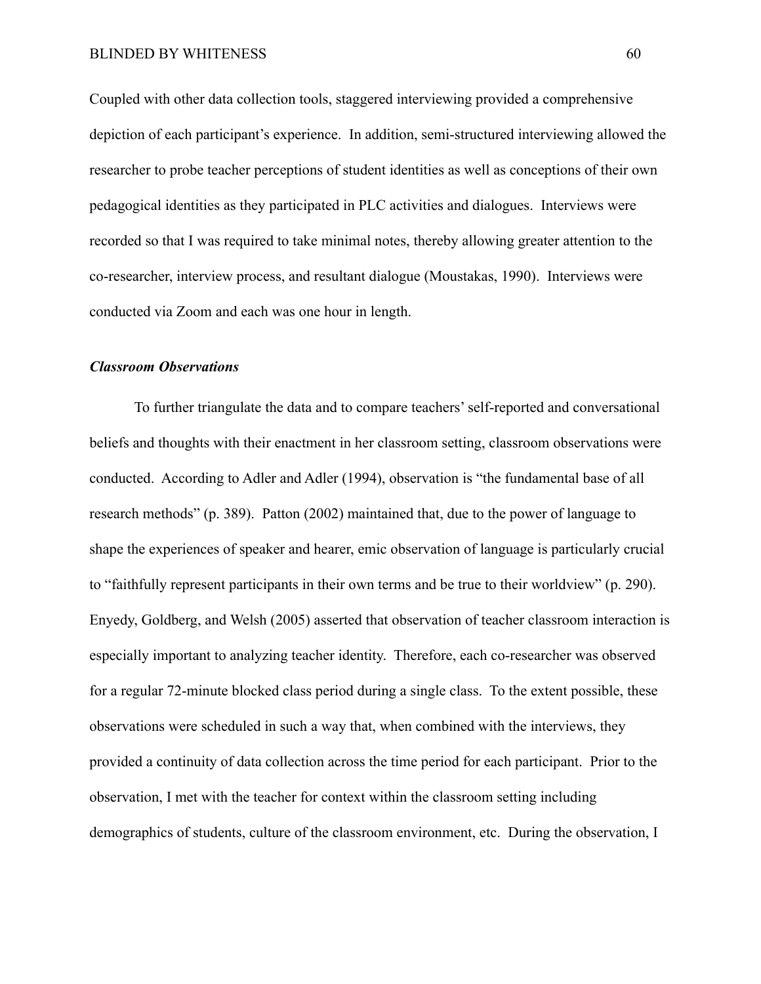Coupled with other data collection tools, staggered interviewing provided a comprehensive depiction of each participant's experience. In addition, semi-structured interviewing allowed the researcher to probe teacher perceptions of student identities as well as conceptions of their own pedagogical identities as they participated in PLC activities and dialogues. Interviews were recorded so that I was required to take minimal notes, thereby allowing greater attention to the co-researcher, interview process, and resultant dialogue (Moustakas, 1990). Interviews were conducted via Zoom and each was one hour in length.

#### *Classroom Observations*

To further triangulate the data and to compare teachers' self-reported and conversational beliefs and thoughts with their enactment in her classroom setting, classroom observations were conducted. According to Adler and Adler (1994), observation is "the fundamental base of all research methods" (p. 389). Patton (2002) maintained that, due to the power of language to shape the experiences of speaker and hearer, emic observation of language is particularly crucial to "faithfully represent participants in their own terms and be true to their worldview" (p. 290). Enyedy, Goldberg, and Welsh (2005) asserted that observation of teacher classroom interaction is especially important to analyzing teacher identity. Therefore, each co-researcher was observed for a regular 72-minute blocked class period during a single class. To the extent possible, these observations were scheduled in such a way that, when combined with the interviews, they provided a continuity of data collection across the time period for each participant. Prior to the observation, I met with the teacher for context within the classroom setting including demographics of students, culture of the classroom environment, etc. During the observation, I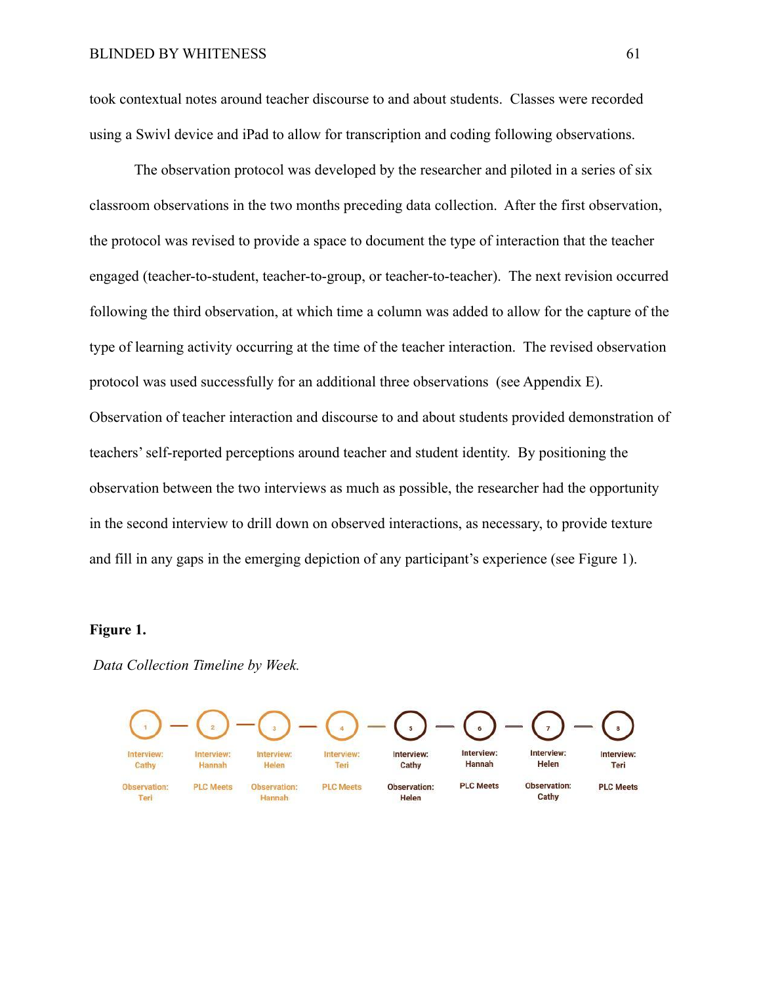took contextual notes around teacher discourse to and about students. Classes were recorded using a Swivl device and iPad to allow for transcription and coding following observations.

The observation protocol was developed by the researcher and piloted in a series of six classroom observations in the two months preceding data collection. After the first observation, the protocol was revised to provide a space to document the type of interaction that the teacher engaged (teacher-to-student, teacher-to-group, or teacher-to-teacher). The next revision occurred following the third observation, at which time a column was added to allow for the capture of the type of learning activity occurring at the time of the teacher interaction. The revised observation protocol was used successfully for an additional three observations (see Appendix E). Observation of teacher interaction and discourse to and about students provided demonstration of teachers' self-reported perceptions around teacher and student identity. By positioning the observation between the two interviews as much as possible, the researcher had the opportunity in the second interview to drill down on observed interactions, as necessary, to provide texture and fill in any gaps in the emerging depiction of any participant's experience (see Figure 1).

## **Figure 1.**

*Data Collection Timeline by Week.*

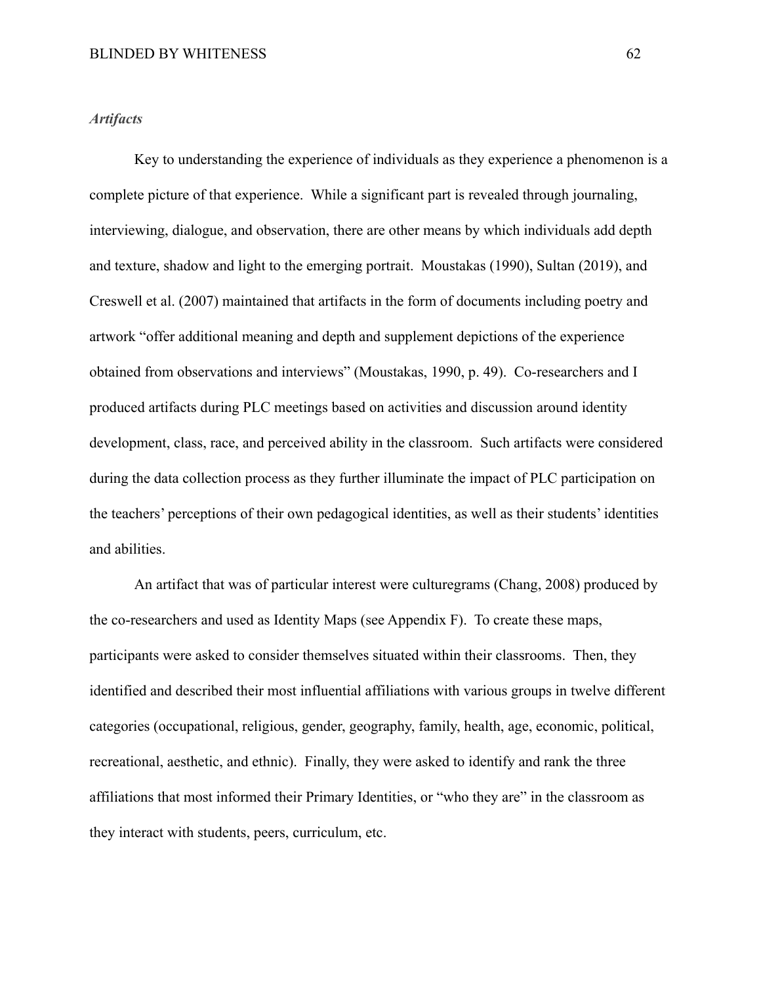#### *Artifacts*

Key to understanding the experience of individuals as they experience a phenomenon is a complete picture of that experience. While a significant part is revealed through journaling, interviewing, dialogue, and observation, there are other means by which individuals add depth and texture, shadow and light to the emerging portrait. Moustakas (1990), Sultan (2019), and Creswell et al. (2007) maintained that artifacts in the form of documents including poetry and artwork "offer additional meaning and depth and supplement depictions of the experience obtained from observations and interviews" (Moustakas, 1990, p. 49). Co-researchers and I produced artifacts during PLC meetings based on activities and discussion around identity development, class, race, and perceived ability in the classroom. Such artifacts were considered during the data collection process as they further illuminate the impact of PLC participation on the teachers' perceptions of their own pedagogical identities, as well as their students' identities and abilities.

An artifact that was of particular interest were culturegrams (Chang, 2008) produced by the co-researchers and used as Identity Maps (see Appendix F). To create these maps, participants were asked to consider themselves situated within their classrooms. Then, they identified and described their most influential affiliations with various groups in twelve different categories (occupational, religious, gender, geography, family, health, age, economic, political, recreational, aesthetic, and ethnic). Finally, they were asked to identify and rank the three affiliations that most informed their Primary Identities, or "who they are" in the classroom as they interact with students, peers, curriculum, etc.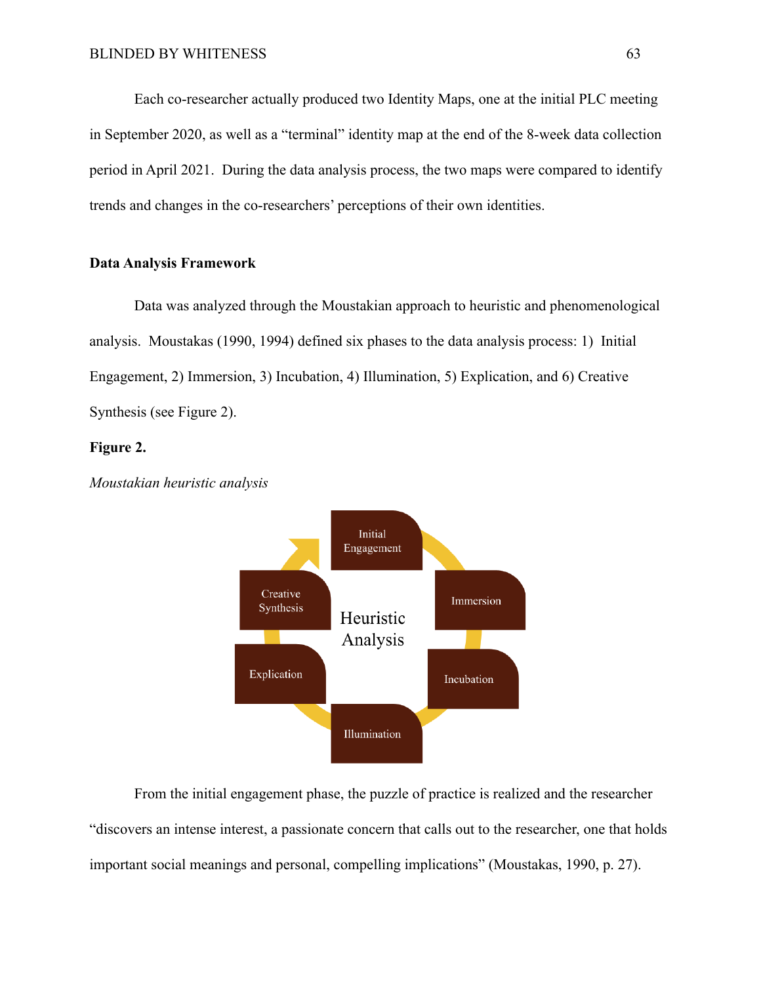Each co-researcher actually produced two Identity Maps, one at the initial PLC meeting in September 2020, as well as a "terminal" identity map at the end of the 8-week data collection period in April 2021. During the data analysis process, the two maps were compared to identify trends and changes in the co-researchers' perceptions of their own identities.

#### **Data Analysis Framework**

Data was analyzed through the Moustakian approach to heuristic and phenomenological analysis. Moustakas (1990, 1994) defined six phases to the data analysis process: 1) Initial Engagement, 2) Immersion, 3) Incubation, 4) Illumination, 5) Explication, and 6) Creative Synthesis (see Figure 2).

#### **Figure 2.**



*Moustakian heuristic analysis*

From the initial engagement phase, the puzzle of practice is realized and the researcher "discovers an intense interest, a passionate concern that calls out to the researcher, one that holds important social meanings and personal, compelling implications" (Moustakas, 1990, p. 27).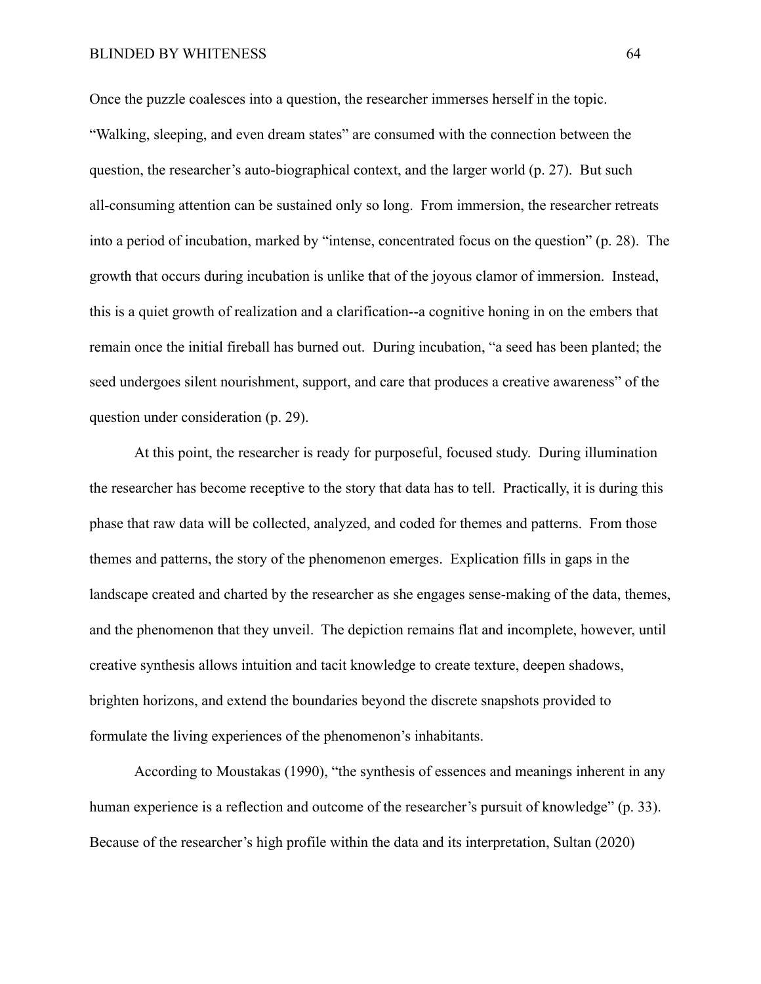#### BLINDED BY WHITENESS 64

Once the puzzle coalesces into a question, the researcher immerses herself in the topic. "Walking, sleeping, and even dream states" are consumed with the connection between the question, the researcher's auto-biographical context, and the larger world (p. 27). But such all-consuming attention can be sustained only so long. From immersion, the researcher retreats into a period of incubation, marked by "intense, concentrated focus on the question" (p. 28). The growth that occurs during incubation is unlike that of the joyous clamor of immersion. Instead, this is a quiet growth of realization and a clarification--a cognitive honing in on the embers that remain once the initial fireball has burned out. During incubation, "a seed has been planted; the seed undergoes silent nourishment, support, and care that produces a creative awareness" of the question under consideration (p. 29).

At this point, the researcher is ready for purposeful, focused study. During illumination the researcher has become receptive to the story that data has to tell. Practically, it is during this phase that raw data will be collected, analyzed, and coded for themes and patterns. From those themes and patterns, the story of the phenomenon emerges. Explication fills in gaps in the landscape created and charted by the researcher as she engages sense-making of the data, themes, and the phenomenon that they unveil. The depiction remains flat and incomplete, however, until creative synthesis allows intuition and tacit knowledge to create texture, deepen shadows, brighten horizons, and extend the boundaries beyond the discrete snapshots provided to formulate the living experiences of the phenomenon's inhabitants.

According to Moustakas (1990), "the synthesis of essences and meanings inherent in any human experience is a reflection and outcome of the researcher's pursuit of knowledge" (p. 33). Because of the researcher's high profile within the data and its interpretation, Sultan (2020)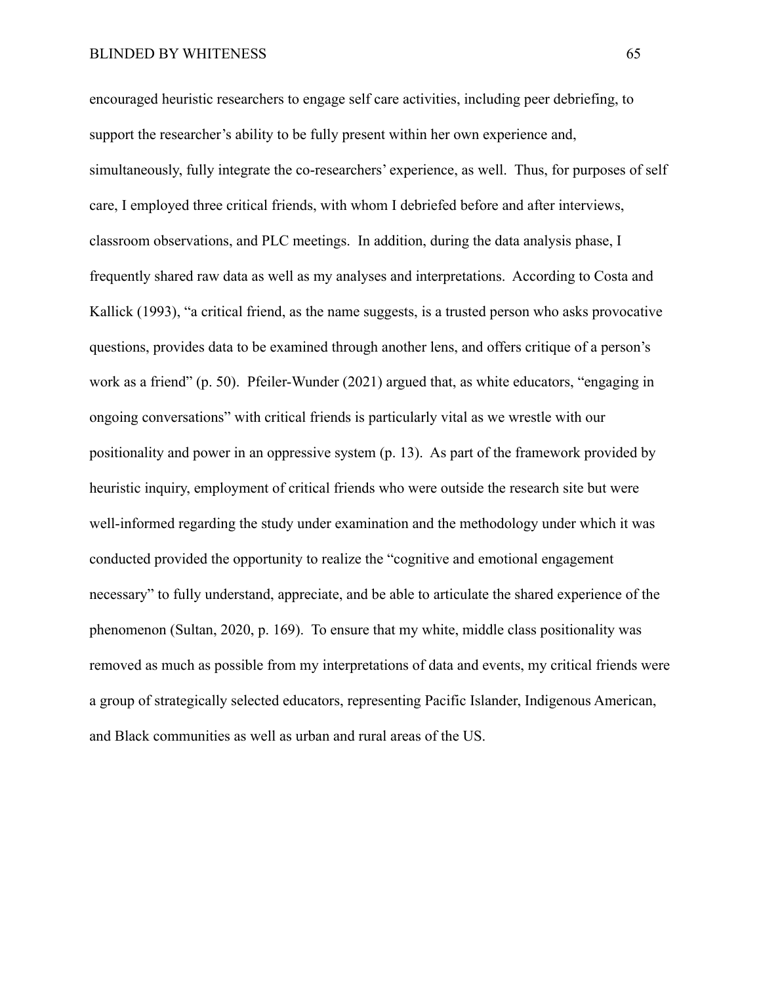encouraged heuristic researchers to engage self care activities, including peer debriefing, to support the researcher's ability to be fully present within her own experience and, simultaneously, fully integrate the co-researchers' experience, as well. Thus, for purposes of self care, I employed three critical friends, with whom I debriefed before and after interviews, classroom observations, and PLC meetings. In addition, during the data analysis phase, I frequently shared raw data as well as my analyses and interpretations. According to Costa and Kallick (1993), "a critical friend, as the name suggests, is a trusted person who asks provocative questions, provides data to be examined through another lens, and offers critique of a person's work as a friend" (p. 50). Pfeiler-Wunder (2021) argued that, as white educators, "engaging in ongoing conversations" with critical friends is particularly vital as we wrestle with our positionality and power in an oppressive system (p. 13). As part of the framework provided by heuristic inquiry, employment of critical friends who were outside the research site but were well-informed regarding the study under examination and the methodology under which it was conducted provided the opportunity to realize the "cognitive and emotional engagement necessary" to fully understand, appreciate, and be able to articulate the shared experience of the phenomenon (Sultan, 2020, p. 169). To ensure that my white, middle class positionality was removed as much as possible from my interpretations of data and events, my critical friends were a group of strategically selected educators, representing Pacific Islander, Indigenous American, and Black communities as well as urban and rural areas of the US.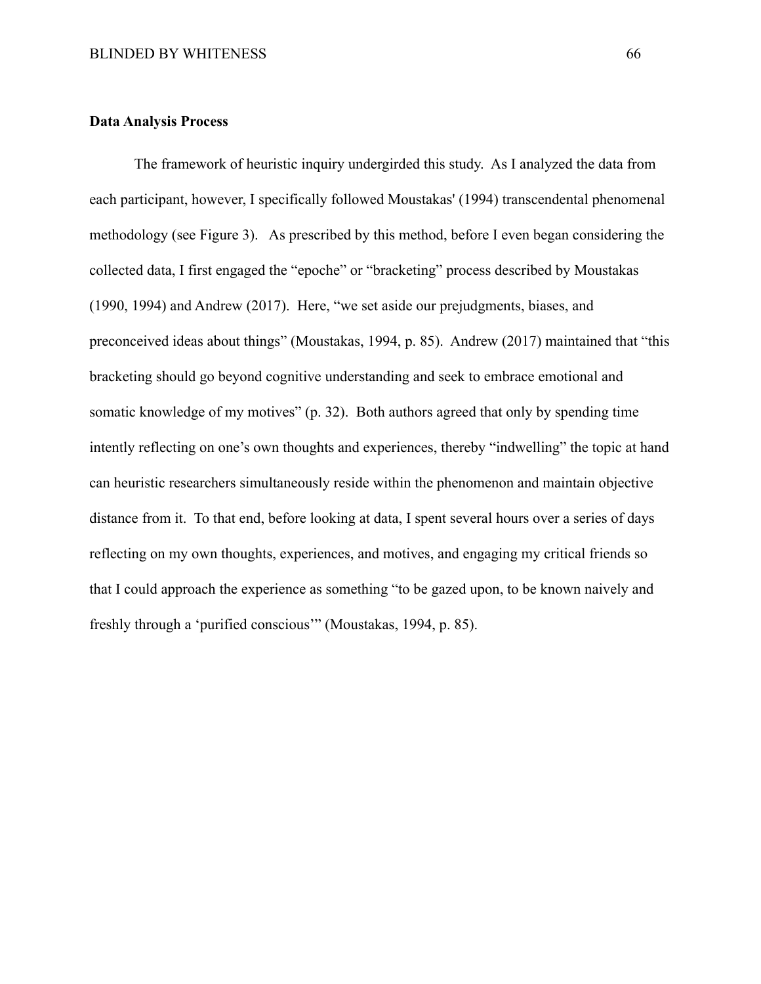#### **Data Analysis Process**

The framework of heuristic inquiry undergirded this study. As I analyzed the data from each participant, however, I specifically followed Moustakas' (1994) transcendental phenomenal methodology (see Figure 3). As prescribed by this method, before I even began considering the collected data, I first engaged the "epoche" or "bracketing" process described by Moustakas (1990, 1994) and Andrew (2017). Here, "we set aside our prejudgments, biases, and preconceived ideas about things" (Moustakas, 1994, p. 85). Andrew (2017) maintained that "this bracketing should go beyond cognitive understanding and seek to embrace emotional and somatic knowledge of my motives" (p. 32). Both authors agreed that only by spending time intently reflecting on one's own thoughts and experiences, thereby "indwelling" the topic at hand can heuristic researchers simultaneously reside within the phenomenon and maintain objective distance from it. To that end, before looking at data, I spent several hours over a series of days reflecting on my own thoughts, experiences, and motives, and engaging my critical friends so that I could approach the experience as something "to be gazed upon, to be known naively and freshly through a 'purified conscious'" (Moustakas, 1994, p. 85).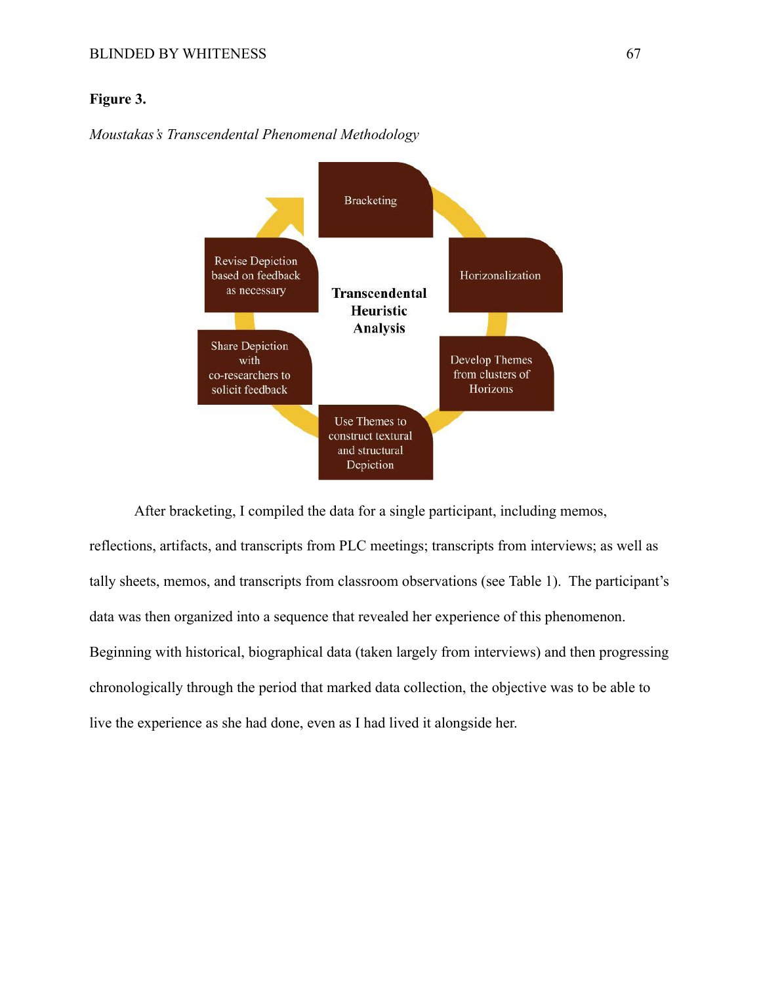### **Figure 3.**





After bracketing, I compiled the data for a single participant, including memos, reflections, artifacts, and transcripts from PLC meetings; transcripts from interviews; as well as tally sheets, memos, and transcripts from classroom observations (see Table 1). The participant's data was then organized into a sequence that revealed her experience of this phenomenon. Beginning with historical, biographical data (taken largely from interviews) and then progressing chronologically through the period that marked data collection, the objective was to be able to live the experience as she had done, even as I had lived it alongside her.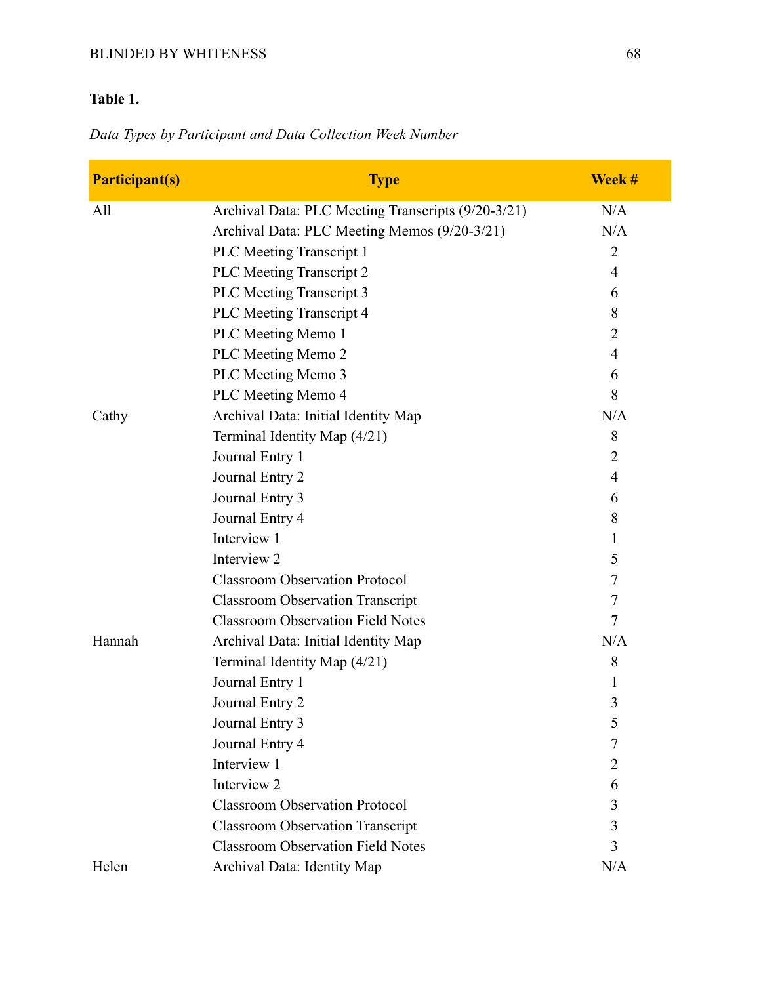## BLINDED BY WHITENESS 68

# **Table 1.**

# *Data Types by Participant and Data Collection Week Number*

| <b>Participant(s)</b> | <b>Type</b>                                        | Week #         |
|-----------------------|----------------------------------------------------|----------------|
| All                   | Archival Data: PLC Meeting Transcripts (9/20-3/21) | N/A            |
|                       | Archival Data: PLC Meeting Memos (9/20-3/21)       | N/A            |
|                       | <b>PLC</b> Meeting Transcript 1                    | $\overline{2}$ |
|                       | <b>PLC</b> Meeting Transcript 2                    | $\overline{4}$ |
|                       | <b>PLC</b> Meeting Transcript 3                    | 6              |
|                       | <b>PLC</b> Meeting Transcript 4                    | 8              |
|                       | PLC Meeting Memo 1                                 | 2              |
|                       | PLC Meeting Memo 2                                 | 4              |
|                       | PLC Meeting Memo 3                                 | 6              |
|                       | PLC Meeting Memo 4                                 | 8              |
| Cathy                 | Archival Data: Initial Identity Map                | N/A            |
|                       | Terminal Identity Map (4/21)                       | 8              |
|                       | Journal Entry 1                                    | $\overline{2}$ |
|                       | Journal Entry 2                                    | 4              |
|                       | Journal Entry 3                                    | 6              |
|                       | Journal Entry 4                                    | 8              |
|                       | Interview 1                                        | 1              |
|                       | Interview 2                                        | 5              |
|                       | <b>Classroom Observation Protocol</b>              | 7              |
|                       | <b>Classroom Observation Transcript</b>            | 7              |
|                       | <b>Classroom Observation Field Notes</b>           | $\tau$         |
| Hannah                | Archival Data: Initial Identity Map                | N/A            |
|                       | Terminal Identity Map (4/21)                       | 8              |
|                       | Journal Entry 1                                    | 1              |
|                       | Journal Entry 2                                    | 3              |
|                       | Journal Entry 3                                    | 5              |
|                       | Journal Entry 4                                    | 7              |
|                       | Interview 1                                        | 2              |
|                       | Interview 2                                        | 6              |
|                       | <b>Classroom Observation Protocol</b>              | 3              |
|                       | <b>Classroom Observation Transcript</b>            | 3              |
|                       | <b>Classroom Observation Field Notes</b>           | 3              |
| Helen                 | Archival Data: Identity Map                        | N/A            |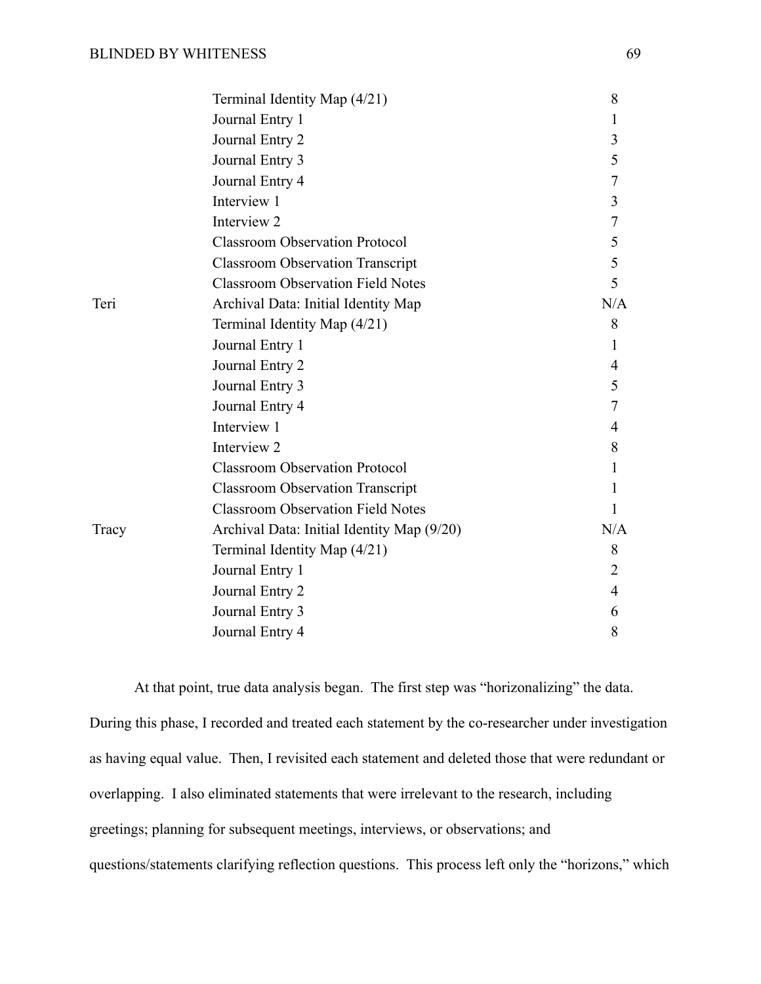|       | Terminal Identity Map (4/21)               | 8                |
|-------|--------------------------------------------|------------------|
|       | Journal Entry 1                            | 1                |
|       | Journal Entry 2                            | 3                |
|       | Journal Entry 3                            | 5                |
|       | Journal Entry 4                            | 7                |
|       | Interview 1                                | 3                |
|       | Interview 2                                | $\boldsymbol{7}$ |
|       | <b>Classroom Observation Protocol</b>      | 5                |
|       | <b>Classroom Observation Transcript</b>    | 5                |
|       | <b>Classroom Observation Field Notes</b>   | 5                |
| Teri  | Archival Data: Initial Identity Map        | N/A              |
|       | Terminal Identity Map (4/21)               | 8                |
|       | Journal Entry 1                            | 1                |
|       | Journal Entry 2                            | 4                |
|       | Journal Entry 3                            | 5                |
|       | Journal Entry 4                            | 7                |
|       | Interview 1                                | 4                |
|       | Interview 2                                | 8                |
|       | <b>Classroom Observation Protocol</b>      | 1                |
|       | <b>Classroom Observation Transcript</b>    | 1                |
|       | <b>Classroom Observation Field Notes</b>   | 1                |
| Tracy | Archival Data: Initial Identity Map (9/20) | N/A              |
|       | Terminal Identity Map (4/21)               | 8                |
|       | Journal Entry 1                            | $\overline{2}$   |
|       | Journal Entry 2                            | 4                |
|       | Journal Entry 3                            | 6                |
|       | Journal Entry 4                            | 8                |

At that point, true data analysis began. The first step was "horizonalizing" the data. During this phase, I recorded and treated each statement by the co-researcher under investigation as having equal value. Then, I revisited each statement and deleted those that were redundant or overlapping. I also eliminated statements that were irrelevant to the research, including greetings; planning for subsequent meetings, interviews, or observations; and questions/statements clarifying reflection questions. This process left only the "horizons," which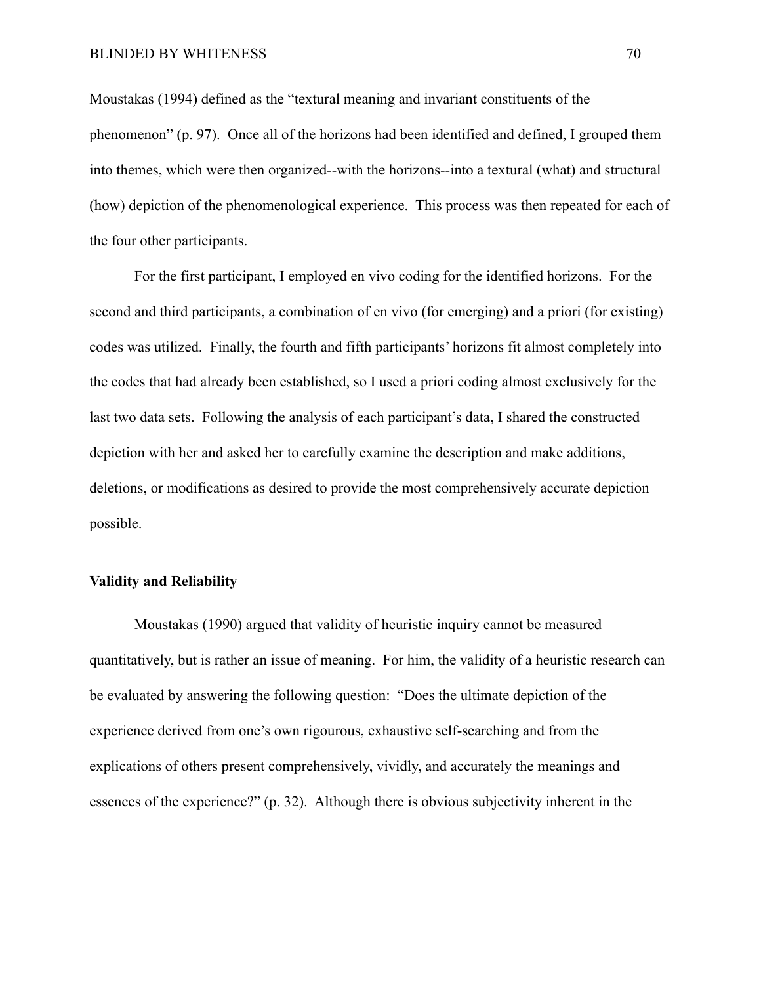Moustakas (1994) defined as the "textural meaning and invariant constituents of the phenomenon" (p. 97). Once all of the horizons had been identified and defined, I grouped them into themes, which were then organized--with the horizons--into a textural (what) and structural (how) depiction of the phenomenological experience. This process was then repeated for each of the four other participants.

For the first participant, I employed en vivo coding for the identified horizons. For the second and third participants, a combination of en vivo (for emerging) and a priori (for existing) codes was utilized. Finally, the fourth and fifth participants' horizons fit almost completely into the codes that had already been established, so I used a priori coding almost exclusively for the last two data sets. Following the analysis of each participant's data, I shared the constructed depiction with her and asked her to carefully examine the description and make additions, deletions, or modifications as desired to provide the most comprehensively accurate depiction possible.

## **Validity and Reliability**

Moustakas (1990) argued that validity of heuristic inquiry cannot be measured quantitatively, but is rather an issue of meaning. For him, the validity of a heuristic research can be evaluated by answering the following question: "Does the ultimate depiction of the experience derived from one's own rigourous, exhaustive self-searching and from the explications of others present comprehensively, vividly, and accurately the meanings and essences of the experience?" (p. 32). Although there is obvious subjectivity inherent in the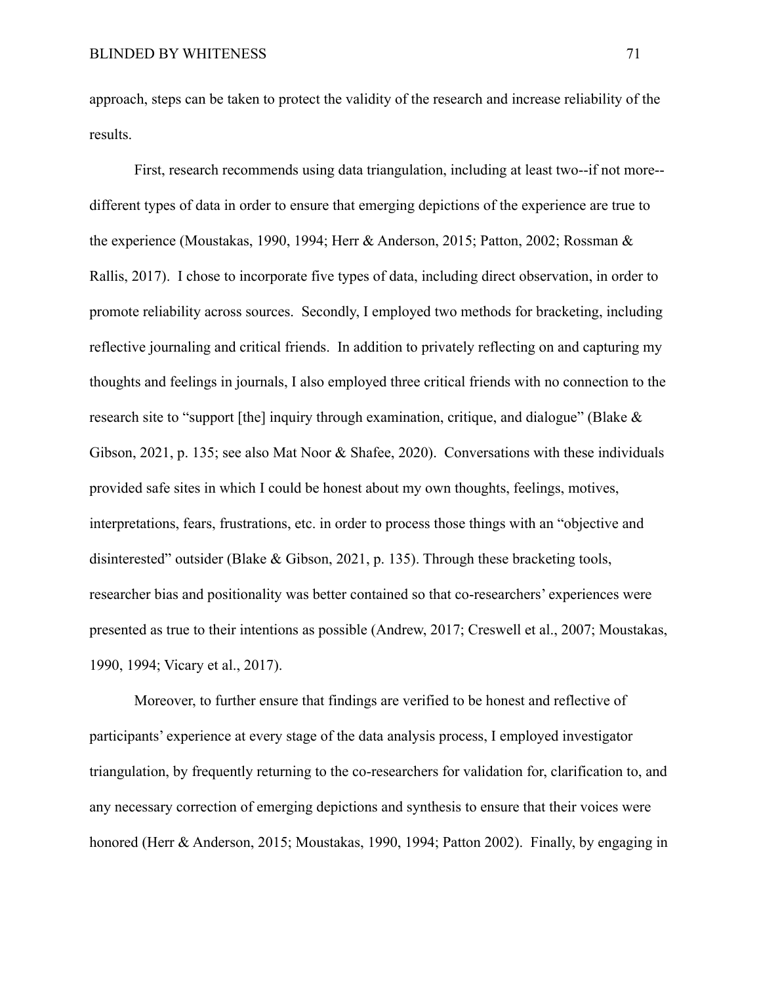approach, steps can be taken to protect the validity of the research and increase reliability of the results.

First, research recommends using data triangulation, including at least two--if not more- different types of data in order to ensure that emerging depictions of the experience are true to the experience (Moustakas, 1990, 1994; Herr & Anderson, 2015; Patton, 2002; Rossman & Rallis, 2017). I chose to incorporate five types of data, including direct observation, in order to promote reliability across sources. Secondly, I employed two methods for bracketing, including reflective journaling and critical friends. In addition to privately reflecting on and capturing my thoughts and feelings in journals, I also employed three critical friends with no connection to the research site to "support [the] inquiry through examination, critique, and dialogue" (Blake & Gibson, 2021, p. 135; see also Mat Noor & Shafee, 2020). Conversations with these individuals provided safe sites in which I could be honest about my own thoughts, feelings, motives, interpretations, fears, frustrations, etc. in order to process those things with an "objective and disinterested" outsider (Blake & Gibson, 2021, p. 135). Through these bracketing tools, researcher bias and positionality was better contained so that co-researchers' experiences were presented as true to their intentions as possible (Andrew, 2017; Creswell et al., 2007; Moustakas, 1990, 1994; Vicary et al., 2017).

Moreover, to further ensure that findings are verified to be honest and reflective of participants' experience at every stage of the data analysis process, I employed investigator triangulation, by frequently returning to the co-researchers for validation for, clarification to, and any necessary correction of emerging depictions and synthesis to ensure that their voices were honored (Herr & Anderson, 2015; Moustakas, 1990, 1994; Patton 2002). Finally, by engaging in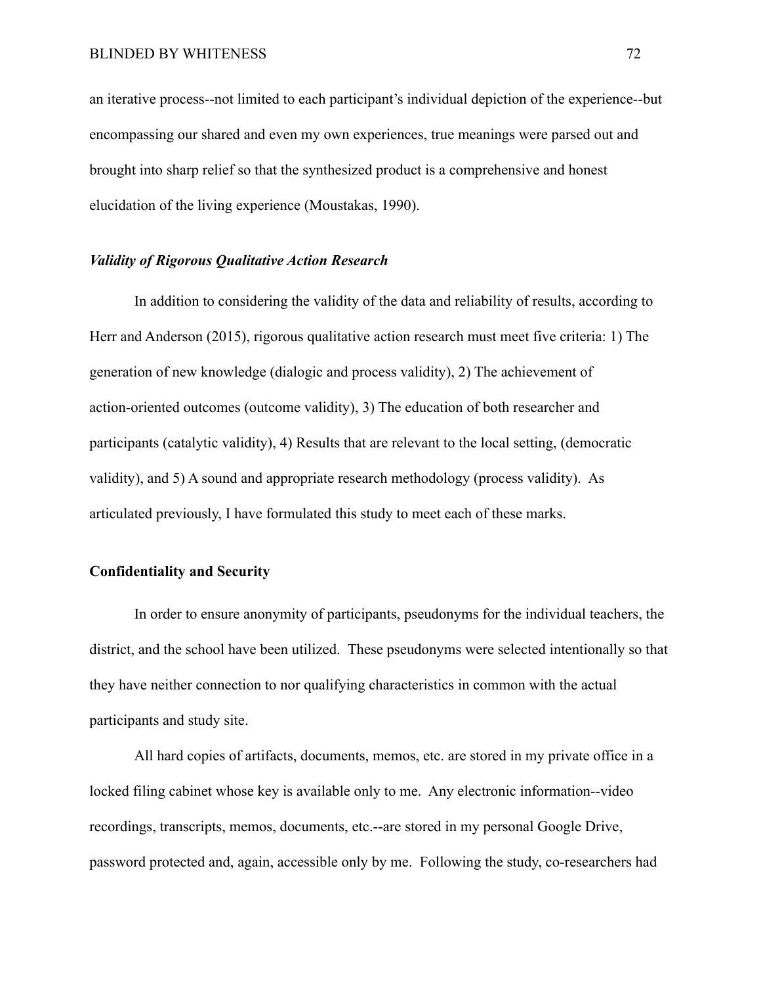an iterative process--not limited to each participant's individual depiction of the experience--but encompassing our shared and even my own experiences, true meanings were parsed out and brought into sharp relief so that the synthesized product is a comprehensive and honest elucidation of the living experience (Moustakas, 1990).

## *Validity of Rigorous Qualitative Action Research*

In addition to considering the validity of the data and reliability of results, according to Herr and Anderson (2015), rigorous qualitative action research must meet five criteria: 1) The generation of new knowledge (dialogic and process validity), 2) The achievement of action-oriented outcomes (outcome validity), 3) The education of both researcher and participants (catalytic validity), 4) Results that are relevant to the local setting, (democratic validity), and 5) A sound and appropriate research methodology (process validity). As articulated previously, I have formulated this study to meet each of these marks.

#### **Confidentiality and Security**

In order to ensure anonymity of participants, pseudonyms for the individual teachers, the district, and the school have been utilized. These pseudonyms were selected intentionally so that they have neither connection to nor qualifying characteristics in common with the actual participants and study site.

All hard copies of artifacts, documents, memos, etc. are stored in my private office in a locked filing cabinet whose key is available only to me. Any electronic information--video recordings, transcripts, memos, documents, etc.--are stored in my personal Google Drive, password protected and, again, accessible only by me. Following the study, co-researchers had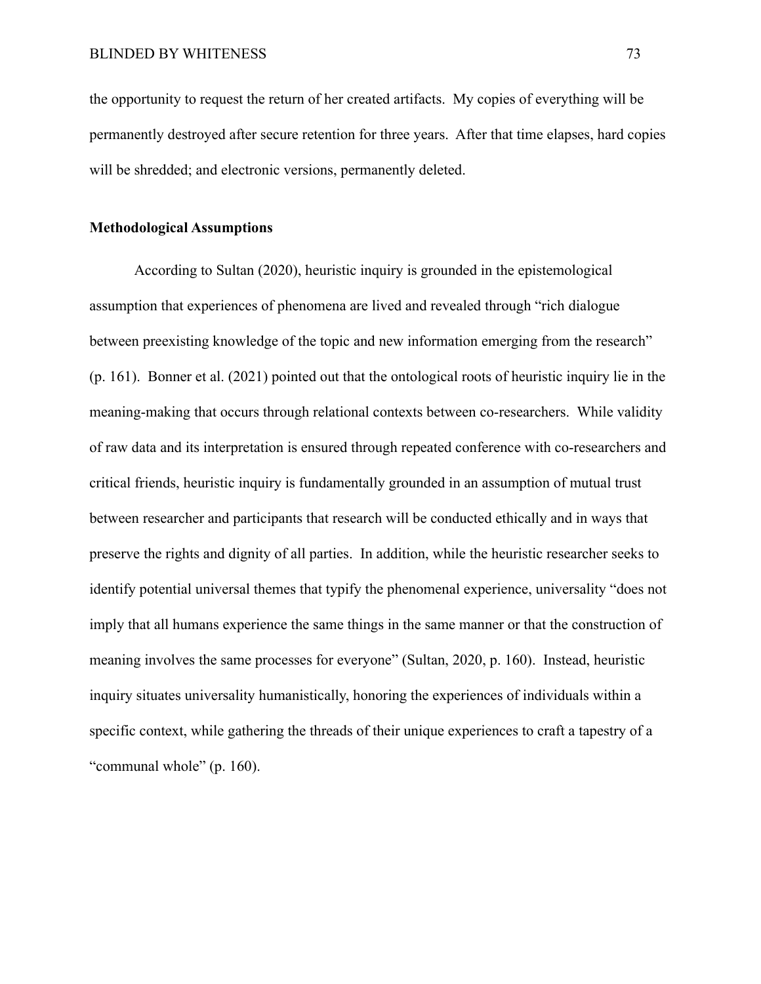the opportunity to request the return of her created artifacts. My copies of everything will be permanently destroyed after secure retention for three years. After that time elapses, hard copies will be shredded; and electronic versions, permanently deleted.

### **Methodological Assumptions**

According to Sultan (2020), heuristic inquiry is grounded in the epistemological assumption that experiences of phenomena are lived and revealed through "rich dialogue between preexisting knowledge of the topic and new information emerging from the research" (p. 161). Bonner et al. (2021) pointed out that the ontological roots of heuristic inquiry lie in the meaning-making that occurs through relational contexts between co-researchers. While validity of raw data and its interpretation is ensured through repeated conference with co-researchers and critical friends, heuristic inquiry is fundamentally grounded in an assumption of mutual trust between researcher and participants that research will be conducted ethically and in ways that preserve the rights and dignity of all parties. In addition, while the heuristic researcher seeks to identify potential universal themes that typify the phenomenal experience, universality "does not imply that all humans experience the same things in the same manner or that the construction of meaning involves the same processes for everyone" (Sultan, 2020, p. 160). Instead, heuristic inquiry situates universality humanistically, honoring the experiences of individuals within a specific context, while gathering the threads of their unique experiences to craft a tapestry of a "communal whole" (p. 160).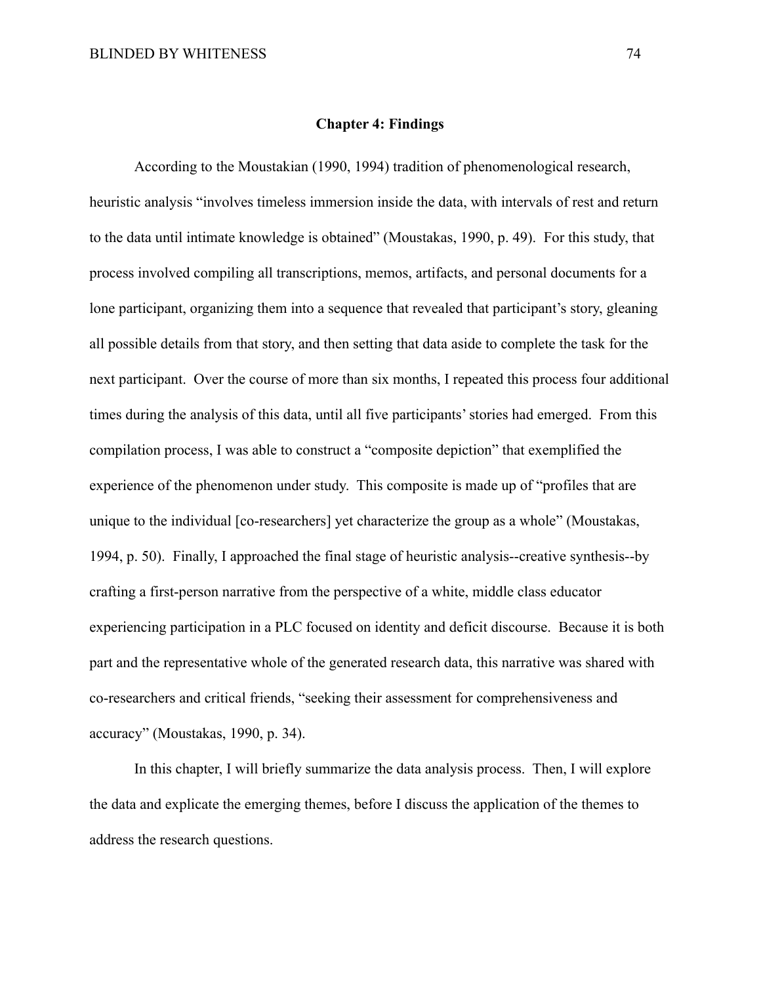#### **Chapter 4: Findings**

According to the Moustakian (1990, 1994) tradition of phenomenological research, heuristic analysis "involves timeless immersion inside the data, with intervals of rest and return to the data until intimate knowledge is obtained" (Moustakas, 1990, p. 49). For this study, that process involved compiling all transcriptions, memos, artifacts, and personal documents for a lone participant, organizing them into a sequence that revealed that participant's story, gleaning all possible details from that story, and then setting that data aside to complete the task for the next participant. Over the course of more than six months, I repeated this process four additional times during the analysis of this data, until all five participants' stories had emerged. From this compilation process, I was able to construct a "composite depiction" that exemplified the experience of the phenomenon under study. This composite is made up of "profiles that are unique to the individual [co-researchers] yet characterize the group as a whole" (Moustakas, 1994, p. 50). Finally, I approached the final stage of heuristic analysis--creative synthesis--by crafting a first-person narrative from the perspective of a white, middle class educator experiencing participation in a PLC focused on identity and deficit discourse. Because it is both part and the representative whole of the generated research data, this narrative was shared with co-researchers and critical friends, "seeking their assessment for comprehensiveness and accuracy" (Moustakas, 1990, p. 34).

In this chapter, I will briefly summarize the data analysis process. Then, I will explore the data and explicate the emerging themes, before I discuss the application of the themes to address the research questions.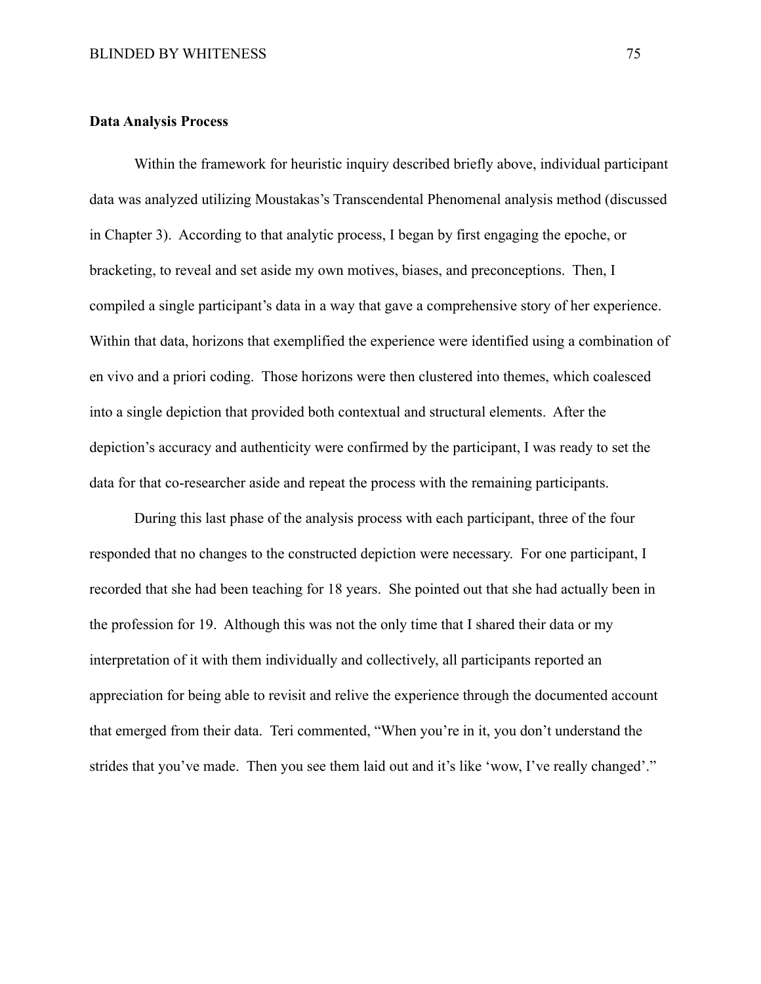#### **Data Analysis Process**

Within the framework for heuristic inquiry described briefly above, individual participant data was analyzed utilizing Moustakas's Transcendental Phenomenal analysis method (discussed in Chapter 3). According to that analytic process, I began by first engaging the epoche, or bracketing, to reveal and set aside my own motives, biases, and preconceptions. Then, I compiled a single participant's data in a way that gave a comprehensive story of her experience. Within that data, horizons that exemplified the experience were identified using a combination of en vivo and a priori coding. Those horizons were then clustered into themes, which coalesced into a single depiction that provided both contextual and structural elements. After the depiction's accuracy and authenticity were confirmed by the participant, I was ready to set the data for that co-researcher aside and repeat the process with the remaining participants.

During this last phase of the analysis process with each participant, three of the four responded that no changes to the constructed depiction were necessary. For one participant, I recorded that she had been teaching for 18 years. She pointed out that she had actually been in the profession for 19. Although this was not the only time that I shared their data or my interpretation of it with them individually and collectively, all participants reported an appreciation for being able to revisit and relive the experience through the documented account that emerged from their data. Teri commented, "When you're in it, you don't understand the strides that you've made. Then you see them laid out and it's like 'wow, I've really changed'."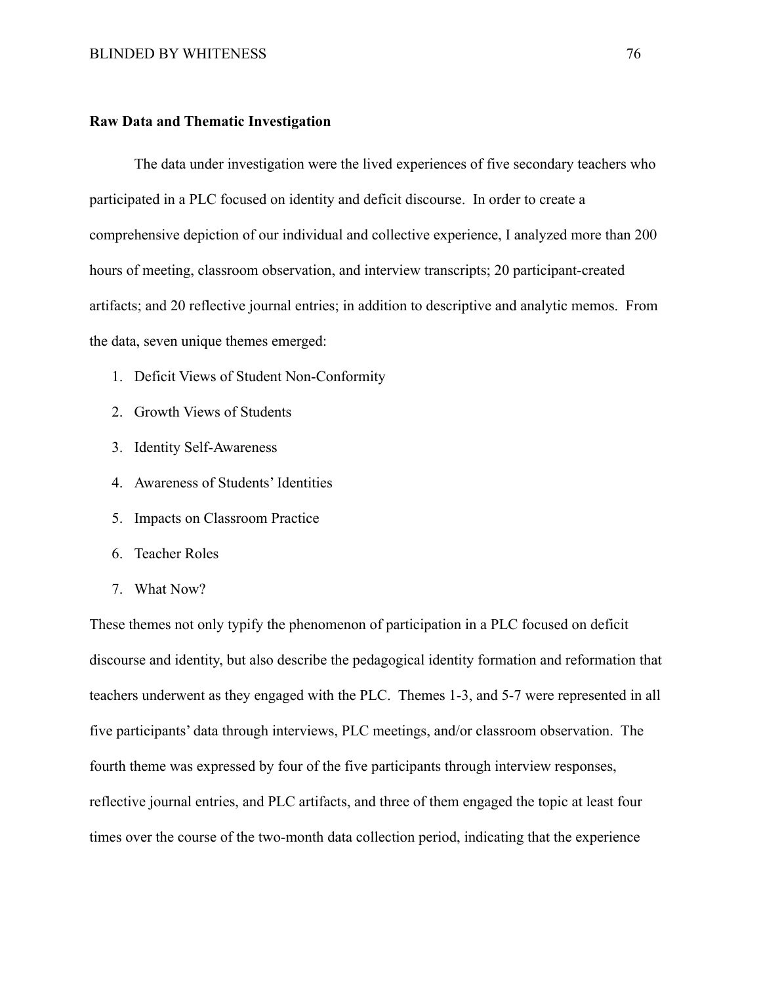#### **Raw Data and Thematic Investigation**

The data under investigation were the lived experiences of five secondary teachers who participated in a PLC focused on identity and deficit discourse. In order to create a comprehensive depiction of our individual and collective experience, I analyzed more than 200 hours of meeting, classroom observation, and interview transcripts; 20 participant-created artifacts; and 20 reflective journal entries; in addition to descriptive and analytic memos. From the data, seven unique themes emerged:

- 1. Deficit Views of Student Non-Conformity
- 2. Growth Views of Students
- 3. Identity Self-Awareness
- 4. Awareness of Students' Identities
- 5. Impacts on Classroom Practice
- 6. Teacher Roles
- 7. What Now?

These themes not only typify the phenomenon of participation in a PLC focused on deficit discourse and identity, but also describe the pedagogical identity formation and reformation that teachers underwent as they engaged with the PLC. Themes 1-3, and 5-7 were represented in all five participants' data through interviews, PLC meetings, and/or classroom observation. The fourth theme was expressed by four of the five participants through interview responses, reflective journal entries, and PLC artifacts, and three of them engaged the topic at least four times over the course of the two-month data collection period, indicating that the experience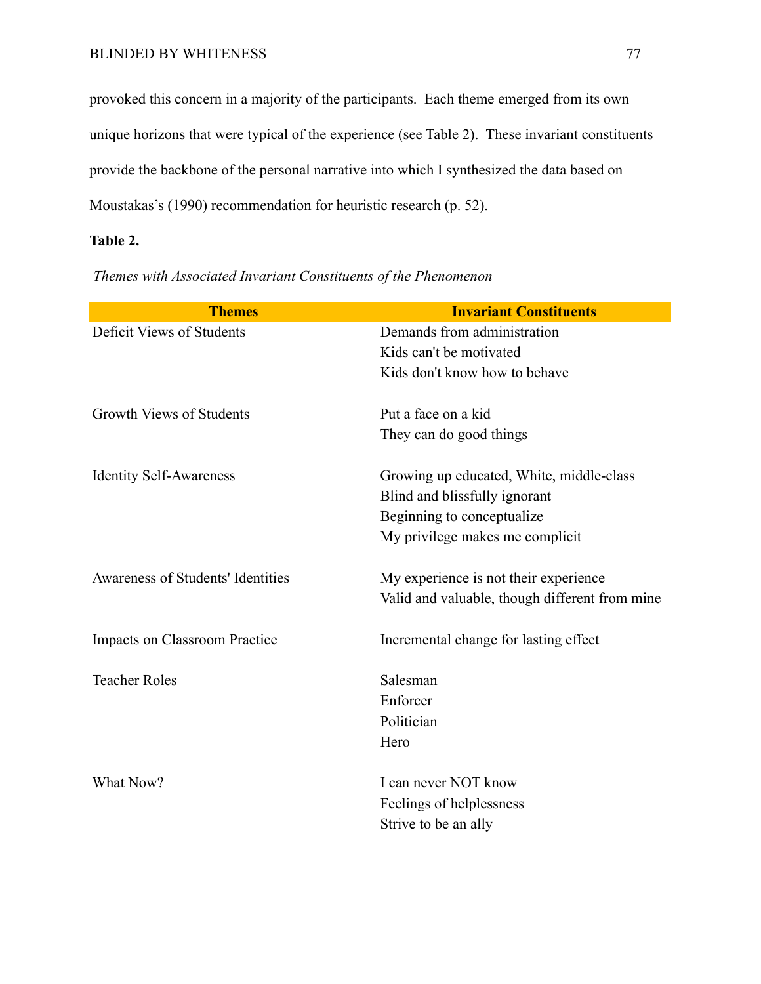provoked this concern in a majority of the participants. Each theme emerged from its own unique horizons that were typical of the experience (see Table 2). These invariant constituents provide the backbone of the personal narrative into which I synthesized the data based on Moustakas's (1990) recommendation for heuristic research (p. 52).

## **Table 2.**

| <b>Themes</b>                        | <b>Invariant Constituents</b>                  |
|--------------------------------------|------------------------------------------------|
| Deficit Views of Students            | Demands from administration                    |
|                                      | Kids can't be motivated                        |
|                                      | Kids don't know how to behave                  |
| <b>Growth Views of Students</b>      | Put a face on a kid                            |
|                                      | They can do good things                        |
| <b>Identity Self-Awareness</b>       | Growing up educated, White, middle-class       |
|                                      | Blind and blissfully ignorant                  |
|                                      | Beginning to conceptualize                     |
|                                      | My privilege makes me complicit                |
| Awareness of Students' Identities    | My experience is not their experience.         |
|                                      | Valid and valuable, though different from mine |
| <b>Impacts on Classroom Practice</b> | Incremental change for lasting effect          |
| <b>Teacher Roles</b>                 | Salesman                                       |
|                                      | Enforcer                                       |
|                                      | Politician                                     |
|                                      | Hero                                           |
| What Now?                            | I can never NOT know                           |
|                                      | Feelings of helplessness                       |
|                                      | Strive to be an ally                           |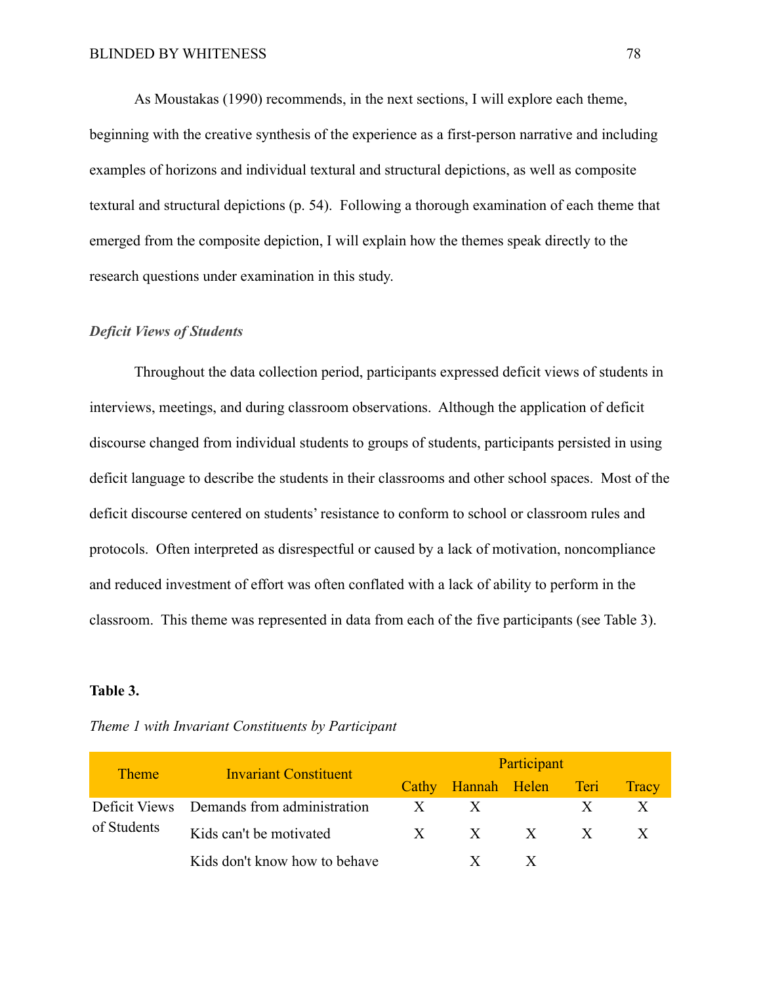As Moustakas (1990) recommends, in the next sections, I will explore each theme, beginning with the creative synthesis of the experience as a first-person narrative and including examples of horizons and individual textural and structural depictions, as well as composite textural and structural depictions (p. 54). Following a thorough examination of each theme that emerged from the composite depiction, I will explain how the themes speak directly to the research questions under examination in this study.

## *Deficit Views of Students*

Throughout the data collection period, participants expressed deficit views of students in interviews, meetings, and during classroom observations. Although the application of deficit discourse changed from individual students to groups of students, participants persisted in using deficit language to describe the students in their classrooms and other school spaces. Most of the deficit discourse centered on students' resistance to conform to school or classroom rules and protocols. Often interpreted as disrespectful or caused by a lack of motivation, noncompliance and reduced investment of effort was often conflated with a lack of ability to perform in the classroom. This theme was represented in data from each of the five participants (see Table 3).

#### **Table 3.**

| <b>Theme</b> | <b>Invariant Constituent</b>              | Participant |                         |  |  |              |
|--------------|-------------------------------------------|-------------|-------------------------|--|--|--------------|
|              |                                           |             | Cathy Hannah Helen Teri |  |  | <b>Tracy</b> |
| of Students  | Deficit Views Demands from administration | X           | $\mathbf{X}$            |  |  |              |
|              | Kids can't be motivated                   | X           | $X$ $X$ $X$             |  |  |              |
|              | Kids don't know how to behave             |             |                         |  |  |              |

*Theme 1 with Invariant Constituents by Participant*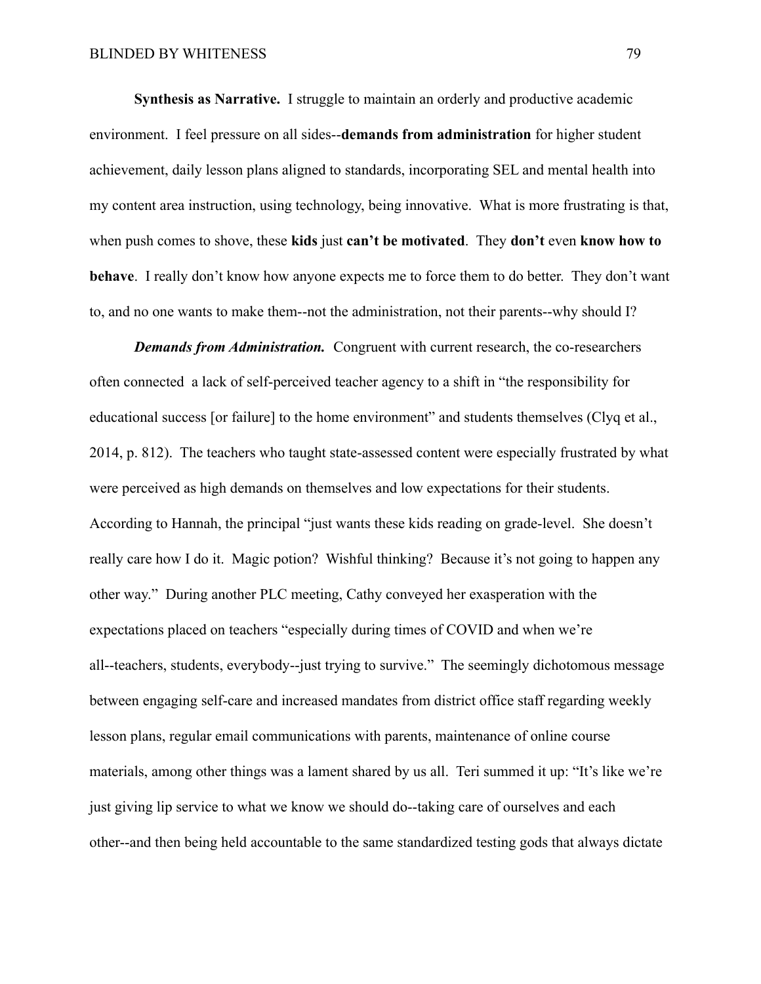**Synthesis as Narrative.** I struggle to maintain an orderly and productive academic environment. I feel pressure on all sides--**demands from administration** for higher student achievement, daily lesson plans aligned to standards, incorporating SEL and mental health into my content area instruction, using technology, being innovative. What is more frustrating is that, when push comes to shove, these **kids** just **can't be motivated**. They **don't** even **know how to behave**. I really don't know how anyone expects me to force them to do better. They don't want to, and no one wants to make them--not the administration, not their parents--why should I?

*Demands from Administration.* Congruent with current research, the co-researchers often connected a lack of self-perceived teacher agency to a shift in "the responsibility for educational success [or failure] to the home environment" and students themselves (Clyq et al., 2014, p. 812). The teachers who taught state-assessed content were especially frustrated by what were perceived as high demands on themselves and low expectations for their students. According to Hannah, the principal "just wants these kids reading on grade-level. She doesn't really care how I do it. Magic potion? Wishful thinking? Because it's not going to happen any other way." During another PLC meeting, Cathy conveyed her exasperation with the expectations placed on teachers "especially during times of COVID and when we're all--teachers, students, everybody--just trying to survive." The seemingly dichotomous message between engaging self-care and increased mandates from district office staff regarding weekly lesson plans, regular email communications with parents, maintenance of online course materials, among other things was a lament shared by us all. Teri summed it up: "It's like we're just giving lip service to what we know we should do--taking care of ourselves and each other--and then being held accountable to the same standardized testing gods that always dictate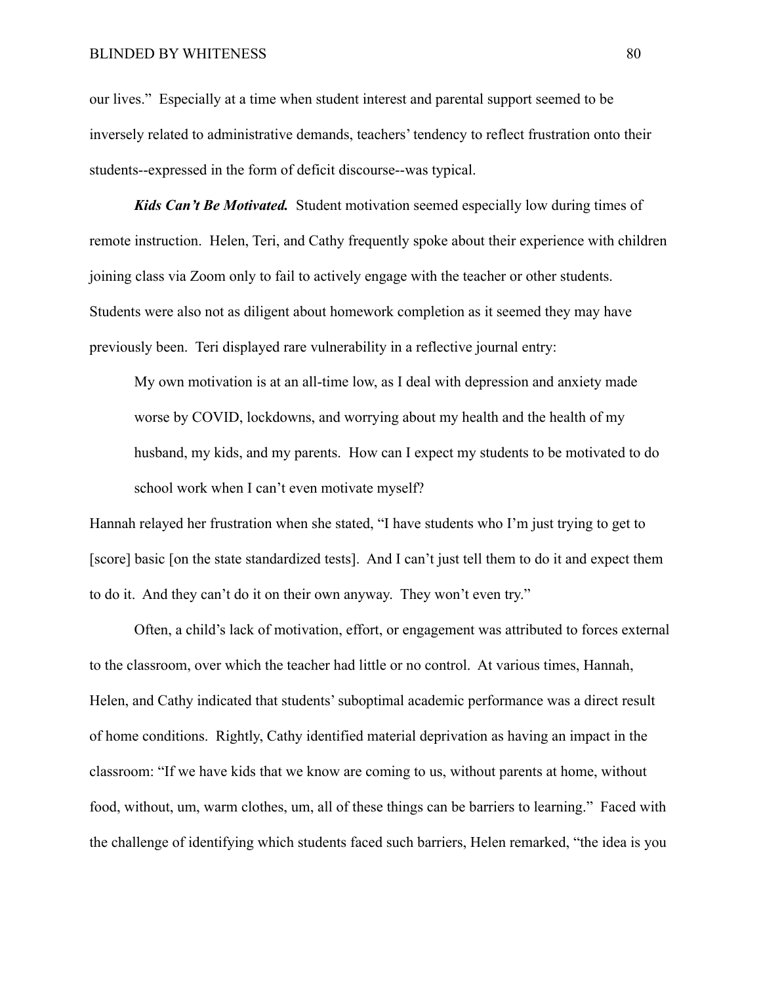#### BLINDED BY WHITENESS 80

our lives." Especially at a time when student interest and parental support seemed to be inversely related to administrative demands, teachers' tendency to reflect frustration onto their students--expressed in the form of deficit discourse--was typical.

*Kids Can't Be Motivated.* Student motivation seemed especially low during times of remote instruction. Helen, Teri, and Cathy frequently spoke about their experience with children joining class via Zoom only to fail to actively engage with the teacher or other students. Students were also not as diligent about homework completion as it seemed they may have previously been. Teri displayed rare vulnerability in a reflective journal entry:

My own motivation is at an all-time low, as I deal with depression and anxiety made worse by COVID, lockdowns, and worrying about my health and the health of my husband, my kids, and my parents. How can I expect my students to be motivated to do school work when I can't even motivate myself?

Hannah relayed her frustration when she stated, "I have students who I'm just trying to get to [score] basic [on the state standardized tests]. And I can't just tell them to do it and expect them to do it. And they can't do it on their own anyway. They won't even try."

Often, a child's lack of motivation, effort, or engagement was attributed to forces external to the classroom, over which the teacher had little or no control. At various times, Hannah, Helen, and Cathy indicated that students' suboptimal academic performance was a direct result of home conditions. Rightly, Cathy identified material deprivation as having an impact in the classroom: "If we have kids that we know are coming to us, without parents at home, without food, without, um, warm clothes, um, all of these things can be barriers to learning." Faced with the challenge of identifying which students faced such barriers, Helen remarked, "the idea is you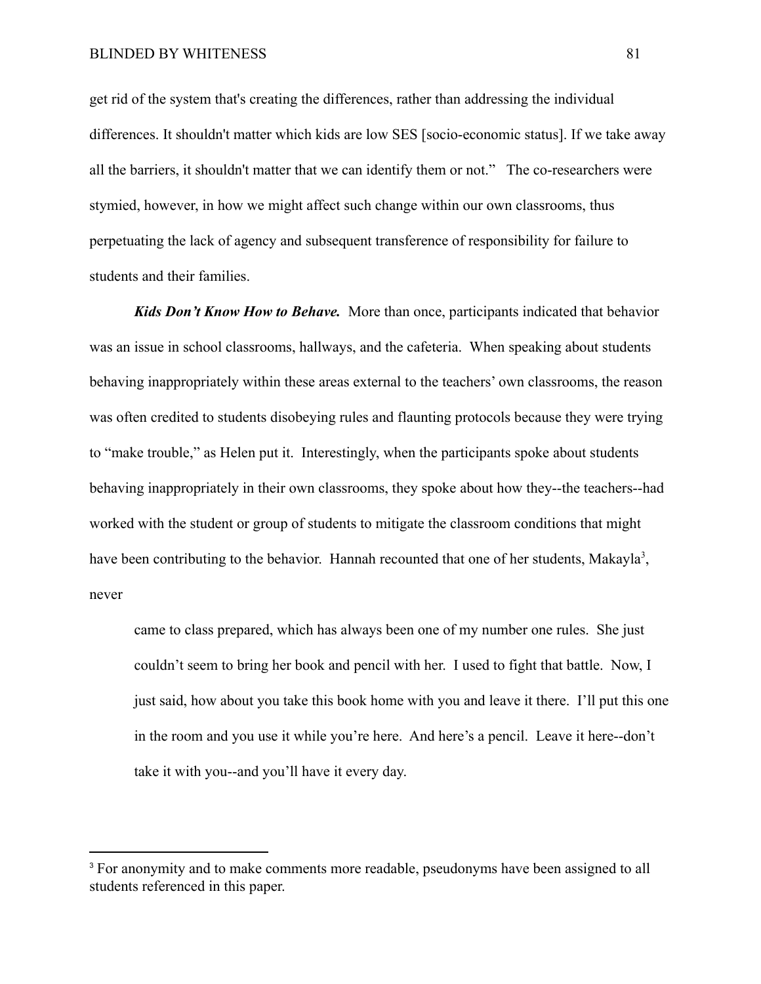get rid of the system that's creating the differences, rather than addressing the individual differences. It shouldn't matter which kids are low SES [socio-economic status]. If we take away all the barriers, it shouldn't matter that we can identify them or not." The co-researchers were stymied, however, in how we might affect such change within our own classrooms, thus perpetuating the lack of agency and subsequent transference of responsibility for failure to students and their families.

*Kids Don't Know How to Behave.* More than once, participants indicated that behavior was an issue in school classrooms, hallways, and the cafeteria. When speaking about students behaving inappropriately within these areas external to the teachers' own classrooms, the reason was often credited to students disobeying rules and flaunting protocols because they were trying to "make trouble," as Helen put it. Interestingly, when the participants spoke about students behaving inappropriately in their own classrooms, they spoke about how they--the teachers--had worked with the student or group of students to mitigate the classroom conditions that might have been contributing to the behavior. Hannah recounted that one of her students, Makayla<sup>3</sup>, never

came to class prepared, which has always been one of my number one rules. She just couldn't seem to bring her book and pencil with her. I used to fight that battle. Now, I just said, how about you take this book home with you and leave it there. I'll put this one in the room and you use it while you're here. And here's a pencil. Leave it here--don't take it with you--and you'll have it every day.

<sup>&</sup>lt;sup>3</sup> For anonymity and to make comments more readable, pseudonyms have been assigned to all students referenced in this paper.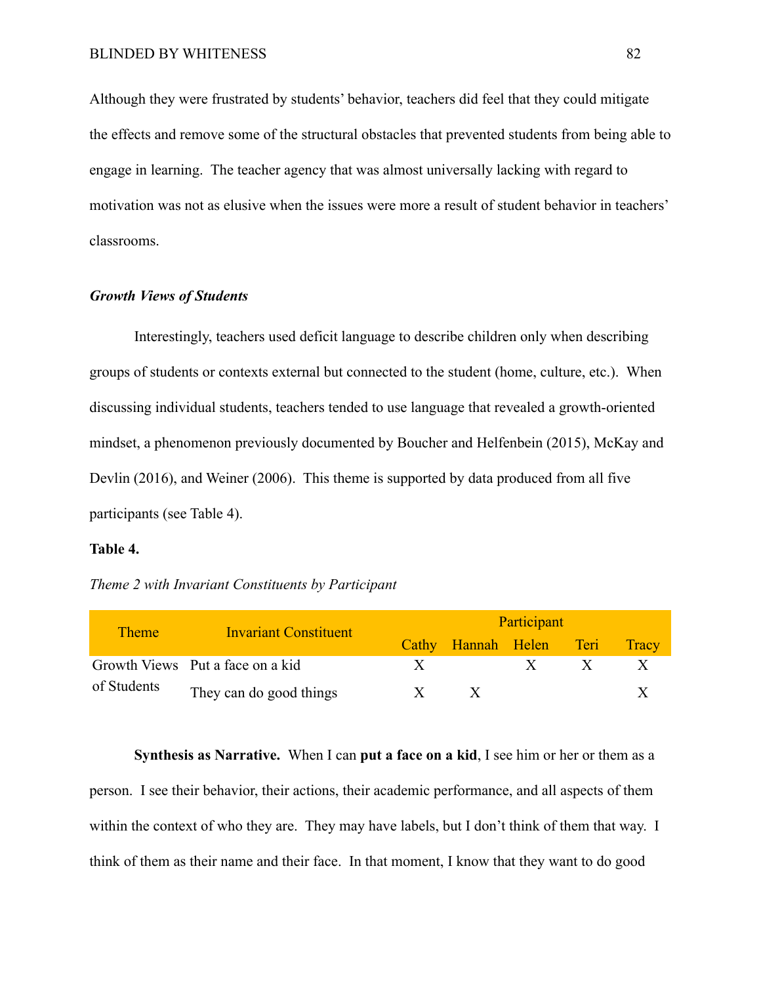Although they were frustrated by students' behavior, teachers did feel that they could mitigate the effects and remove some of the structural obstacles that prevented students from being able to engage in learning. The teacher agency that was almost universally lacking with regard to motivation was not as elusive when the issues were more a result of student behavior in teachers' classrooms.

#### *Growth Views of Students*

Interestingly, teachers used deficit language to describe children only when describing groups of students or contexts external but connected to the student (home, culture, etc.). When discussing individual students, teachers tended to use language that revealed a growth-oriented mindset, a phenomenon previously documented by Boucher and Helfenbein (2015), McKay and Devlin (2016), and Weiner (2006). This theme is supported by data produced from all five participants (see Table 4).

#### **Table 4.**

## *Theme 2 with Invariant Constituents by Participant*

| <b>Theme</b> | <b>Invariant Constituent</b>     | Participant  |                         |              |  |       |
|--------------|----------------------------------|--------------|-------------------------|--------------|--|-------|
|              |                                  |              | Cathy Hannah Helen Teri |              |  | Tracy |
|              | Growth Views Put a face on a kid | $\mathbf{X}$ |                         | $\mathbf{x}$ |  |       |
| of Students  | They can do good things          | $\mathbf{X}$ |                         |              |  |       |

**Synthesis as Narrative.** When I can **put a face on a kid**, I see him or her or them as a person. I see their behavior, their actions, their academic performance, and all aspects of them within the context of who they are. They may have labels, but I don't think of them that way. I think of them as their name and their face. In that moment, I know that they want to do good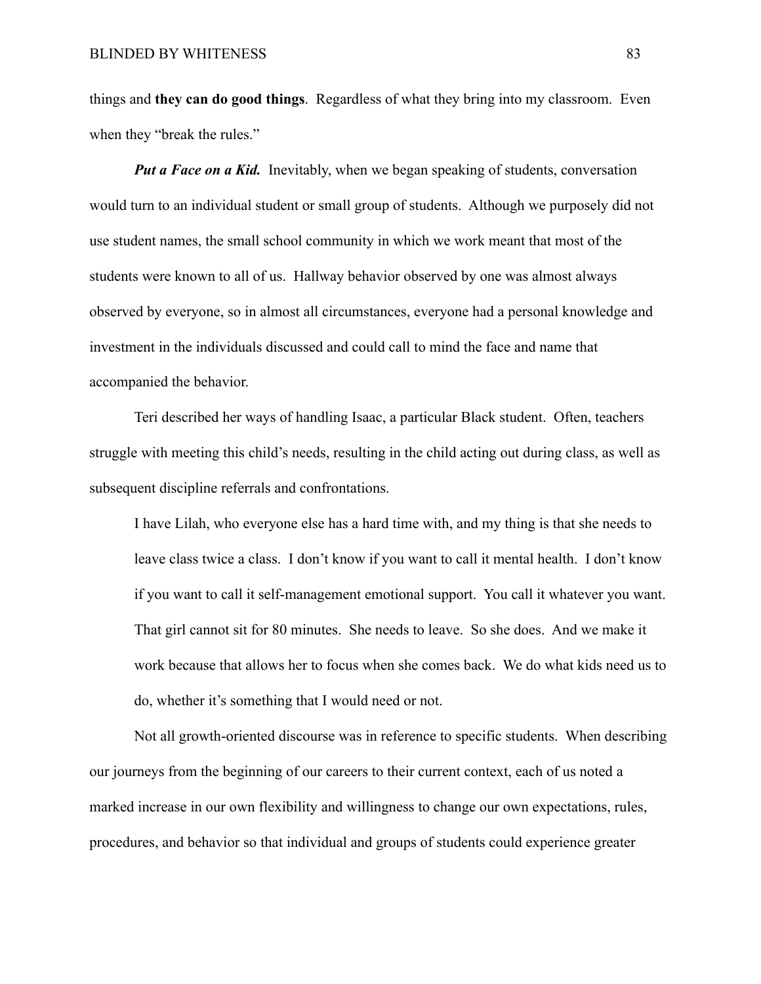things and **they can do good things**. Regardless of what they bring into my classroom. Even when they "break the rules."

*Put a Face on a Kid.* Inevitably, when we began speaking of students, conversation would turn to an individual student or small group of students. Although we purposely did not use student names, the small school community in which we work meant that most of the students were known to all of us. Hallway behavior observed by one was almost always observed by everyone, so in almost all circumstances, everyone had a personal knowledge and investment in the individuals discussed and could call to mind the face and name that accompanied the behavior.

Teri described her ways of handling Isaac, a particular Black student. Often, teachers struggle with meeting this child's needs, resulting in the child acting out during class, as well as subsequent discipline referrals and confrontations.

I have Lilah, who everyone else has a hard time with, and my thing is that she needs to leave class twice a class. I don't know if you want to call it mental health. I don't know if you want to call it self-management emotional support. You call it whatever you want. That girl cannot sit for 80 minutes. She needs to leave. So she does. And we make it work because that allows her to focus when she comes back. We do what kids need us to do, whether it's something that I would need or not.

Not all growth-oriented discourse was in reference to specific students. When describing our journeys from the beginning of our careers to their current context, each of us noted a marked increase in our own flexibility and willingness to change our own expectations, rules, procedures, and behavior so that individual and groups of students could experience greater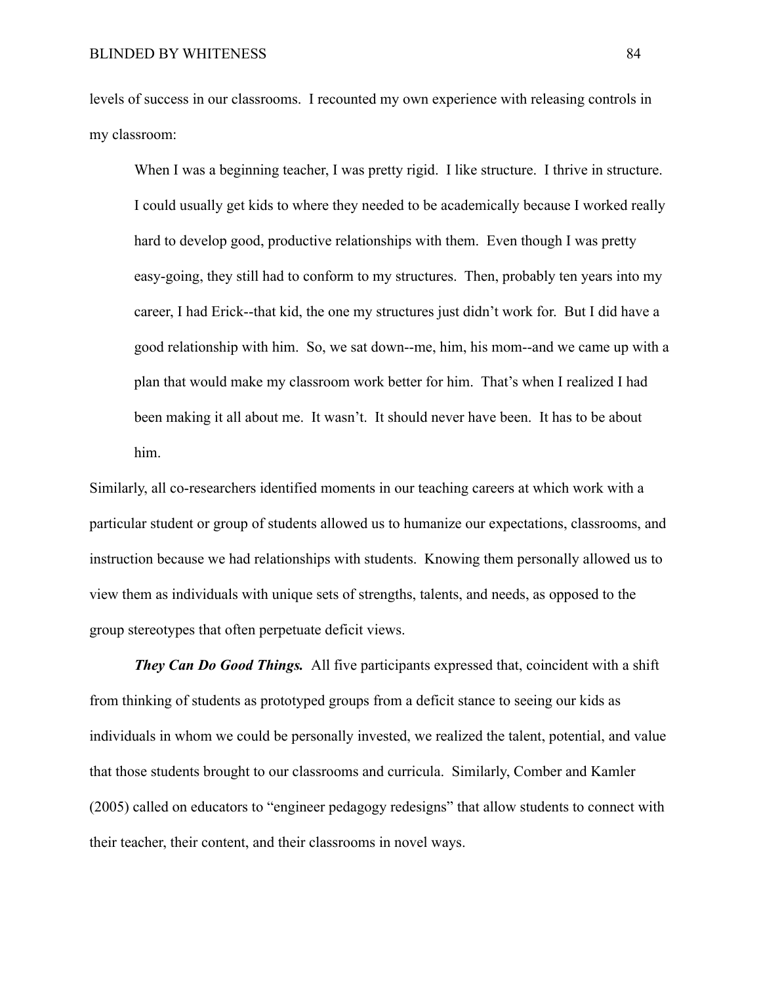levels of success in our classrooms. I recounted my own experience with releasing controls in my classroom:

When I was a beginning teacher, I was pretty rigid. I like structure. I thrive in structure. I could usually get kids to where they needed to be academically because I worked really hard to develop good, productive relationships with them. Even though I was pretty easy-going, they still had to conform to my structures. Then, probably ten years into my career, I had Erick--that kid, the one my structures just didn't work for. But I did have a good relationship with him. So, we sat down--me, him, his mom--and we came up with a plan that would make my classroom work better for him. That's when I realized I had been making it all about me. It wasn't. It should never have been. It has to be about him.

Similarly, all co-researchers identified moments in our teaching careers at which work with a particular student or group of students allowed us to humanize our expectations, classrooms, and instruction because we had relationships with students. Knowing them personally allowed us to view them as individuals with unique sets of strengths, talents, and needs, as opposed to the group stereotypes that often perpetuate deficit views.

*They Can Do Good Things.* All five participants expressed that, coincident with a shift from thinking of students as prototyped groups from a deficit stance to seeing our kids as individuals in whom we could be personally invested, we realized the talent, potential, and value that those students brought to our classrooms and curricula. Similarly, Comber and Kamler (2005) called on educators to "engineer pedagogy redesigns" that allow students to connect with their teacher, their content, and their classrooms in novel ways.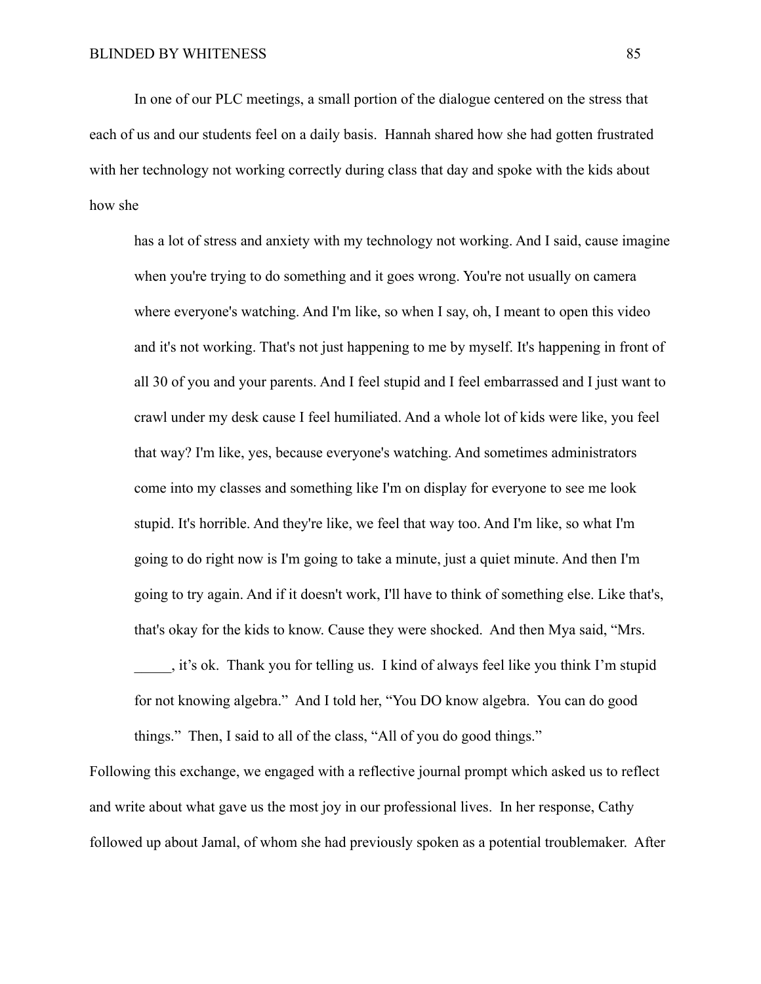In one of our PLC meetings, a small portion of the dialogue centered on the stress that each of us and our students feel on a daily basis. Hannah shared how she had gotten frustrated with her technology not working correctly during class that day and spoke with the kids about how she

has a lot of stress and anxiety with my technology not working. And I said, cause imagine when you're trying to do something and it goes wrong. You're not usually on camera where everyone's watching. And I'm like, so when I say, oh, I meant to open this video and it's not working. That's not just happening to me by myself. It's happening in front of all 30 of you and your parents. And I feel stupid and I feel embarrassed and I just want to crawl under my desk cause I feel humiliated. And a whole lot of kids were like, you feel that way? I'm like, yes, because everyone's watching. And sometimes administrators come into my classes and something like I'm on display for everyone to see me look stupid. It's horrible. And they're like, we feel that way too. And I'm like, so what I'm going to do right now is I'm going to take a minute, just a quiet minute. And then I'm going to try again. And if it doesn't work, I'll have to think of something else. Like that's, that's okay for the kids to know. Cause they were shocked. And then Mya said, "Mrs. \_\_\_\_\_, it's ok. Thank you for telling us. I kind of always feel like you think I'm stupid for not knowing algebra." And I told her, "You DO know algebra. You can do good things." Then, I said to all of the class, "All of you do good things."

Following this exchange, we engaged with a reflective journal prompt which asked us to reflect and write about what gave us the most joy in our professional lives. In her response, Cathy followed up about Jamal, of whom she had previously spoken as a potential troublemaker. After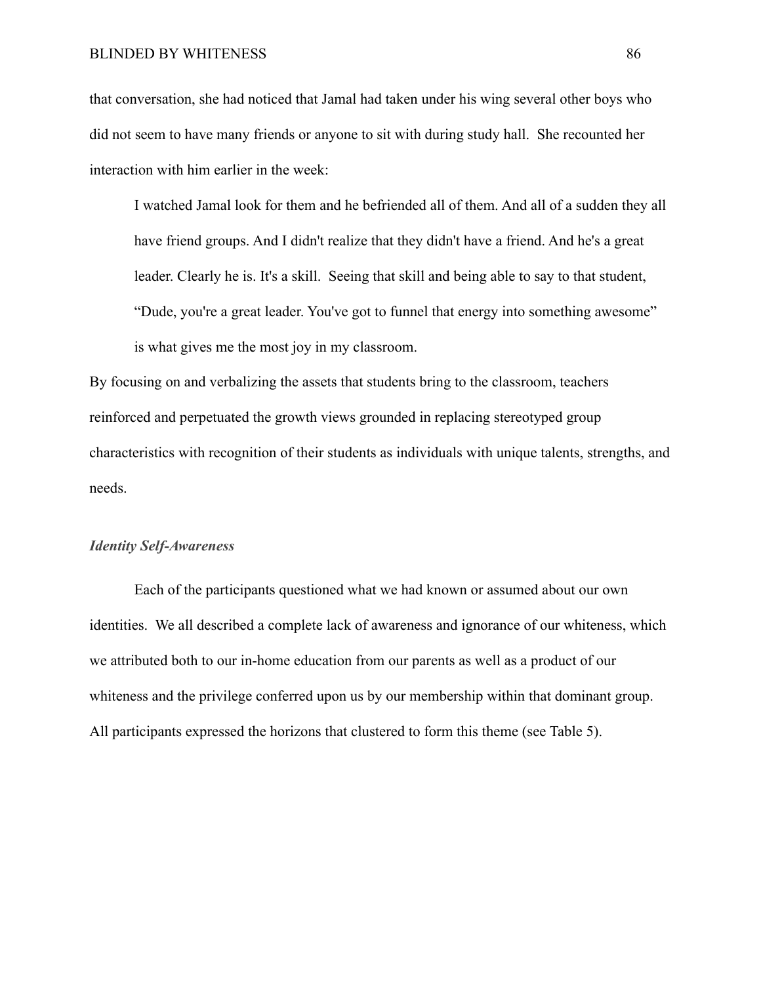#### BLINDED BY WHITENESS 86

that conversation, she had noticed that Jamal had taken under his wing several other boys who did not seem to have many friends or anyone to sit with during study hall. She recounted her interaction with him earlier in the week:

I watched Jamal look for them and he befriended all of them. And all of a sudden they all have friend groups. And I didn't realize that they didn't have a friend. And he's a great leader. Clearly he is. It's a skill. Seeing that skill and being able to say to that student, "Dude, you're a great leader. You've got to funnel that energy into something awesome" is what gives me the most joy in my classroom.

By focusing on and verbalizing the assets that students bring to the classroom, teachers reinforced and perpetuated the growth views grounded in replacing stereotyped group characteristics with recognition of their students as individuals with unique talents, strengths, and needs.

#### *Identity Self-Awareness*

Each of the participants questioned what we had known or assumed about our own identities. We all described a complete lack of awareness and ignorance of our whiteness, which we attributed both to our in-home education from our parents as well as a product of our whiteness and the privilege conferred upon us by our membership within that dominant group. All participants expressed the horizons that clustered to form this theme (see Table 5).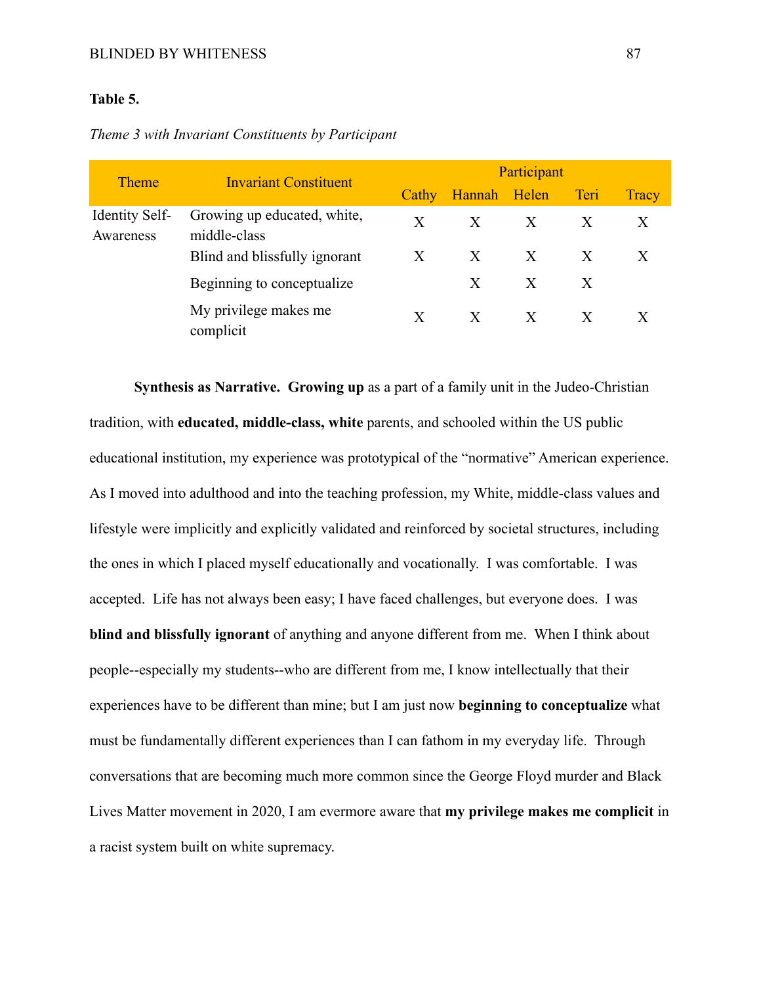## **Table 5.**

| <b>Theme</b>                       | <b>Invariant Constituent</b>                | Participant |              |   |              |              |
|------------------------------------|---------------------------------------------|-------------|--------------|---|--------------|--------------|
|                                    |                                             | Cathy       | Hannah Helen |   | Teri         | <b>Tracy</b> |
| <b>Identity Self-</b><br>Awareness | Growing up educated, white,<br>middle-class | X           | $\mathbf{X}$ | X | $\mathbf{X}$ | X            |
|                                    | Blind and blissfully ignorant               | X           | X            | X | X            |              |
|                                    | Beginning to conceptualize.                 |             | X            | X | X            |              |
|                                    | My privilege makes me<br>complicit          | X           | X            | X |              |              |

*Theme 3 with Invariant Constituents by Participant*

**Synthesis as Narrative. Growing up** as a part of a family unit in the Judeo-Christian tradition, with **educated, middle-class, white** parents, and schooled within the US public educational institution, my experience was prototypical of the "normative" American experience. As I moved into adulthood and into the teaching profession, my White, middle-class values and lifestyle were implicitly and explicitly validated and reinforced by societal structures, including the ones in which I placed myself educationally and vocationally. I was comfortable. I was accepted. Life has not always been easy; I have faced challenges, but everyone does. I was **blind and blissfully ignorant** of anything and anyone different from me. When I think about people--especially my students--who are different from me, I know intellectually that their experiences have to be different than mine; but I am just now **beginning to conceptualize** what must be fundamentally different experiences than I can fathom in my everyday life. Through conversations that are becoming much more common since the George Floyd murder and Black Lives Matter movement in 2020, I am evermore aware that **my privilege makes me complicit** in a racist system built on white supremacy.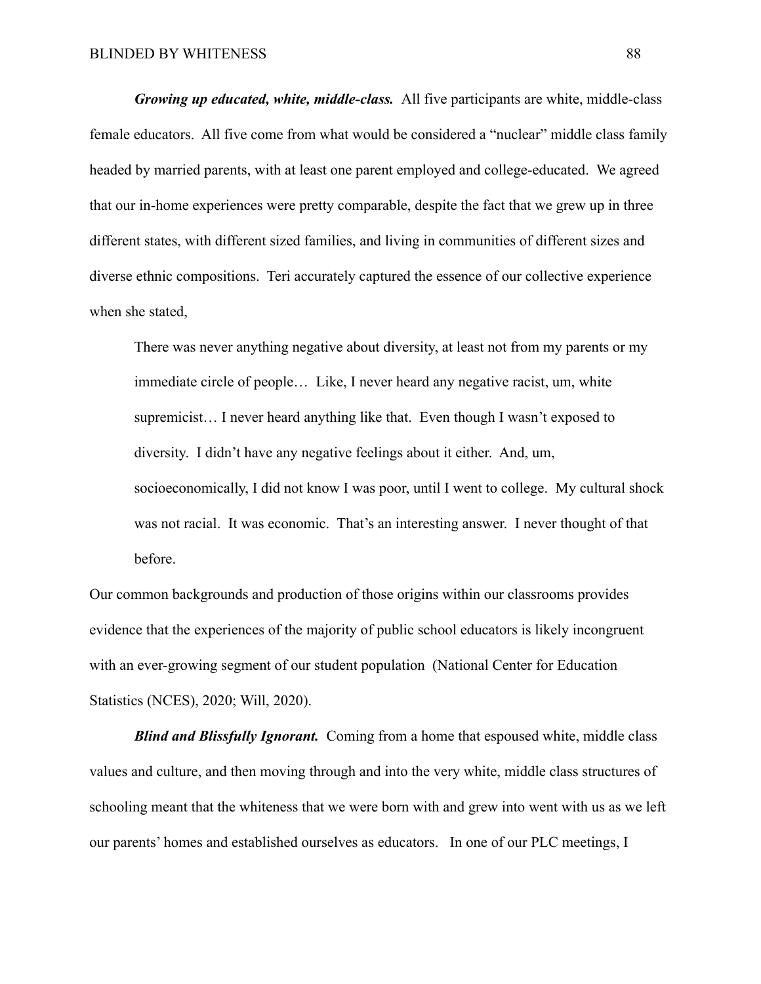*Growing up educated, white, middle-class.* All five participants are white, middle-class female educators. All five come from what would be considered a "nuclear" middle class family headed by married parents, with at least one parent employed and college-educated. We agreed that our in-home experiences were pretty comparable, despite the fact that we grew up in three different states, with different sized families, and living in communities of different sizes and diverse ethnic compositions. Teri accurately captured the essence of our collective experience when she stated,

There was never anything negative about diversity, at least not from my parents or my immediate circle of people… Like, I never heard any negative racist, um, white supremicist… I never heard anything like that. Even though I wasn't exposed to diversity. I didn't have any negative feelings about it either. And, um, socioeconomically, I did not know I was poor, until I went to college. My cultural shock was not racial. It was economic. That's an interesting answer. I never thought of that before.

Our common backgrounds and production of those origins within our classrooms provides evidence that the experiences of the majority of public school educators is likely incongruent with an ever-growing segment of our student population (National Center for Education Statistics (NCES), 2020; Will, 2020).

*Blind and Blissfully Ignorant.* Coming from a home that espoused white, middle class values and culture, and then moving through and into the very white, middle class structures of schooling meant that the whiteness that we were born with and grew into went with us as we left our parents' homes and established ourselves as educators. In one of our PLC meetings, I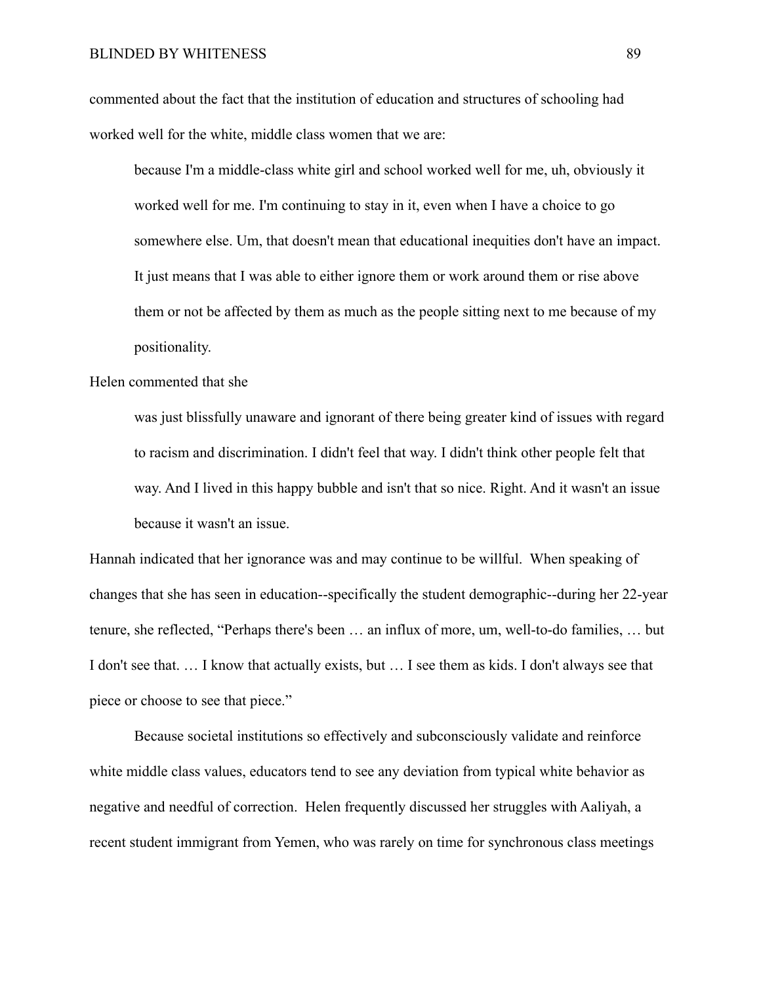commented about the fact that the institution of education and structures of schooling had worked well for the white, middle class women that we are:

because I'm a middle-class white girl and school worked well for me, uh, obviously it worked well for me. I'm continuing to stay in it, even when I have a choice to go somewhere else. Um, that doesn't mean that educational inequities don't have an impact. It just means that I was able to either ignore them or work around them or rise above them or not be affected by them as much as the people sitting next to me because of my positionality.

#### Helen commented that she

was just blissfully unaware and ignorant of there being greater kind of issues with regard to racism and discrimination. I didn't feel that way. I didn't think other people felt that way. And I lived in this happy bubble and isn't that so nice. Right. And it wasn't an issue because it wasn't an issue.

Hannah indicated that her ignorance was and may continue to be willful. When speaking of changes that she has seen in education--specifically the student demographic--during her 22-year tenure, she reflected, "Perhaps there's been … an influx of more, um, well-to-do families, … but I don't see that. … I know that actually exists, but … I see them as kids. I don't always see that piece or choose to see that piece."

Because societal institutions so effectively and subconsciously validate and reinforce white middle class values, educators tend to see any deviation from typical white behavior as negative and needful of correction. Helen frequently discussed her struggles with Aaliyah, a recent student immigrant from Yemen, who was rarely on time for synchronous class meetings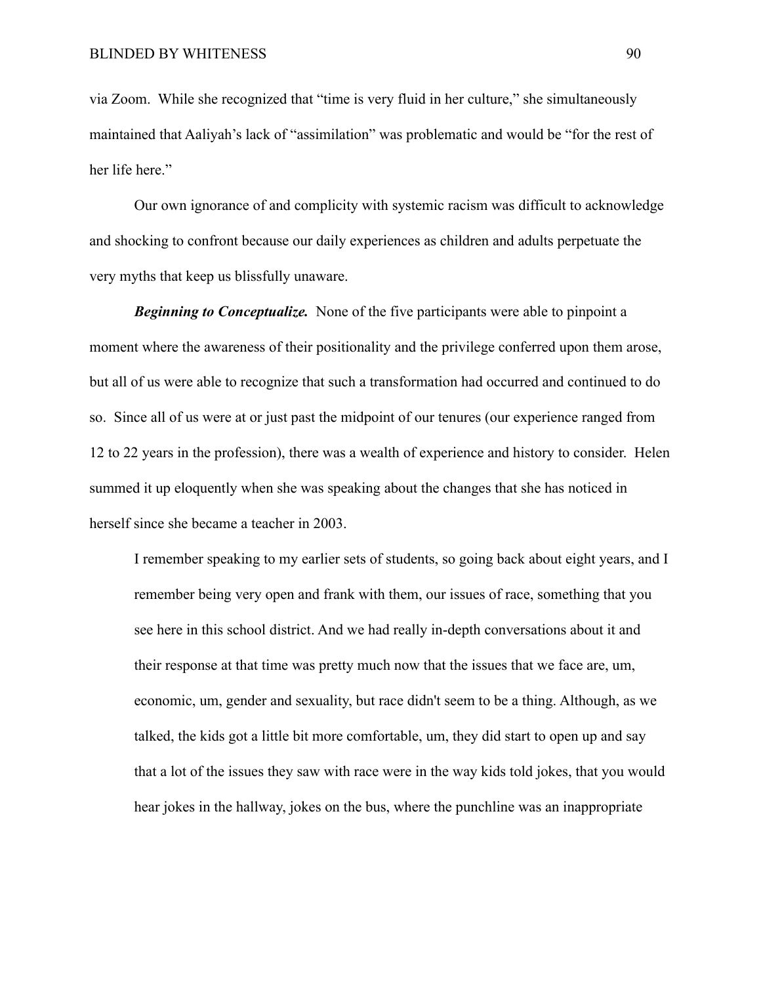via Zoom. While she recognized that "time is very fluid in her culture," she simultaneously maintained that Aaliyah's lack of "assimilation" was problematic and would be "for the rest of her life here."

Our own ignorance of and complicity with systemic racism was difficult to acknowledge and shocking to confront because our daily experiences as children and adults perpetuate the very myths that keep us blissfully unaware.

*Beginning to Conceptualize.* None of the five participants were able to pinpoint a moment where the awareness of their positionality and the privilege conferred upon them arose, but all of us were able to recognize that such a transformation had occurred and continued to do so. Since all of us were at or just past the midpoint of our tenures (our experience ranged from 12 to 22 years in the profession), there was a wealth of experience and history to consider. Helen summed it up eloquently when she was speaking about the changes that she has noticed in herself since she became a teacher in 2003.

I remember speaking to my earlier sets of students, so going back about eight years, and I remember being very open and frank with them, our issues of race, something that you see here in this school district. And we had really in-depth conversations about it and their response at that time was pretty much now that the issues that we face are, um, economic, um, gender and sexuality, but race didn't seem to be a thing. Although, as we talked, the kids got a little bit more comfortable, um, they did start to open up and say that a lot of the issues they saw with race were in the way kids told jokes, that you would hear jokes in the hallway, jokes on the bus, where the punchline was an inappropriate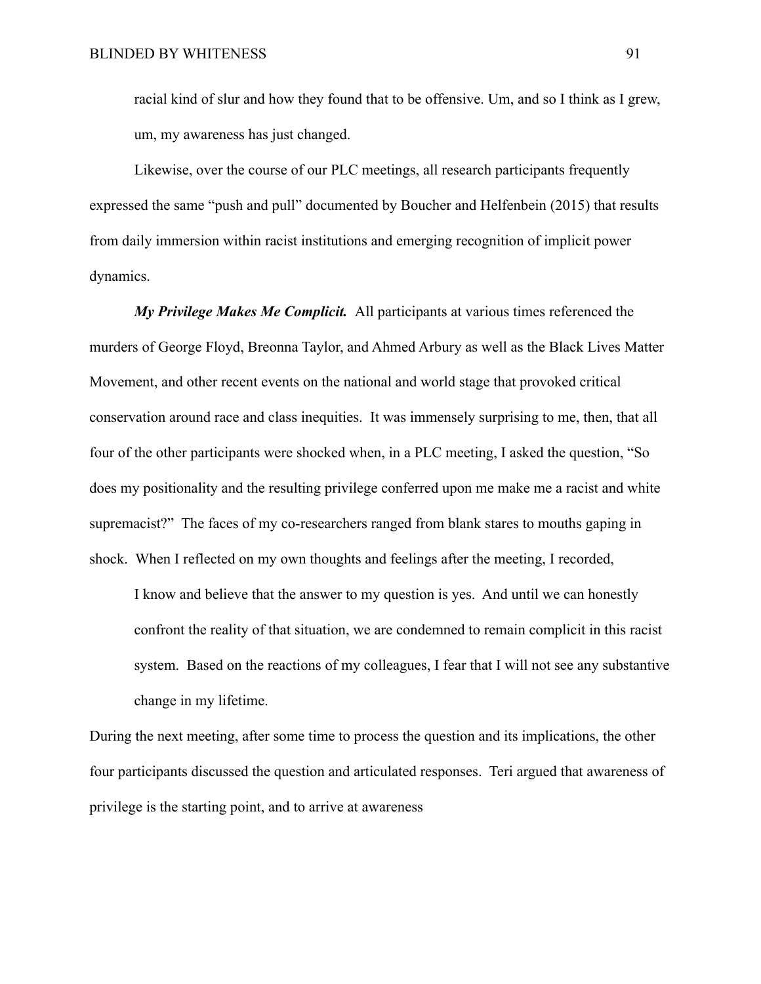racial kind of slur and how they found that to be offensive. Um, and so I think as I grew, um, my awareness has just changed.

Likewise, over the course of our PLC meetings, all research participants frequently expressed the same "push and pull" documented by Boucher and Helfenbein (2015) that results from daily immersion within racist institutions and emerging recognition of implicit power dynamics.

*My Privilege Makes Me Complicit.* All participants at various times referenced the murders of George Floyd, Breonna Taylor, and Ahmed Arbury as well as the Black Lives Matter Movement, and other recent events on the national and world stage that provoked critical conservation around race and class inequities. It was immensely surprising to me, then, that all four of the other participants were shocked when, in a PLC meeting, I asked the question, "So does my positionality and the resulting privilege conferred upon me make me a racist and white supremacist?" The faces of my co-researchers ranged from blank stares to mouths gaping in shock. When I reflected on my own thoughts and feelings after the meeting, I recorded,

I know and believe that the answer to my question is yes. And until we can honestly confront the reality of that situation, we are condemned to remain complicit in this racist system. Based on the reactions of my colleagues, I fear that I will not see any substantive change in my lifetime.

During the next meeting, after some time to process the question and its implications, the other four participants discussed the question and articulated responses. Teri argued that awareness of privilege is the starting point, and to arrive at awareness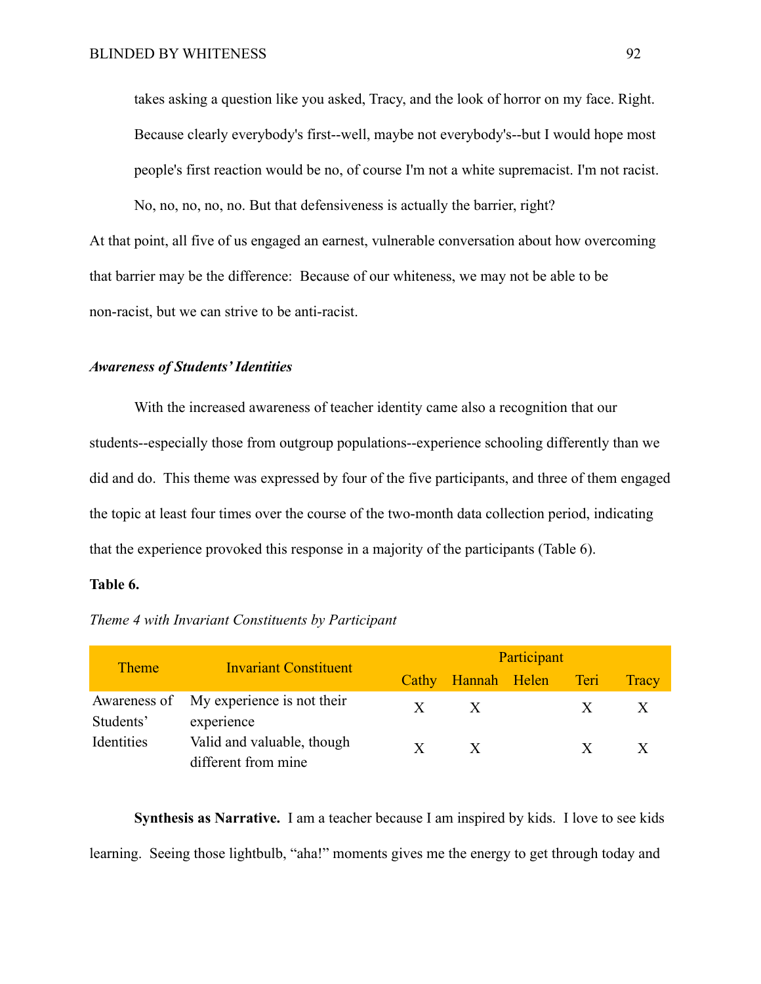takes asking a question like you asked, Tracy, and the look of horror on my face. Right. Because clearly everybody's first--well, maybe not everybody's--but I would hope most people's first reaction would be no, of course I'm not a white supremacist. I'm not racist.

No, no, no, no, no. But that defensiveness is actually the barrier, right? At that point, all five of us engaged an earnest, vulnerable conversation about how overcoming that barrier may be the difference: Because of our whiteness, we may not be able to be non-racist, but we can strive to be anti-racist.

#### *Awareness of Students' Identities*

With the increased awareness of teacher identity came also a recognition that our students--especially those from outgroup populations--experience schooling differently than we did and do. This theme was expressed by four of the five participants, and three of them engaged the topic at least four times over the course of the two-month data collection period, indicating that the experience provoked this response in a majority of the participants (Table 6).

## **Table 6.**

| <b>Theme</b> | <b>Invariant Constituent</b>                          | Participant  |              |  |      |       |
|--------------|-------------------------------------------------------|--------------|--------------|--|------|-------|
|              |                                                       | Cathy        | Hannah Helen |  | Teri | Tracy |
| Students'    | Awareness of My experience is not their<br>experience | $\mathbf{X}$ | $\mathbf{X}$ |  |      |       |
| Identities   | Valid and valuable, though<br>different from mine     | X            | $\mathbf{X}$ |  |      |       |

*Theme 4 with Invariant Constituents by Participant*

**Synthesis as Narrative.** I am a teacher because I am inspired by kids. I love to see kids learning. Seeing those lightbulb, "aha!" moments gives me the energy to get through today and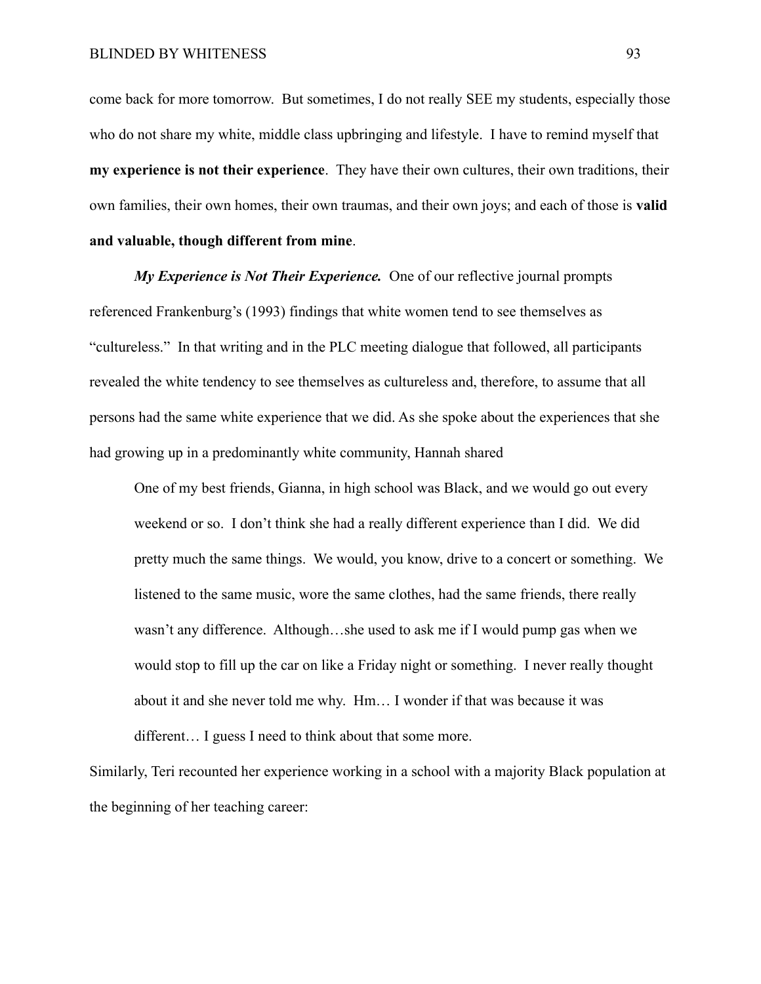come back for more tomorrow. But sometimes, I do not really SEE my students, especially those who do not share my white, middle class upbringing and lifestyle. I have to remind myself that **my experience is not their experience**. They have their own cultures, their own traditions, their own families, their own homes, their own traumas, and their own joys; and each of those is **valid and valuable, though different from mine**.

*My Experience is Not Their Experience.* One of our reflective journal prompts referenced Frankenburg's (1993) findings that white women tend to see themselves as "cultureless." In that writing and in the PLC meeting dialogue that followed, all participants revealed the white tendency to see themselves as cultureless and, therefore, to assume that all persons had the same white experience that we did. As she spoke about the experiences that she had growing up in a predominantly white community, Hannah shared

One of my best friends, Gianna, in high school was Black, and we would go out every weekend or so. I don't think she had a really different experience than I did. We did pretty much the same things. We would, you know, drive to a concert or something. We listened to the same music, wore the same clothes, had the same friends, there really wasn't any difference. Although…she used to ask me if I would pump gas when we would stop to fill up the car on like a Friday night or something. I never really thought about it and she never told me why. Hm… I wonder if that was because it was different… I guess I need to think about that some more.

Similarly, Teri recounted her experience working in a school with a majority Black population at the beginning of her teaching career: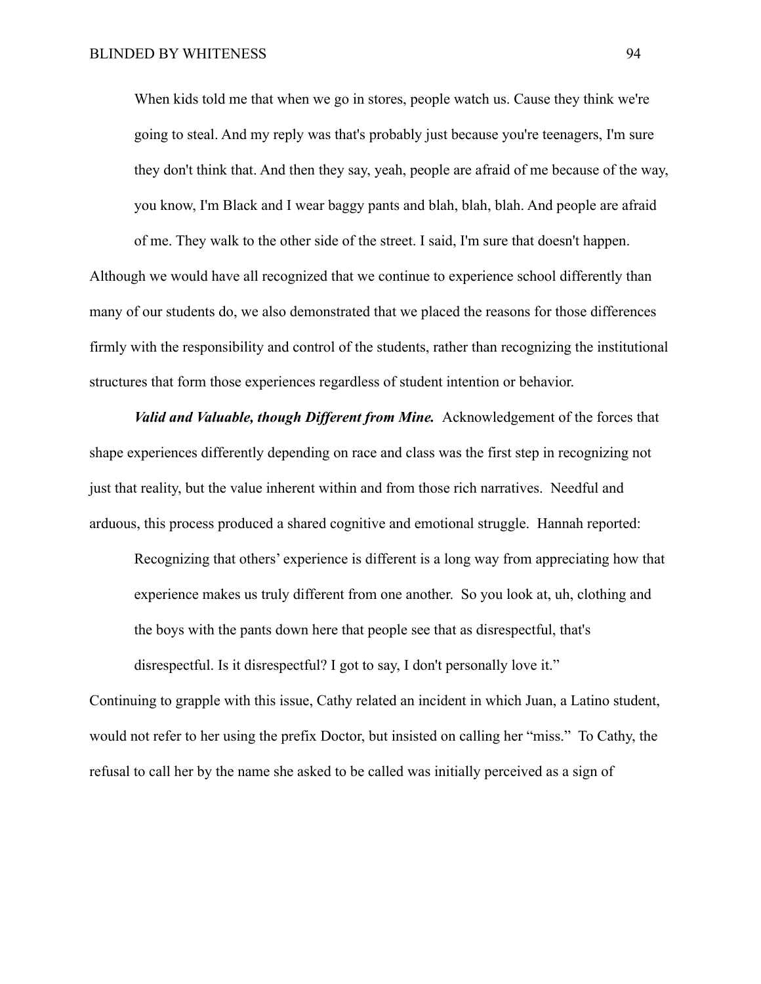When kids told me that when we go in stores, people watch us. Cause they think we're going to steal. And my reply was that's probably just because you're teenagers, I'm sure they don't think that. And then they say, yeah, people are afraid of me because of the way, you know, I'm Black and I wear baggy pants and blah, blah, blah. And people are afraid of me. They walk to the other side of the street. I said, I'm sure that doesn't happen.

Although we would have all recognized that we continue to experience school differently than many of our students do, we also demonstrated that we placed the reasons for those differences firmly with the responsibility and control of the students, rather than recognizing the institutional structures that form those experiences regardless of student intention or behavior.

*Valid and Valuable, though Different from Mine.* Acknowledgement of the forces that shape experiences differently depending on race and class was the first step in recognizing not just that reality, but the value inherent within and from those rich narratives. Needful and arduous, this process produced a shared cognitive and emotional struggle. Hannah reported:

Recognizing that others' experience is different is a long way from appreciating how that experience makes us truly different from one another. So you look at, uh, clothing and the boys with the pants down here that people see that as disrespectful, that's

disrespectful. Is it disrespectful? I got to say, I don't personally love it." Continuing to grapple with this issue, Cathy related an incident in which Juan, a Latino student, would not refer to her using the prefix Doctor, but insisted on calling her "miss." To Cathy, the refusal to call her by the name she asked to be called was initially perceived as a sign of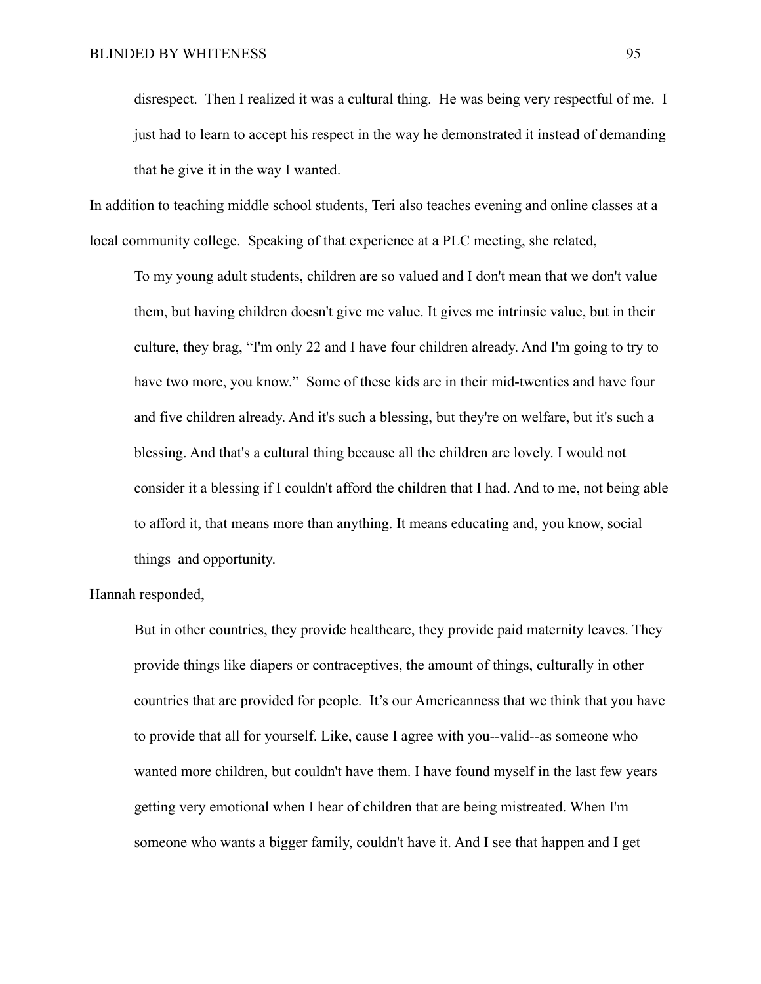disrespect. Then I realized it was a cultural thing. He was being very respectful of me. I just had to learn to accept his respect in the way he demonstrated it instead of demanding that he give it in the way I wanted.

In addition to teaching middle school students, Teri also teaches evening and online classes at a local community college. Speaking of that experience at a PLC meeting, she related,

To my young adult students, children are so valued and I don't mean that we don't value them, but having children doesn't give me value. It gives me intrinsic value, but in their culture, they brag, "I'm only 22 and I have four children already. And I'm going to try to have two more, you know." Some of these kids are in their mid-twenties and have four and five children already. And it's such a blessing, but they're on welfare, but it's such a blessing. And that's a cultural thing because all the children are lovely. I would not consider it a blessing if I couldn't afford the children that I had. And to me, not being able to afford it, that means more than anything. It means educating and, you know, social things and opportunity.

Hannah responded,

But in other countries, they provide healthcare, they provide paid maternity leaves. They provide things like diapers or contraceptives, the amount of things, culturally in other countries that are provided for people. It's our Americanness that we think that you have to provide that all for yourself. Like, cause I agree with you--valid--as someone who wanted more children, but couldn't have them. I have found myself in the last few years getting very emotional when I hear of children that are being mistreated. When I'm someone who wants a bigger family, couldn't have it. And I see that happen and I get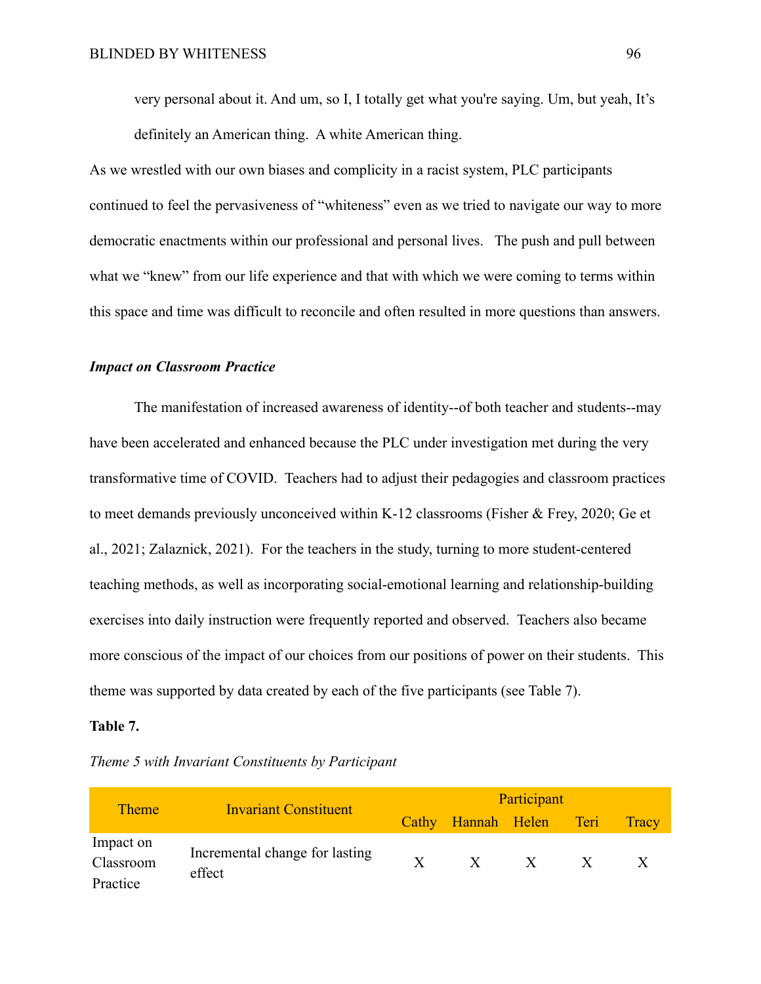very personal about it. And um, so I, I totally get what you're saying. Um, but yeah, It's definitely an American thing. A white American thing.

As we wrestled with our own biases and complicity in a racist system, PLC participants continued to feel the pervasiveness of "whiteness" even as we tried to navigate our way to more democratic enactments within our professional and personal lives. The push and pull between what we "knew" from our life experience and that with which we were coming to terms within this space and time was difficult to reconcile and often resulted in more questions than answers.

### *Impact on Classroom Practice*

The manifestation of increased awareness of identity--of both teacher and students--may have been accelerated and enhanced because the PLC under investigation met during the very transformative time of COVID. Teachers had to adjust their pedagogies and classroom practices to meet demands previously unconceived within K-12 classrooms (Fisher & Frey, 2020; Ge et al., 2021; Zalaznick, 2021). For the teachers in the study, turning to more student-centered teaching methods, as well as incorporating social-emotional learning and relationship-building exercises into daily instruction were frequently reported and observed. Teachers also became more conscious of the impact of our choices from our positions of power on their students. This theme was supported by data created by each of the five participants (see Table 7).

### **Table 7.**

| Theme 5 with Invariant Constituents by Participant |
|----------------------------------------------------|
|----------------------------------------------------|

| <b>Theme</b>                       | <b>Invariant Constituent</b>             | Participant |                         |   |  |              |
|------------------------------------|------------------------------------------|-------------|-------------------------|---|--|--------------|
|                                    |                                          |             | Cathy Hannah Helen Teri |   |  | <b>Tracy</b> |
| Impact on<br>Classroom<br>Practice | Incremental change for lasting<br>effect |             | $\mathbf{X}$            | X |  |              |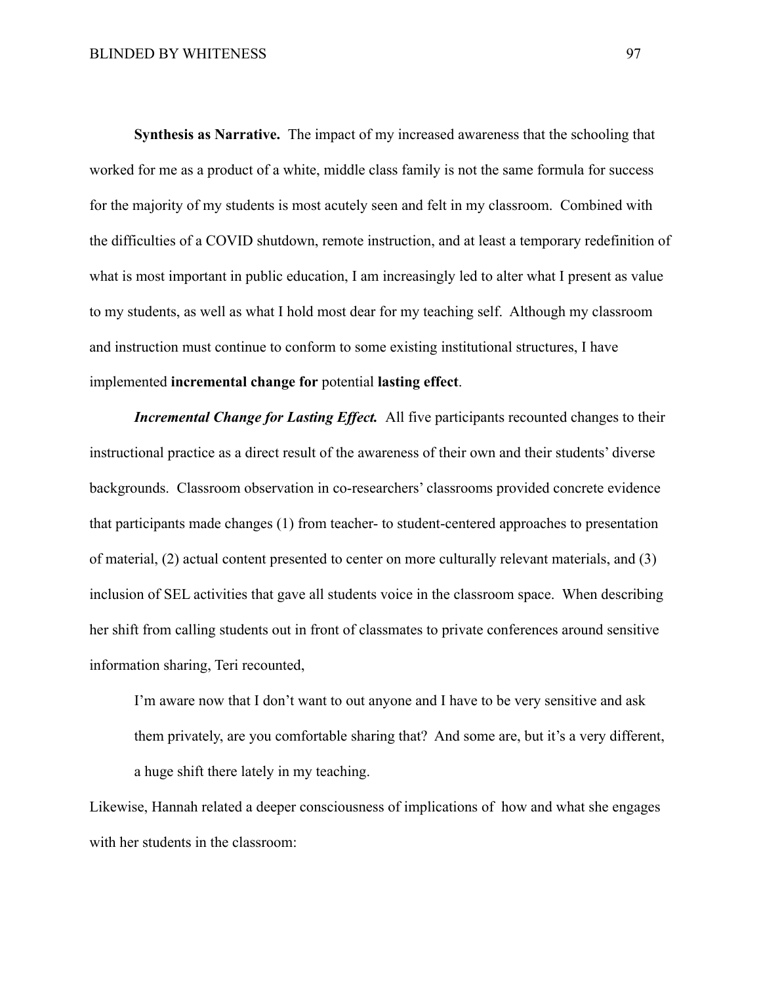**Synthesis as Narrative.** The impact of my increased awareness that the schooling that worked for me as a product of a white, middle class family is not the same formula for success for the majority of my students is most acutely seen and felt in my classroom. Combined with the difficulties of a COVID shutdown, remote instruction, and at least a temporary redefinition of what is most important in public education, I am increasingly led to alter what I present as value to my students, as well as what I hold most dear for my teaching self. Although my classroom and instruction must continue to conform to some existing institutional structures, I have implemented **incremental change for** potential **lasting effect**.

*Incremental Change for Lasting Effect.* All five participants recounted changes to their instructional practice as a direct result of the awareness of their own and their students' diverse backgrounds. Classroom observation in co-researchers' classrooms provided concrete evidence that participants made changes (1) from teacher- to student-centered approaches to presentation of material, (2) actual content presented to center on more culturally relevant materials, and (3) inclusion of SEL activities that gave all students voice in the classroom space. When describing her shift from calling students out in front of classmates to private conferences around sensitive information sharing, Teri recounted,

I'm aware now that I don't want to out anyone and I have to be very sensitive and ask them privately, are you comfortable sharing that? And some are, but it's a very different, a huge shift there lately in my teaching.

Likewise, Hannah related a deeper consciousness of implications of how and what she engages with her students in the classroom: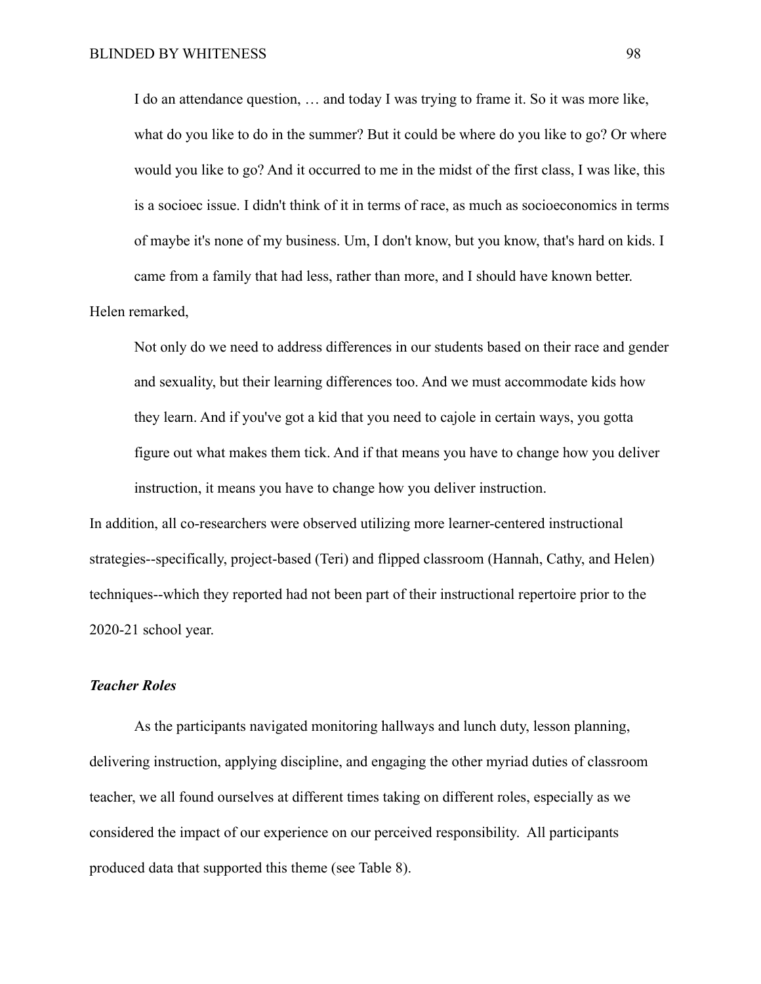I do an attendance question, … and today I was trying to frame it. So it was more like, what do you like to do in the summer? But it could be where do you like to go? Or where would you like to go? And it occurred to me in the midst of the first class, I was like, this is a socioec issue. I didn't think of it in terms of race, as much as socioeconomics in terms of maybe it's none of my business. Um, I don't know, but you know, that's hard on kids. I came from a family that had less, rather than more, and I should have known better.

### Helen remarked,

Not only do we need to address differences in our students based on their race and gender and sexuality, but their learning differences too. And we must accommodate kids how they learn. And if you've got a kid that you need to cajole in certain ways, you gotta figure out what makes them tick. And if that means you have to change how you deliver instruction, it means you have to change how you deliver instruction.

In addition, all co-researchers were observed utilizing more learner-centered instructional strategies--specifically, project-based (Teri) and flipped classroom (Hannah, Cathy, and Helen) techniques--which they reported had not been part of their instructional repertoire prior to the 2020-21 school year.

### *Teacher Roles*

As the participants navigated monitoring hallways and lunch duty, lesson planning, delivering instruction, applying discipline, and engaging the other myriad duties of classroom teacher, we all found ourselves at different times taking on different roles, especially as we considered the impact of our experience on our perceived responsibility. All participants produced data that supported this theme (see Table 8).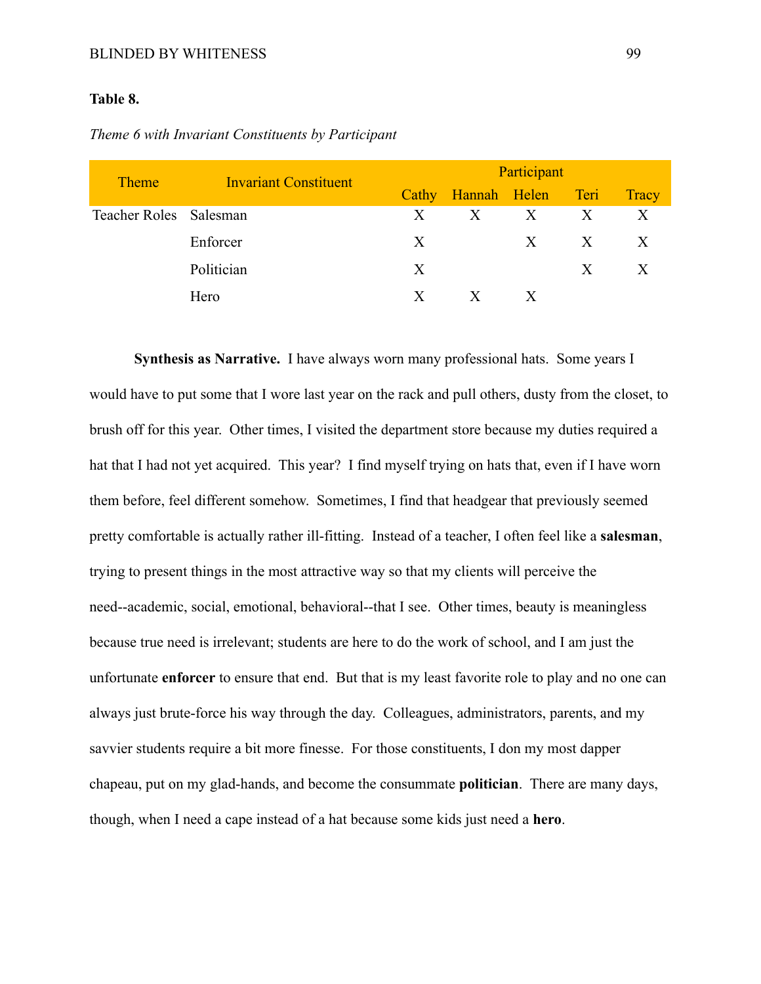### BLINDED BY WHITENESS 99

## **Table 8.**

| <b>Theme</b>           | <b>Invariant Constituent</b> | Participant |                   |                   |              |              |  |
|------------------------|------------------------------|-------------|-------------------|-------------------|--------------|--------------|--|
|                        |                              | Cathy       | Hannah Helen Teri |                   |              | <b>Tracy</b> |  |
| Teacher Roles Salesman |                              | X           | $\mathbf{X}$      | $X$ X             |              | X            |  |
|                        | Enforcer                     | X           |                   | $X_{\mathcal{I}}$ | $\mathbf{X}$ | X            |  |
|                        | Politician                   | X           |                   |                   | X            | X            |  |
|                        | Hero                         | X           | $\mathbf{X}$      | X                 |              |              |  |

*Theme 6 with Invariant Constituents by Participant*

**Synthesis as Narrative.** I have always worn many professional hats. Some years I would have to put some that I wore last year on the rack and pull others, dusty from the closet, to brush off for this year. Other times, I visited the department store because my duties required a hat that I had not yet acquired. This year? I find myself trying on hats that, even if I have worn them before, feel different somehow. Sometimes, I find that headgear that previously seemed pretty comfortable is actually rather ill-fitting. Instead of a teacher, I often feel like a **salesman**, trying to present things in the most attractive way so that my clients will perceive the need--academic, social, emotional, behavioral--that I see. Other times, beauty is meaningless because true need is irrelevant; students are here to do the work of school, and I am just the unfortunate **enforcer** to ensure that end. But that is my least favorite role to play and no one can always just brute-force his way through the day. Colleagues, administrators, parents, and my savvier students require a bit more finesse. For those constituents, I don my most dapper chapeau, put on my glad-hands, and become the consummate **politician**. There are many days, though, when I need a cape instead of a hat because some kids just need a **hero**.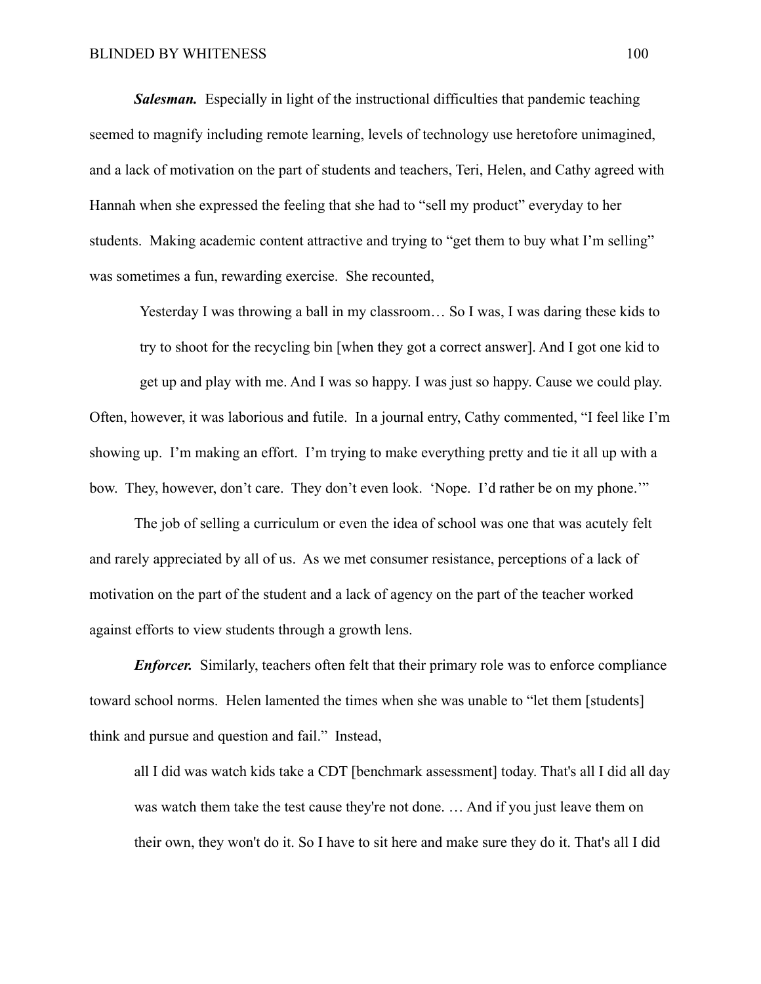*Salesman.* Especially in light of the instructional difficulties that pandemic teaching seemed to magnify including remote learning, levels of technology use heretofore unimagined, and a lack of motivation on the part of students and teachers, Teri, Helen, and Cathy agreed with Hannah when she expressed the feeling that she had to "sell my product" everyday to her students. Making academic content attractive and trying to "get them to buy what I'm selling" was sometimes a fun, rewarding exercise. She recounted,

Yesterday I was throwing a ball in my classroom… So I was, I was daring these kids to

try to shoot for the recycling bin [when they got a correct answer]. And I got one kid to

get up and play with me. And I was so happy. I was just so happy. Cause we could play. Often, however, it was laborious and futile. In a journal entry, Cathy commented, "I feel like I'm showing up. I'm making an effort. I'm trying to make everything pretty and tie it all up with a bow. They, however, don't care. They don't even look. 'Nope. I'd rather be on my phone.'"

The job of selling a curriculum or even the idea of school was one that was acutely felt and rarely appreciated by all of us. As we met consumer resistance, perceptions of a lack of motivation on the part of the student and a lack of agency on the part of the teacher worked against efforts to view students through a growth lens.

*Enforcer.* Similarly, teachers often felt that their primary role was to enforce compliance toward school norms. Helen lamented the times when she was unable to "let them [students] think and pursue and question and fail." Instead,

all I did was watch kids take a CDT [benchmark assessment] today. That's all I did all day was watch them take the test cause they're not done. … And if you just leave them on their own, they won't do it. So I have to sit here and make sure they do it. That's all I did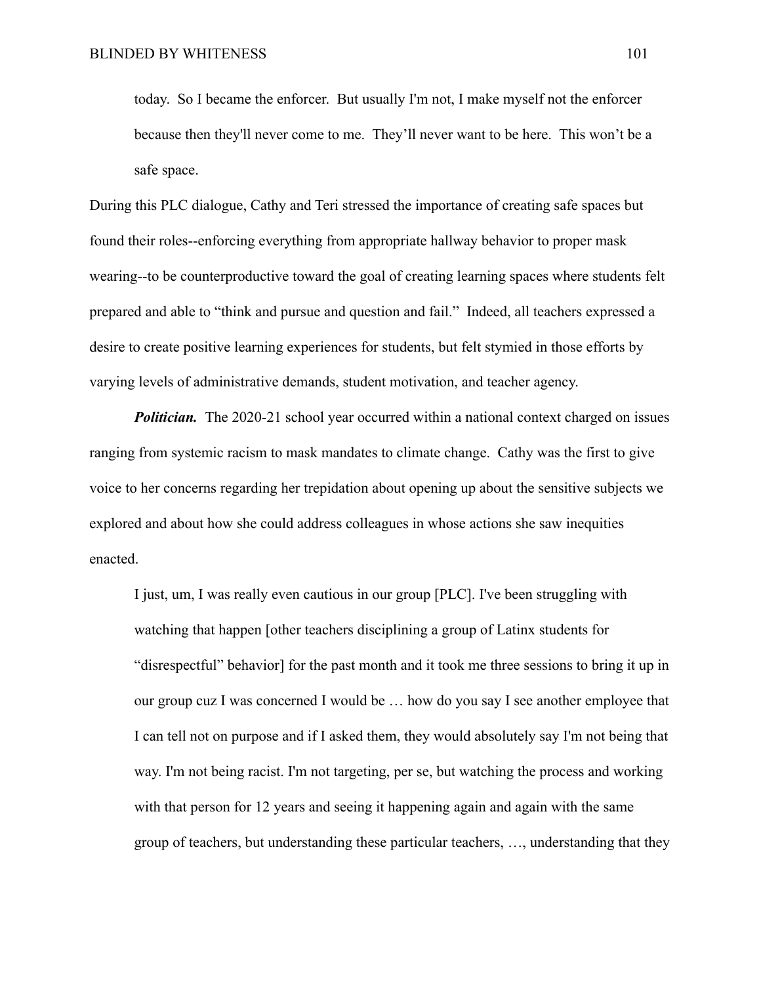today. So I became the enforcer. But usually I'm not, I make myself not the enforcer because then they'll never come to me. They'll never want to be here. This won't be a safe space.

During this PLC dialogue, Cathy and Teri stressed the importance of creating safe spaces but found their roles--enforcing everything from appropriate hallway behavior to proper mask wearing--to be counterproductive toward the goal of creating learning spaces where students felt prepared and able to "think and pursue and question and fail." Indeed, all teachers expressed a desire to create positive learning experiences for students, but felt stymied in those efforts by varying levels of administrative demands, student motivation, and teacher agency.

*Politician.* The 2020-21 school year occurred within a national context charged on issues ranging from systemic racism to mask mandates to climate change. Cathy was the first to give voice to her concerns regarding her trepidation about opening up about the sensitive subjects we explored and about how she could address colleagues in whose actions she saw inequities enacted.

I just, um, I was really even cautious in our group [PLC]. I've been struggling with watching that happen [other teachers disciplining a group of Latinx students for "disrespectful" behavior] for the past month and it took me three sessions to bring it up in our group cuz I was concerned I would be … how do you say I see another employee that I can tell not on purpose and if I asked them, they would absolutely say I'm not being that way. I'm not being racist. I'm not targeting, per se, but watching the process and working with that person for 12 years and seeing it happening again and again with the same group of teachers, but understanding these particular teachers, …, understanding that they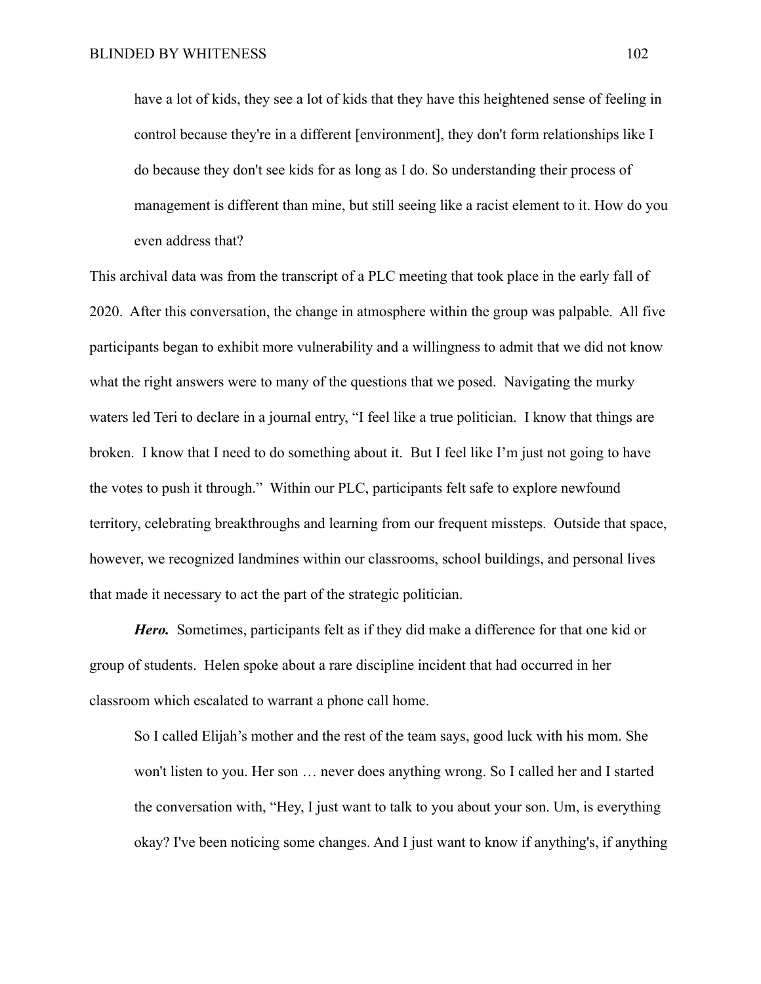have a lot of kids, they see a lot of kids that they have this heightened sense of feeling in control because they're in a different [environment], they don't form relationships like I do because they don't see kids for as long as I do. So understanding their process of management is different than mine, but still seeing like a racist element to it. How do you even address that?

This archival data was from the transcript of a PLC meeting that took place in the early fall of 2020. After this conversation, the change in atmosphere within the group was palpable. All five participants began to exhibit more vulnerability and a willingness to admit that we did not know what the right answers were to many of the questions that we posed. Navigating the murky waters led Teri to declare in a journal entry, "I feel like a true politician. I know that things are broken. I know that I need to do something about it. But I feel like I'm just not going to have the votes to push it through." Within our PLC, participants felt safe to explore newfound territory, celebrating breakthroughs and learning from our frequent missteps. Outside that space, however, we recognized landmines within our classrooms, school buildings, and personal lives that made it necessary to act the part of the strategic politician.

*Hero.* Sometimes, participants felt as if they did make a difference for that one kid or group of students. Helen spoke about a rare discipline incident that had occurred in her classroom which escalated to warrant a phone call home.

So I called Elijah's mother and the rest of the team says, good luck with his mom. She won't listen to you. Her son … never does anything wrong. So I called her and I started the conversation with, "Hey, I just want to talk to you about your son. Um, is everything okay? I've been noticing some changes. And I just want to know if anything's, if anything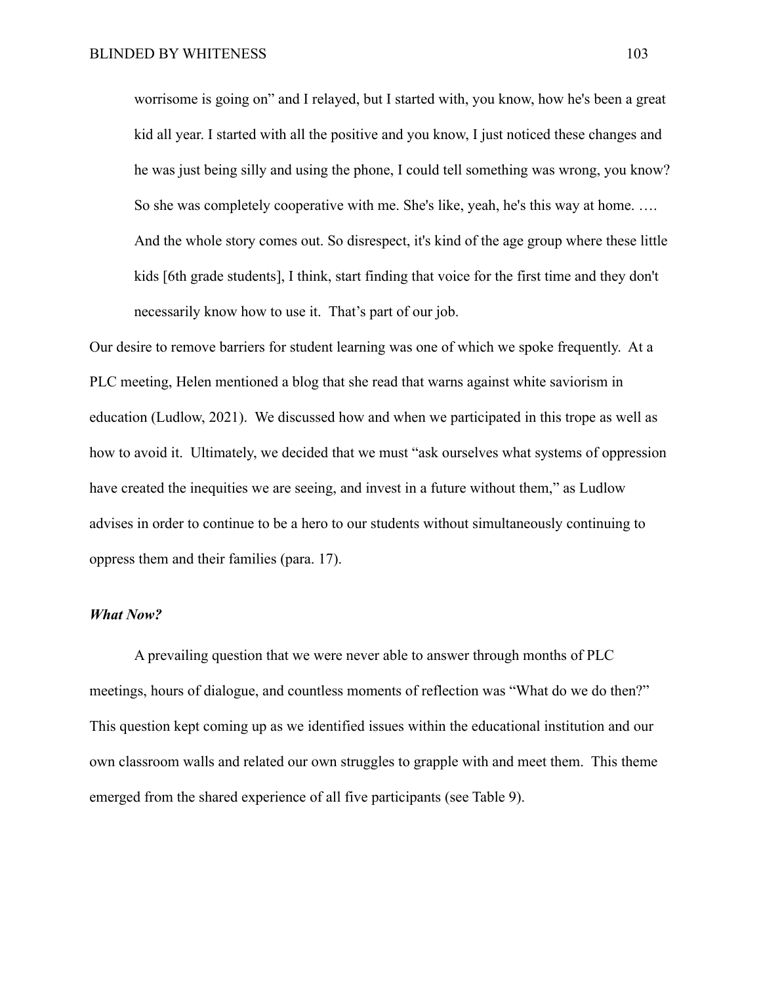worrisome is going on" and I relayed, but I started with, you know, how he's been a great kid all year. I started with all the positive and you know, I just noticed these changes and he was just being silly and using the phone, I could tell something was wrong, you know? So she was completely cooperative with me. She's like, yeah, he's this way at home. …. And the whole story comes out. So disrespect, it's kind of the age group where these little kids [6th grade students], I think, start finding that voice for the first time and they don't necessarily know how to use it. That's part of our job.

Our desire to remove barriers for student learning was one of which we spoke frequently. At a PLC meeting, Helen mentioned a blog that she read that warns against white saviorism in education (Ludlow, 2021). We discussed how and when we participated in this trope as well as how to avoid it. Ultimately, we decided that we must "ask ourselves what systems of oppression have created the inequities we are seeing, and invest in a future without them," as Ludlow advises in order to continue to be a hero to our students without simultaneously continuing to oppress them and their families (para. 17).

### *What Now?*

A prevailing question that we were never able to answer through months of PLC meetings, hours of dialogue, and countless moments of reflection was "What do we do then?" This question kept coming up as we identified issues within the educational institution and our own classroom walls and related our own struggles to grapple with and meet them. This theme emerged from the shared experience of all five participants (see Table 9).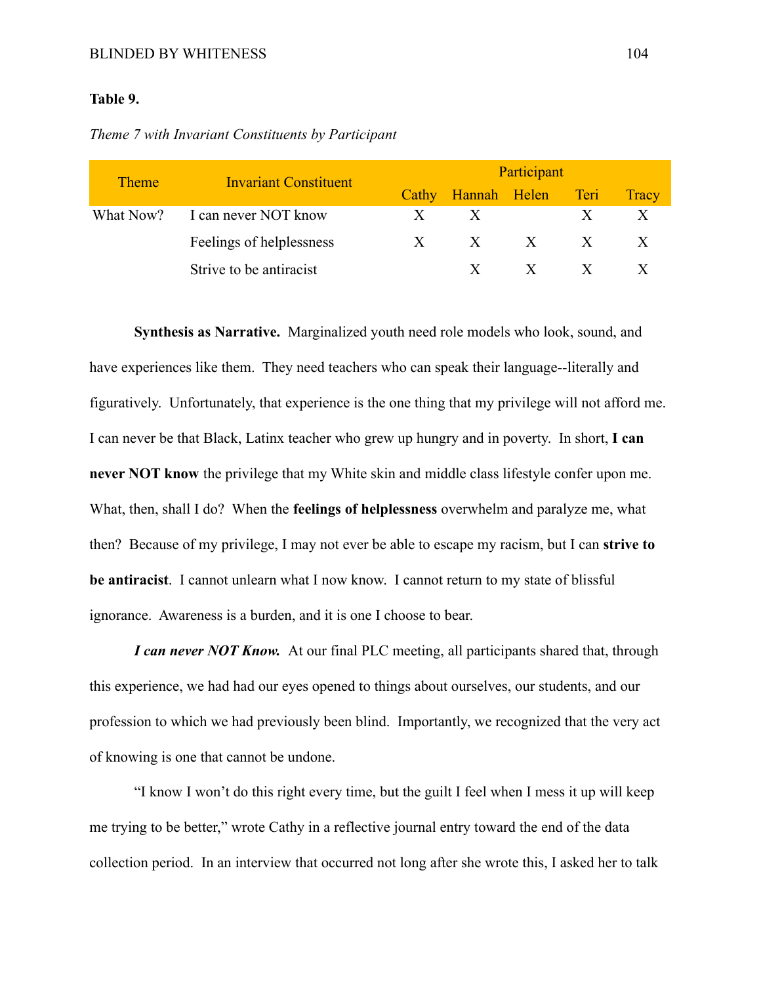## **Table 9.**

|  |  |  |  | Theme 7 with Invariant Constituents by Participant |  |  |  |
|--|--|--|--|----------------------------------------------------|--|--|--|
|--|--|--|--|----------------------------------------------------|--|--|--|

| <b>Theme</b> | <b>Invariant Constituent</b> | Participant  |                          |              |              |              |
|--------------|------------------------------|--------------|--------------------------|--------------|--------------|--------------|
|              |                              | Cathy        | <b>Hannah Helen Teri</b> |              |              | <b>Tracy</b> |
| What Now?    | I can never NOT know         | X            | X                        |              |              |              |
|              | Feelings of helplessness     | $\mathbf{X}$ | $X \times X$             |              |              |              |
|              | Strive to be antiracist      |              | $\mathbf{X}$             | $\mathbf{X}$ | $\mathbf{X}$ |              |

**Synthesis as Narrative.** Marginalized youth need role models who look, sound, and have experiences like them. They need teachers who can speak their language--literally and figuratively. Unfortunately, that experience is the one thing that my privilege will not afford me. I can never be that Black, Latinx teacher who grew up hungry and in poverty. In short, **I can never NOT know** the privilege that my White skin and middle class lifestyle confer upon me. What, then, shall I do? When the **feelings of helplessness** overwhelm and paralyze me, what then? Because of my privilege, I may not ever be able to escape my racism, but I can **strive to be antiracist**. I cannot unlearn what I now know. I cannot return to my state of blissful ignorance. Awareness is a burden, and it is one I choose to bear.

*I can never NOT Know.* At our final PLC meeting, all participants shared that, through this experience, we had had our eyes opened to things about ourselves, our students, and our profession to which we had previously been blind. Importantly, we recognized that the very act of knowing is one that cannot be undone.

"I know I won't do this right every time, but the guilt I feel when I mess it up will keep me trying to be better," wrote Cathy in a reflective journal entry toward the end of the data collection period. In an interview that occurred not long after she wrote this, I asked her to talk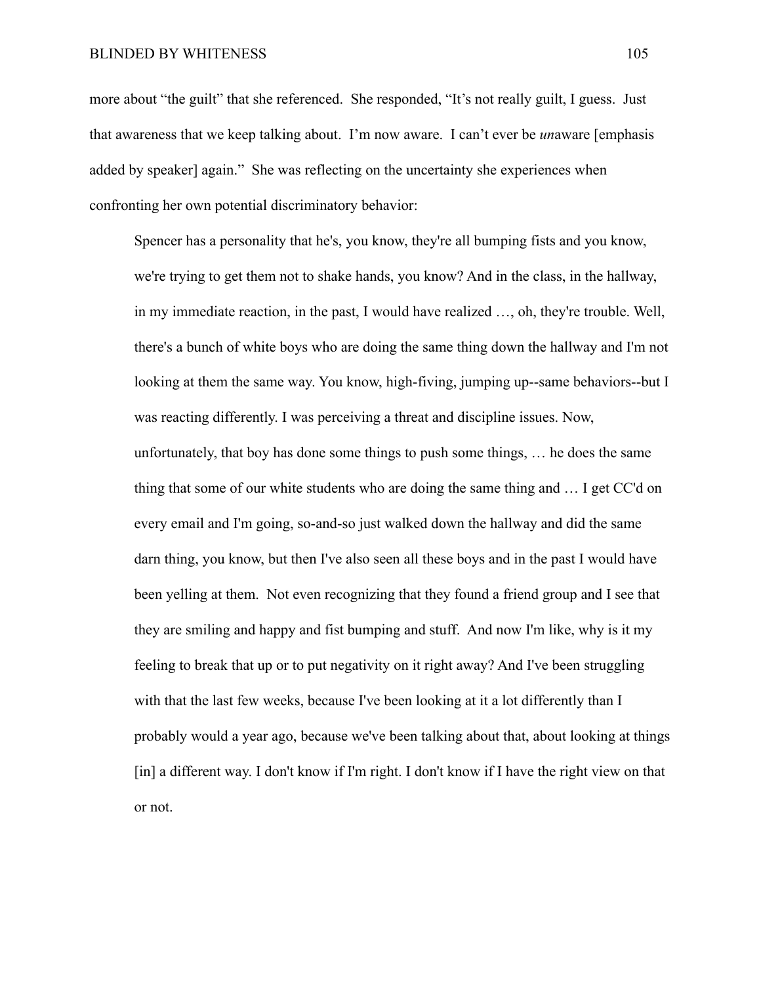### BLINDED BY WHITENESS 105

more about "the guilt" that she referenced. She responded, "It's not really guilt, I guess. Just that awareness that we keep talking about. I'm now aware. I can't ever be *un*aware [emphasis added by speaker] again." She was reflecting on the uncertainty she experiences when confronting her own potential discriminatory behavior:

Spencer has a personality that he's, you know, they're all bumping fists and you know, we're trying to get them not to shake hands, you know? And in the class, in the hallway, in my immediate reaction, in the past, I would have realized …, oh, they're trouble. Well, there's a bunch of white boys who are doing the same thing down the hallway and I'm not looking at them the same way. You know, high-fiving, jumping up--same behaviors--but I was reacting differently. I was perceiving a threat and discipline issues. Now, unfortunately, that boy has done some things to push some things, … he does the same thing that some of our white students who are doing the same thing and … I get CC'd on every email and I'm going, so-and-so just walked down the hallway and did the same darn thing, you know, but then I've also seen all these boys and in the past I would have been yelling at them. Not even recognizing that they found a friend group and I see that they are smiling and happy and fist bumping and stuff. And now I'm like, why is it my feeling to break that up or to put negativity on it right away? And I've been struggling with that the last few weeks, because I've been looking at it a lot differently than I probably would a year ago, because we've been talking about that, about looking at things [in] a different way. I don't know if I'm right. I don't know if I have the right view on that or not.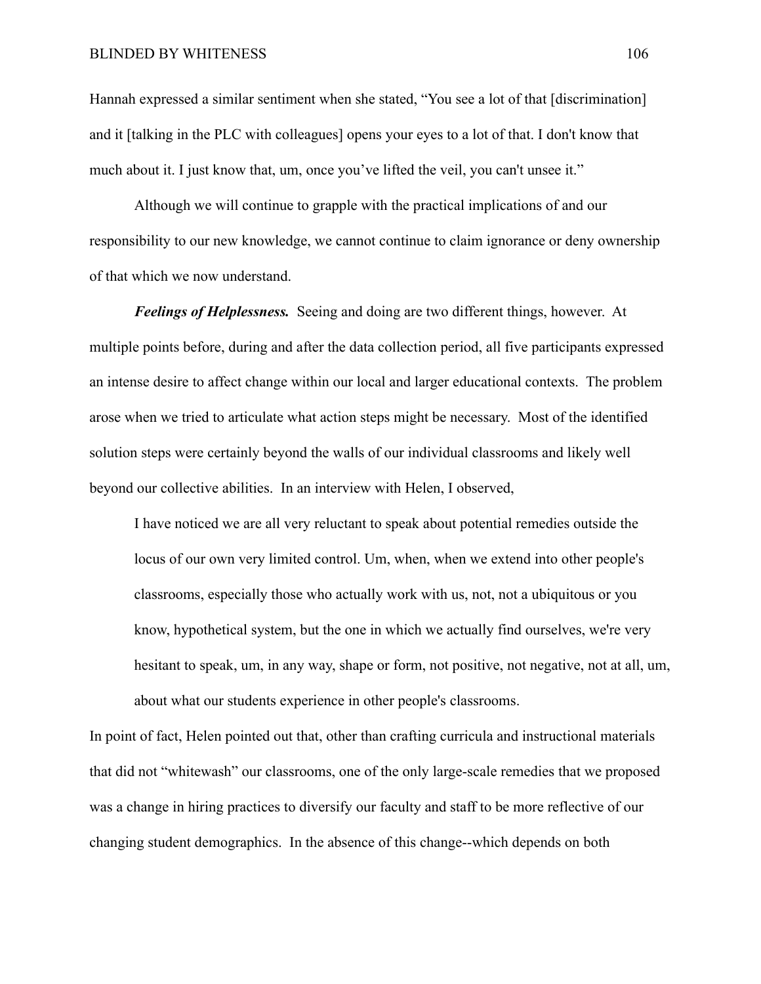Hannah expressed a similar sentiment when she stated, "You see a lot of that [discrimination] and it [talking in the PLC with colleagues] opens your eyes to a lot of that. I don't know that much about it. I just know that, um, once you've lifted the veil, you can't unsee it."

Although we will continue to grapple with the practical implications of and our responsibility to our new knowledge, we cannot continue to claim ignorance or deny ownership of that which we now understand.

*Feelings of Helplessness.* Seeing and doing are two different things, however. At multiple points before, during and after the data collection period, all five participants expressed an intense desire to affect change within our local and larger educational contexts. The problem arose when we tried to articulate what action steps might be necessary. Most of the identified solution steps were certainly beyond the walls of our individual classrooms and likely well beyond our collective abilities. In an interview with Helen, I observed,

I have noticed we are all very reluctant to speak about potential remedies outside the locus of our own very limited control. Um, when, when we extend into other people's classrooms, especially those who actually work with us, not, not a ubiquitous or you know, hypothetical system, but the one in which we actually find ourselves, we're very hesitant to speak, um, in any way, shape or form, not positive, not negative, not at all, um, about what our students experience in other people's classrooms.

In point of fact, Helen pointed out that, other than crafting curricula and instructional materials that did not "whitewash" our classrooms, one of the only large-scale remedies that we proposed was a change in hiring practices to diversify our faculty and staff to be more reflective of our changing student demographics. In the absence of this change--which depends on both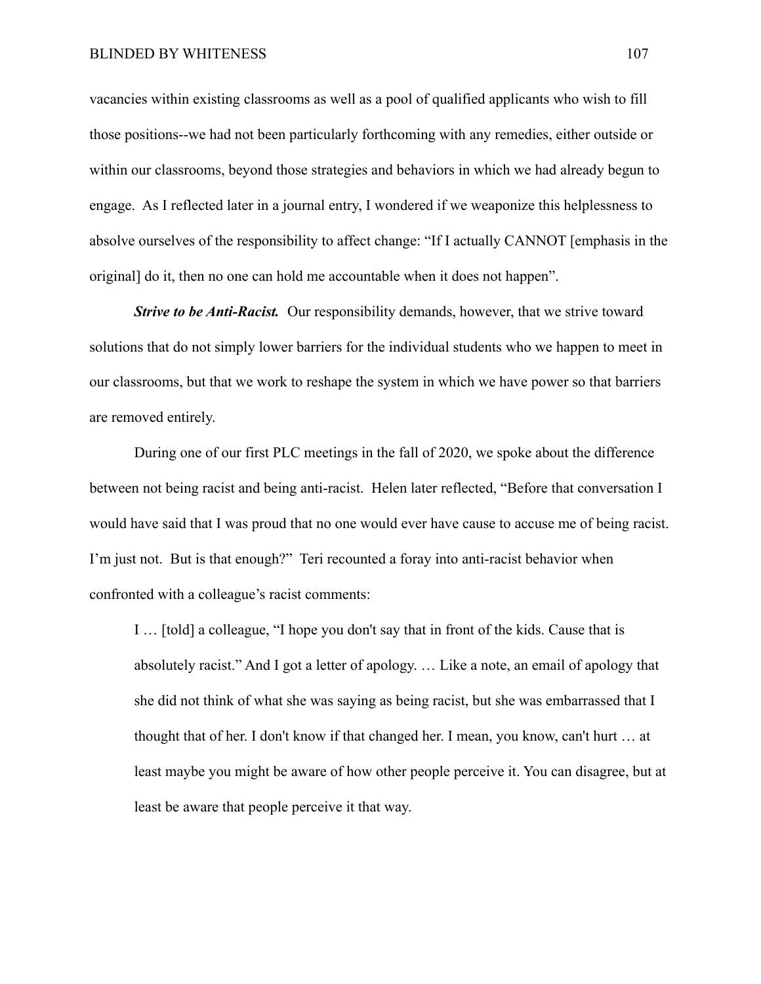vacancies within existing classrooms as well as a pool of qualified applicants who wish to fill those positions--we had not been particularly forthcoming with any remedies, either outside or within our classrooms, beyond those strategies and behaviors in which we had already begun to engage. As I reflected later in a journal entry, I wondered if we weaponize this helplessness to absolve ourselves of the responsibility to affect change: "If I actually CANNOT [emphasis in the original] do it, then no one can hold me accountable when it does not happen".

*Strive to be Anti-Racist.* Our responsibility demands, however, that we strive toward solutions that do not simply lower barriers for the individual students who we happen to meet in our classrooms, but that we work to reshape the system in which we have power so that barriers are removed entirely.

During one of our first PLC meetings in the fall of 2020, we spoke about the difference between not being racist and being anti-racist. Helen later reflected, "Before that conversation I would have said that I was proud that no one would ever have cause to accuse me of being racist. I'm just not. But is that enough?" Teri recounted a foray into anti-racist behavior when confronted with a colleague's racist comments:

I … [told] a colleague, "I hope you don't say that in front of the kids. Cause that is absolutely racist." And I got a letter of apology. … Like a note, an email of apology that she did not think of what she was saying as being racist, but she was embarrassed that I thought that of her. I don't know if that changed her. I mean, you know, can't hurt … at least maybe you might be aware of how other people perceive it. You can disagree, but at least be aware that people perceive it that way.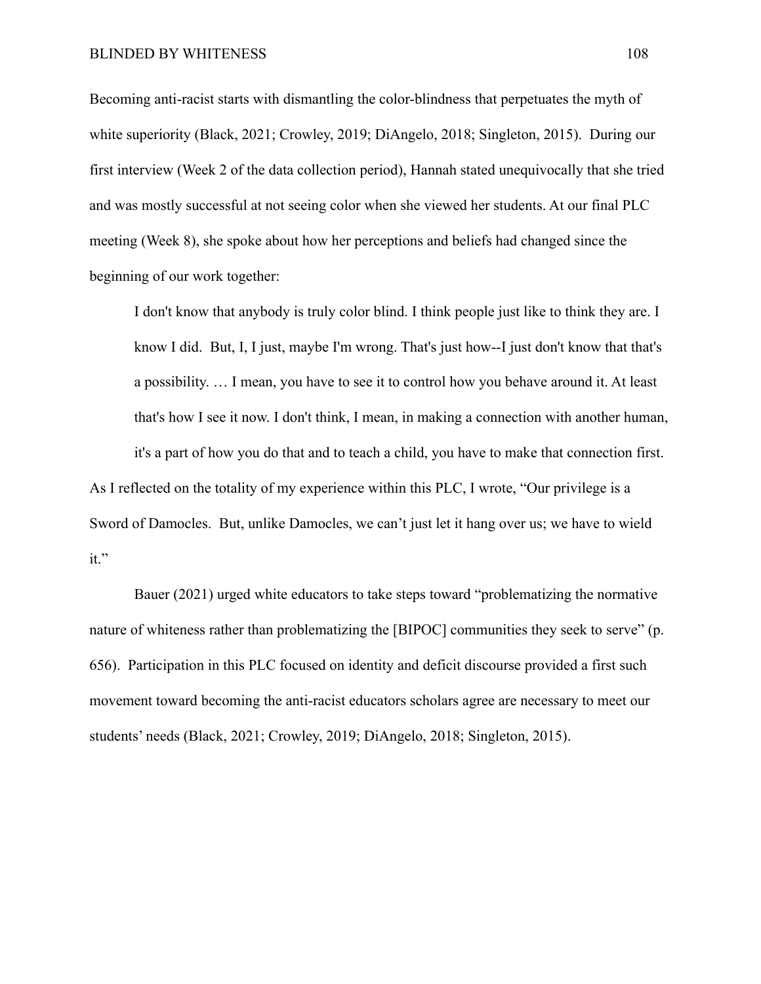Becoming anti-racist starts with dismantling the color-blindness that perpetuates the myth of white superiority (Black, 2021; Crowley, 2019; DiAngelo, 2018; Singleton, 2015). During our first interview (Week 2 of the data collection period), Hannah stated unequivocally that she tried and was mostly successful at not seeing color when she viewed her students. At our final PLC meeting (Week 8), she spoke about how her perceptions and beliefs had changed since the beginning of our work together:

I don't know that anybody is truly color blind. I think people just like to think they are. I know I did. But, I, I just, maybe I'm wrong. That's just how--I just don't know that that's a possibility. … I mean, you have to see it to control how you behave around it. At least that's how I see it now. I don't think, I mean, in making a connection with another human, it's a part of how you do that and to teach a child, you have to make that connection first.

As I reflected on the totality of my experience within this PLC, I wrote, "Our privilege is a Sword of Damocles. But, unlike Damocles, we can't just let it hang over us; we have to wield it."

Bauer (2021) urged white educators to take steps toward "problematizing the normative nature of whiteness rather than problematizing the [BIPOC] communities they seek to serve" (p. 656). Participation in this PLC focused on identity and deficit discourse provided a first such movement toward becoming the anti-racist educators scholars agree are necessary to meet our students' needs (Black, 2021; Crowley, 2019; DiAngelo, 2018; Singleton, 2015).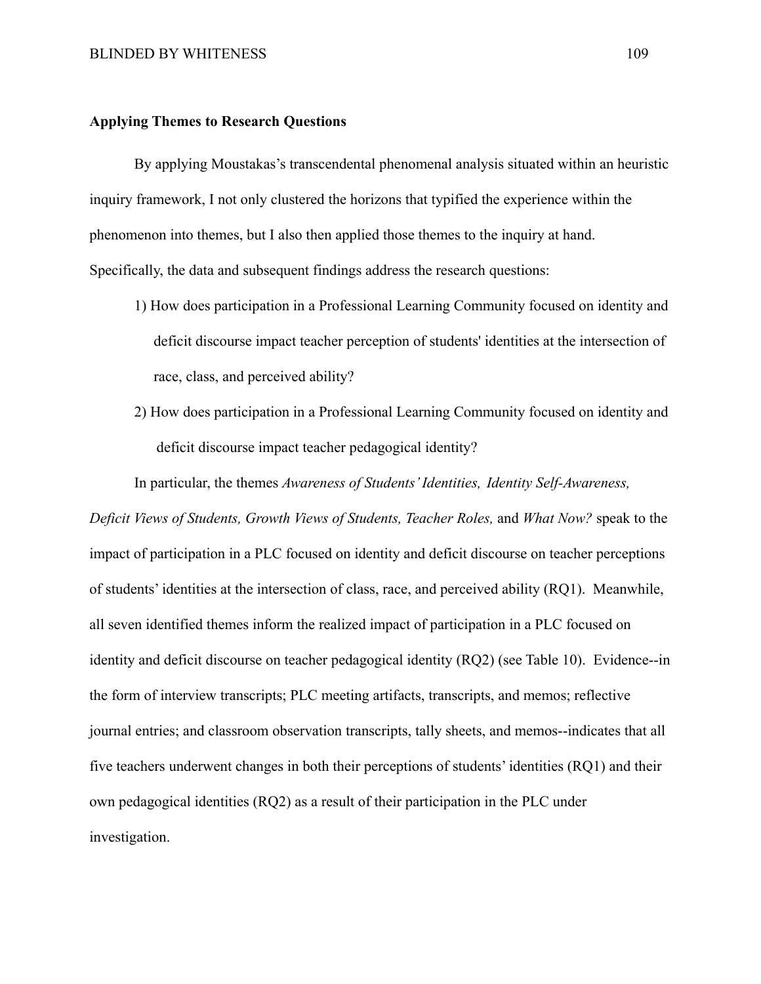### **Applying Themes to Research Questions**

By applying Moustakas's transcendental phenomenal analysis situated within an heuristic inquiry framework, I not only clustered the horizons that typified the experience within the phenomenon into themes, but I also then applied those themes to the inquiry at hand. Specifically, the data and subsequent findings address the research questions:

- 1) How does participation in a Professional Learning Community focused on identity and deficit discourse impact teacher perception of students' identities at the intersection of race, class, and perceived ability?
- 2) How does participation in a Professional Learning Community focused on identity and deficit discourse impact teacher pedagogical identity?

In particular, the themes *Awareness of Students' Identities, Identity Self-Awareness,*

*Deficit Views of Students, Growth Views of Students, Teacher Roles,* and *What Now?* speak to the impact of participation in a PLC focused on identity and deficit discourse on teacher perceptions of students' identities at the intersection of class, race, and perceived ability (RQ1). Meanwhile, all seven identified themes inform the realized impact of participation in a PLC focused on identity and deficit discourse on teacher pedagogical identity (RQ2) (see Table 10). Evidence--in the form of interview transcripts; PLC meeting artifacts, transcripts, and memos; reflective journal entries; and classroom observation transcripts, tally sheets, and memos--indicates that all five teachers underwent changes in both their perceptions of students' identities (RQ1) and their own pedagogical identities (RQ2) as a result of their participation in the PLC under investigation.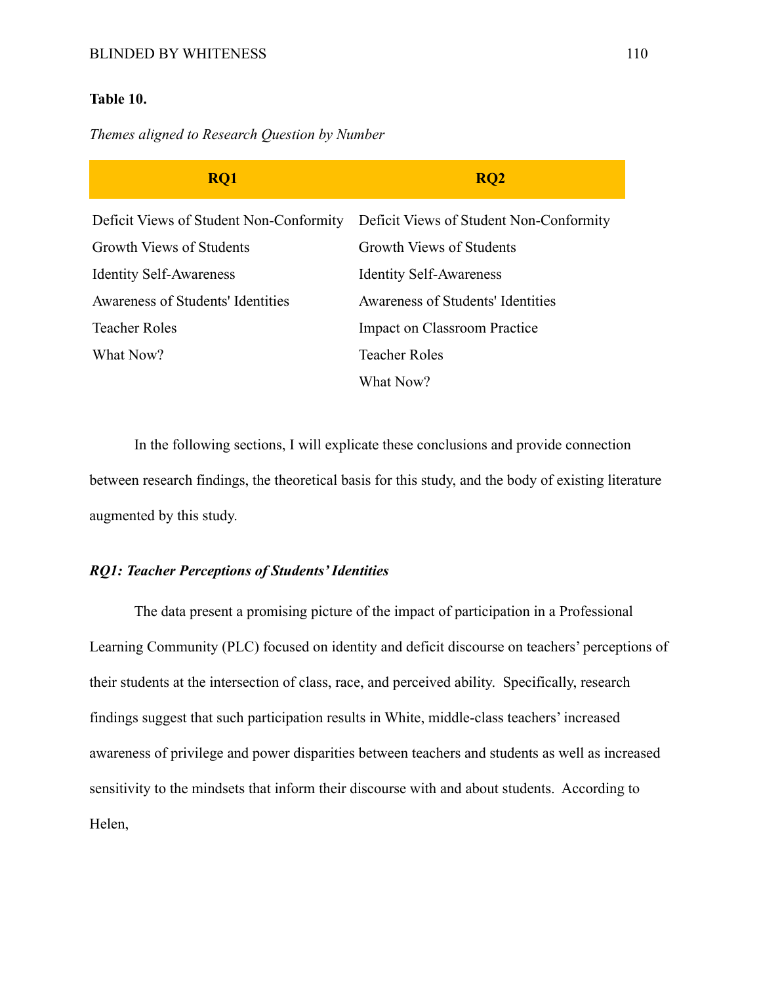# **Table 10.**

# *Themes aligned to Research Question by Number*

| RQ1                                     | <b>RQ2</b>                              |
|-----------------------------------------|-----------------------------------------|
| Deficit Views of Student Non-Conformity | Deficit Views of Student Non-Conformity |
| Growth Views of Students                | Growth Views of Students                |
| <b>Identity Self-Awareness</b>          | <b>Identity Self-Awareness</b>          |
| Awareness of Students' Identities       | Awareness of Students' Identities       |
| <b>Teacher Roles</b>                    | <b>Impact on Classroom Practice</b>     |
| What Now?                               | <b>Teacher Roles</b>                    |
|                                         | What Now?                               |

In the following sections, I will explicate these conclusions and provide connection between research findings, the theoretical basis for this study, and the body of existing literature augmented by this study.

# *RQ1: Teacher Perceptions of Students' Identities*

The data present a promising picture of the impact of participation in a Professional Learning Community (PLC) focused on identity and deficit discourse on teachers' perceptions of their students at the intersection of class, race, and perceived ability. Specifically, research findings suggest that such participation results in White, middle-class teachers' increased awareness of privilege and power disparities between teachers and students as well as increased sensitivity to the mindsets that inform their discourse with and about students. According to Helen,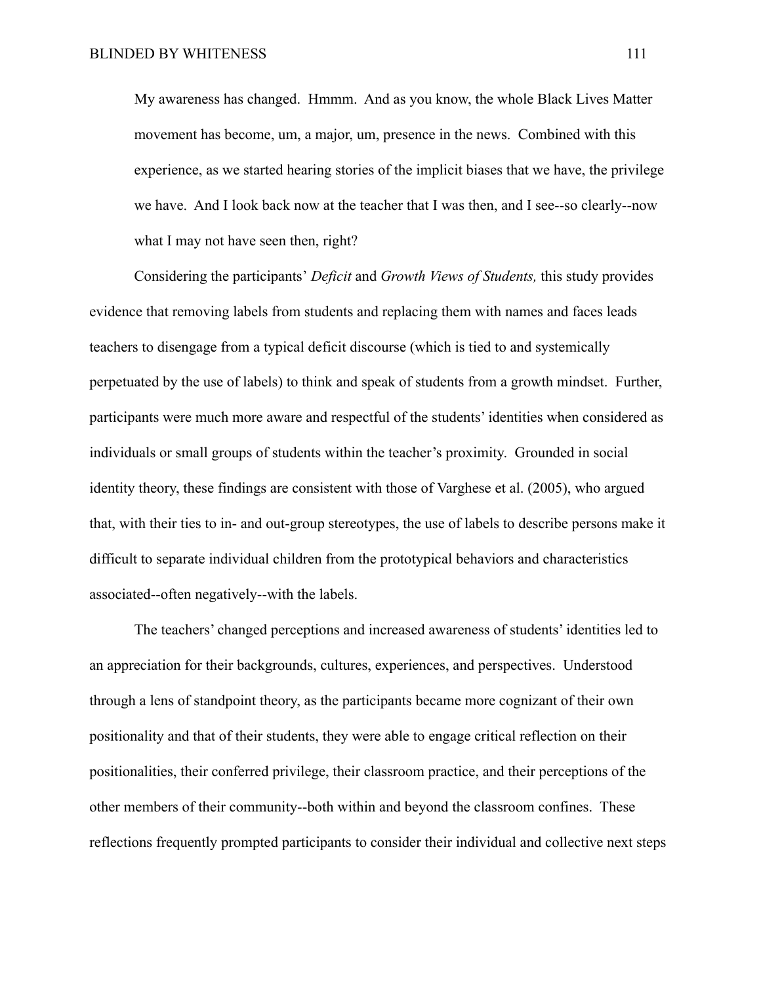My awareness has changed. Hmmm. And as you know, the whole Black Lives Matter movement has become, um, a major, um, presence in the news. Combined with this experience, as we started hearing stories of the implicit biases that we have, the privilege we have. And I look back now at the teacher that I was then, and I see--so clearly--now what I may not have seen then, right?

Considering the participants' *Deficit* and *Growth Views of Students,* this study provides evidence that removing labels from students and replacing them with names and faces leads teachers to disengage from a typical deficit discourse (which is tied to and systemically perpetuated by the use of labels) to think and speak of students from a growth mindset. Further, participants were much more aware and respectful of the students' identities when considered as individuals or small groups of students within the teacher's proximity. Grounded in social identity theory, these findings are consistent with those of Varghese et al. (2005), who argued that, with their ties to in- and out-group stereotypes, the use of labels to describe persons make it difficult to separate individual children from the prototypical behaviors and characteristics associated--often negatively--with the labels.

The teachers' changed perceptions and increased awareness of students' identities led to an appreciation for their backgrounds, cultures, experiences, and perspectives. Understood through a lens of standpoint theory, as the participants became more cognizant of their own positionality and that of their students, they were able to engage critical reflection on their positionalities, their conferred privilege, their classroom practice, and their perceptions of the other members of their community--both within and beyond the classroom confines. These reflections frequently prompted participants to consider their individual and collective next steps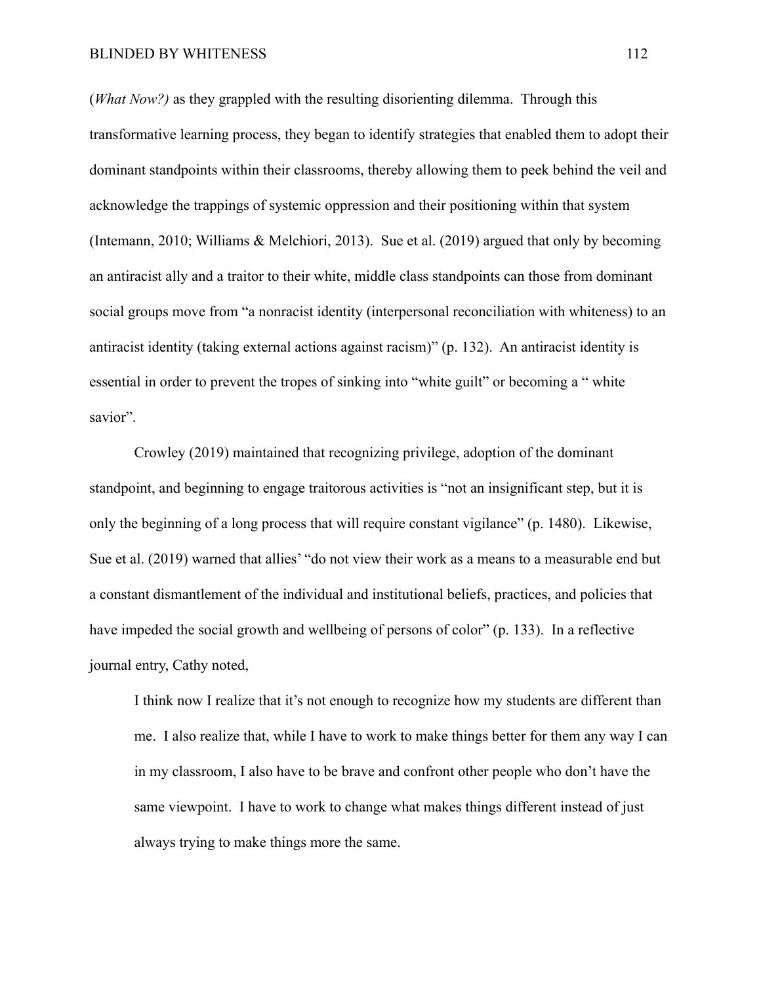(*What Now?)* as they grappled with the resulting disorienting dilemma. Through this transformative learning process, they began to identify strategies that enabled them to adopt their dominant standpoints within their classrooms, thereby allowing them to peek behind the veil and acknowledge the trappings of systemic oppression and their positioning within that system (Intemann, 2010; Williams & Melchiori, 2013). Sue et al. (2019) argued that only by becoming an antiracist ally and a traitor to their white, middle class standpoints can those from dominant social groups move from "a nonracist identity (interpersonal reconciliation with whiteness) to an antiracist identity (taking external actions against racism)" (p. 132). An antiracist identity is essential in order to prevent the tropes of sinking into "white guilt" or becoming a " white savior".

Crowley (2019) maintained that recognizing privilege, adoption of the dominant standpoint, and beginning to engage traitorous activities is "not an insignificant step, but it is only the beginning of a long process that will require constant vigilance" (p. 1480). Likewise, Sue et al. (2019) warned that allies' "do not view their work as a means to a measurable end but a constant dismantlement of the individual and institutional beliefs, practices, and policies that have impeded the social growth and wellbeing of persons of color" (p. 133). In a reflective journal entry, Cathy noted,

I think now I realize that it's not enough to recognize how my students are different than me. I also realize that, while I have to work to make things better for them any way I can in my classroom, I also have to be brave and confront other people who don't have the same viewpoint. I have to work to change what makes things different instead of just always trying to make things more the same.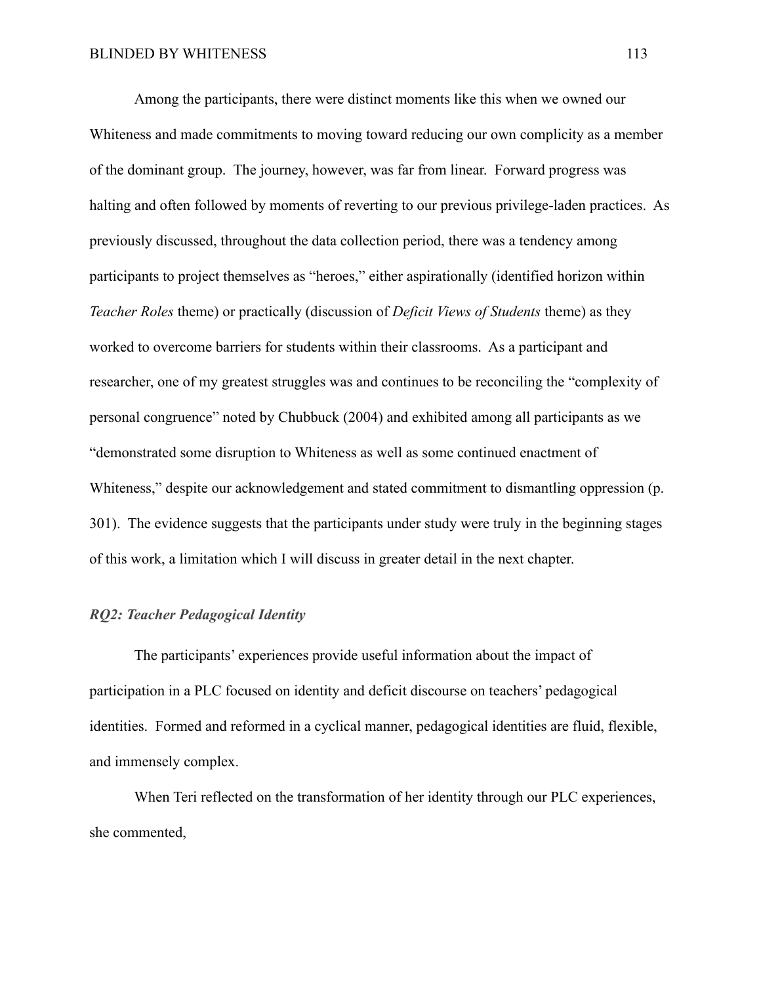Among the participants, there were distinct moments like this when we owned our Whiteness and made commitments to moving toward reducing our own complicity as a member of the dominant group. The journey, however, was far from linear. Forward progress was halting and often followed by moments of reverting to our previous privilege-laden practices. As previously discussed, throughout the data collection period, there was a tendency among participants to project themselves as "heroes," either aspirationally (identified horizon within *Teacher Roles* theme) or practically (discussion of *Deficit Views of Students* theme) as they worked to overcome barriers for students within their classrooms. As a participant and researcher, one of my greatest struggles was and continues to be reconciling the "complexity of personal congruence" noted by Chubbuck (2004) and exhibited among all participants as we "demonstrated some disruption to Whiteness as well as some continued enactment of Whiteness," despite our acknowledgement and stated commitment to dismantling oppression (p. 301). The evidence suggests that the participants under study were truly in the beginning stages of this work, a limitation which I will discuss in greater detail in the next chapter.

# *RQ2: Teacher Pedagogical Identity*

The participants' experiences provide useful information about the impact of participation in a PLC focused on identity and deficit discourse on teachers' pedagogical identities. Formed and reformed in a cyclical manner, pedagogical identities are fluid, flexible, and immensely complex.

When Teri reflected on the transformation of her identity through our PLC experiences, she commented,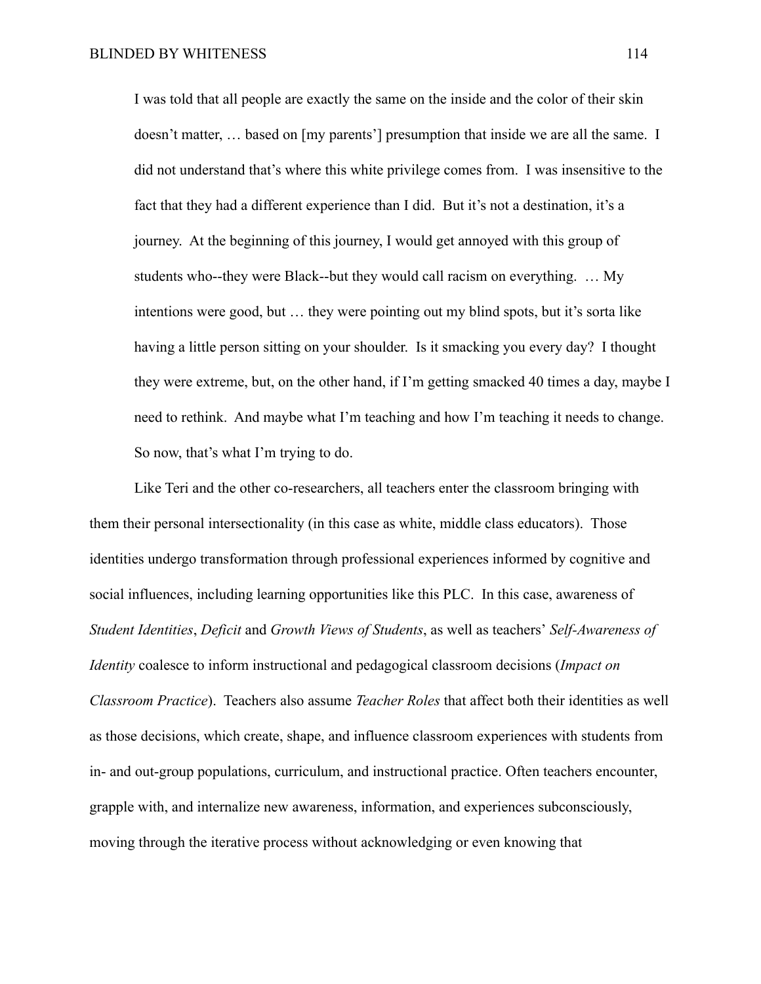I was told that all people are exactly the same on the inside and the color of their skin doesn't matter, ... based on [my parents'] presumption that inside we are all the same. I did not understand that's where this white privilege comes from. I was insensitive to the fact that they had a different experience than I did. But it's not a destination, it's a journey. At the beginning of this journey, I would get annoyed with this group of students who--they were Black--but they would call racism on everything. … My intentions were good, but … they were pointing out my blind spots, but it's sorta like having a little person sitting on your shoulder. Is it smacking you every day? I thought they were extreme, but, on the other hand, if I'm getting smacked 40 times a day, maybe I need to rethink. And maybe what I'm teaching and how I'm teaching it needs to change. So now, that's what I'm trying to do.

Like Teri and the other co-researchers, all teachers enter the classroom bringing with them their personal intersectionality (in this case as white, middle class educators). Those identities undergo transformation through professional experiences informed by cognitive and social influences, including learning opportunities like this PLC. In this case, awareness of *Student Identities*, *Deficit* and *Growth Views of Students*, as well as teachers' *Self-Awareness of Identity* coalesce to inform instructional and pedagogical classroom decisions (*Impact on Classroom Practice*). Teachers also assume *Teacher Roles* that affect both their identities as well as those decisions, which create, shape, and influence classroom experiences with students from in- and out-group populations, curriculum, and instructional practice. Often teachers encounter, grapple with, and internalize new awareness, information, and experiences subconsciously, moving through the iterative process without acknowledging or even knowing that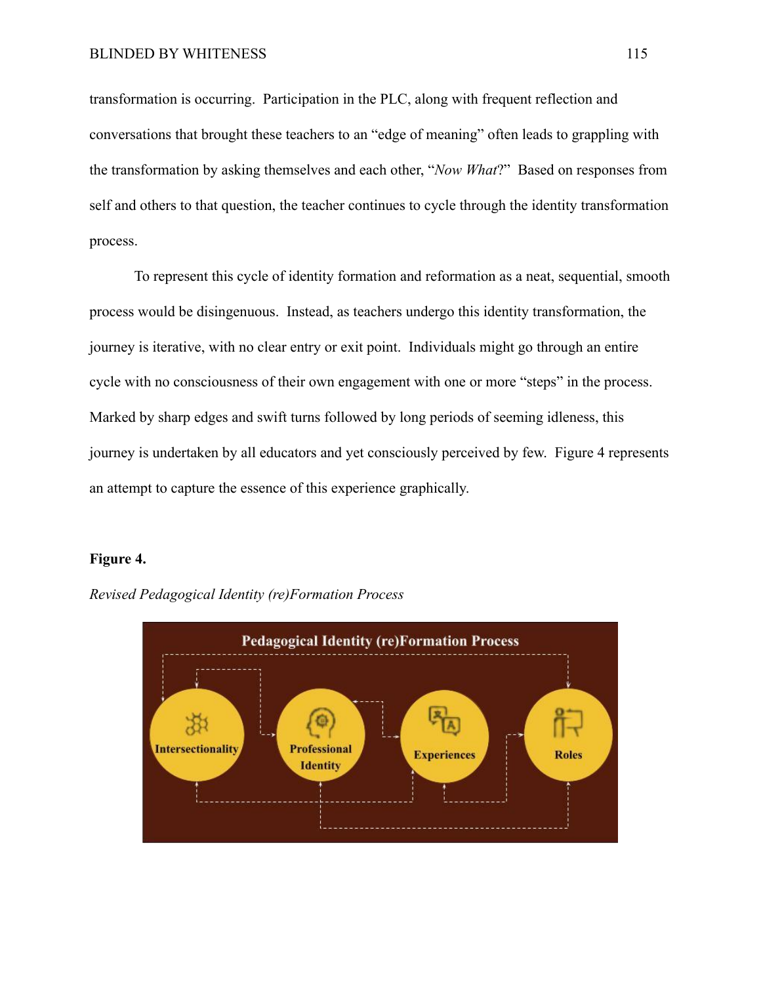transformation is occurring. Participation in the PLC, along with frequent reflection and conversations that brought these teachers to an "edge of meaning" often leads to grappling with the transformation by asking themselves and each other, "*Now What*?" Based on responses from self and others to that question, the teacher continues to cycle through the identity transformation process.

To represent this cycle of identity formation and reformation as a neat, sequential, smooth process would be disingenuous. Instead, as teachers undergo this identity transformation, the journey is iterative, with no clear entry or exit point. Individuals might go through an entire cycle with no consciousness of their own engagement with one or more "steps" in the process. Marked by sharp edges and swift turns followed by long periods of seeming idleness, this journey is undertaken by all educators and yet consciously perceived by few. Figure 4 represents an attempt to capture the essence of this experience graphically.

#### **Figure 4.**



*Revised Pedagogical Identity (re)Formation Process*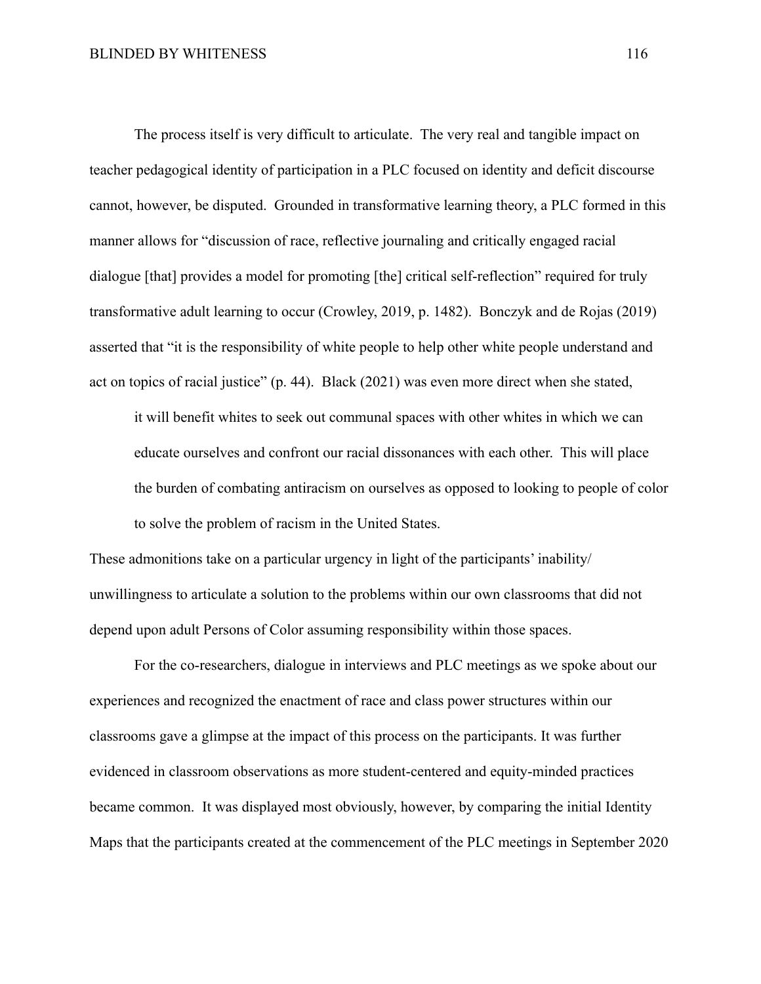The process itself is very difficult to articulate. The very real and tangible impact on teacher pedagogical identity of participation in a PLC focused on identity and deficit discourse cannot, however, be disputed. Grounded in transformative learning theory, a PLC formed in this manner allows for "discussion of race, reflective journaling and critically engaged racial dialogue [that] provides a model for promoting [the] critical self-reflection" required for truly transformative adult learning to occur (Crowley, 2019, p. 1482). Bonczyk and de Rojas (2019) asserted that "it is the responsibility of white people to help other white people understand and act on topics of racial justice" (p. 44). Black (2021) was even more direct when she stated,

it will benefit whites to seek out communal spaces with other whites in which we can educate ourselves and confront our racial dissonances with each other. This will place the burden of combating antiracism on ourselves as opposed to looking to people of color to solve the problem of racism in the United States.

These admonitions take on a particular urgency in light of the participants' inability/ unwillingness to articulate a solution to the problems within our own classrooms that did not depend upon adult Persons of Color assuming responsibility within those spaces.

For the co-researchers, dialogue in interviews and PLC meetings as we spoke about our experiences and recognized the enactment of race and class power structures within our classrooms gave a glimpse at the impact of this process on the participants. It was further evidenced in classroom observations as more student-centered and equity-minded practices became common. It was displayed most obviously, however, by comparing the initial Identity Maps that the participants created at the commencement of the PLC meetings in September 2020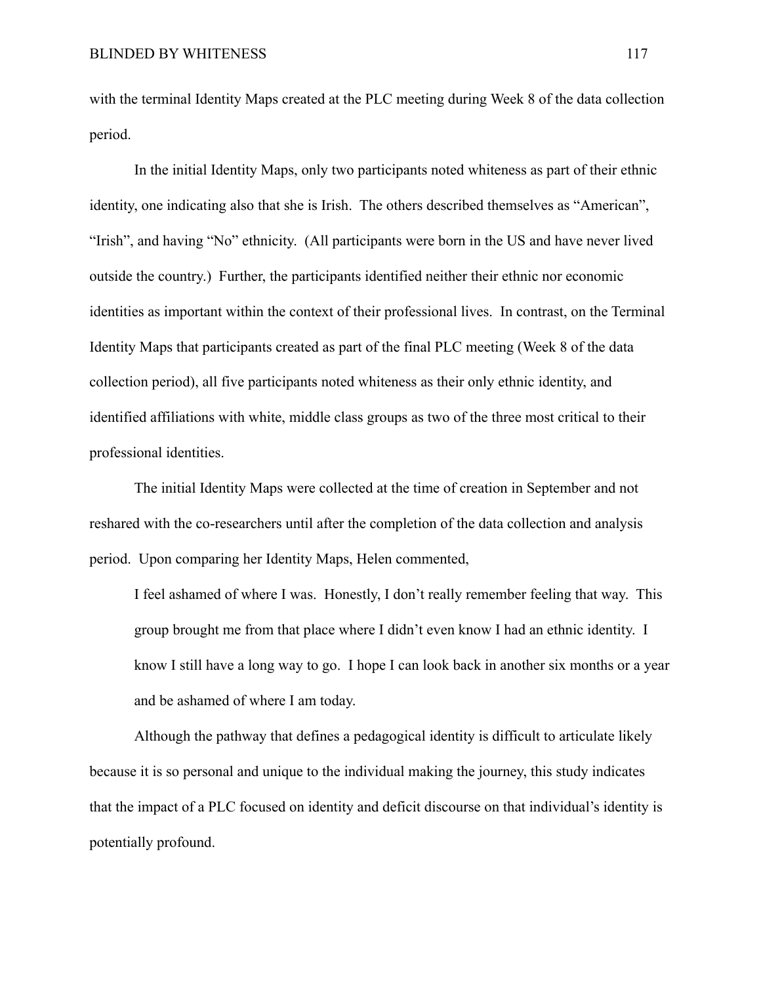with the terminal Identity Maps created at the PLC meeting during Week 8 of the data collection period.

In the initial Identity Maps, only two participants noted whiteness as part of their ethnic identity, one indicating also that she is Irish. The others described themselves as "American", "Irish", and having "No" ethnicity. (All participants were born in the US and have never lived outside the country.) Further, the participants identified neither their ethnic nor economic identities as important within the context of their professional lives. In contrast, on the Terminal Identity Maps that participants created as part of the final PLC meeting (Week 8 of the data collection period), all five participants noted whiteness as their only ethnic identity, and identified affiliations with white, middle class groups as two of the three most critical to their professional identities.

The initial Identity Maps were collected at the time of creation in September and not reshared with the co-researchers until after the completion of the data collection and analysis period. Upon comparing her Identity Maps, Helen commented,

I feel ashamed of where I was. Honestly, I don't really remember feeling that way. This group brought me from that place where I didn't even know I had an ethnic identity. I know I still have a long way to go. I hope I can look back in another six months or a year and be ashamed of where I am today.

Although the pathway that defines a pedagogical identity is difficult to articulate likely because it is so personal and unique to the individual making the journey, this study indicates that the impact of a PLC focused on identity and deficit discourse on that individual's identity is potentially profound.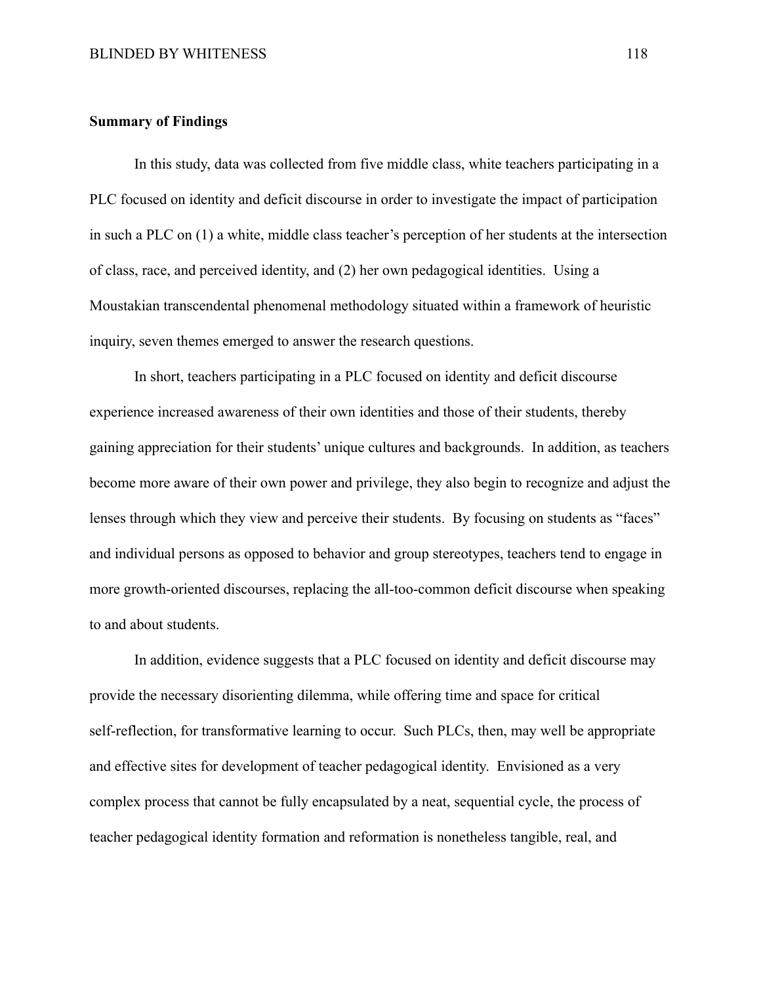### **Summary of Findings**

In this study, data was collected from five middle class, white teachers participating in a PLC focused on identity and deficit discourse in order to investigate the impact of participation in such a PLC on (1) a white, middle class teacher's perception of her students at the intersection of class, race, and perceived identity, and (2) her own pedagogical identities. Using a Moustakian transcendental phenomenal methodology situated within a framework of heuristic inquiry, seven themes emerged to answer the research questions.

In short, teachers participating in a PLC focused on identity and deficit discourse experience increased awareness of their own identities and those of their students, thereby gaining appreciation for their students' unique cultures and backgrounds. In addition, as teachers become more aware of their own power and privilege, they also begin to recognize and adjust the lenses through which they view and perceive their students. By focusing on students as "faces" and individual persons as opposed to behavior and group stereotypes, teachers tend to engage in more growth-oriented discourses, replacing the all-too-common deficit discourse when speaking to and about students.

In addition, evidence suggests that a PLC focused on identity and deficit discourse may provide the necessary disorienting dilemma, while offering time and space for critical self-reflection, for transformative learning to occur. Such PLCs, then, may well be appropriate and effective sites for development of teacher pedagogical identity. Envisioned as a very complex process that cannot be fully encapsulated by a neat, sequential cycle, the process of teacher pedagogical identity formation and reformation is nonetheless tangible, real, and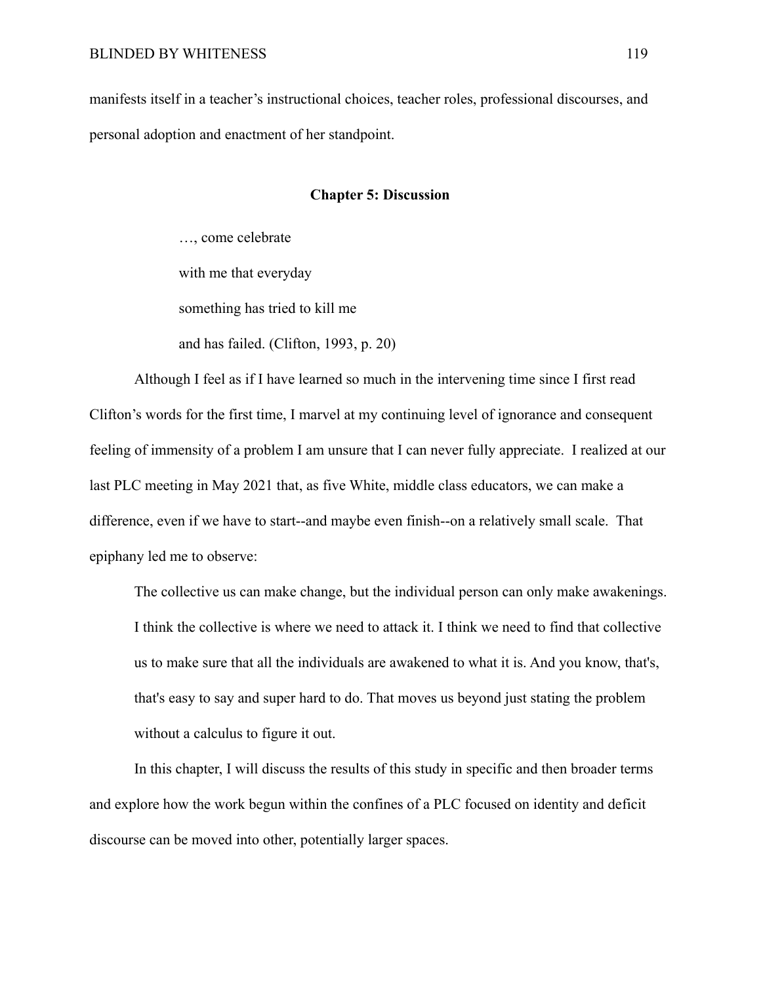manifests itself in a teacher's instructional choices, teacher roles, professional discourses, and personal adoption and enactment of her standpoint.

### **Chapter 5: Discussion**

…, come celebrate with me that everyday something has tried to kill me and has failed. (Clifton, 1993, p. 20)

Although I feel as if I have learned so much in the intervening time since I first read Clifton's words for the first time, I marvel at my continuing level of ignorance and consequent feeling of immensity of a problem I am unsure that I can never fully appreciate. I realized at our last PLC meeting in May 2021 that, as five White, middle class educators, we can make a difference, even if we have to start--and maybe even finish--on a relatively small scale. That epiphany led me to observe:

The collective us can make change, but the individual person can only make awakenings. I think the collective is where we need to attack it. I think we need to find that collective us to make sure that all the individuals are awakened to what it is. And you know, that's, that's easy to say and super hard to do. That moves us beyond just stating the problem without a calculus to figure it out.

In this chapter, I will discuss the results of this study in specific and then broader terms and explore how the work begun within the confines of a PLC focused on identity and deficit discourse can be moved into other, potentially larger spaces.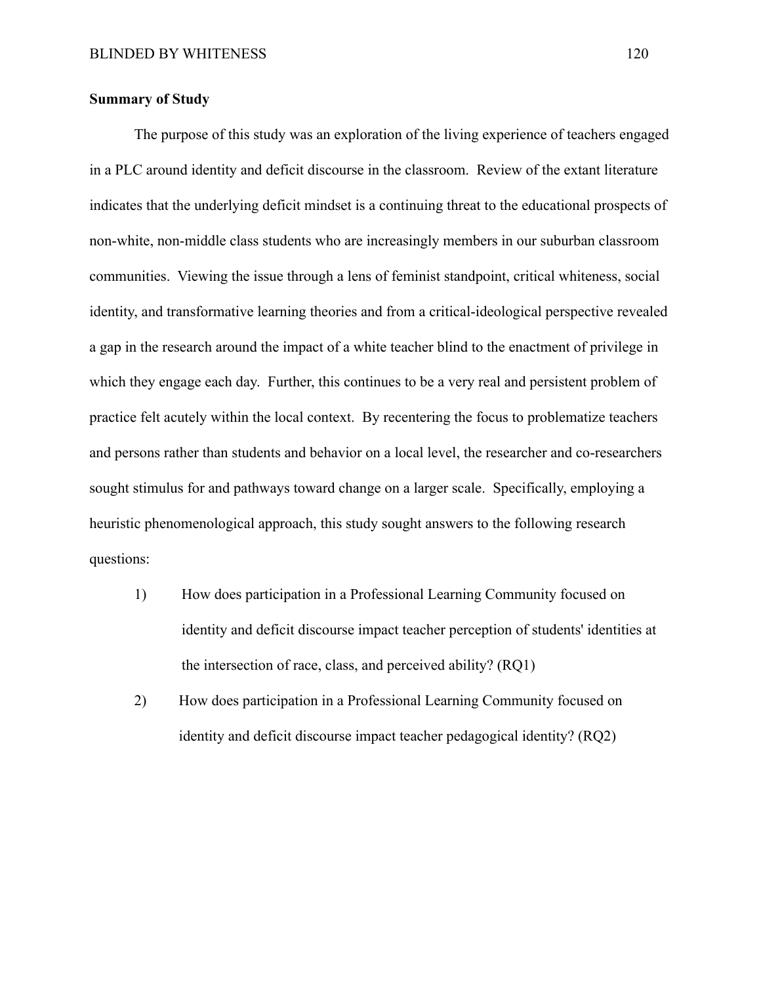### **Summary of Study**

The purpose of this study was an exploration of the living experience of teachers engaged in a PLC around identity and deficit discourse in the classroom. Review of the extant literature indicates that the underlying deficit mindset is a continuing threat to the educational prospects of non-white, non-middle class students who are increasingly members in our suburban classroom communities. Viewing the issue through a lens of feminist standpoint, critical whiteness, social identity, and transformative learning theories and from a critical-ideological perspective revealed a gap in the research around the impact of a white teacher blind to the enactment of privilege in which they engage each day. Further, this continues to be a very real and persistent problem of practice felt acutely within the local context. By recentering the focus to problematize teachers and persons rather than students and behavior on a local level, the researcher and co-researchers sought stimulus for and pathways toward change on a larger scale. Specifically, employing a heuristic phenomenological approach, this study sought answers to the following research questions:

- 1) How does participation in a Professional Learning Community focused on identity and deficit discourse impact teacher perception of students' identities at the intersection of race, class, and perceived ability? (RQ1)
- 2) How does participation in a Professional Learning Community focused on identity and deficit discourse impact teacher pedagogical identity? (RQ2)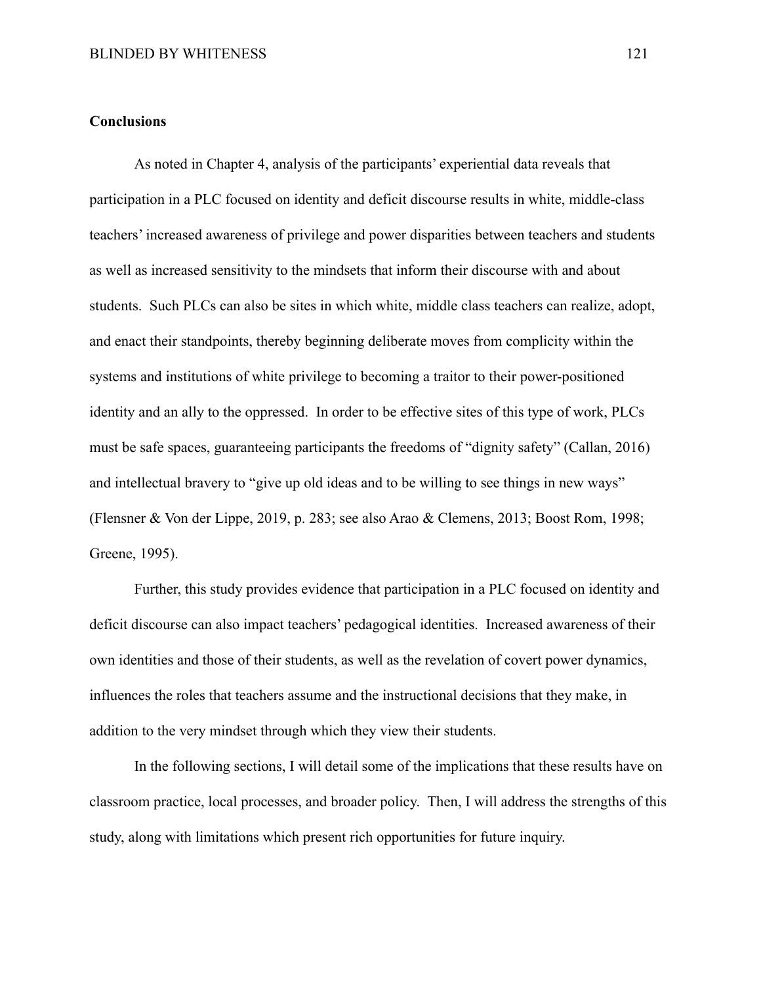### **Conclusions**

As noted in Chapter 4, analysis of the participants' experiential data reveals that participation in a PLC focused on identity and deficit discourse results in white, middle-class teachers' increased awareness of privilege and power disparities between teachers and students as well as increased sensitivity to the mindsets that inform their discourse with and about students. Such PLCs can also be sites in which white, middle class teachers can realize, adopt, and enact their standpoints, thereby beginning deliberate moves from complicity within the systems and institutions of white privilege to becoming a traitor to their power-positioned identity and an ally to the oppressed. In order to be effective sites of this type of work, PLCs must be safe spaces, guaranteeing participants the freedoms of "dignity safety" (Callan, 2016) and intellectual bravery to "give up old ideas and to be willing to see things in new ways" (Flensner & Von der Lippe, 2019, p. 283; see also Arao & Clemens, 2013; Boost Rom, 1998; Greene, 1995).

Further, this study provides evidence that participation in a PLC focused on identity and deficit discourse can also impact teachers' pedagogical identities. Increased awareness of their own identities and those of their students, as well as the revelation of covert power dynamics, influences the roles that teachers assume and the instructional decisions that they make, in addition to the very mindset through which they view their students.

In the following sections, I will detail some of the implications that these results have on classroom practice, local processes, and broader policy. Then, I will address the strengths of this study, along with limitations which present rich opportunities for future inquiry.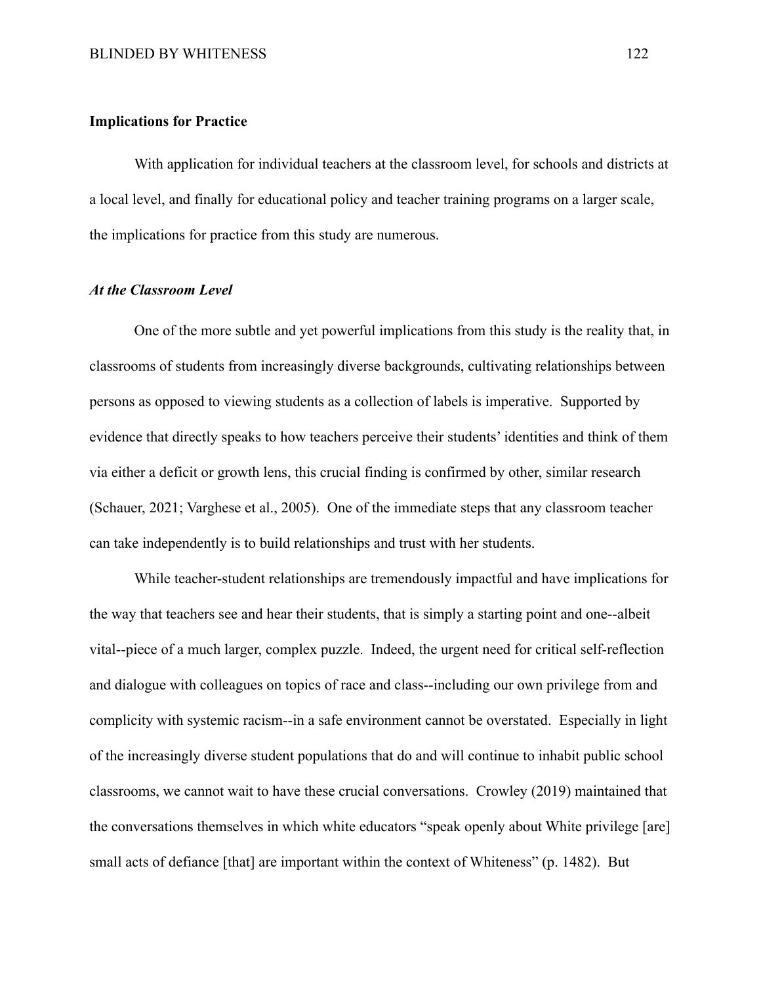### **Implications for Practice**

With application for individual teachers at the classroom level, for schools and districts at a local level, and finally for educational policy and teacher training programs on a larger scale, the implications for practice from this study are numerous.

## *At the Classroom Level*

One of the more subtle and yet powerful implications from this study is the reality that, in classrooms of students from increasingly diverse backgrounds, cultivating relationships between persons as opposed to viewing students as a collection of labels is imperative. Supported by evidence that directly speaks to how teachers perceive their students' identities and think of them via either a deficit or growth lens, this crucial finding is confirmed by other, similar research (Schauer, 2021; Varghese et al., 2005). One of the immediate steps that any classroom teacher can take independently is to build relationships and trust with her students.

While teacher-student relationships are tremendously impactful and have implications for the way that teachers see and hear their students, that is simply a starting point and one--albeit vital--piece of a much larger, complex puzzle. Indeed, the urgent need for critical self-reflection and dialogue with colleagues on topics of race and class--including our own privilege from and complicity with systemic racism--in a safe environment cannot be overstated. Especially in light of the increasingly diverse student populations that do and will continue to inhabit public school classrooms, we cannot wait to have these crucial conversations. Crowley (2019) maintained that the conversations themselves in which white educators "speak openly about White privilege [are] small acts of defiance [that] are important within the context of Whiteness" (p. 1482). But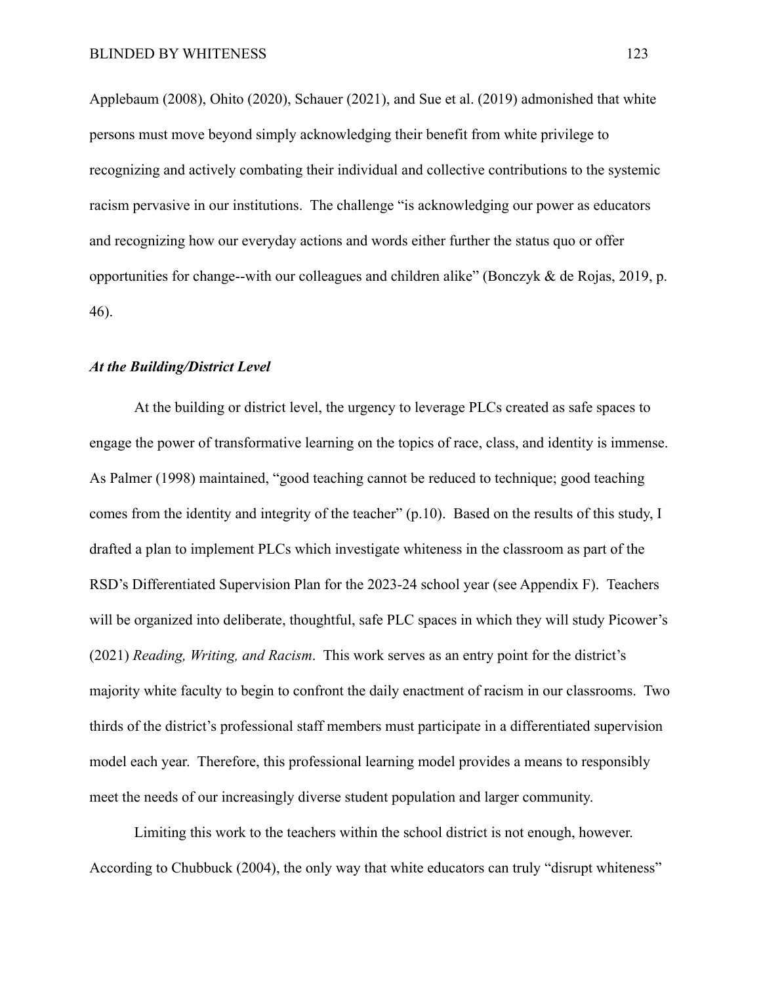Applebaum (2008), Ohito (2020), Schauer (2021), and Sue et al. (2019) admonished that white persons must move beyond simply acknowledging their benefit from white privilege to recognizing and actively combating their individual and collective contributions to the systemic racism pervasive in our institutions. The challenge "is acknowledging our power as educators and recognizing how our everyday actions and words either further the status quo or offer opportunities for change--with our colleagues and children alike" (Bonczyk & de Rojas, 2019, p. 46).

### *At the Building/District Level*

At the building or district level, the urgency to leverage PLCs created as safe spaces to engage the power of transformative learning on the topics of race, class, and identity is immense. As Palmer (1998) maintained, "good teaching cannot be reduced to technique; good teaching comes from the identity and integrity of the teacher" (p.10). Based on the results of this study, I drafted a plan to implement PLCs which investigate whiteness in the classroom as part of the RSD's Differentiated Supervision Plan for the 2023-24 school year (see Appendix F). Teachers will be organized into deliberate, thoughtful, safe PLC spaces in which they will study Picower's (2021) *Reading, Writing, and Racism*. This work serves as an entry point for the district's majority white faculty to begin to confront the daily enactment of racism in our classrooms. Two thirds of the district's professional staff members must participate in a differentiated supervision model each year. Therefore, this professional learning model provides a means to responsibly meet the needs of our increasingly diverse student population and larger community.

Limiting this work to the teachers within the school district is not enough, however. According to Chubbuck (2004), the only way that white educators can truly "disrupt whiteness"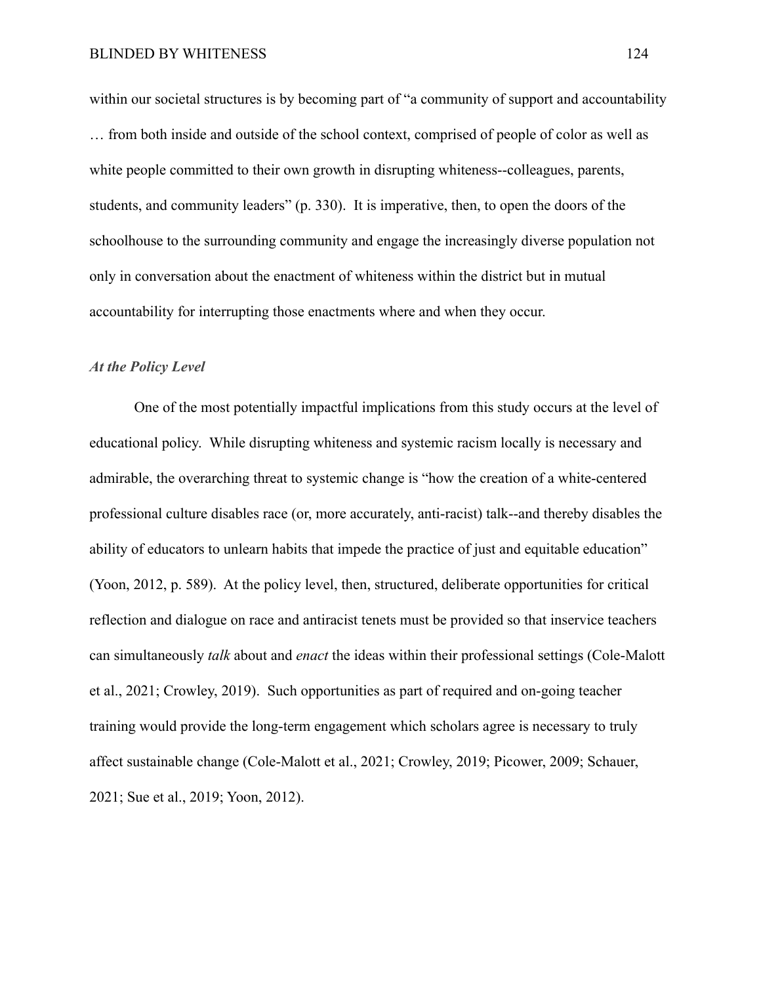within our societal structures is by becoming part of "a community of support and accountability … from both inside and outside of the school context, comprised of people of color as well as white people committed to their own growth in disrupting whiteness--colleagues, parents, students, and community leaders" (p. 330). It is imperative, then, to open the doors of the schoolhouse to the surrounding community and engage the increasingly diverse population not only in conversation about the enactment of whiteness within the district but in mutual accountability for interrupting those enactments where and when they occur.

### *At the Policy Level*

One of the most potentially impactful implications from this study occurs at the level of educational policy. While disrupting whiteness and systemic racism locally is necessary and admirable, the overarching threat to systemic change is "how the creation of a white-centered professional culture disables race (or, more accurately, anti-racist) talk--and thereby disables the ability of educators to unlearn habits that impede the practice of just and equitable education" (Yoon, 2012, p. 589). At the policy level, then, structured, deliberate opportunities for critical reflection and dialogue on race and antiracist tenets must be provided so that inservice teachers can simultaneously *talk* about and *enact* the ideas within their professional settings (Cole-Malott et al., 2021; Crowley, 2019). Such opportunities as part of required and on-going teacher training would provide the long-term engagement which scholars agree is necessary to truly affect sustainable change (Cole-Malott et al., 2021; Crowley, 2019; Picower, 2009; Schauer, 2021; Sue et al., 2019; Yoon, 2012).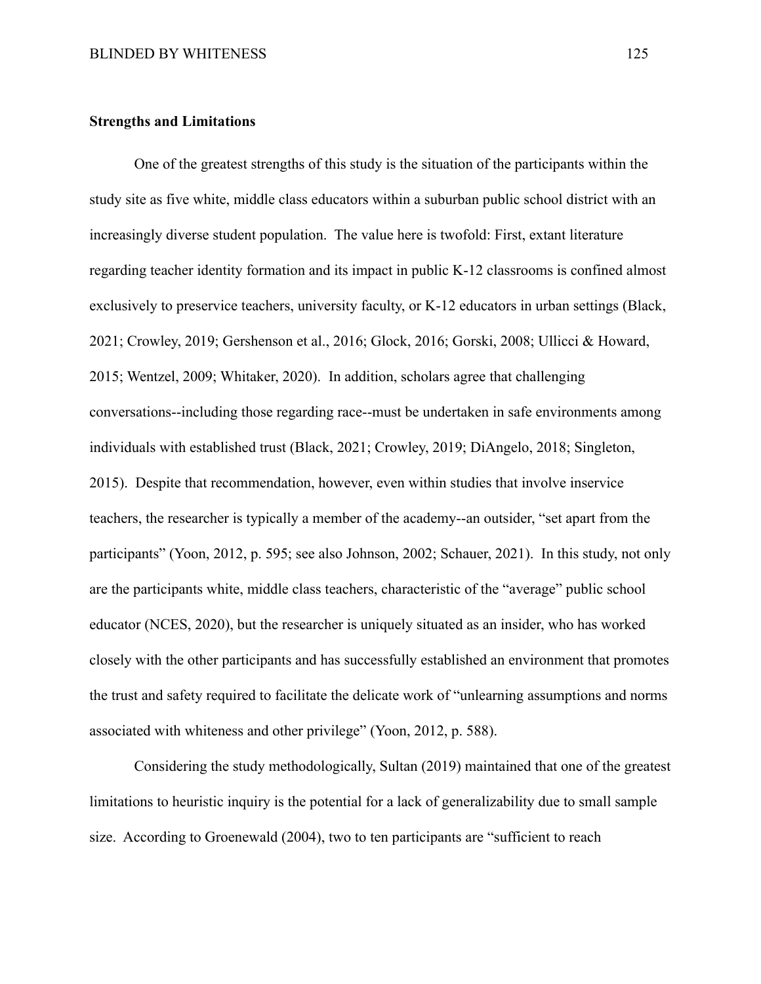### **Strengths and Limitations**

One of the greatest strengths of this study is the situation of the participants within the study site as five white, middle class educators within a suburban public school district with an increasingly diverse student population. The value here is twofold: First, extant literature regarding teacher identity formation and its impact in public K-12 classrooms is confined almost exclusively to preservice teachers, university faculty, or K-12 educators in urban settings (Black, 2021; Crowley, 2019; Gershenson et al., 2016; Glock, 2016; Gorski, 2008; Ullicci & Howard, 2015; Wentzel, 2009; Whitaker, 2020). In addition, scholars agree that challenging conversations--including those regarding race--must be undertaken in safe environments among individuals with established trust (Black, 2021; Crowley, 2019; DiAngelo, 2018; Singleton, 2015). Despite that recommendation, however, even within studies that involve inservice teachers, the researcher is typically a member of the academy--an outsider, "set apart from the participants" (Yoon, 2012, p. 595; see also Johnson, 2002; Schauer, 2021). In this study, not only are the participants white, middle class teachers, characteristic of the "average" public school educator (NCES, 2020), but the researcher is uniquely situated as an insider, who has worked closely with the other participants and has successfully established an environment that promotes the trust and safety required to facilitate the delicate work of "unlearning assumptions and norms associated with whiteness and other privilege" (Yoon, 2012, p. 588).

Considering the study methodologically, Sultan (2019) maintained that one of the greatest limitations to heuristic inquiry is the potential for a lack of generalizability due to small sample size. According to Groenewald (2004), two to ten participants are "sufficient to reach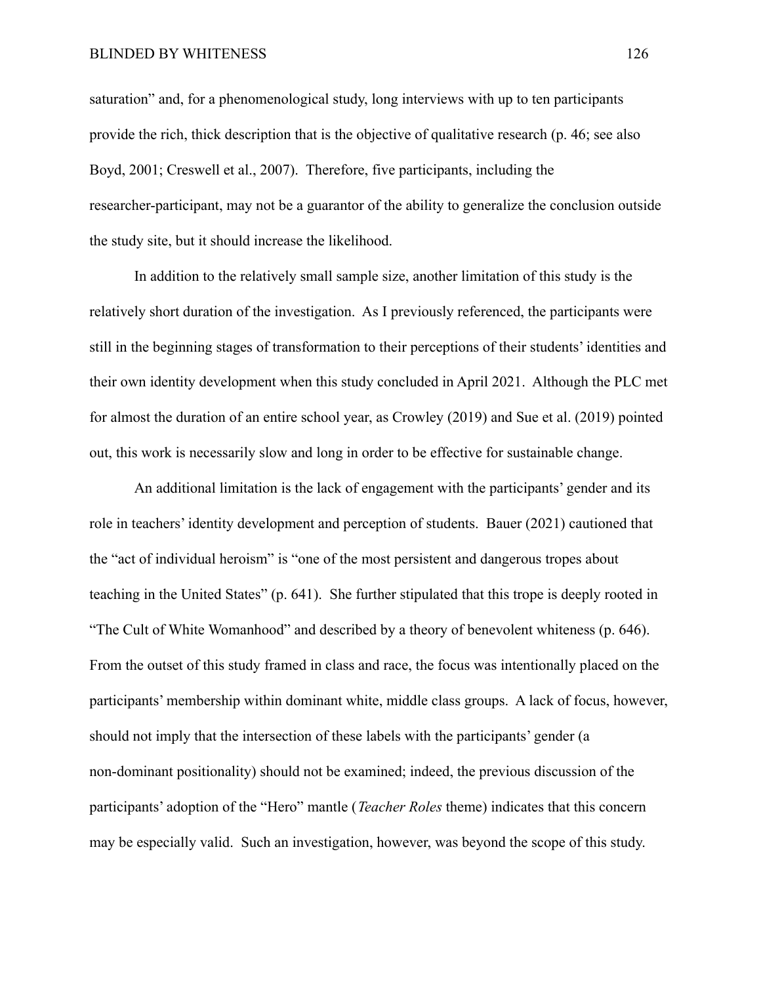### BLINDED BY WHITENESS 126

saturation" and, for a phenomenological study, long interviews with up to ten participants provide the rich, thick description that is the objective of qualitative research (p. 46; see also Boyd, 2001; Creswell et al., 2007). Therefore, five participants, including the researcher-participant, may not be a guarantor of the ability to generalize the conclusion outside the study site, but it should increase the likelihood.

In addition to the relatively small sample size, another limitation of this study is the relatively short duration of the investigation. As I previously referenced, the participants were still in the beginning stages of transformation to their perceptions of their students' identities and their own identity development when this study concluded in April 2021. Although the PLC met for almost the duration of an entire school year, as Crowley (2019) and Sue et al. (2019) pointed out, this work is necessarily slow and long in order to be effective for sustainable change.

An additional limitation is the lack of engagement with the participants' gender and its role in teachers' identity development and perception of students. Bauer (2021) cautioned that the "act of individual heroism" is "one of the most persistent and dangerous tropes about teaching in the United States" (p. 641). She further stipulated that this trope is deeply rooted in "The Cult of White Womanhood" and described by a theory of benevolent whiteness (p. 646). From the outset of this study framed in class and race, the focus was intentionally placed on the participants' membership within dominant white, middle class groups. A lack of focus, however, should not imply that the intersection of these labels with the participants' gender (a non-dominant positionality) should not be examined; indeed, the previous discussion of the participants' adoption of the "Hero" mantle (*Teacher Roles* theme) indicates that this concern may be especially valid. Such an investigation, however, was beyond the scope of this study.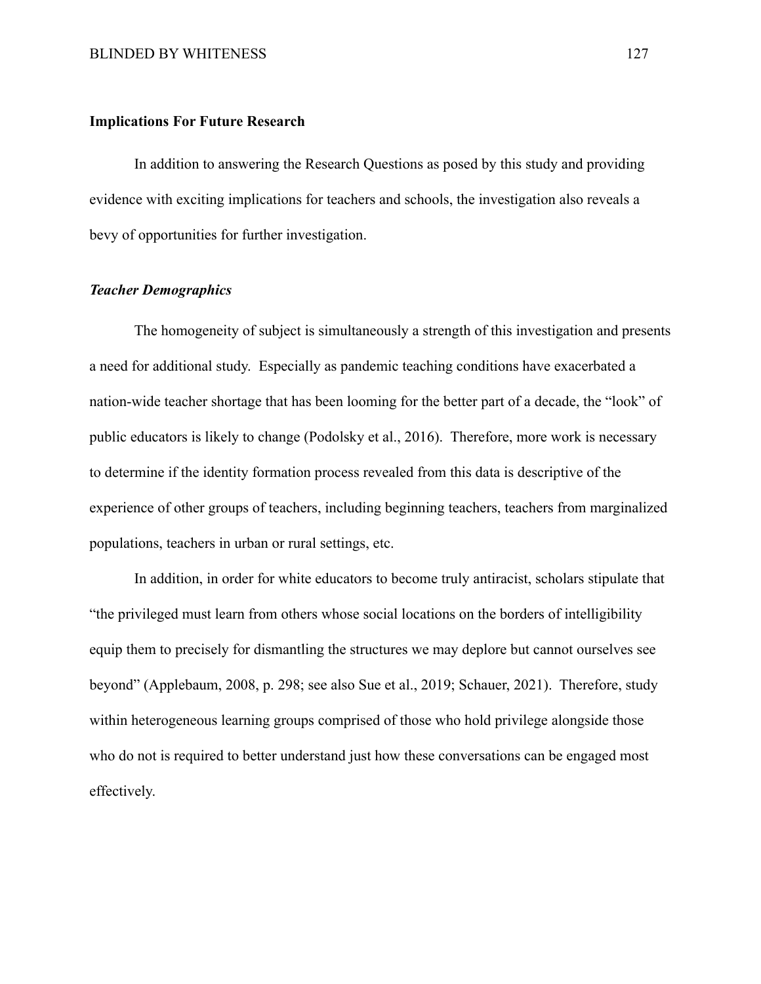### **Implications For Future Research**

In addition to answering the Research Questions as posed by this study and providing evidence with exciting implications for teachers and schools, the investigation also reveals a bevy of opportunities for further investigation.

## *Teacher Demographics*

The homogeneity of subject is simultaneously a strength of this investigation and presents a need for additional study. Especially as pandemic teaching conditions have exacerbated a nation-wide teacher shortage that has been looming for the better part of a decade, the "look" of public educators is likely to change (Podolsky et al., 2016). Therefore, more work is necessary to determine if the identity formation process revealed from this data is descriptive of the experience of other groups of teachers, including beginning teachers, teachers from marginalized populations, teachers in urban or rural settings, etc.

In addition, in order for white educators to become truly antiracist, scholars stipulate that "the privileged must learn from others whose social locations on the borders of intelligibility equip them to precisely for dismantling the structures we may deplore but cannot ourselves see beyond" (Applebaum, 2008, p. 298; see also Sue et al., 2019; Schauer, 2021). Therefore, study within heterogeneous learning groups comprised of those who hold privilege alongside those who do not is required to better understand just how these conversations can be engaged most effectively.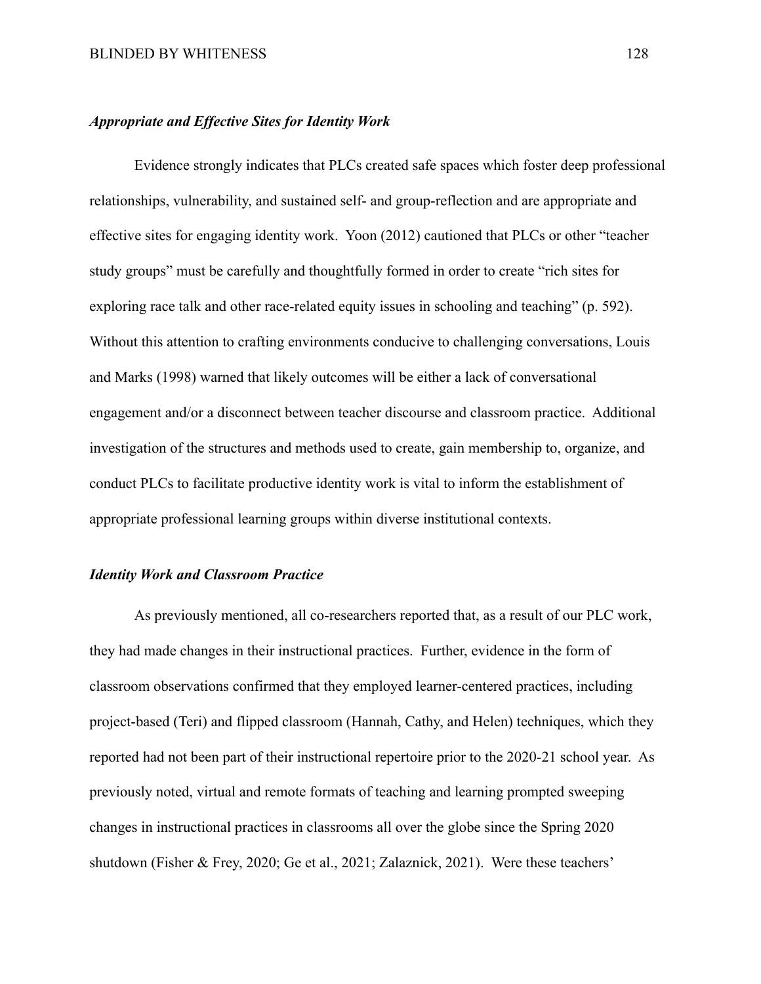### *Appropriate and Effective Sites for Identity Work*

Evidence strongly indicates that PLCs created safe spaces which foster deep professional relationships, vulnerability, and sustained self- and group-reflection and are appropriate and effective sites for engaging identity work. Yoon (2012) cautioned that PLCs or other "teacher study groups" must be carefully and thoughtfully formed in order to create "rich sites for exploring race talk and other race-related equity issues in schooling and teaching" (p. 592). Without this attention to crafting environments conducive to challenging conversations, Louis and Marks (1998) warned that likely outcomes will be either a lack of conversational engagement and/or a disconnect between teacher discourse and classroom practice. Additional investigation of the structures and methods used to create, gain membership to, organize, and conduct PLCs to facilitate productive identity work is vital to inform the establishment of appropriate professional learning groups within diverse institutional contexts.

# *Identity Work and Classroom Practice*

As previously mentioned, all co-researchers reported that, as a result of our PLC work, they had made changes in their instructional practices. Further, evidence in the form of classroom observations confirmed that they employed learner-centered practices, including project-based (Teri) and flipped classroom (Hannah, Cathy, and Helen) techniques, which they reported had not been part of their instructional repertoire prior to the 2020-21 school year. As previously noted, virtual and remote formats of teaching and learning prompted sweeping changes in instructional practices in classrooms all over the globe since the Spring 2020 shutdown (Fisher & Frey, 2020; Ge et al., 2021; Zalaznick, 2021). Were these teachers'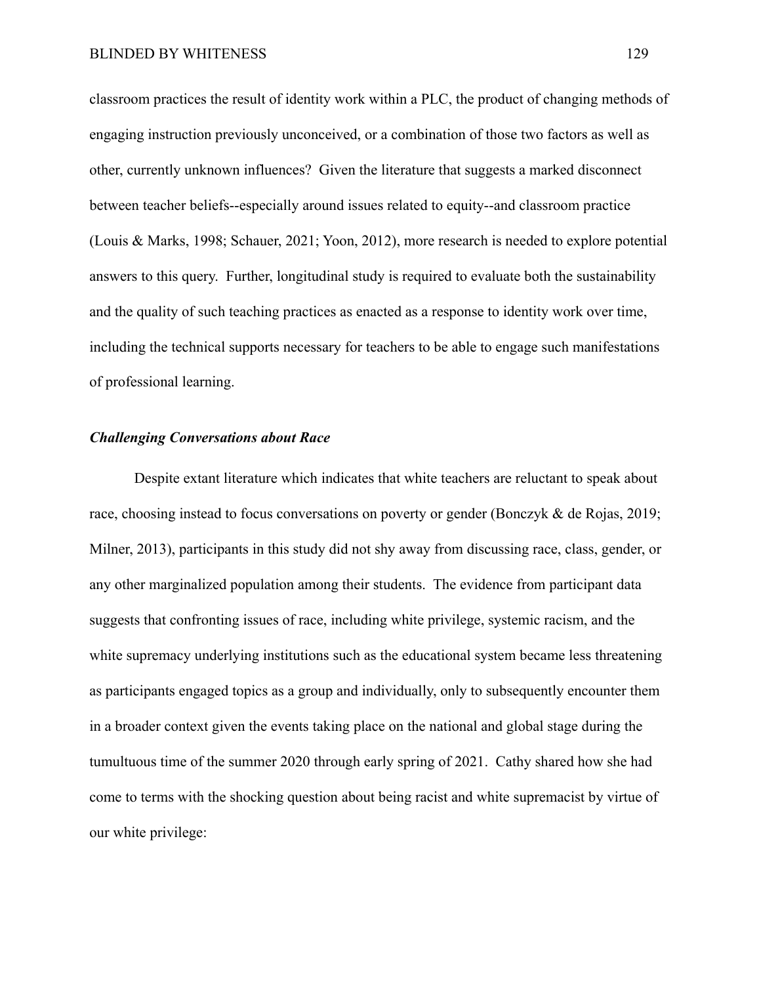classroom practices the result of identity work within a PLC, the product of changing methods of engaging instruction previously unconceived, or a combination of those two factors as well as other, currently unknown influences? Given the literature that suggests a marked disconnect between teacher beliefs--especially around issues related to equity--and classroom practice (Louis & Marks, 1998; Schauer, 2021; Yoon, 2012), more research is needed to explore potential answers to this query. Further, longitudinal study is required to evaluate both the sustainability and the quality of such teaching practices as enacted as a response to identity work over time, including the technical supports necessary for teachers to be able to engage such manifestations of professional learning.

# *Challenging Conversations about Race*

Despite extant literature which indicates that white teachers are reluctant to speak about race, choosing instead to focus conversations on poverty or gender (Bonczyk & de Rojas, 2019; Milner, 2013), participants in this study did not shy away from discussing race, class, gender, or any other marginalized population among their students. The evidence from participant data suggests that confronting issues of race, including white privilege, systemic racism, and the white supremacy underlying institutions such as the educational system became less threatening as participants engaged topics as a group and individually, only to subsequently encounter them in a broader context given the events taking place on the national and global stage during the tumultuous time of the summer 2020 through early spring of 2021. Cathy shared how she had come to terms with the shocking question about being racist and white supremacist by virtue of our white privilege: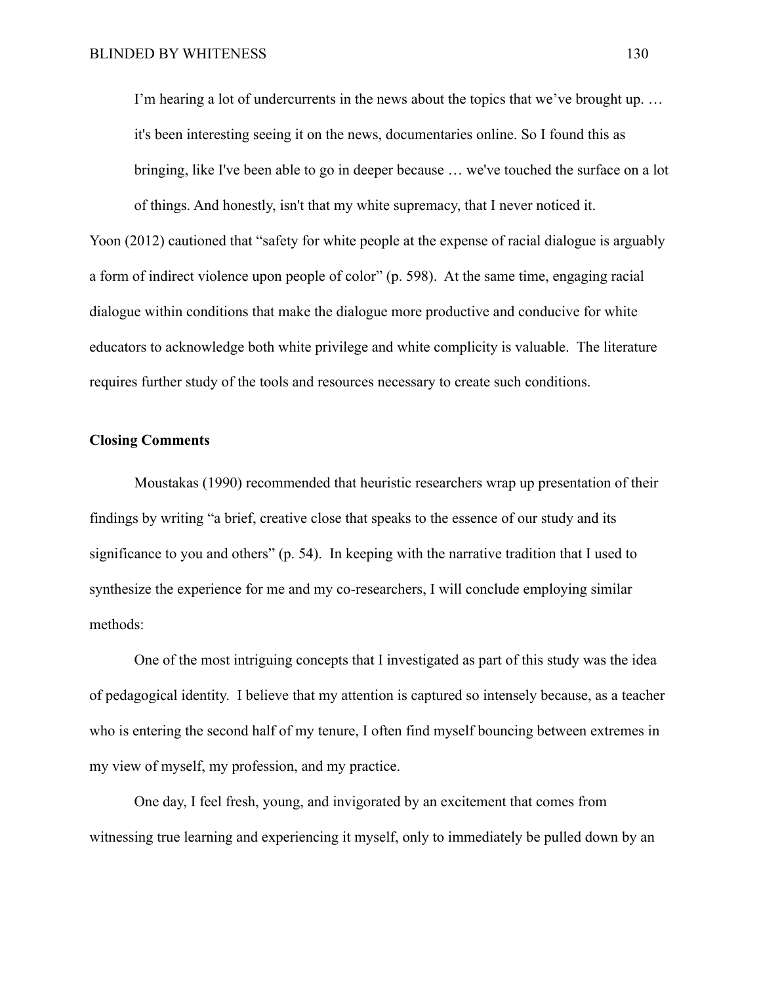I'm hearing a lot of undercurrents in the news about the topics that we've brought up... it's been interesting seeing it on the news, documentaries online. So I found this as bringing, like I've been able to go in deeper because … we've touched the surface on a lot of things. And honestly, isn't that my white supremacy, that I never noticed it.

Yoon (2012) cautioned that "safety for white people at the expense of racial dialogue is arguably a form of indirect violence upon people of color" (p. 598). At the same time, engaging racial dialogue within conditions that make the dialogue more productive and conducive for white educators to acknowledge both white privilege and white complicity is valuable. The literature requires further study of the tools and resources necessary to create such conditions.

# **Closing Comments**

Moustakas (1990) recommended that heuristic researchers wrap up presentation of their findings by writing "a brief, creative close that speaks to the essence of our study and its significance to you and others" (p. 54). In keeping with the narrative tradition that I used to synthesize the experience for me and my co-researchers, I will conclude employing similar methods:

One of the most intriguing concepts that I investigated as part of this study was the idea of pedagogical identity. I believe that my attention is captured so intensely because, as a teacher who is entering the second half of my tenure, I often find myself bouncing between extremes in my view of myself, my profession, and my practice.

One day, I feel fresh, young, and invigorated by an excitement that comes from witnessing true learning and experiencing it myself, only to immediately be pulled down by an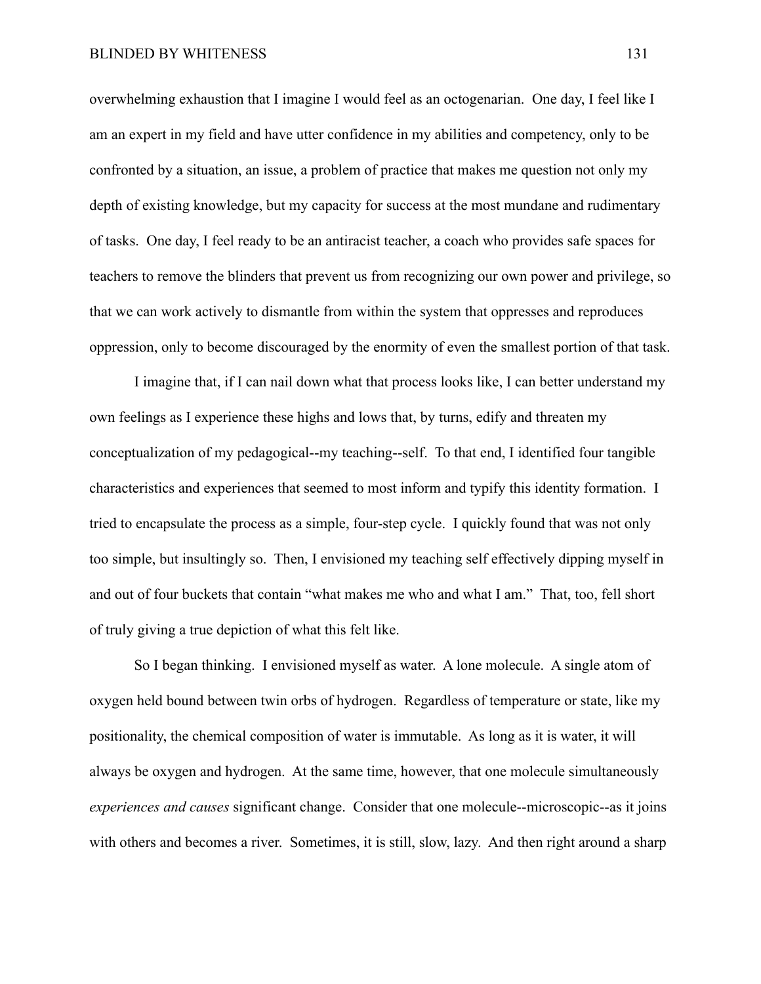overwhelming exhaustion that I imagine I would feel as an octogenarian. One day, I feel like I am an expert in my field and have utter confidence in my abilities and competency, only to be confronted by a situation, an issue, a problem of practice that makes me question not only my depth of existing knowledge, but my capacity for success at the most mundane and rudimentary of tasks. One day, I feel ready to be an antiracist teacher, a coach who provides safe spaces for teachers to remove the blinders that prevent us from recognizing our own power and privilege, so that we can work actively to dismantle from within the system that oppresses and reproduces oppression, only to become discouraged by the enormity of even the smallest portion of that task.

I imagine that, if I can nail down what that process looks like, I can better understand my own feelings as I experience these highs and lows that, by turns, edify and threaten my conceptualization of my pedagogical--my teaching--self. To that end, I identified four tangible characteristics and experiences that seemed to most inform and typify this identity formation. I tried to encapsulate the process as a simple, four-step cycle. I quickly found that was not only too simple, but insultingly so. Then, I envisioned my teaching self effectively dipping myself in and out of four buckets that contain "what makes me who and what I am." That, too, fell short of truly giving a true depiction of what this felt like.

So I began thinking. I envisioned myself as water. A lone molecule. A single atom of oxygen held bound between twin orbs of hydrogen. Regardless of temperature or state, like my positionality, the chemical composition of water is immutable. As long as it is water, it will always be oxygen and hydrogen. At the same time, however, that one molecule simultaneously *experiences and causes* significant change. Consider that one molecule--microscopic--as it joins with others and becomes a river. Sometimes, it is still, slow, lazy. And then right around a sharp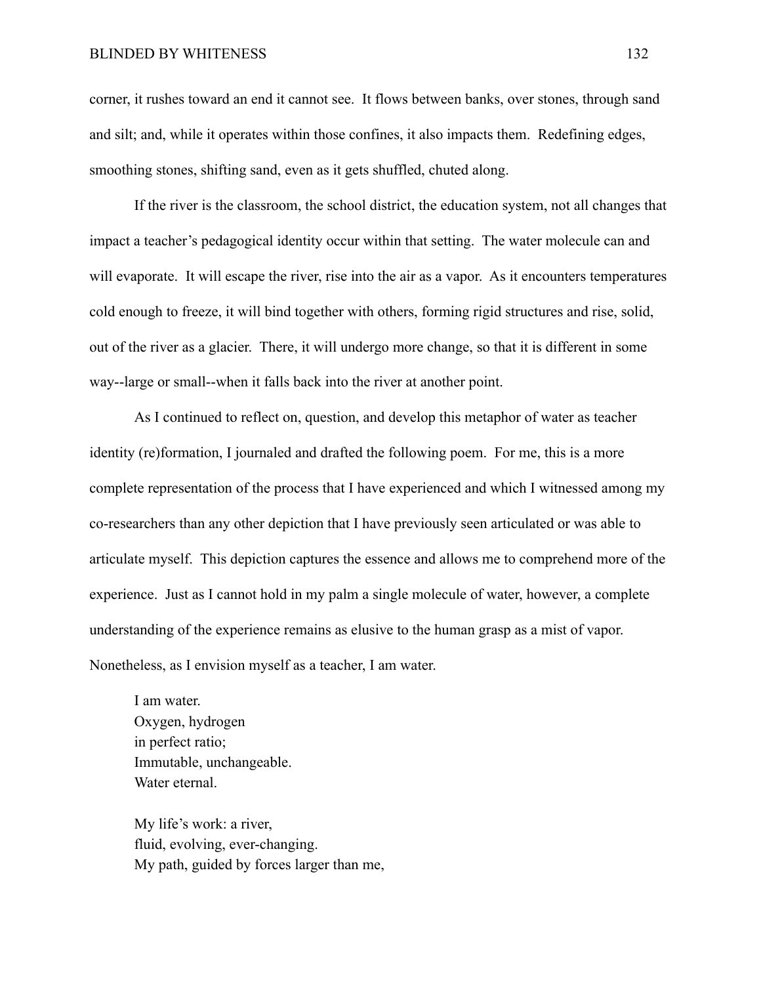corner, it rushes toward an end it cannot see. It flows between banks, over stones, through sand and silt; and, while it operates within those confines, it also impacts them. Redefining edges, smoothing stones, shifting sand, even as it gets shuffled, chuted along.

If the river is the classroom, the school district, the education system, not all changes that impact a teacher's pedagogical identity occur within that setting. The water molecule can and will evaporate. It will escape the river, rise into the air as a vapor. As it encounters temperatures cold enough to freeze, it will bind together with others, forming rigid structures and rise, solid, out of the river as a glacier. There, it will undergo more change, so that it is different in some way--large or small--when it falls back into the river at another point.

As I continued to reflect on, question, and develop this metaphor of water as teacher identity (re)formation, I journaled and drafted the following poem. For me, this is a more complete representation of the process that I have experienced and which I witnessed among my co-researchers than any other depiction that I have previously seen articulated or was able to articulate myself. This depiction captures the essence and allows me to comprehend more of the experience. Just as I cannot hold in my palm a single molecule of water, however, a complete understanding of the experience remains as elusive to the human grasp as a mist of vapor. Nonetheless, as I envision myself as a teacher, I am water.

I am water. Oxygen, hydrogen in perfect ratio; Immutable, unchangeable. Water eternal.

My life's work: a river, fluid, evolving, ever-changing. My path, guided by forces larger than me,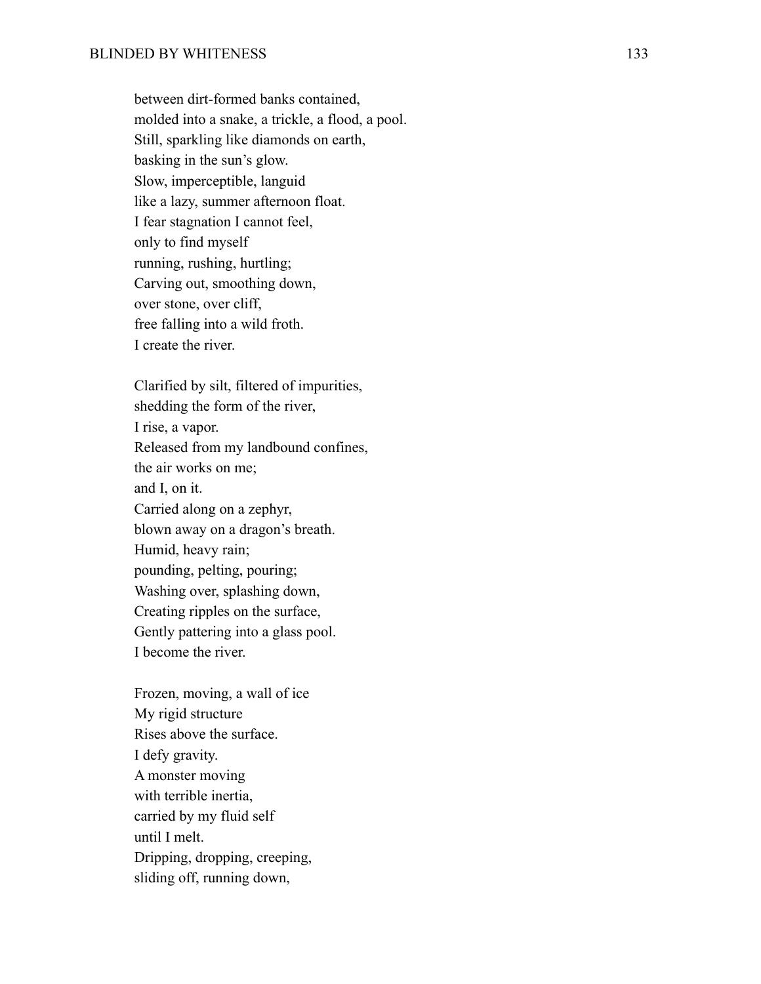between dirt-formed banks contained, molded into a snake, a trickle, a flood, a pool. Still, sparkling like diamonds on earth, basking in the sun's glow. Slow, imperceptible, languid like a lazy, summer afternoon float. I fear stagnation I cannot feel, only to find myself running, rushing, hurtling; Carving out, smoothing down, over stone, over cliff, free falling into a wild froth. I create the river.

Clarified by silt, filtered of impurities, shedding the form of the river, I rise, a vapor. Released from my landbound confines, the air works on me; and I, on it. Carried along on a zephyr, blown away on a dragon's breath. Humid, heavy rain; pounding, pelting, pouring; Washing over, splashing down, Creating ripples on the surface, Gently pattering into a glass pool. I become the river.

Frozen, moving, a wall of ice My rigid structure Rises above the surface. I defy gravity. A monster moving with terrible inertia, carried by my fluid self until I melt. Dripping, dropping, creeping, sliding off, running down,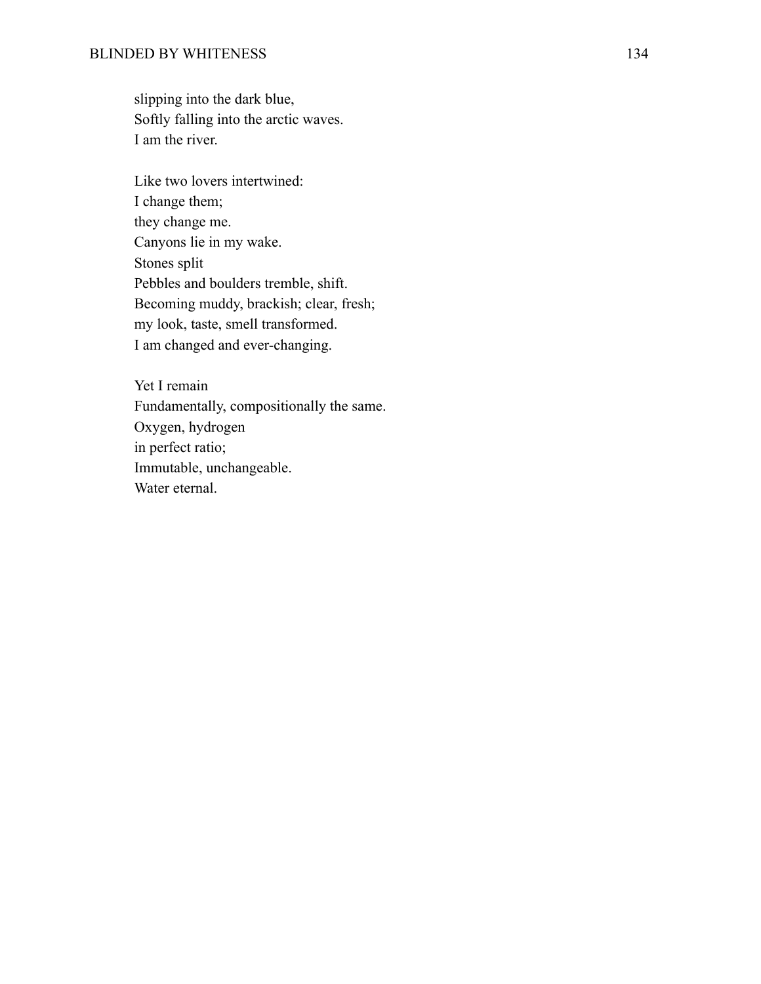slipping into the dark blue, Softly falling into the arctic waves. I am the river.

Like two lovers intertwined: I change them; they change me. Canyons lie in my wake. Stones split Pebbles and boulders tremble, shift. Becoming muddy, brackish; clear, fresh; my look, taste, smell transformed. I am changed and ever-changing.

Yet I remain Fundamentally, compositionally the same. Oxygen, hydrogen in perfect ratio; Immutable, unchangeable. Water eternal.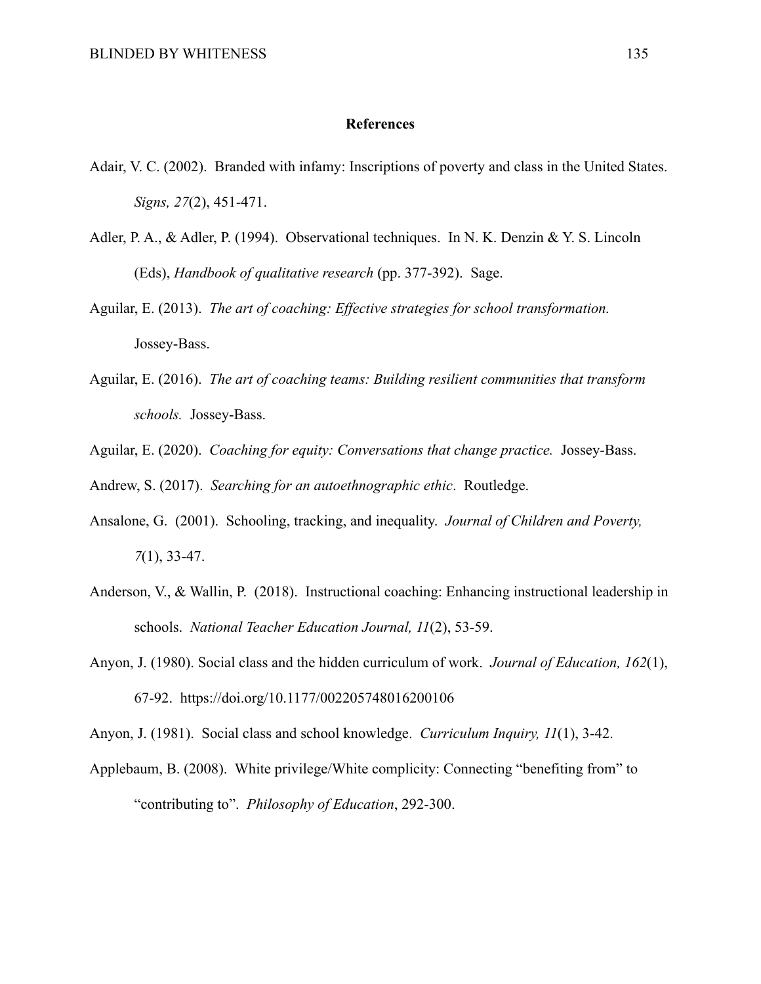# **References**

- Adair, V. C. (2002). Branded with infamy: Inscriptions of poverty and class in the United States. *Signs, 27*(2), 451-471.
- Adler, P. A., & Adler, P. (1994). Observational techniques. In N. K. Denzin & Y. S. Lincoln (Eds), *Handbook of qualitative research* (pp. 377-392). Sage.
- Aguilar, E. (2013). *The art of coaching: Effective strategies for school transformation.* Jossey-Bass.
- Aguilar, E. (2016). *The art of coaching teams: Building resilient communities that transform schools.* Jossey-Bass.
- Aguilar, E. (2020). *Coaching for equity: Conversations that change practice.* Jossey-Bass.
- Andrew, S. (2017). *Searching for an autoethnographic ethic*. Routledge.
- Ansalone, G. (2001). Schooling, tracking, and inequality. *Journal of Children and Poverty, 7*(1), 33-47.
- Anderson, V., & Wallin, P. (2018). Instructional coaching: Enhancing instructional leadership in schools. *National Teacher Education Journal, 11*(2), 53-59.
- Anyon, J. (1980). Social class and the hidden curriculum of work. *Journal of Education, 162*(1), 67-92. https://doi.org/10.1177/002205748016200106

Anyon, J. (1981). Social class and school knowledge. *Curriculum Inquiry, 11*(1), 3-42.

Applebaum, B. (2008). White privilege/White complicity: Connecting "benefiting from" to "contributing to". *Philosophy of Education*, 292-300.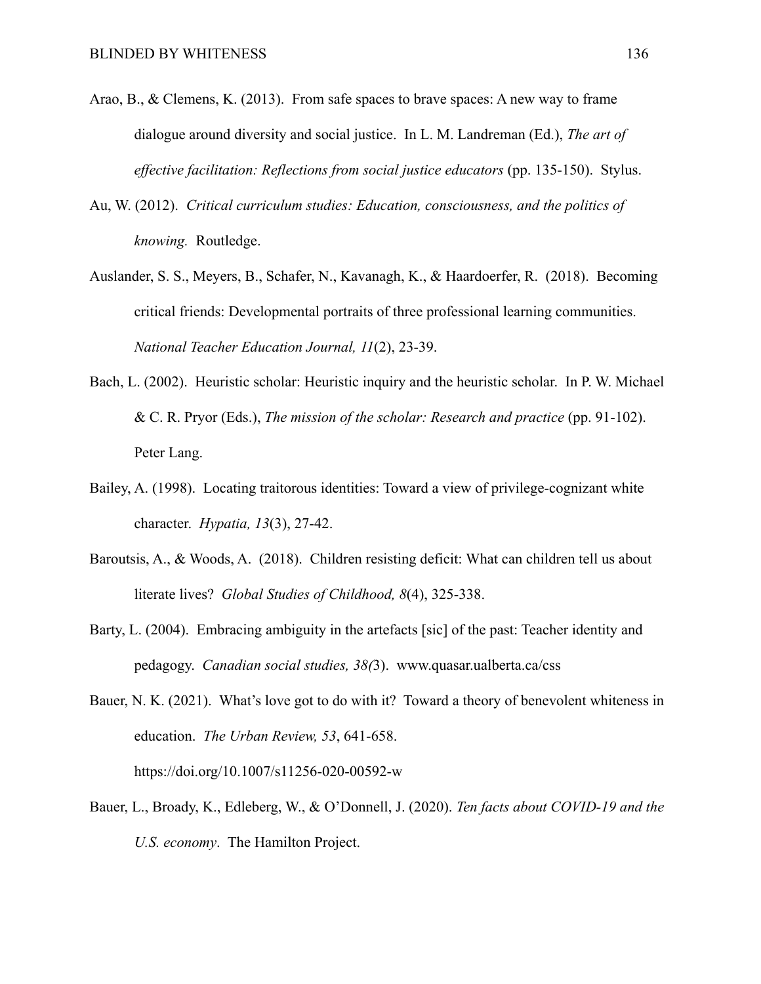- Arao, B., & Clemens, K. (2013). From safe spaces to brave spaces: A new way to frame dialogue around diversity and social justice. In L. M. Landreman (Ed.), *The art of effective facilitation: Reflections from social justice educators* (pp. 135-150). Stylus.
- Au, W. (2012). *Critical curriculum studies: Education, consciousness, and the politics of knowing.* Routledge.
- Auslander, S. S., Meyers, B., Schafer, N., Kavanagh, K., & Haardoerfer, R. (2018). Becoming critical friends: Developmental portraits of three professional learning communities. *National Teacher Education Journal, 11*(2), 23-39.
- Bach, L. (2002). Heuristic scholar: Heuristic inquiry and the heuristic scholar. In P. W. Michael & C. R. Pryor (Eds.), *The mission of the scholar: Research and practice* (pp. 91-102). Peter Lang.
- Bailey, A. (1998). Locating traitorous identities: Toward a view of privilege-cognizant white character. *Hypatia, 13*(3), 27-42.
- Baroutsis, A., & Woods, A. (2018). Children resisting deficit: What can children tell us about literate lives? *Global Studies of Childhood, 8*(4), 325-338.
- Barty, L. (2004). Embracing ambiguity in the artefacts [sic] of the past: Teacher identity and pedagogy. *Canadian social studies, 38(*3). www.quasar.ualberta.ca/css
- Bauer, N. K. (2021). What's love got to do with it? Toward a theory of benevolent whiteness in education. *The Urban Review, 53*, 641-658. https://doi.org/10.1007/s11256-020-00592-w
- Bauer, L., Broady, K., Edleberg, W., & O'Donnell, J. (2020). *Ten facts about COVID-19 and the U.S. economy*. The Hamilton Project.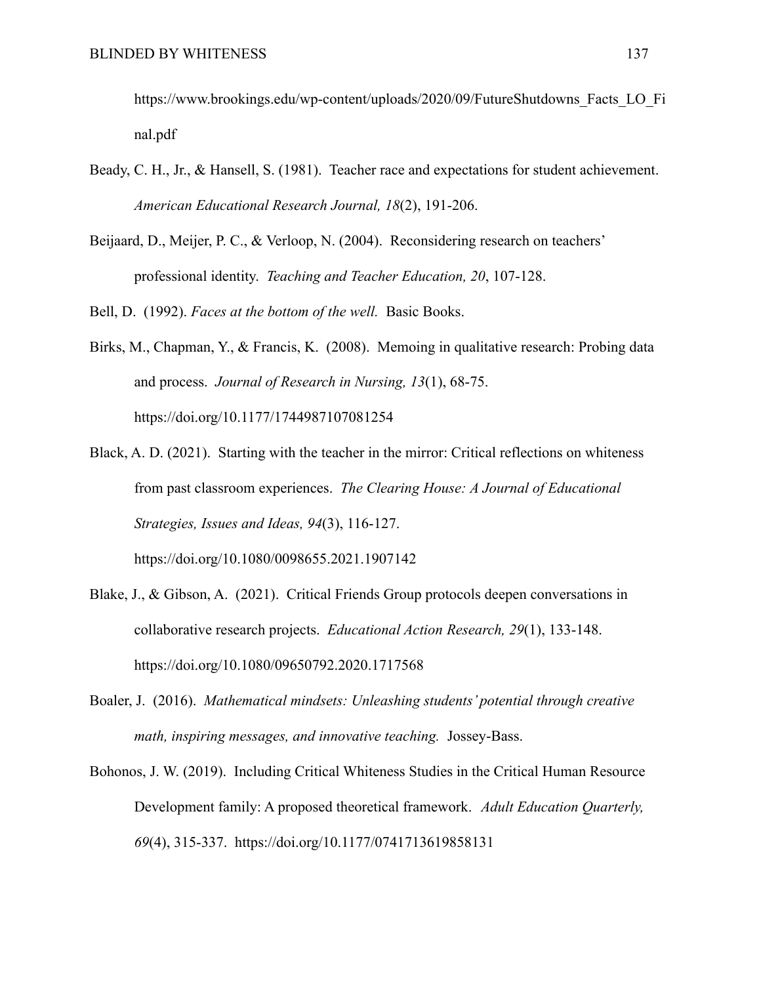https://www.brookings.edu/wp-content/uploads/2020/09/FutureShutdowns\_Facts\_LO\_Fi nal.pdf

- Beady, C. H., Jr., & Hansell, S. (1981). Teacher race and expectations for student achievement. *American Educational Research Journal, 18*(2), 191-206.
- Beijaard, D., Meijer, P. C., & Verloop, N. (2004). Reconsidering research on teachers' professional identity. *Teaching and Teacher Education, 20*, 107-128.

Bell, D. (1992). *Faces at the bottom of the well.* Basic Books.

- Birks, M., Chapman, Y., & Francis, K. (2008). Memoing in qualitative research: Probing data and process. *Journal of Research in Nursing, 13*(1), 68-75. https://doi.org/10.1177/1744987107081254
- Black, A. D. (2021). Starting with the teacher in the mirror: Critical reflections on whiteness from past classroom experiences. *The Clearing House: A Journal of Educational Strategies, Issues and Ideas, 94*(3), 116-127.

https://doi.org/10.1080/0098655.2021.1907142

- Blake, J., & Gibson, A. (2021). Critical Friends Group protocols deepen conversations in collaborative research projects. *Educational Action Research, 29*(1), 133-148. https://doi.org/10.1080/09650792.2020.1717568
- Boaler, J. (2016). *Mathematical mindsets: Unleashing students' potential through creative math, inspiring messages, and innovative teaching.* Jossey-Bass.
- Bohonos, J. W. (2019). Including Critical Whiteness Studies in the Critical Human Resource Development family: A proposed theoretical framework. *Adult Education Quarterly, 69*(4), 315-337. https://doi.org/10.1177/0741713619858131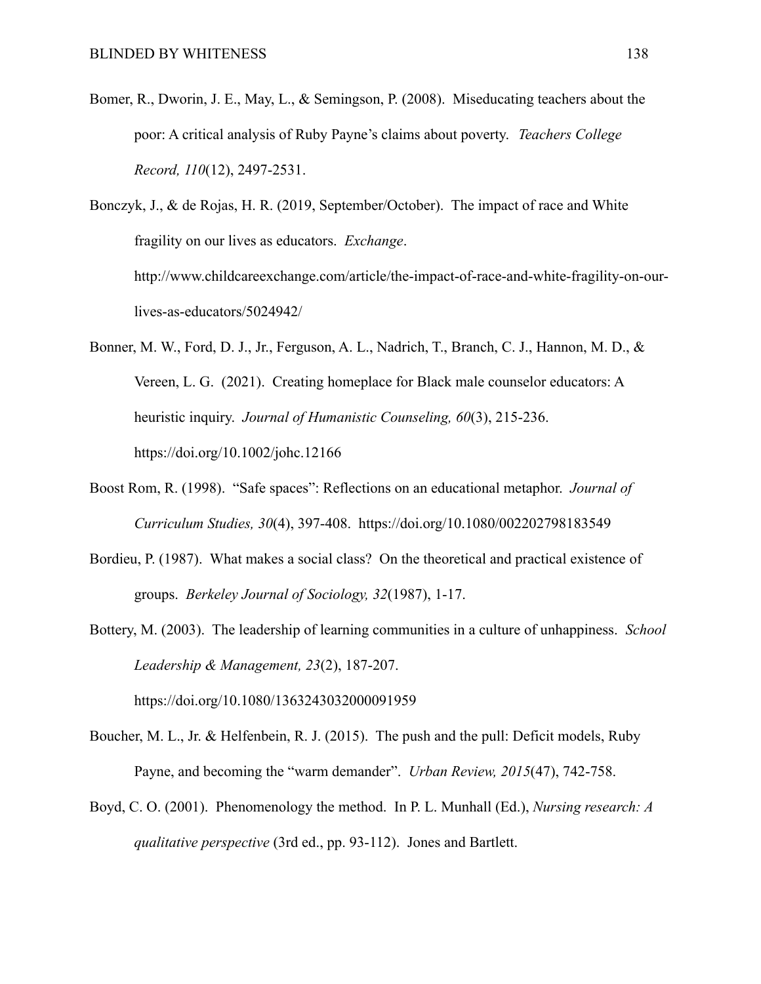Bomer, R., Dworin, J. E., May, L., & Semingson, P. (2008). Miseducating teachers about the poor: A critical analysis of Ruby Payne's claims about poverty. *Teachers College Record, 110*(12), 2497-2531.

Bonczyk, J., & de Rojas, H. R. (2019, September/October). The impact of race and White fragility on our lives as educators. *Exchange*. http://www.childcareexchange.com/article/the-impact-of-race-and-white-fragility-on-ourlives-as-educators/5024942/

- Bonner, M. W., Ford, D. J., Jr., Ferguson, A. L., Nadrich, T., Branch, C. J., Hannon, M. D., & Vereen, L. G. (2021). Creating homeplace for Black male counselor educators: A heuristic inquiry. *Journal of Humanistic Counseling, 60*(3), 215-236. https://doi.org/10.1002/johc.12166
- Boost Rom, R. (1998). "Safe spaces": Reflections on an educational metaphor. *Journal of Curriculum Studies, 30*(4), 397-408. https://doi.org/10.1080/002202798183549
- Bordieu, P. (1987). What makes a social class? On the theoretical and practical existence of groups. *Berkeley Journal of Sociology, 32*(1987), 1-17.
- Bottery, M. (2003). The leadership of learning communities in a culture of unhappiness. *School Leadership & Management, 23*(2), 187-207.

https://doi.org/10.1080/1363243032000091959

- Boucher, M. L., Jr. & Helfenbein, R. J. (2015). The push and the pull: Deficit models, Ruby Payne, and becoming the "warm demander". *Urban Review, 2015*(47), 742-758.
- Boyd, C. O. (2001). Phenomenology the method. In P. L. Munhall (Ed.), *Nursing research: A qualitative perspective* (3rd ed., pp. 93-112). Jones and Bartlett.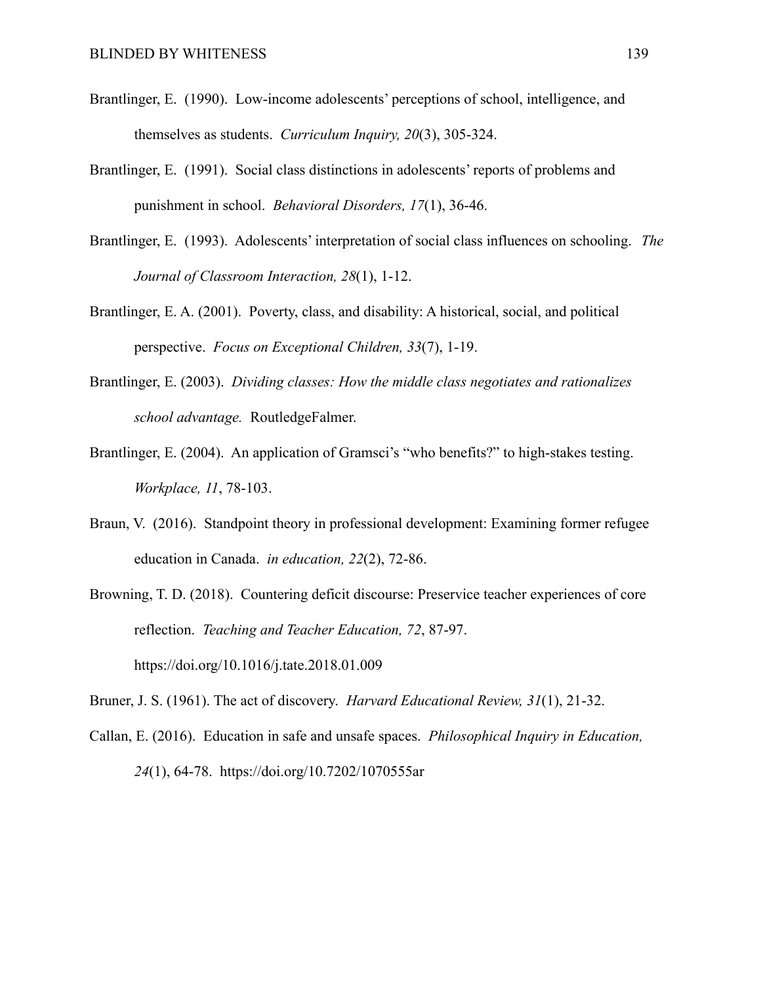- Brantlinger, E. (1990). Low-income adolescents' perceptions of school, intelligence, and themselves as students. *Curriculum Inquiry, 20*(3), 305-324.
- Brantlinger, E. (1991). Social class distinctions in adolescents' reports of problems and punishment in school. *Behavioral Disorders, 17*(1), 36-46.
- Brantlinger, E. (1993). Adolescents' interpretation of social class influences on schooling. *The Journal of Classroom Interaction, 28*(1), 1-12.
- Brantlinger, E. A. (2001). Poverty, class, and disability: A historical, social, and political perspective. *Focus on Exceptional Children, 33*(7), 1-19.
- Brantlinger, E. (2003). *Dividing classes: How the middle class negotiates and rationalizes school advantage.* RoutledgeFalmer.
- Brantlinger, E. (2004). An application of Gramsci's "who benefits?" to high-stakes testing. *Workplace, 11*, 78-103.
- Braun, V. (2016). Standpoint theory in professional development: Examining former refugee education in Canada. *in education, 22*(2), 72-86.
- Browning, T. D. (2018). Countering deficit discourse: Preservice teacher experiences of core reflection. *Teaching and Teacher Education, 72*, 87-97. https://doi.org/10.1016/j.tate.2018.01.009
- Bruner, J. S. (1961). The act of discovery. *Harvard Educational Review, 31*(1), 21-32.
- Callan, E. (2016). Education in safe and unsafe spaces. *Philosophical Inquiry in Education, 24*(1), 64-78. https://doi.org/10.7202/1070555ar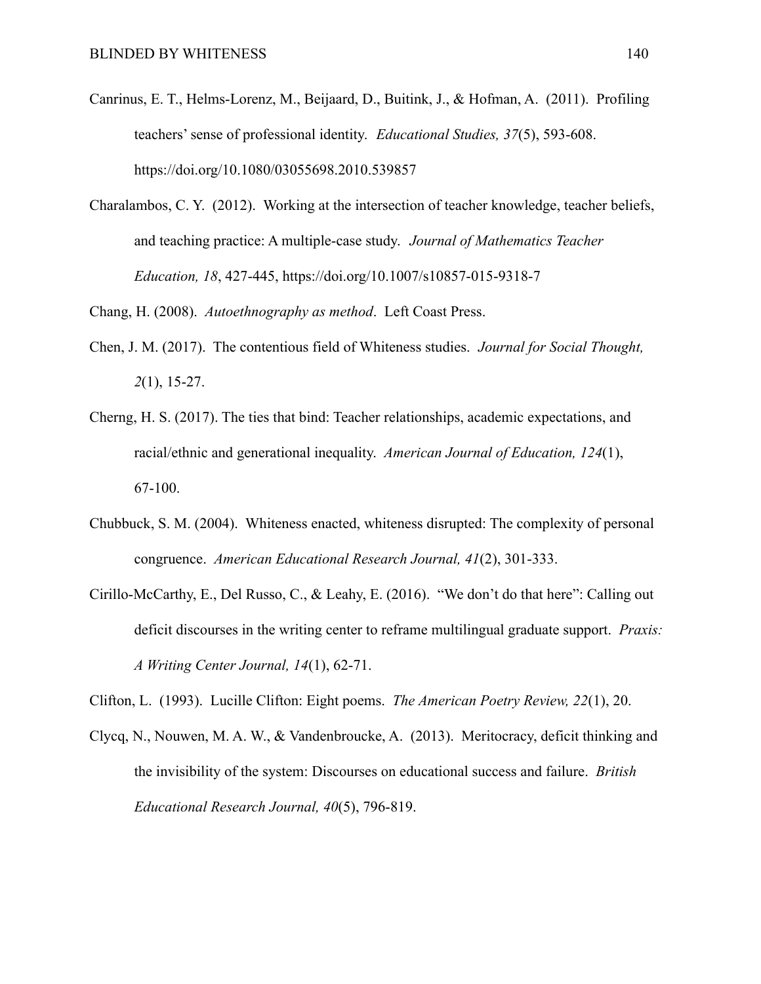- Canrinus, E. T., Helms-Lorenz, M., Beijaard, D., Buitink, J., & Hofman, A. (2011). Profiling teachers' sense of professional identity. *Educational Studies, 37*(5), 593-608. https://doi.org/10.1080/03055698.2010.539857
- Charalambos, C. Y. (2012). Working at the intersection of teacher knowledge, teacher beliefs, and teaching practice: A multiple-case study. *Journal of Mathematics Teacher Education, 18*, 427-445, https://doi.org/10.1007/s10857-015-9318-7

Chang, H. (2008). *Autoethnography as method*. Left Coast Press.

- Chen, J. M. (2017). The contentious field of Whiteness studies. *Journal for Social Thought, 2*(1), 15-27.
- Cherng, H. S. (2017). The ties that bind: Teacher relationships, academic expectations, and racial/ethnic and generational inequality. *American Journal of Education, 124*(1), 67-100.
- Chubbuck, S. M. (2004). Whiteness enacted, whiteness disrupted: The complexity of personal congruence. *American Educational Research Journal, 41*(2), 301-333.
- Cirillo-McCarthy, E., Del Russo, C., & Leahy, E. (2016). "We don't do that here": Calling out deficit discourses in the writing center to reframe multilingual graduate support. *Praxis: A Writing Center Journal, 14*(1), 62-71.
- Clifton, L. (1993). Lucille Clifton: Eight poems. *The American Poetry Review, 22*(1), 20.
- Clycq, N., Nouwen, M. A. W., & Vandenbroucke, A. (2013). Meritocracy, deficit thinking and the invisibility of the system: Discourses on educational success and failure. *British Educational Research Journal, 40*(5), 796-819.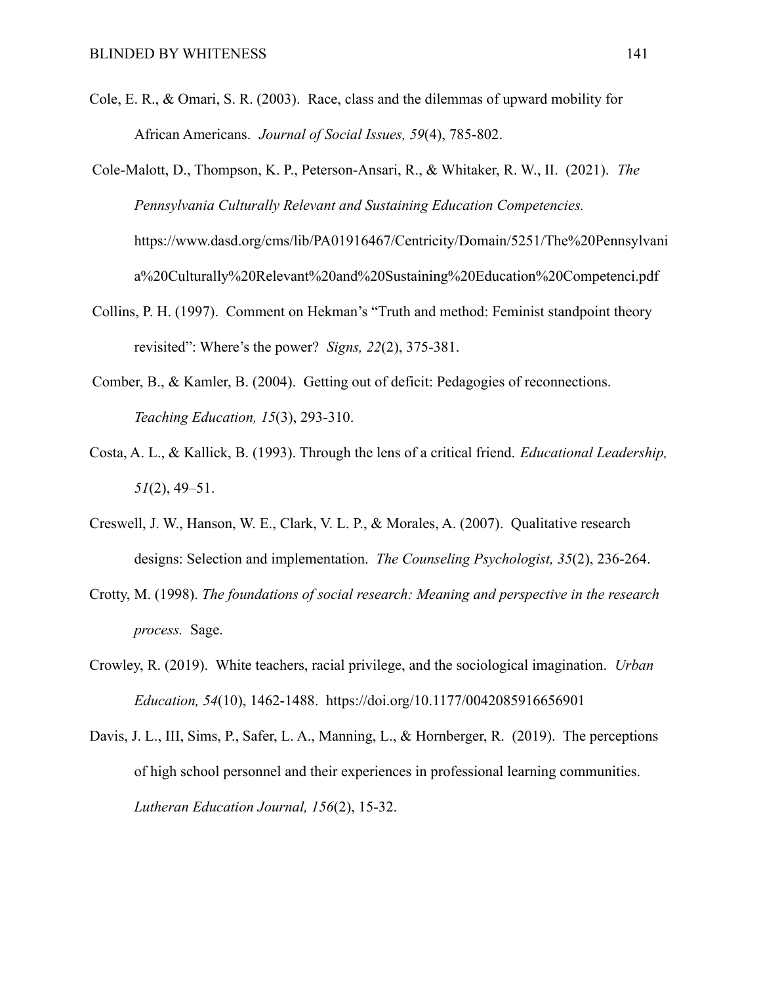- Cole, E. R., & Omari, S. R. (2003). Race, class and the dilemmas of upward mobility for African Americans. *Journal of Social Issues, 59*(4), 785-802.
- Cole-Malott, D., Thompson, K. P., Peterson-Ansari, R., & Whitaker, R. W., II. (2021). *The Pennsylvania Culturally Relevant and Sustaining Education Competencies.* https://www.dasd.org/cms/lib/PA01916467/Centricity/Domain/5251/The%20Pennsylvani a%20Culturally%20Relevant%20and%20Sustaining%20Education%20Competenci.pdf
- Collins, P. H. (1997). Comment on Hekman's "Truth and method: Feminist standpoint theory revisited": Where's the power? *Signs, 22*(2), 375-381.
- Comber, B., & Kamler, B. (2004). Getting out of deficit: Pedagogies of reconnections. *Teaching Education, 15*(3), 293-310.
- Costa, A. L., & Kallick, B. (1993). Through the lens of a critical friend. *Educational Leadership, 51*(2), 49–51.
- Creswell, J. W., Hanson, W. E., Clark, V. L. P., & Morales, A. (2007). Qualitative research designs: Selection and implementation. *The Counseling Psychologist, 35*(2), 236-264.
- Crotty, M. (1998). *The foundations of social research: Meaning and perspective in the research process.* Sage.
- Crowley, R. (2019). White teachers, racial privilege, and the sociological imagination. *Urban Education, 54*(10), 1462-1488. https://doi.org/10.1177/0042085916656901
- Davis, J. L., III, Sims, P., Safer, L. A., Manning, L., & Hornberger, R. (2019). The perceptions of high school personnel and their experiences in professional learning communities. *Lutheran Education Journal, 156*(2), 15-32.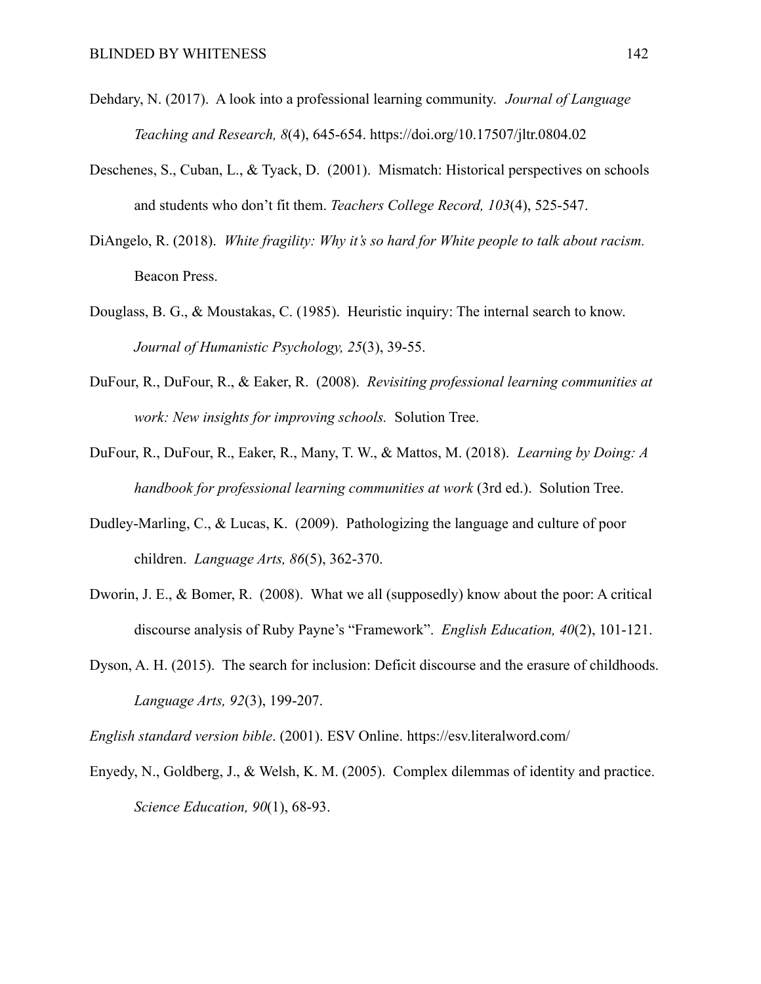- Dehdary, N. (2017). A look into a professional learning community. *Journal of Language Teaching and Research, 8*(4), 645-654. https://doi.org/10.17507/jltr.0804.02
- Deschenes, S., Cuban, L., & Tyack, D. (2001). Mismatch: Historical perspectives on schools and students who don't fit them. *Teachers College Record, 103*(4), 525-547.
- DiAngelo, R. (2018). *White fragility: Why it's so hard for White people to talk about racism.* Beacon Press.
- Douglass, B. G., & Moustakas, C. (1985). Heuristic inquiry: The internal search to know. *Journal of Humanistic Psychology, 25*(3), 39-55.
- DuFour, R., DuFour, R., & Eaker, R. (2008). *Revisiting professional learning communities at work: New insights for improving schools.* Solution Tree.
- DuFour, R., DuFour, R., Eaker, R., Many, T. W., & Mattos, M. (2018). *Learning by Doing: A handbook for professional learning communities at work* (3rd ed.). Solution Tree.
- Dudley-Marling, C., & Lucas, K. (2009). Pathologizing the language and culture of poor children. *Language Arts, 86*(5), 362-370.
- Dworin, J. E., & Bomer, R. (2008). What we all (supposedly) know about the poor: A critical discourse analysis of Ruby Payne's "Framework". *English Education, 40*(2), 101-121.
- Dyson, A. H. (2015). The search for inclusion: Deficit discourse and the erasure of childhoods. *Language Arts, 92*(3), 199-207.

*English standard version bible*. (2001). ESV Online. https://esv.literalword.com/

Enyedy, N., Goldberg, J., & Welsh, K. M. (2005). Complex dilemmas of identity and practice. *Science Education, 90*(1), 68-93.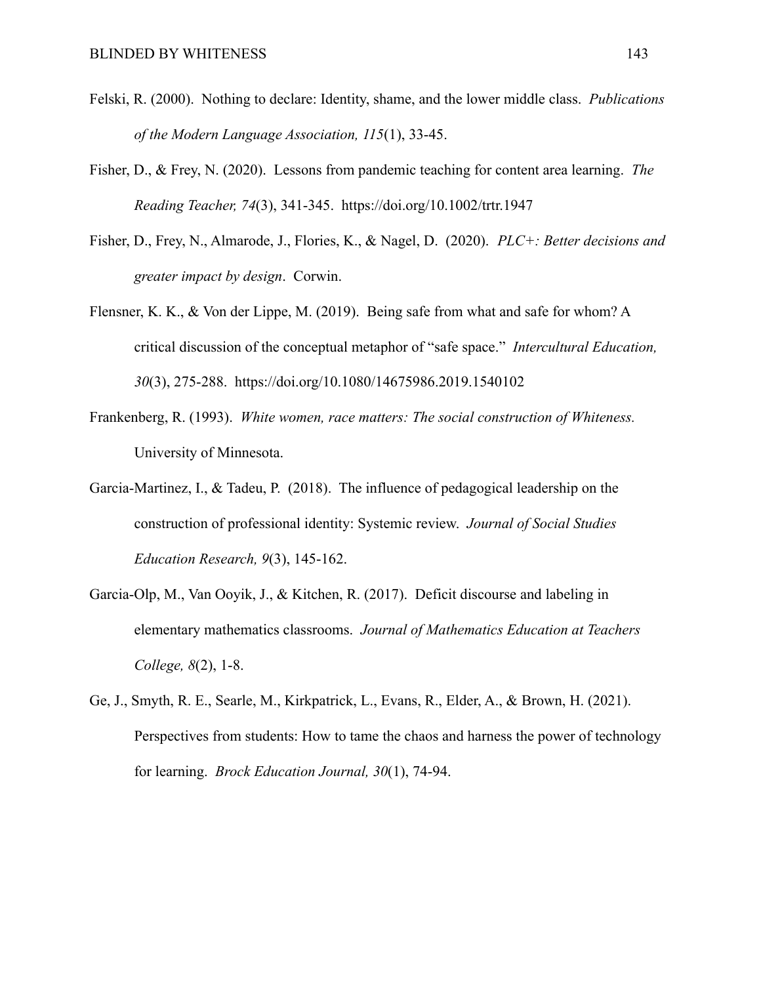- Felski, R. (2000). Nothing to declare: Identity, shame, and the lower middle class. *Publications of the Modern Language Association, 115*(1), 33-45.
- Fisher, D., & Frey, N. (2020). Lessons from pandemic teaching for content area learning. *The Reading Teacher, 74*(3), 341-345. https://doi.org/10.1002/trtr.1947
- Fisher, D., Frey, N., Almarode, J., Flories, K., & Nagel, D. (2020). *PLC+: Better decisions and greater impact by design*. Corwin.
- Flensner, K. K., & Von der Lippe, M. (2019). Being safe from what and safe for whom? A critical discussion of the conceptual metaphor of "safe space." *Intercultural Education, 30*(3), 275-288. https://doi.org/10.1080/14675986.2019.1540102
- Frankenberg, R. (1993). *White women, race matters: The social construction of Whiteness.* University of Minnesota.
- Garcia-Martinez, I., & Tadeu, P. (2018). The influence of pedagogical leadership on the construction of professional identity: Systemic review. *Journal of Social Studies Education Research, 9*(3), 145-162.
- Garcia-Olp, M., Van Ooyik, J., & Kitchen, R. (2017). Deficit discourse and labeling in elementary mathematics classrooms. *Journal of Mathematics Education at Teachers College, 8*(2), 1-8.
- Ge, J., Smyth, R. E., Searle, M., Kirkpatrick, L., Evans, R., Elder, A., & Brown, H. (2021). Perspectives from students: How to tame the chaos and harness the power of technology for learning. *Brock Education Journal, 30*(1), 74-94.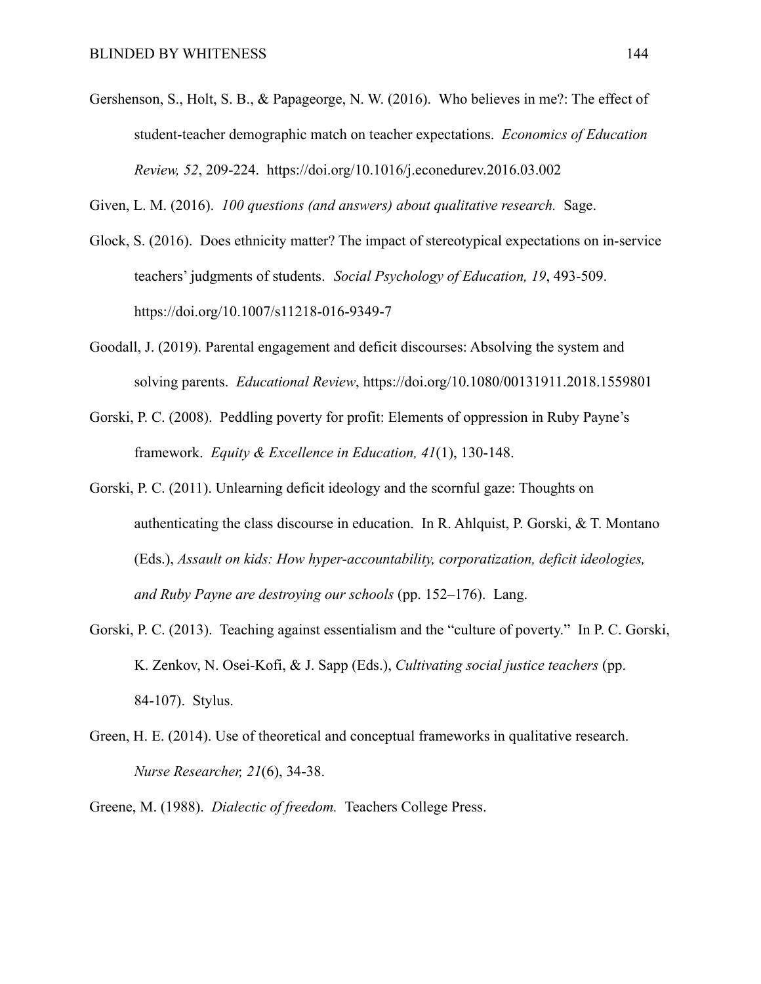Gershenson, S., Holt, S. B., & Papageorge, N. W. (2016). Who believes in me?: The effect of student-teacher demographic match on teacher expectations. *Economics of Education Review, 52*, 209-224. https://doi.org/10.1016/j.econedurev.2016.03.002

Given, L. M. (2016). *100 questions (and answers) about qualitative research.* Sage.

- Glock, S. (2016). Does ethnicity matter? The impact of stereotypical expectations on in-service teachers' judgments of students. *Social Psychology of Education, 19*, 493-509. https://doi.org/10.1007/s11218-016-9349-7
- Goodall, J. (2019). Parental engagement and deficit discourses: Absolving the system and solving parents. *Educational Review*, https://doi.org/10.1080/00131911.2018.1559801
- Gorski, P. C. (2008). Peddling poverty for profit: Elements of oppression in Ruby Payne's framework. *Equity & Excellence in Education, 41*(1), 130-148.
- Gorski, P. C. (2011). Unlearning deficit ideology and the scornful gaze: Thoughts on authenticating the class discourse in education. In R. Ahlquist, P. Gorski, & T. Montano (Eds.), *Assault on kids: How hyper-accountability, corporatization, deficit ideologies, and Ruby Payne are destroying our schools* (pp. 152–176). Lang.
- Gorski, P. C. (2013). Teaching against essentialism and the "culture of poverty." In P. C. Gorski, K. Zenkov, N. Osei-Kofi, & J. Sapp (Eds.), *Cultivating social justice teachers* (pp. 84-107). Stylus.
- Green, H. E. (2014). Use of theoretical and conceptual frameworks in qualitative research. *Nurse Researcher, 21*(6), 34-38.
- Greene, M. (1988). *Dialectic of freedom.* Teachers College Press.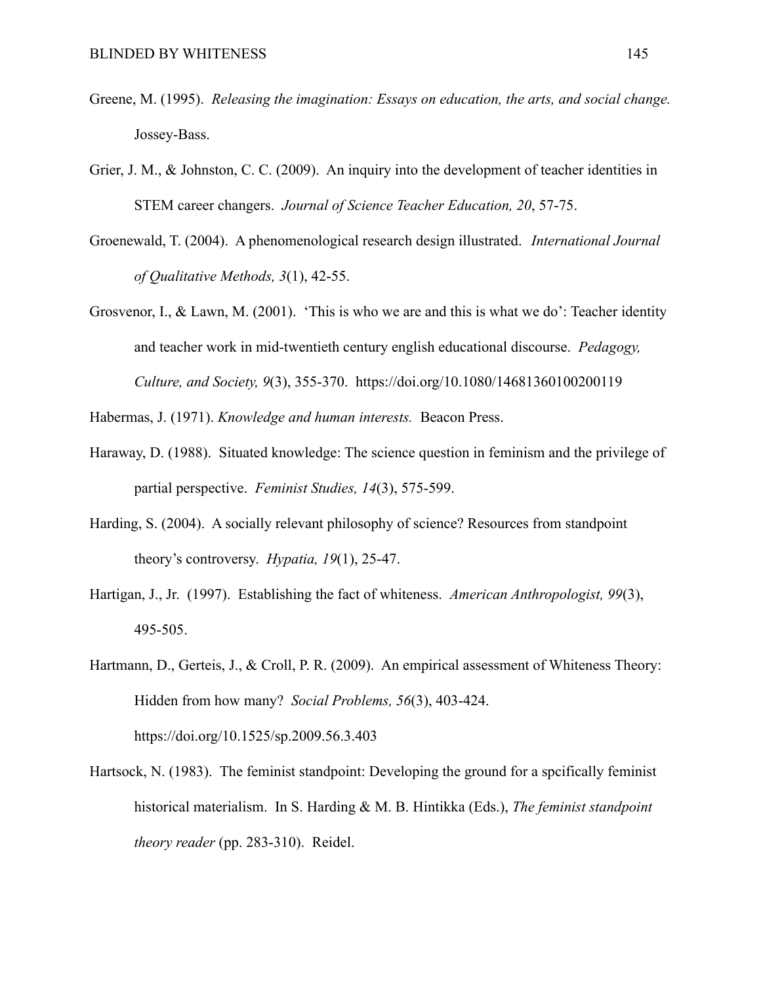- Greene, M. (1995). *Releasing the imagination: Essays on education, the arts, and social change.* Jossey-Bass.
- Grier, J. M., & Johnston, C. C. (2009). An inquiry into the development of teacher identities in STEM career changers. *Journal of Science Teacher Education, 20*, 57-75.
- Groenewald, T. (2004). A phenomenological research design illustrated. *International Journal of Qualitative Methods, 3*(1), 42-55.
- Grosvenor, I., & Lawn, M. (2001). 'This is who we are and this is what we do': Teacher identity and teacher work in mid-twentieth century english educational discourse. *Pedagogy, Culture, and Society, 9*(3), 355-370. https://doi.org/10.1080/14681360100200119

Habermas, J. (1971). *Knowledge and human interests.* Beacon Press.

- Haraway, D. (1988). Situated knowledge: The science question in feminism and the privilege of partial perspective. *Feminist Studies, 14*(3), 575-599.
- Harding, S. (2004). A socially relevant philosophy of science? Resources from standpoint theory's controversy. *Hypatia, 19*(1), 25-47.
- Hartigan, J., Jr. (1997). Establishing the fact of whiteness. *American Anthropologist, 99*(3), 495-505.
- Hartmann, D., Gerteis, J., & Croll, P. R. (2009). An empirical assessment of Whiteness Theory: Hidden from how many? *Social Problems, 56*(3), 403-424. https://doi.org/10.1525/sp.2009.56.3.403
- Hartsock, N. (1983). The feminist standpoint: Developing the ground for a spcifically feminist historical materialism. In S. Harding & M. B. Hintikka (Eds.), *The feminist standpoint theory reader* (pp. 283-310). Reidel.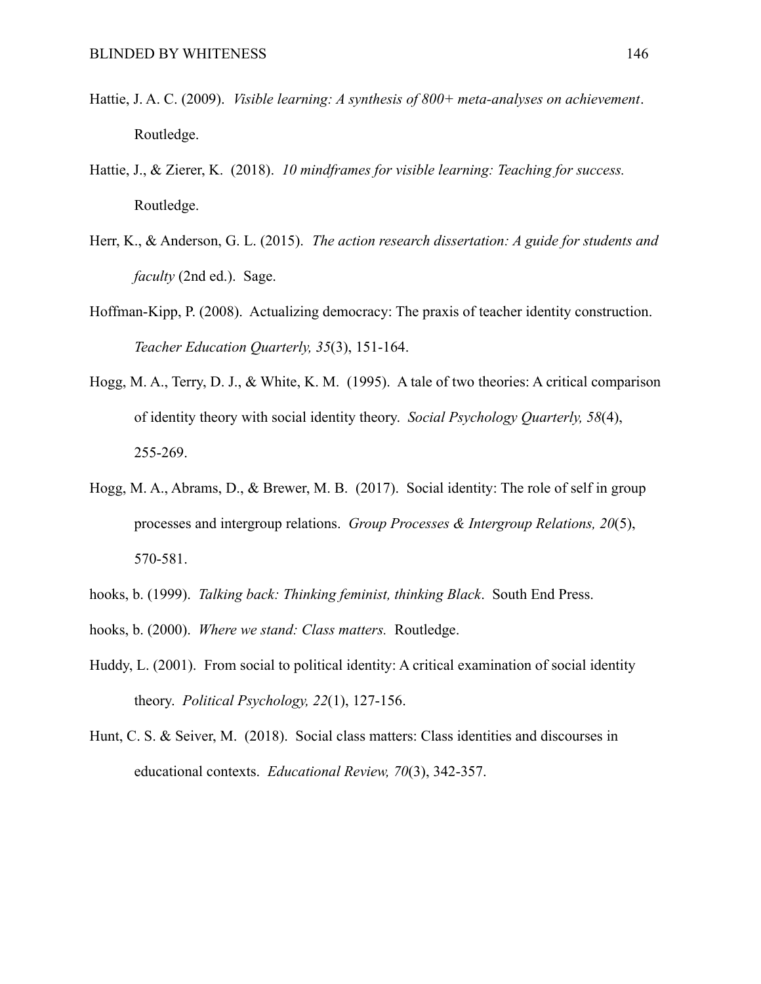- Hattie, J. A. C. (2009). *Visible learning: A synthesis of 800+ meta-analyses on achievement*. Routledge.
- Hattie, J., & Zierer, K. (2018). *10 mindframes for visible learning: Teaching for success.* Routledge.
- Herr, K., & Anderson, G. L. (2015). *The action research dissertation: A guide for students and faculty* (2nd ed.). Sage.
- Hoffman-Kipp, P. (2008). Actualizing democracy: The praxis of teacher identity construction. *Teacher Education Quarterly, 35*(3), 151-164.
- Hogg, M. A., Terry, D. J., & White, K. M. (1995). A tale of two theories: A critical comparison of identity theory with social identity theory. *Social Psychology Quarterly, 58*(4), 255-269.
- Hogg, M. A., Abrams, D., & Brewer, M. B. (2017). Social identity: The role of self in group processes and intergroup relations. *Group Processes & Intergroup Relations, 20*(5), 570-581.
- hooks, b. (1999). *Talking back: Thinking feminist, thinking Black*. South End Press.
- hooks, b. (2000). *Where we stand: Class matters.* Routledge.
- Huddy, L. (2001). From social to political identity: A critical examination of social identity theory. *Political Psychology, 22*(1), 127-156.
- Hunt, C. S. & Seiver, M. (2018). Social class matters: Class identities and discourses in educational contexts. *Educational Review, 70*(3), 342-357.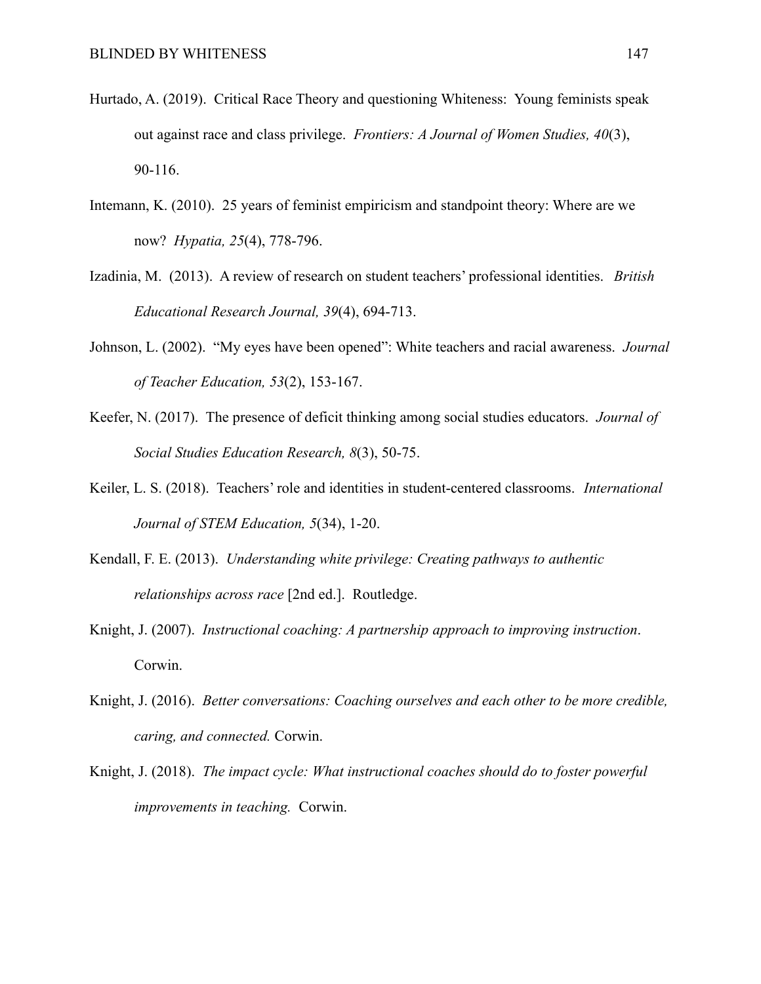- Hurtado, A. (2019). Critical Race Theory and questioning Whiteness: Young feminists speak out against race and class privilege. *Frontiers: A Journal of Women Studies, 40*(3), 90-116.
- Intemann, K. (2010). 25 years of feminist empiricism and standpoint theory: Where are we now? *Hypatia, 25*(4), 778-796.
- Izadinia, M. (2013). A review of research on student teachers' professional identities. *British Educational Research Journal, 39*(4), 694-713.
- Johnson, L. (2002). "My eyes have been opened": White teachers and racial awareness. *Journal of Teacher Education, 53*(2), 153-167.
- Keefer, N. (2017). The presence of deficit thinking among social studies educators. *Journal of Social Studies Education Research, 8*(3), 50-75.
- Keiler, L. S. (2018). Teachers' role and identities in student-centered classrooms. *International Journal of STEM Education, 5*(34), 1-20.
- Kendall, F. E. (2013). *Understanding white privilege: Creating pathways to authentic relationships across race* [2nd ed.]. Routledge.
- Knight, J. (2007). *Instructional coaching: A partnership approach to improving instruction*. Corwin.
- Knight, J. (2016). *Better conversations: Coaching ourselves and each other to be more credible, caring, and connected.* Corwin.
- Knight, J. (2018). *The impact cycle: What instructional coaches should do to foster powerful improvements in teaching.* Corwin.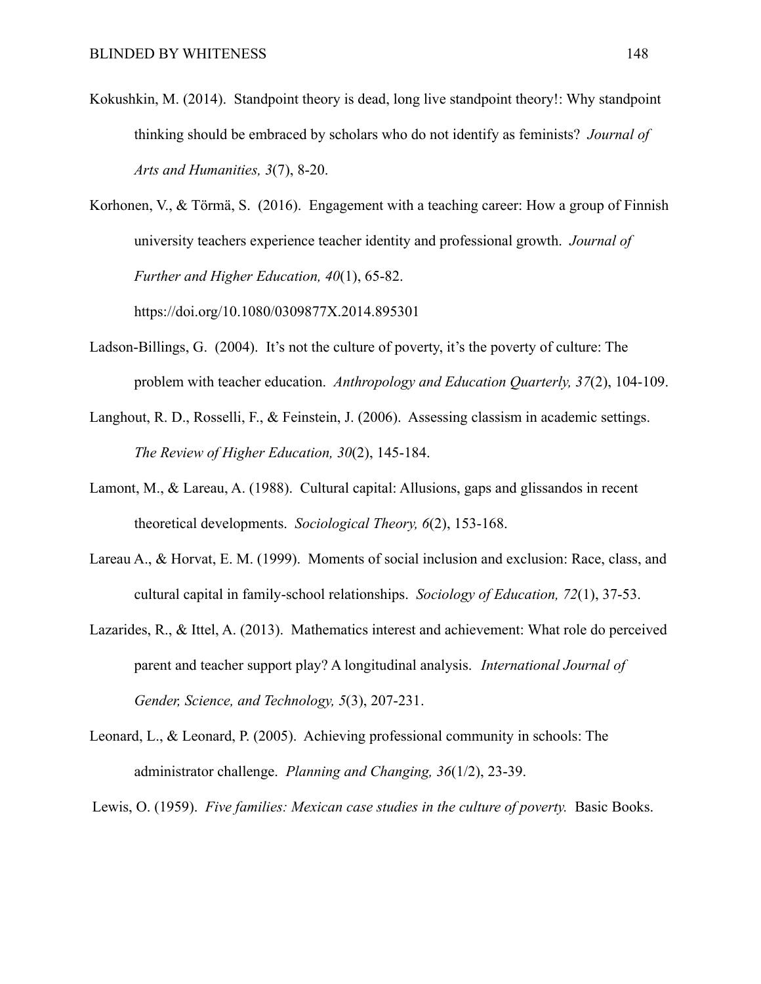Kokushkin, M. (2014). Standpoint theory is dead, long live standpoint theory!: Why standpoint thinking should be embraced by scholars who do not identify as feminists? *Journal of Arts and Humanities, 3*(7), 8-20.

Korhonen, V., & Törmä, S. (2016). Engagement with a teaching career: How a group of Finnish university teachers experience teacher identity and professional growth. *Journal of Further and Higher Education, 40*(1), 65-82.

https://doi.org/10.1080/0309877X.2014.895301

- Ladson-Billings, G. (2004). It's not the culture of poverty, it's the poverty of culture: The problem with teacher education. *Anthropology and Education Quarterly, 37*(2), 104-109.
- Langhout, R. D., Rosselli, F., & Feinstein, J. (2006). Assessing classism in academic settings. *The Review of Higher Education, 30*(2), 145-184.
- Lamont, M., & Lareau, A. (1988). Cultural capital: Allusions, gaps and glissandos in recent theoretical developments. *Sociological Theory, 6*(2), 153-168.
- Lareau A., & Horvat, E. M. (1999). Moments of social inclusion and exclusion: Race, class, and cultural capital in family-school relationships. *Sociology of Education, 72*(1), 37-53.
- Lazarides, R., & Ittel, A. (2013). Mathematics interest and achievement: What role do perceived parent and teacher support play? A longitudinal analysis. *International Journal of Gender, Science, and Technology, 5*(3), 207-231.
- Leonard, L., & Leonard, P. (2005). Achieving professional community in schools: The administrator challenge. *Planning and Changing, 36*(1/2), 23-39.

Lewis, O. (1959). *Five families: Mexican case studies in the culture of poverty.* Basic Books.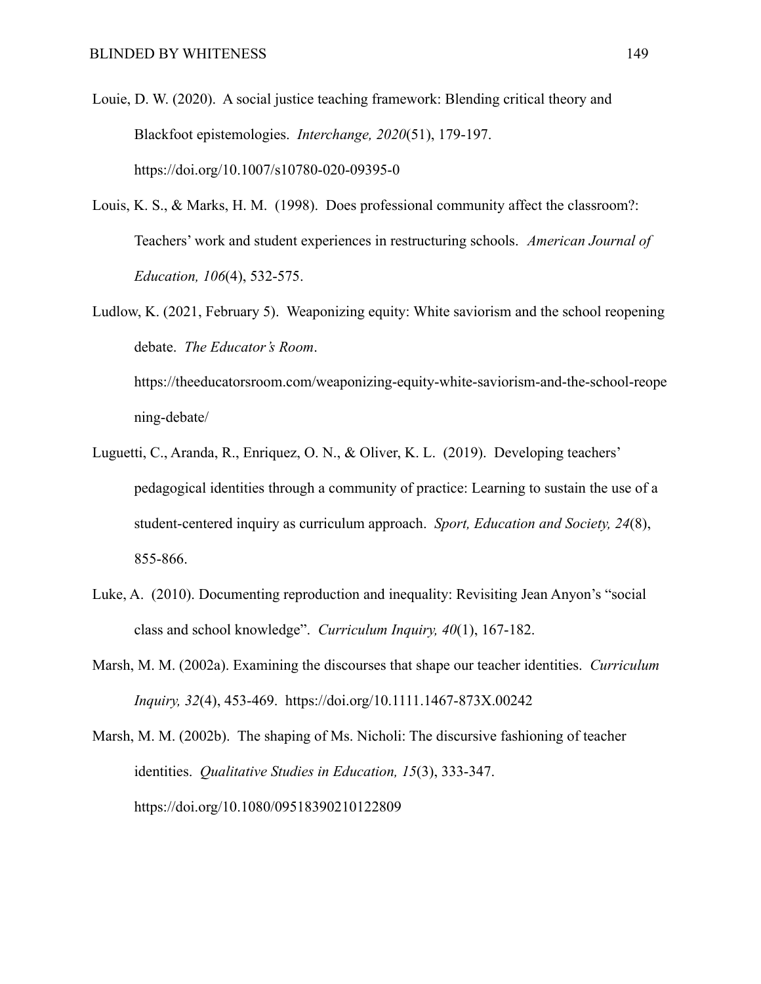- Louie, D. W. (2020). A social justice teaching framework: Blending critical theory and Blackfoot epistemologies. *Interchange, 2020*(51), 179-197. https://doi.org/10.1007/s10780-020-09395-0
- Louis, K. S., & Marks, H. M. (1998). Does professional community affect the classroom?: Teachers' work and student experiences in restructuring schools. *American Journal of Education, 106*(4), 532-575.
- Ludlow, K. (2021, February 5). Weaponizing equity: White saviorism and the school reopening debate. *The Educator's Room*.

https://theeducatorsroom.com/weaponizing-equity-white-saviorism-and-the-school-reope ning-debate/

- Luguetti, C., Aranda, R., Enriquez, O. N., & Oliver, K. L. (2019). Developing teachers' pedagogical identities through a community of practice: Learning to sustain the use of a student-centered inquiry as curriculum approach. *Sport, Education and Society, 24*(8), 855-866.
- Luke, A. (2010). Documenting reproduction and inequality: Revisiting Jean Anyon's "social class and school knowledge". *Curriculum Inquiry, 40*(1), 167-182.
- Marsh, M. M. (2002a). Examining the discourses that shape our teacher identities. *Curriculum Inquiry, 32*(4), 453-469. https://doi.org/10.1111.1467-873X.00242

Marsh, M. M. (2002b). The shaping of Ms. Nicholi: The discursive fashioning of teacher identities. *Qualitative Studies in Education, 15*(3), 333-347. https://doi.org/10.1080/09518390210122809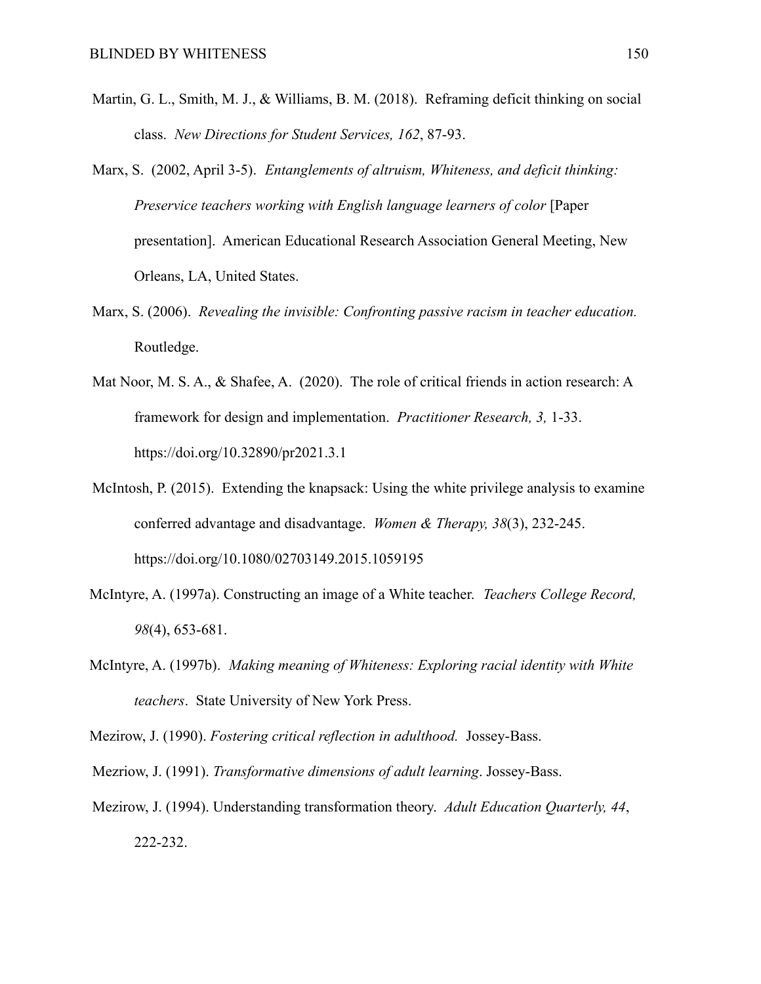- Martin, G. L., Smith, M. J., & Williams, B. M. (2018). Reframing deficit thinking on social class. *New Directions for Student Services, 162*, 87-93.
- Marx, S. (2002, April 3-5). *Entanglements of altruism, Whiteness, and deficit thinking: Preservice teachers working with English language learners of color* [Paper presentation]. American Educational Research Association General Meeting, New Orleans, LA, United States.
- Marx, S. (2006). *Revealing the invisible: Confronting passive racism in teacher education.* Routledge.
- Mat Noor, M. S. A., & Shafee, A. (2020). The role of critical friends in action research: A framework for design and implementation. *Practitioner Research, 3,* 1-33. https://doi.org/10.32890/pr2021.3.1
- McIntosh, P. (2015). Extending the knapsack: Using the white privilege analysis to examine conferred advantage and disadvantage. *Women & Therapy, 38*(3), 232-245. https://doi.org/10.1080/02703149.2015.1059195
- McIntyre, A. (1997a). Constructing an image of a White teacher. *Teachers College Record, 98*(4), 653-681.
- McIntyre, A. (1997b). *Making meaning of Whiteness: Exploring racial identity with White teachers*. State University of New York Press.
- Mezirow, J. (1990). *Fostering critical reflection in adulthood.* Jossey-Bass.
- Mezriow, J. (1991). *Transformative dimensions of adult learning*. Jossey-Bass.
- Mezirow, J. (1994). Understanding transformation theory. *Adult Education Quarterly, 44*, 222-232.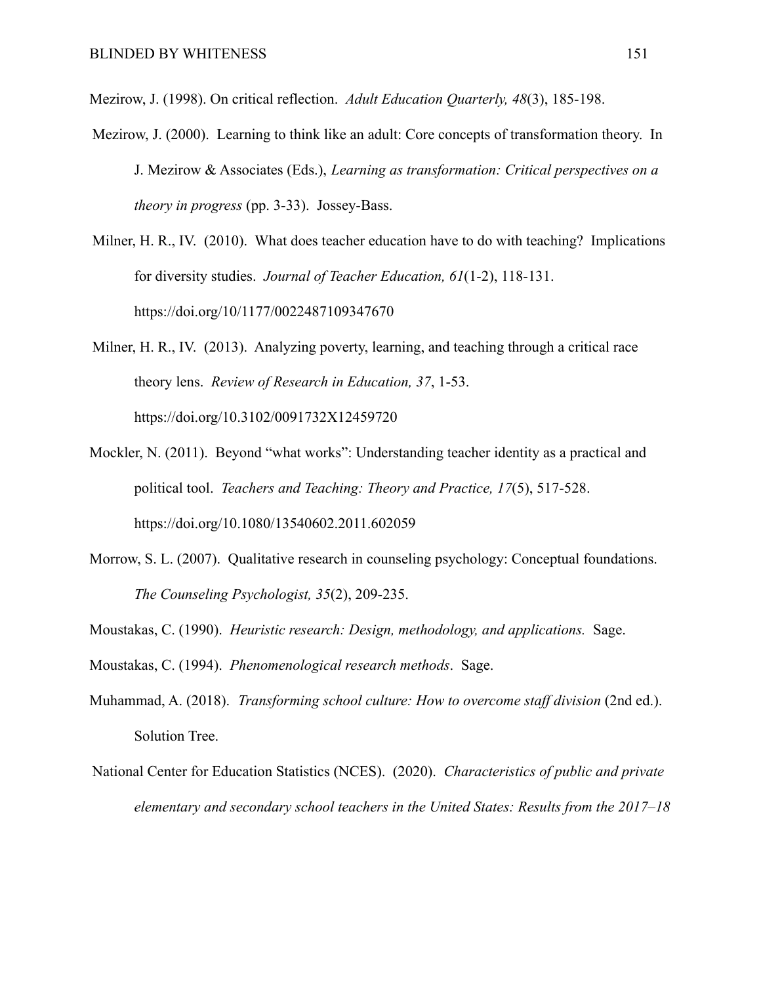Mezirow, J. (1998). On critical reflection. *Adult Education Quarterly, 48*(3), 185-198.

- Mezirow, J. (2000). Learning to think like an adult: Core concepts of transformation theory. In J. Mezirow & Associates (Eds.), *Learning as transformation: Critical perspectives on a theory in progress* (pp. 3-33). Jossey-Bass.
- Milner, H. R., IV. (2010). What does teacher education have to do with teaching? Implications for diversity studies. *Journal of Teacher Education, 61*(1-2), 118-131. https://doi.org/10/1177/0022487109347670
- Milner, H. R., IV. (2013). Analyzing poverty, learning, and teaching through a critical race theory lens. *Review of Research in Education, 37*, 1-53. https://doi.org/10.3102/0091732X12459720
- Mockler, N. (2011). Beyond "what works": Understanding teacher identity as a practical and political tool. *Teachers and Teaching: Theory and Practice, 17*(5), 517-528. https://doi.org/10.1080/13540602.2011.602059
- Morrow, S. L. (2007). Qualitative research in counseling psychology: Conceptual foundations. *The Counseling Psychologist, 35*(2), 209-235.
- Moustakas, C. (1990). *Heuristic research: Design, methodology, and applications.* Sage.
- Moustakas, C. (1994). *Phenomenological research methods*. Sage.
- Muhammad, A. (2018). *Transforming school culture: How to overcome staff division* (2nd ed.). Solution Tree.
- National Center for Education Statistics (NCES). (2020). *Characteristics of public and private elementary and secondary school teachers in the United States: Results from the 2017–18*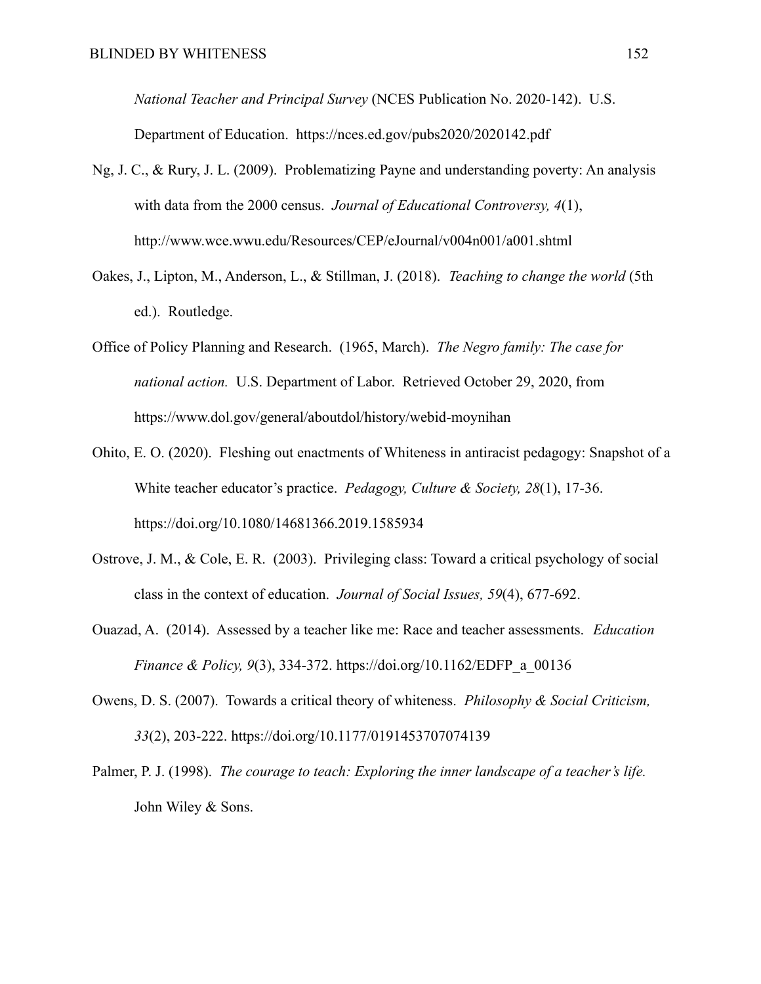*National Teacher and Principal Survey* (NCES Publication No. 2020-142). U.S. Department of Education. https://nces.ed.gov/pubs2020/2020142.pdf

- Ng, J. C., & Rury, J. L. (2009). Problematizing Payne and understanding poverty: An analysis with data from the 2000 census. *Journal of Educational Controversy, 4*(1), http://www.wce.wwu.edu/Resources/CEP/eJournal/v004n001/a001.shtml
- Oakes, J., Lipton, M., Anderson, L., & Stillman, J. (2018). *Teaching to change the world* (5th ed.). Routledge.
- Office of Policy Planning and Research. (1965, March). *The Negro family: The case for national action.* U.S. Department of Labor. Retrieved October 29, 2020, from https://www.dol.gov/general/aboutdol/history/webid-moynihan
- Ohito, E. O. (2020). Fleshing out enactments of Whiteness in antiracist pedagogy: Snapshot of a White teacher educator's practice. *Pedagogy, Culture & Society, 28*(1), 17-36. https://doi.org/10.1080/14681366.2019.1585934
- Ostrove, J. M., & Cole, E. R. (2003). Privileging class: Toward a critical psychology of social class in the context of education. *Journal of Social Issues, 59*(4), 677-692.
- Ouazad, A. (2014). Assessed by a teacher like me: Race and teacher assessments. *Education Finance & Policy, 9*(3), 334-372. https://doi.org/10.1162/EDFP\_a\_00136
- Owens, D. S. (2007). Towards a critical theory of whiteness. *Philosophy & Social Criticism, 33*(2), 203-222. https://doi.org/10.1177/0191453707074139
- Palmer, P. J. (1998). *The courage to teach: Exploring the inner landscape of a teacher's life.* John Wiley & Sons.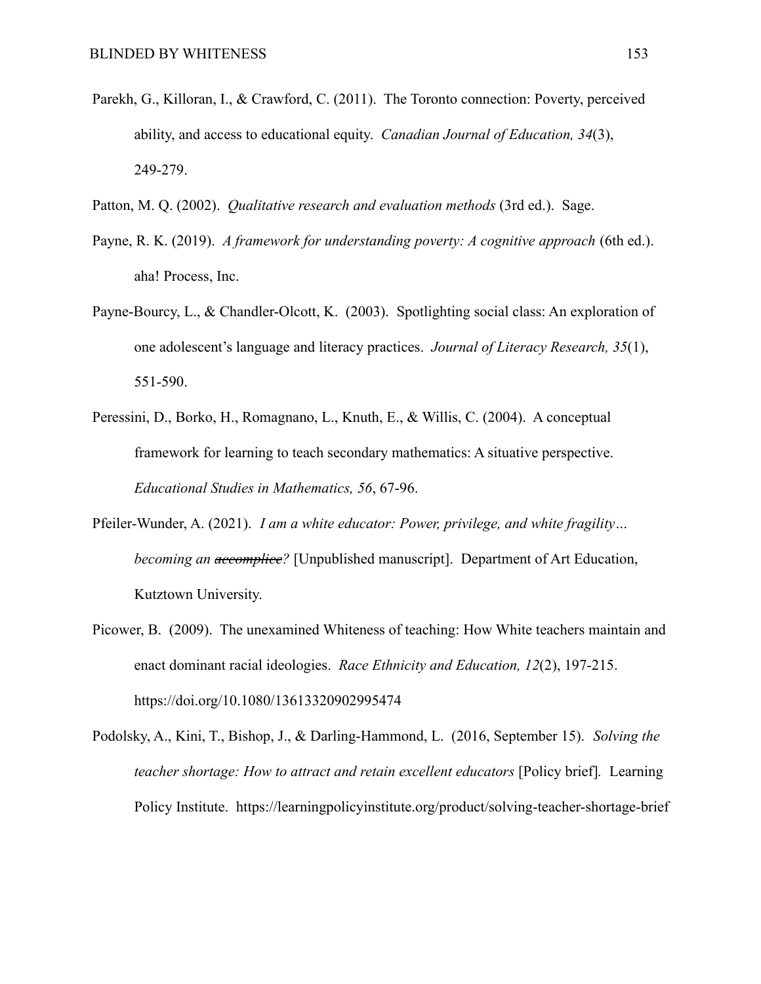- Parekh, G., Killoran, I., & Crawford, C. (2011). The Toronto connection: Poverty, perceived ability, and access to educational equity. *Canadian Journal of Education, 34*(3), 249-279.
- Patton, M. Q. (2002). *Qualitative research and evaluation methods* (3rd ed.). Sage.
- Payne, R. K. (2019). *A framework for understanding poverty: A cognitive approach* (6th ed.). aha! Process, Inc.
- Payne-Bourcy, L., & Chandler-Olcott, K. (2003). Spotlighting social class: An exploration of one adolescent's language and literacy practices. *Journal of Literacy Research, 35*(1), 551-590.
- Peressini, D., Borko, H., Romagnano, L., Knuth, E., & Willis, C. (2004). A conceptual framework for learning to teach secondary mathematics: A situative perspective. *Educational Studies in Mathematics, 56*, 67-96.
- Pfeiler-Wunder, A. (2021). *I am a white educator: Power, privilege, and white fragility… becoming an accomplice?* [Unpublished manuscript]. Department of Art Education, Kutztown University.
- Picower, B. (2009). The unexamined Whiteness of teaching: How White teachers maintain and enact dominant racial ideologies. *Race Ethnicity and Education, 12*(2), 197-215. https://doi.org/10.1080/13613320902995474
- Podolsky, A., Kini, T., Bishop, J., & Darling-Hammond, L. (2016, September 15). *Solving the teacher shortage: How to attract and retain excellent educators* [Policy brief]*.* Learning Policy Institute. https://learningpolicyinstitute.org/product/solving-teacher-shortage-brief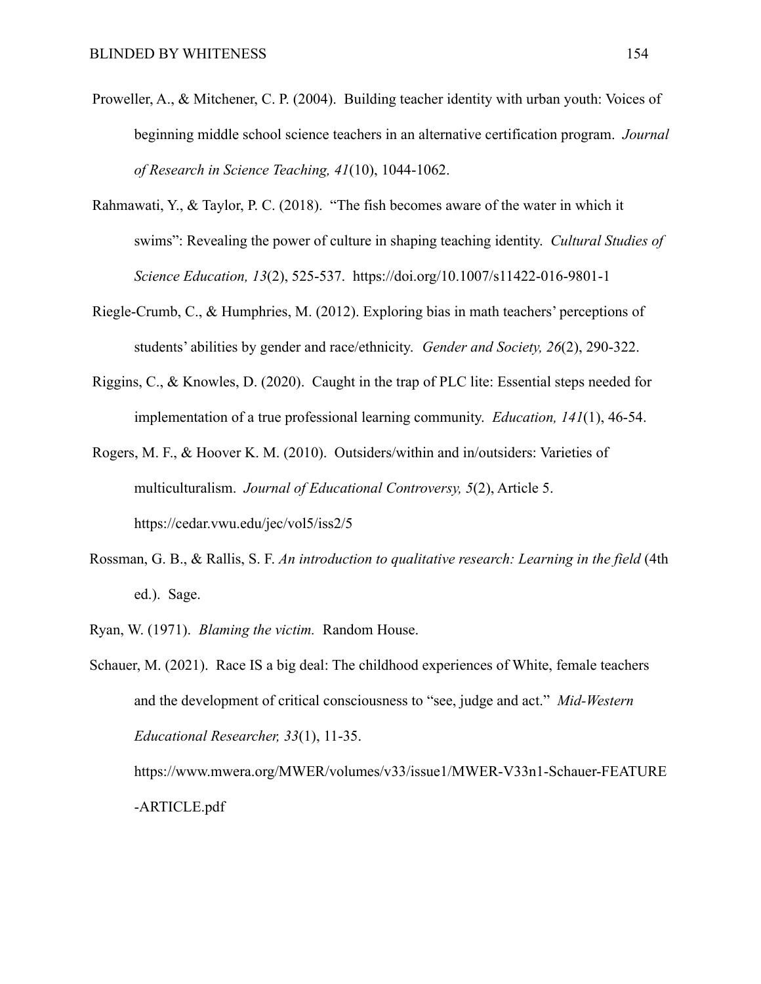- Proweller, A., & Mitchener, C. P. (2004). Building teacher identity with urban youth: Voices of beginning middle school science teachers in an alternative certification program. *Journal of Research in Science Teaching, 41*(10), 1044-1062.
- Rahmawati, Y., & Taylor, P. C. (2018). "The fish becomes aware of the water in which it swims": Revealing the power of culture in shaping teaching identity. *Cultural Studies of Science Education, 13*(2), 525-537. https://doi.org/10.1007/s11422-016-9801-1
- Riegle-Crumb, C., & Humphries, M. (2012). Exploring bias in math teachers' perceptions of students' abilities by gender and race/ethnicity. *Gender and Society, 26*(2), 290-322.
- Riggins, C., & Knowles, D. (2020). Caught in the trap of PLC lite: Essential steps needed for implementation of a true professional learning community. *Education, 141*(1), 46-54.
- Rogers, M. F., & Hoover K. M. (2010). Outsiders/within and in/outsiders: Varieties of multiculturalism. *Journal of Educational Controversy, 5*(2), Article 5. https://cedar.vwu.edu/jec/vol5/iss2/5
- Rossman, G. B., & Rallis, S. F. *An introduction to qualitative research: Learning in the field* (4th ed.). Sage.
- Ryan, W. (1971). *Blaming the victim.* Random House.

Schauer, M. (2021). Race IS a big deal: The childhood experiences of White, female teachers and the development of critical consciousness to "see, judge and act." *Mid-Western Educational Researcher, 33*(1), 11-35. https://www.mwera.org/MWER/volumes/v33/issue1/MWER-V33n1-Schauer-FEATURE

-ARTICLE.pdf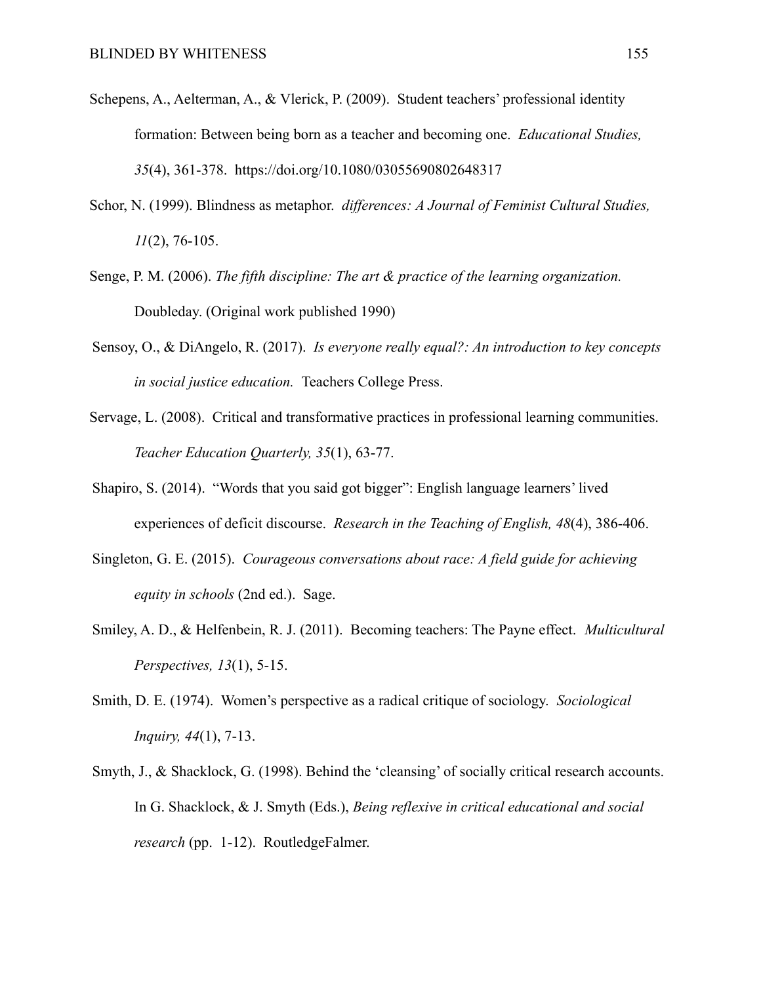- Schepens, A., Aelterman, A., & Vlerick, P. (2009). Student teachers' professional identity formation: Between being born as a teacher and becoming one. *Educational Studies, 35*(4), 361-378. https://doi.org/10.1080/03055690802648317
- Schor, N. (1999). Blindness as metaphor. *differences: A Journal of Feminist Cultural Studies, 11*(2), 76-105.
- Senge, P. M. (2006). *The fifth discipline: The art & practice of the learning organization.* Doubleday. (Original work published 1990)
- Sensoy, O., & DiAngelo, R. (2017). *Is everyone really equal?: An introduction to key concepts in social justice education.* Teachers College Press.
- Servage, L. (2008). Critical and transformative practices in professional learning communities. *Teacher Education Quarterly, 35*(1), 63-77.
- Shapiro, S. (2014). "Words that you said got bigger": English language learners' lived experiences of deficit discourse. *Research in the Teaching of English, 48*(4), 386-406.
- Singleton, G. E. (2015). *Courageous conversations about race: A field guide for achieving equity in schools* (2nd ed.). Sage.
- Smiley, A. D., & Helfenbein, R. J. (2011). Becoming teachers: The Payne effect. *Multicultural Perspectives, 13*(1), 5-15.
- Smith, D. E. (1974). Women's perspective as a radical critique of sociology. *Sociological Inquiry, 44*(1), 7-13.
- Smyth, J., & Shacklock, G. (1998). Behind the 'cleansing' of socially critical research accounts. In G. Shacklock, & J. Smyth (Eds.), *Being reflexive in critical educational and social research* (pp. 1-12). RoutledgeFalmer.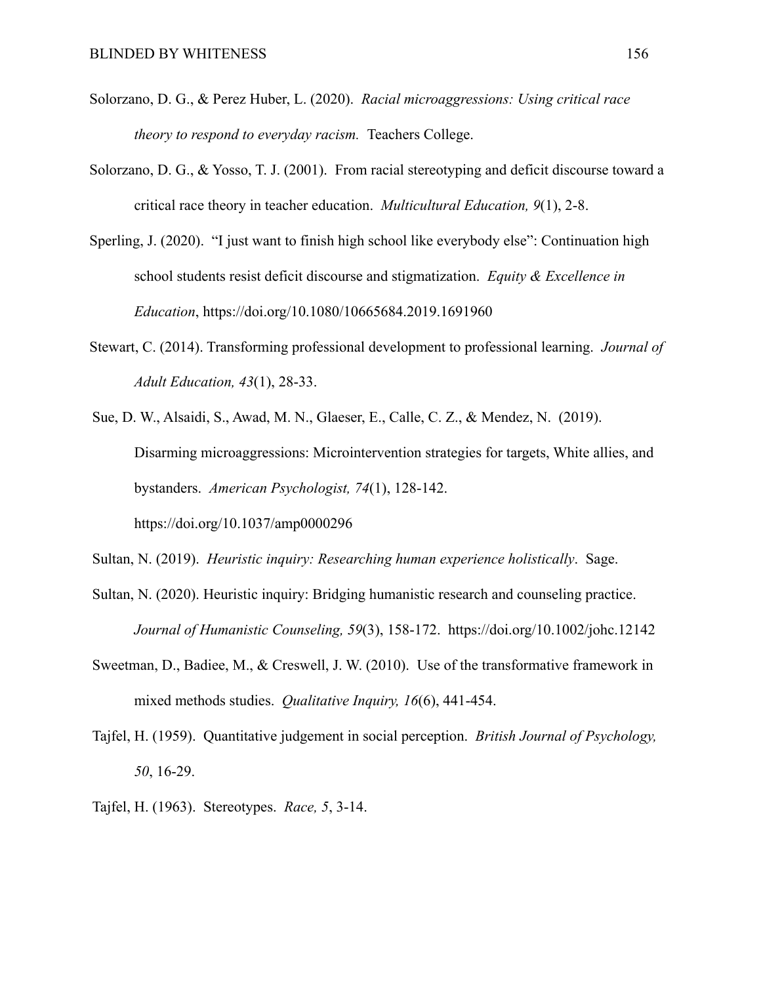- Solorzano, D. G., & Perez Huber, L. (2020). *Racial microaggressions: Using critical race theory to respond to everyday racism.* Teachers College.
- Solorzano, D. G., & Yosso, T. J. (2001). From racial stereotyping and deficit discourse toward a critical race theory in teacher education. *Multicultural Education, 9*(1), 2-8.
- Sperling, J. (2020). "I just want to finish high school like everybody else": Continuation high school students resist deficit discourse and stigmatization. *Equity & Excellence in Education*, https://doi.org/10.1080/10665684.2019.1691960
- Stewart, C. (2014). Transforming professional development to professional learning. *Journal of Adult Education, 43*(1), 28-33.
- Sue, D. W., Alsaidi, S., Awad, M. N., Glaeser, E., Calle, C. Z., & Mendez, N. (2019). Disarming microaggressions: Microintervention strategies for targets, White allies, and bystanders. *American Psychologist, 74*(1), 128-142. https://doi.org/10.1037/amp0000296

Sultan, N. (2019). *Heuristic inquiry: Researching human experience holistically*. Sage.

- Sultan, N. (2020). Heuristic inquiry: Bridging humanistic research and counseling practice. *Journal of Humanistic Counseling, 59*(3), 158-172. https://doi.org/10.1002/johc.12142
- Sweetman, D., Badiee, M., & Creswell, J. W. (2010). Use of the transformative framework in mixed methods studies. *Qualitative Inquiry, 16*(6), 441-454.
- Tajfel, H. (1959). Quantitative judgement in social perception. *British Journal of Psychology, 50*, 16-29.
- Tajfel, H. (1963). Stereotypes. *Race, 5*, 3-14.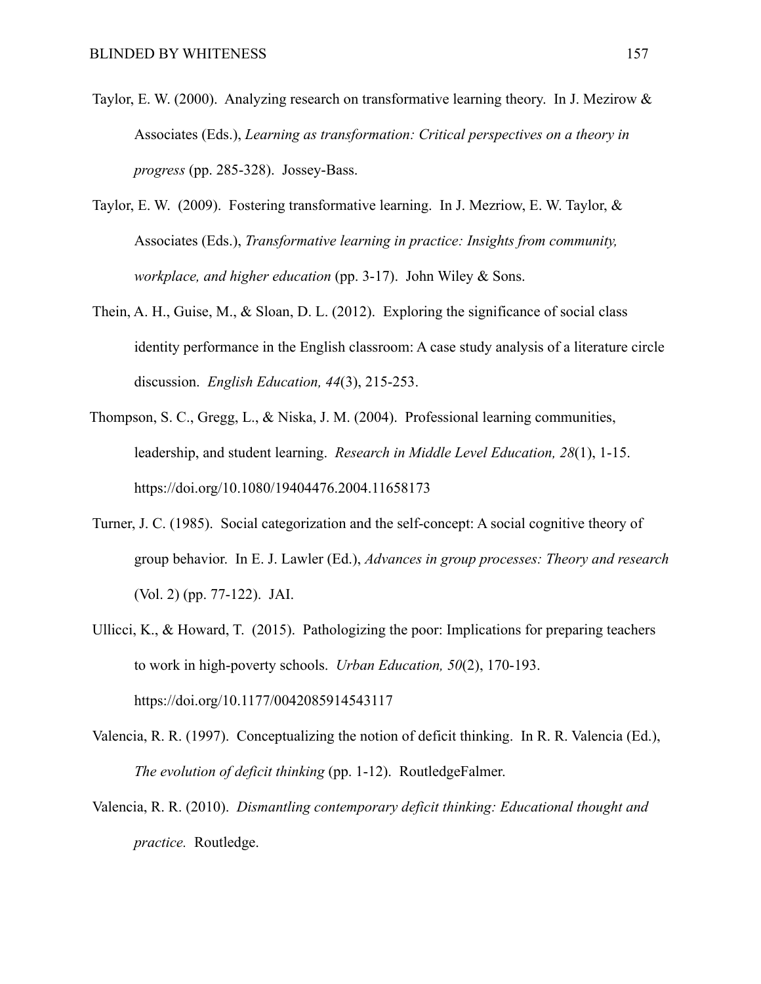- Taylor, E. W. (2000). Analyzing research on transformative learning theory. In J. Mezirow & Associates (Eds.), *Learning as transformation: Critical perspectives on a theory in progress* (pp. 285-328). Jossey-Bass.
- Taylor, E. W. (2009). Fostering transformative learning. In J. Mezriow, E. W. Taylor, & Associates (Eds.), *Transformative learning in practice: Insights from community, workplace, and higher education* (pp. 3-17). John Wiley & Sons.
- Thein, A. H., Guise, M., & Sloan, D. L. (2012). Exploring the significance of social class identity performance in the English classroom: A case study analysis of a literature circle discussion. *English Education, 44*(3), 215-253.
- Thompson, S. C., Gregg, L., & Niska, J. M. (2004). Professional learning communities, leadership, and student learning. *Research in Middle Level Education, 28*(1), 1-15. https://doi.org/10.1080/19404476.2004.11658173
- Turner, J. C. (1985). Social categorization and the self-concept: A social cognitive theory of group behavior. In E. J. Lawler (Ed.), *Advances in group processes: Theory and research* (Vol. 2) (pp. 77-122). JAI.
- Ullicci, K., & Howard, T. (2015). Pathologizing the poor: Implications for preparing teachers to work in high-poverty schools. *Urban Education, 50*(2), 170-193. https://doi.org/10.1177/0042085914543117
- Valencia, R. R. (1997). Conceptualizing the notion of deficit thinking. In R. R. Valencia (Ed.), *The evolution of deficit thinking* (pp. 1-12). RoutledgeFalmer.
- Valencia, R. R. (2010). *Dismantling contemporary deficit thinking: Educational thought and practice.* Routledge.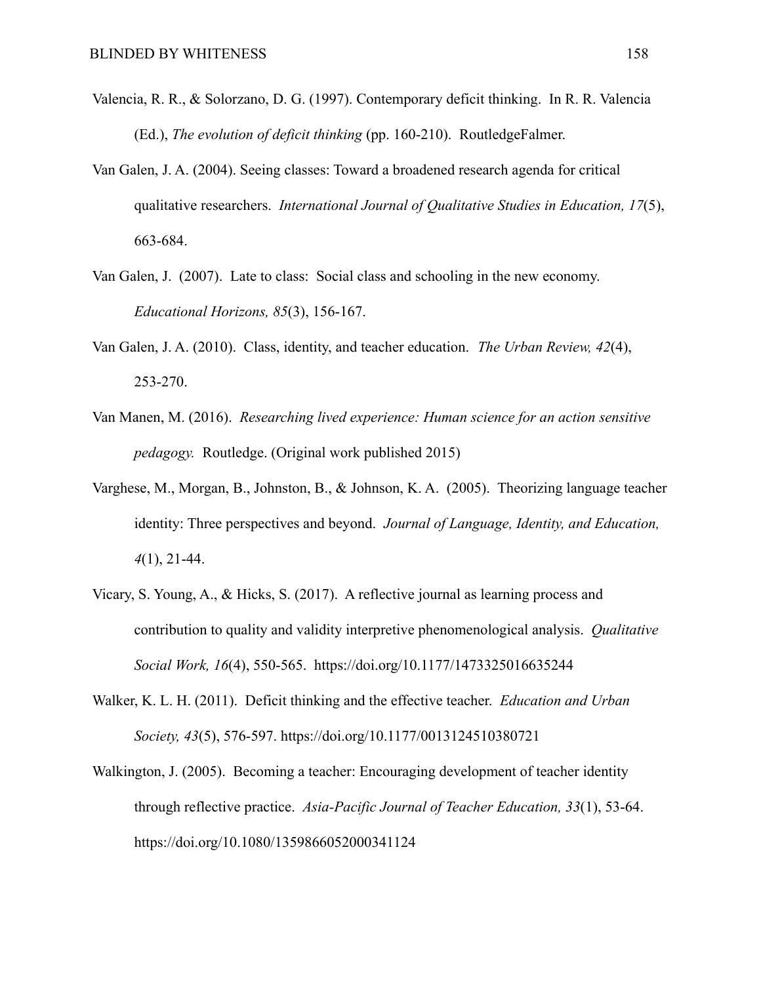- Valencia, R. R., & Solorzano, D. G. (1997). Contemporary deficit thinking. In R. R. Valencia (Ed.), *The evolution of deficit thinking* (pp. 160-210). RoutledgeFalmer.
- Van Galen, J. A. (2004). Seeing classes: Toward a broadened research agenda for critical qualitative researchers. *International Journal of Qualitative Studies in Education, 17*(5), 663-684.
- Van Galen, J. (2007). Late to class: Social class and schooling in the new economy. *Educational Horizons, 85*(3), 156-167.
- Van Galen, J. A. (2010). Class, identity, and teacher education. *The Urban Review, 42*(4), 253-270.
- Van Manen, M. (2016). *Researching lived experience: Human science for an action sensitive pedagogy.* Routledge. (Original work published 2015)
- Varghese, M., Morgan, B., Johnston, B., & Johnson, K. A. (2005). Theorizing language teacher identity: Three perspectives and beyond. *Journal of Language, Identity, and Education, 4*(1), 21-44.
- Vicary, S. Young, A., & Hicks, S. (2017). A reflective journal as learning process and contribution to quality and validity interpretive phenomenological analysis. *Qualitative Social Work, 16*(4), 550-565. https://doi.org/10.1177/1473325016635244
- Walker, K. L. H. (2011). Deficit thinking and the effective teacher. *Education and Urban Society, 43*(5), 576-597. https://doi.org/10.1177/0013124510380721
- Walkington, J. (2005). Becoming a teacher: Encouraging development of teacher identity through reflective practice. *Asia-Pacific Journal of Teacher Education, 33*(1), 53-64. https://doi.org/10.1080/1359866052000341124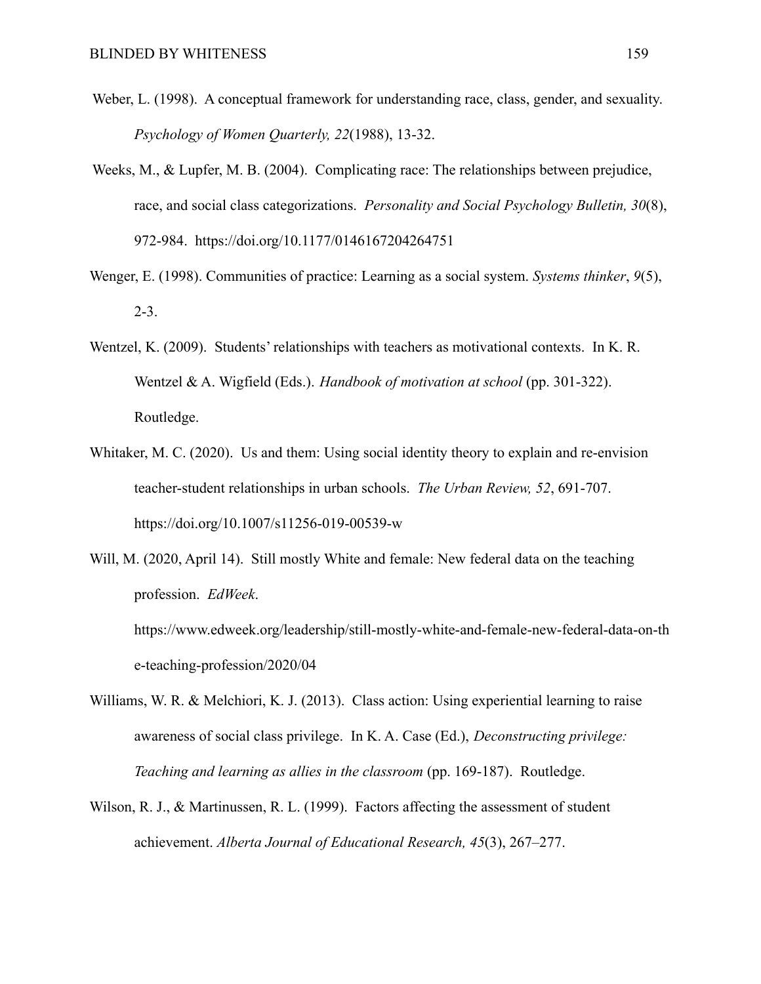- Weber, L. (1998). A conceptual framework for understanding race, class, gender, and sexuality. *Psychology of Women Quarterly, 22*(1988), 13-32.
- Weeks, M., & Lupfer, M. B. (2004). Complicating race: The relationships between prejudice, race, and social class categorizations. *Personality and Social Psychology Bulletin, 30*(8), 972-984. https://doi.org/10.1177/0146167204264751
- Wenger, E. (1998). Communities of practice: Learning as a social system. *Systems thinker*, *9*(5), 2-3.
- Wentzel, K. (2009). Students' relationships with teachers as motivational contexts. In K. R. Wentzel & A. Wigfield (Eds.). *Handbook of motivation at school* (pp. 301-322). Routledge.
- Whitaker, M. C. (2020). Us and them: Using social identity theory to explain and re-envision teacher-student relationships in urban schools. *The Urban Review, 52*, 691-707. https://doi.org/10.1007/s11256-019-00539-w
- Will, M. (2020, April 14). Still mostly White and female: New federal data on the teaching profession. *EdWeek*.

https://www.edweek.org/leadership/still-mostly-white-and-female-new-federal-data-on-th e-teaching-profession/2020/04

- Williams, W. R. & Melchiori, K. J. (2013). Class action: Using experiential learning to raise awareness of social class privilege. In K. A. Case (Ed.), *Deconstructing privilege: Teaching and learning as allies in the classroom* (pp. 169-187). Routledge.
- Wilson, R. J., & Martinussen, R. L. (1999). Factors affecting the assessment of student achievement. *Alberta Journal of Educational Research, 45*(3), 267–277.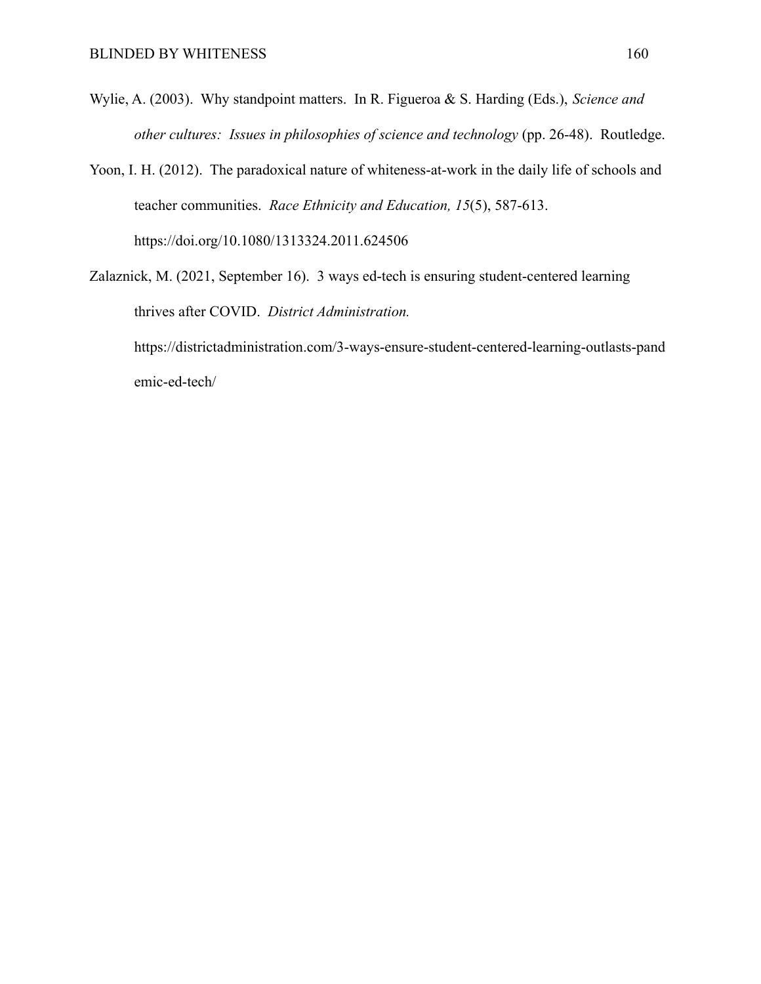- Wylie, A. (2003). Why standpoint matters. In R. Figueroa & S. Harding (Eds.), *Science and other cultures: Issues in philosophies of science and technology* (pp. 26-48). Routledge.
- Yoon, I. H. (2012). The paradoxical nature of whiteness-at-work in the daily life of schools and teacher communities. *Race Ethnicity and Education, 15*(5), 587-613. https://doi.org/10.1080/1313324.2011.624506
- Zalaznick, M. (2021, September 16). 3 ways ed-tech is ensuring student-centered learning thrives after COVID. *District Administration.* https://districtadministration.com/3-ways-ensure-student-centered-learning-outlasts-pand

emic-ed-tech/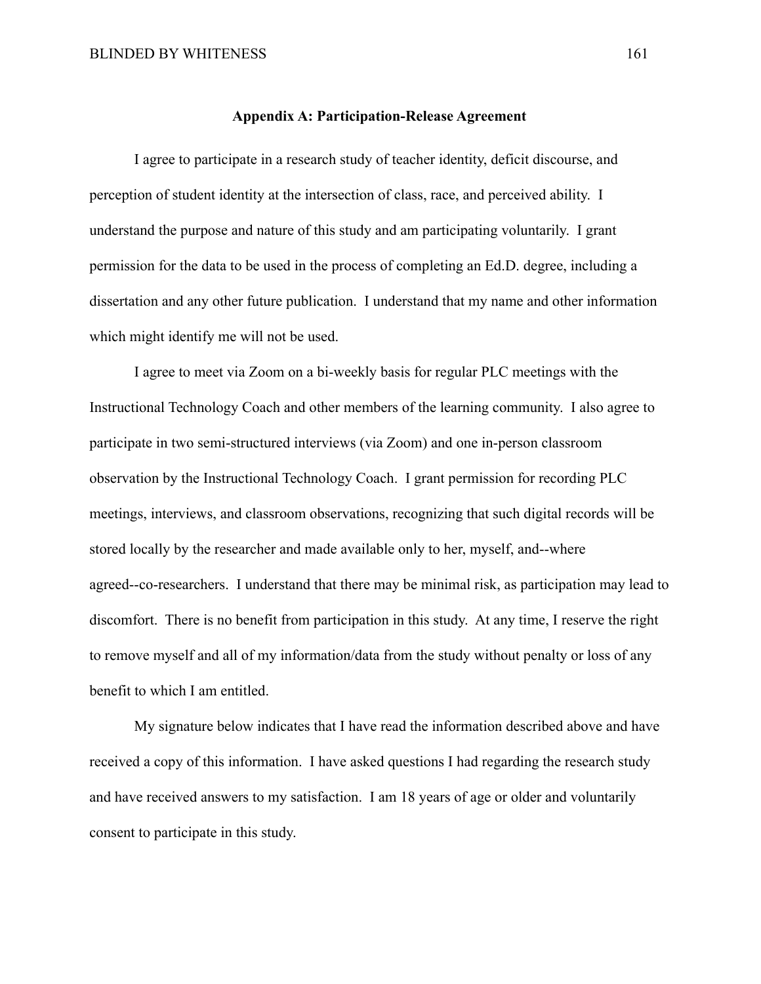# **Appendix A: Participation-Release Agreement**

I agree to participate in a research study of teacher identity, deficit discourse, and perception of student identity at the intersection of class, race, and perceived ability. I understand the purpose and nature of this study and am participating voluntarily. I grant permission for the data to be used in the process of completing an Ed.D. degree, including a dissertation and any other future publication. I understand that my name and other information which might identify me will not be used.

I agree to meet via Zoom on a bi-weekly basis for regular PLC meetings with the Instructional Technology Coach and other members of the learning community. I also agree to participate in two semi-structured interviews (via Zoom) and one in-person classroom observation by the Instructional Technology Coach. I grant permission for recording PLC meetings, interviews, and classroom observations, recognizing that such digital records will be stored locally by the researcher and made available only to her, myself, and--where agreed--co-researchers. I understand that there may be minimal risk, as participation may lead to discomfort. There is no benefit from participation in this study. At any time, I reserve the right to remove myself and all of my information/data from the study without penalty or loss of any benefit to which I am entitled.

My signature below indicates that I have read the information described above and have received a copy of this information. I have asked questions I had regarding the research study and have received answers to my satisfaction. I am 18 years of age or older and voluntarily consent to participate in this study.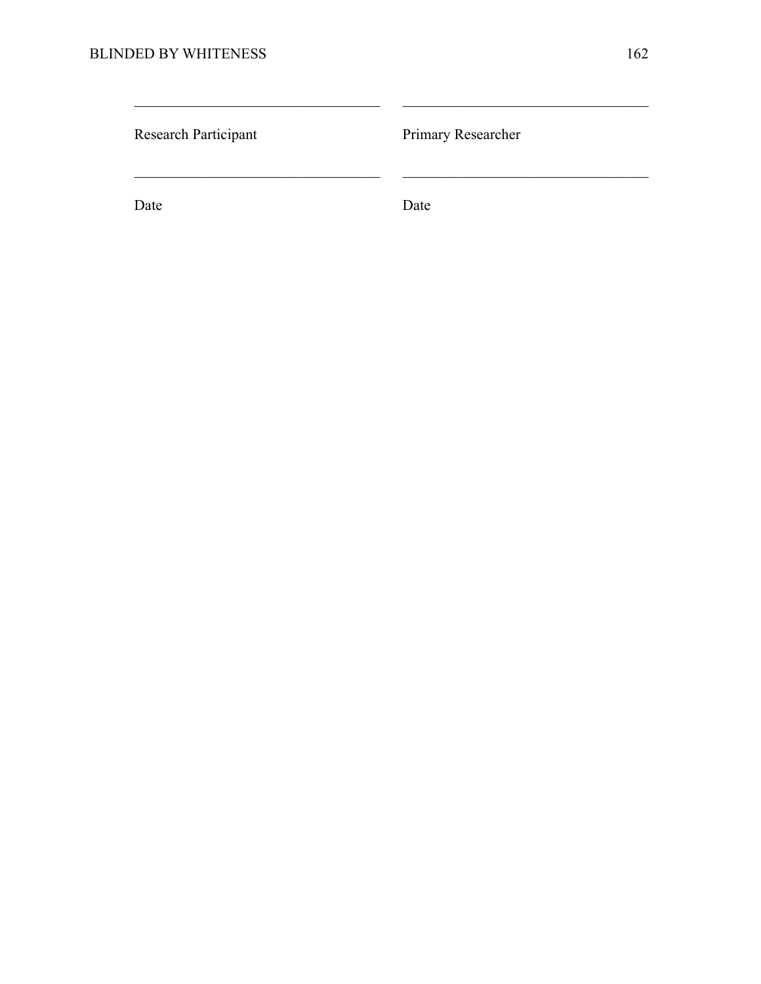| Research Participant | Primary Researcher |
|----------------------|--------------------|
| Date                 | Date               |

 $\mathcal{L}_\text{max} = \mathcal{L}_\text{max} = \mathcal{L}_\text{max} = \mathcal{L}_\text{max} = \mathcal{L}_\text{max} = \mathcal{L}_\text{max} = \mathcal{L}_\text{max} = \mathcal{L}_\text{max} = \mathcal{L}_\text{max} = \mathcal{L}_\text{max} = \mathcal{L}_\text{max} = \mathcal{L}_\text{max} = \mathcal{L}_\text{max} = \mathcal{L}_\text{max} = \mathcal{L}_\text{max} = \mathcal{L}_\text{max} = \mathcal{L}_\text{max} = \mathcal{L}_\text{max} = \mathcal{$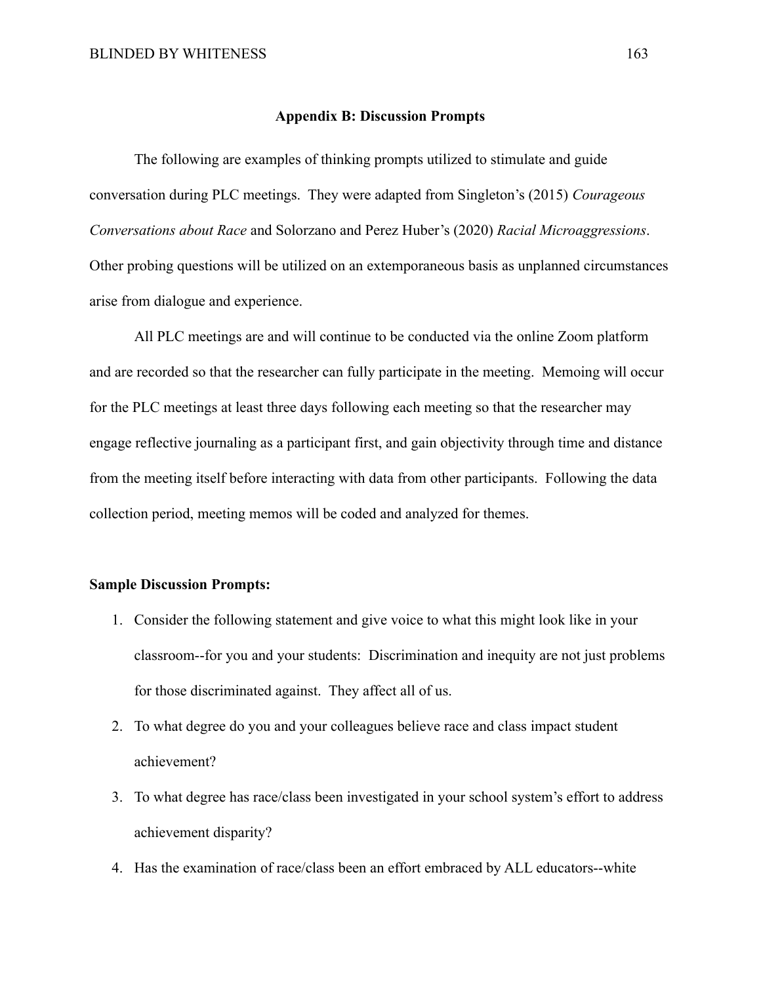# **Appendix B: Discussion Prompts**

The following are examples of thinking prompts utilized to stimulate and guide conversation during PLC meetings. They were adapted from Singleton's (2015) *Courageous Conversations about Race* and Solorzano and Perez Huber's (2020) *Racial Microaggressions*. Other probing questions will be utilized on an extemporaneous basis as unplanned circumstances arise from dialogue and experience.

All PLC meetings are and will continue to be conducted via the online Zoom platform and are recorded so that the researcher can fully participate in the meeting. Memoing will occur for the PLC meetings at least three days following each meeting so that the researcher may engage reflective journaling as a participant first, and gain objectivity through time and distance from the meeting itself before interacting with data from other participants. Following the data collection period, meeting memos will be coded and analyzed for themes.

# **Sample Discussion Prompts:**

- 1. Consider the following statement and give voice to what this might look like in your classroom--for you and your students: Discrimination and inequity are not just problems for those discriminated against. They affect all of us.
- 2. To what degree do you and your colleagues believe race and class impact student achievement?
- 3. To what degree has race/class been investigated in your school system's effort to address achievement disparity?
- 4. Has the examination of race/class been an effort embraced by ALL educators--white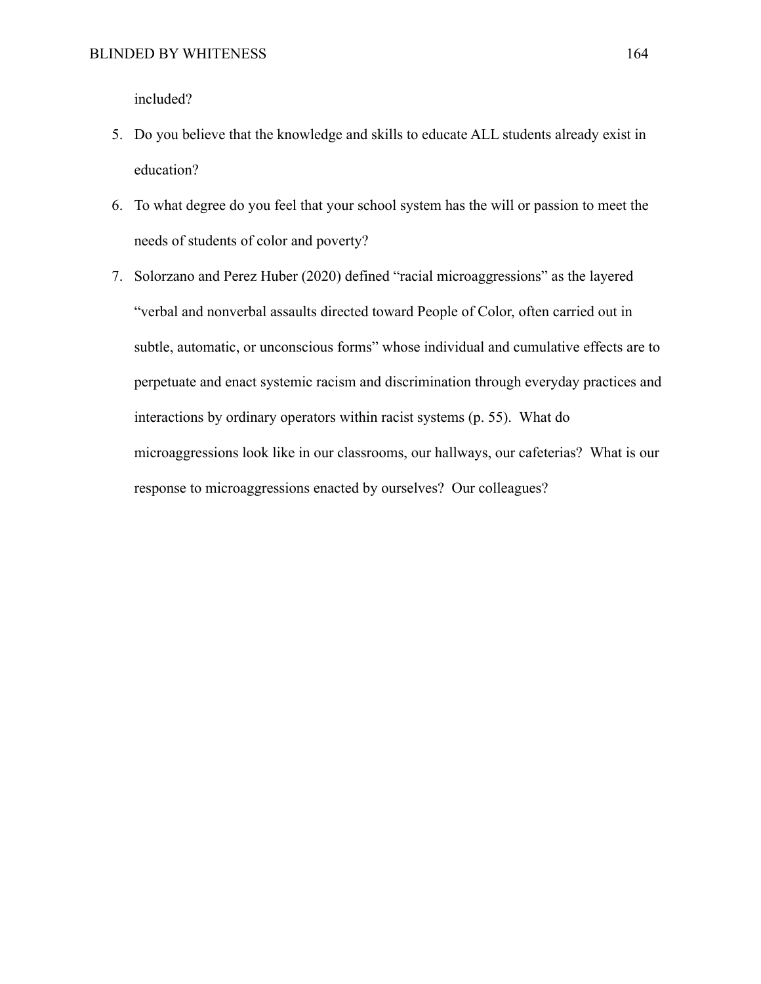included?

- 5. Do you believe that the knowledge and skills to educate ALL students already exist in education?
- 6. To what degree do you feel that your school system has the will or passion to meet the needs of students of color and poverty?
- 7. Solorzano and Perez Huber (2020) defined "racial microaggressions" as the layered "verbal and nonverbal assaults directed toward People of Color, often carried out in subtle, automatic, or unconscious forms" whose individual and cumulative effects are to perpetuate and enact systemic racism and discrimination through everyday practices and interactions by ordinary operators within racist systems (p. 55). What do microaggressions look like in our classrooms, our hallways, our cafeterias? What is our response to microaggressions enacted by ourselves? Our colleagues?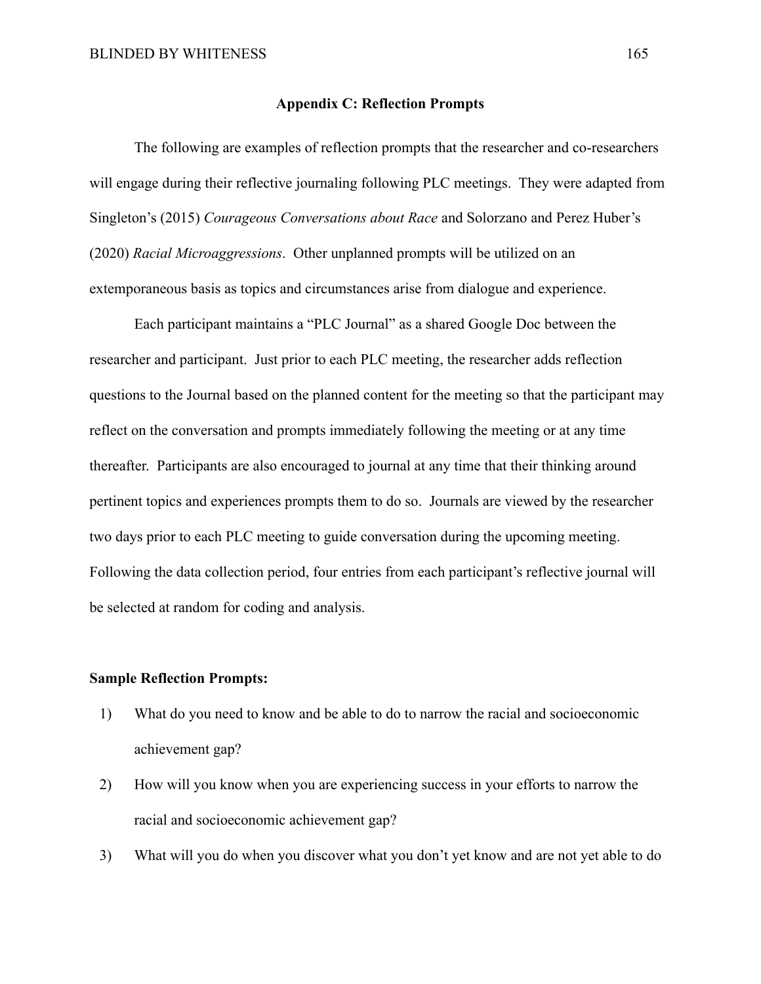#### **Appendix C: Reflection Prompts**

The following are examples of reflection prompts that the researcher and co-researchers will engage during their reflective journaling following PLC meetings. They were adapted from Singleton's (2015) *Courageous Conversations about Race* and Solorzano and Perez Huber's (2020) *Racial Microaggressions*. Other unplanned prompts will be utilized on an extemporaneous basis as topics and circumstances arise from dialogue and experience.

Each participant maintains a "PLC Journal" as a shared Google Doc between the researcher and participant. Just prior to each PLC meeting, the researcher adds reflection questions to the Journal based on the planned content for the meeting so that the participant may reflect on the conversation and prompts immediately following the meeting or at any time thereafter. Participants are also encouraged to journal at any time that their thinking around pertinent topics and experiences prompts them to do so. Journals are viewed by the researcher two days prior to each PLC meeting to guide conversation during the upcoming meeting. Following the data collection period, four entries from each participant's reflective journal will be selected at random for coding and analysis.

# **Sample Reflection Prompts:**

- 1) What do you need to know and be able to do to narrow the racial and socioeconomic achievement gap?
- 2) How will you know when you are experiencing success in your efforts to narrow the racial and socioeconomic achievement gap?
- 3) What will you do when you discover what you don't yet know and are not yet able to do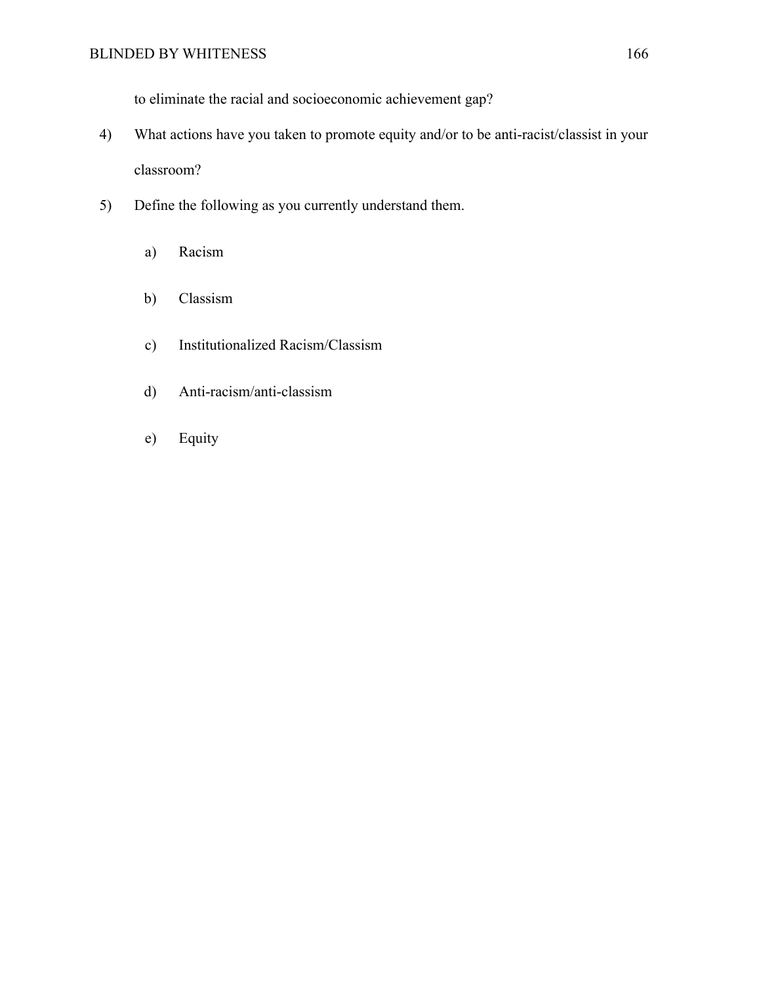to eliminate the racial and socioeconomic achievement gap?

- 4) What actions have you taken to promote equity and/or to be anti-racist/classist in your classroom?
- 5) Define the following as you currently understand them.
	- a) Racism
	- b) Classism
	- c) Institutionalized Racism/Classism
	- d) Anti-racism/anti-classism
	- e) Equity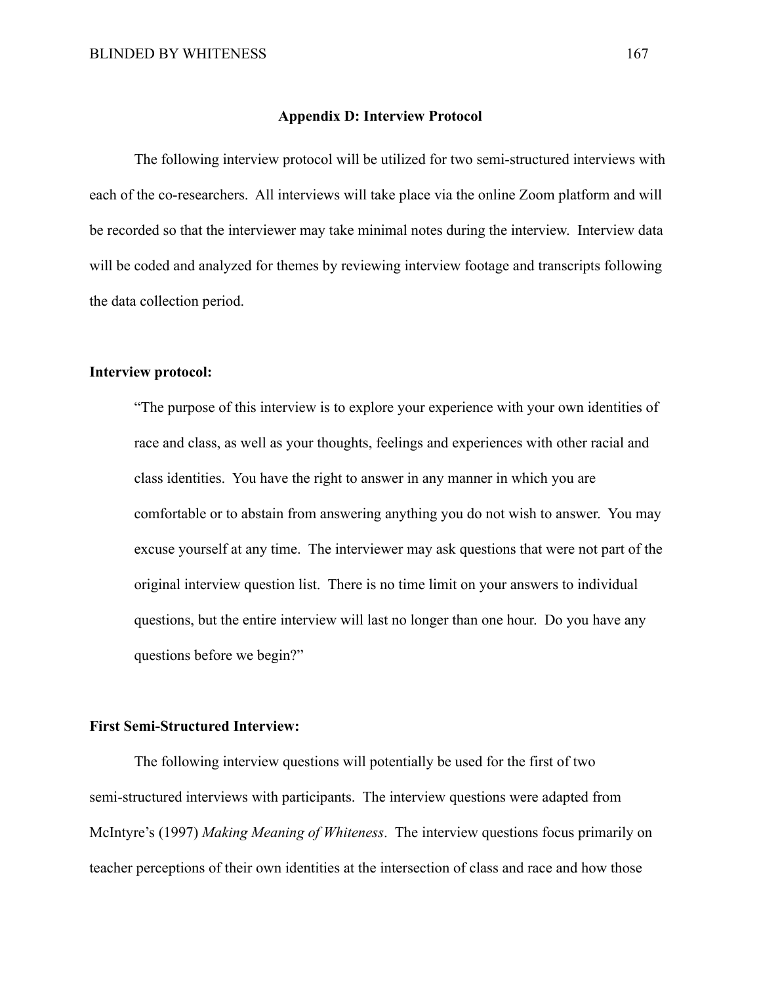# **Appendix D: Interview Protocol**

The following interview protocol will be utilized for two semi-structured interviews with each of the co-researchers. All interviews will take place via the online Zoom platform and will be recorded so that the interviewer may take minimal notes during the interview. Interview data will be coded and analyzed for themes by reviewing interview footage and transcripts following the data collection period.

# **Interview protocol:**

"The purpose of this interview is to explore your experience with your own identities of race and class, as well as your thoughts, feelings and experiences with other racial and class identities. You have the right to answer in any manner in which you are comfortable or to abstain from answering anything you do not wish to answer. You may excuse yourself at any time. The interviewer may ask questions that were not part of the original interview question list. There is no time limit on your answers to individual questions, but the entire interview will last no longer than one hour. Do you have any questions before we begin?"

#### **First Semi-Structured Interview:**

The following interview questions will potentially be used for the first of two semi-structured interviews with participants. The interview questions were adapted from McIntyre's (1997) *Making Meaning of Whiteness*. The interview questions focus primarily on teacher perceptions of their own identities at the intersection of class and race and how those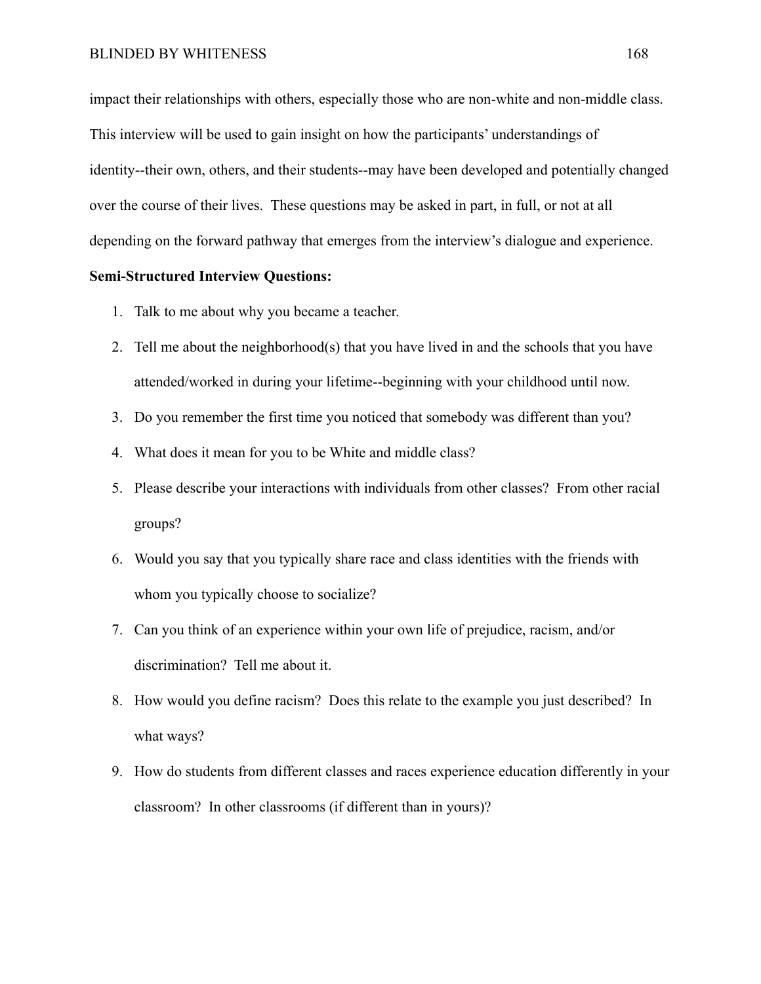impact their relationships with others, especially those who are non-white and non-middle class. This interview will be used to gain insight on how the participants' understandings of identity--their own, others, and their students--may have been developed and potentially changed over the course of their lives. These questions may be asked in part, in full, or not at all depending on the forward pathway that emerges from the interview's dialogue and experience.

#### **Semi-Structured Interview Questions:**

- 1. Talk to me about why you became a teacher.
- 2. Tell me about the neighborhood(s) that you have lived in and the schools that you have attended/worked in during your lifetime--beginning with your childhood until now.
- 3. Do you remember the first time you noticed that somebody was different than you?
- 4. What does it mean for you to be White and middle class?
- 5. Please describe your interactions with individuals from other classes? From other racial groups?
- 6. Would you say that you typically share race and class identities with the friends with whom you typically choose to socialize?
- 7. Can you think of an experience within your own life of prejudice, racism, and/or discrimination? Tell me about it.
- 8. How would you define racism? Does this relate to the example you just described? In what ways?
- 9. How do students from different classes and races experience education differently in your classroom? In other classrooms (if different than in yours)?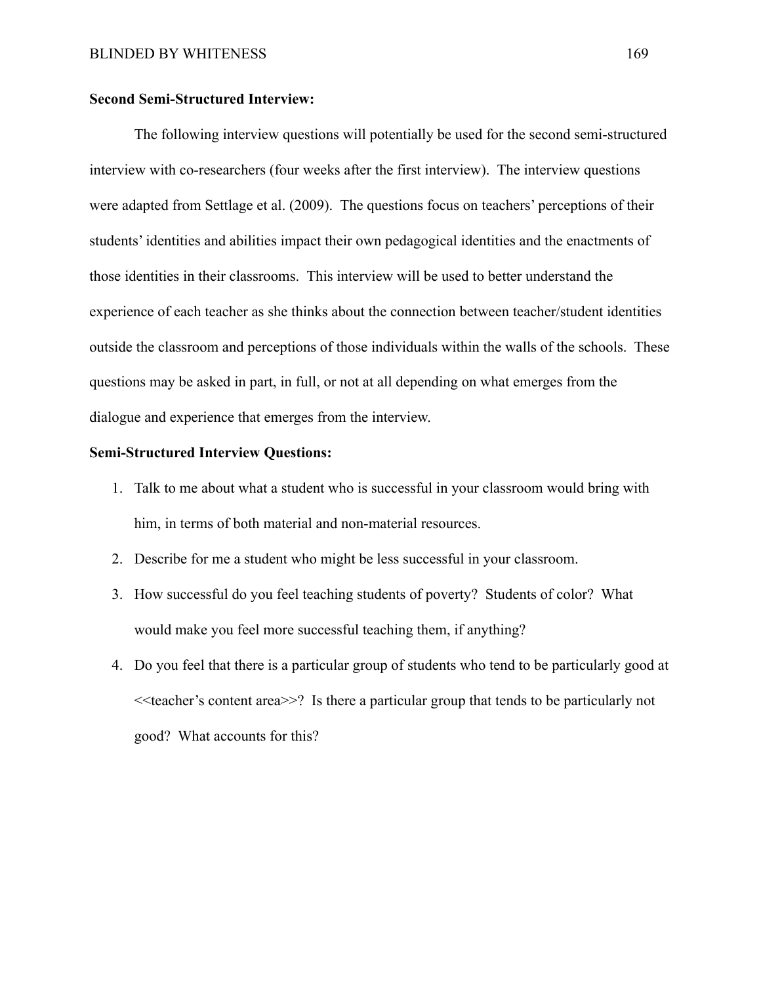#### **Second Semi-Structured Interview:**

The following interview questions will potentially be used for the second semi-structured interview with co-researchers (four weeks after the first interview). The interview questions were adapted from Settlage et al. (2009). The questions focus on teachers' perceptions of their students' identities and abilities impact their own pedagogical identities and the enactments of those identities in their classrooms. This interview will be used to better understand the experience of each teacher as she thinks about the connection between teacher/student identities outside the classroom and perceptions of those individuals within the walls of the schools. These questions may be asked in part, in full, or not at all depending on what emerges from the dialogue and experience that emerges from the interview.

#### **Semi-Structured Interview Questions:**

- 1. Talk to me about what a student who is successful in your classroom would bring with him, in terms of both material and non-material resources.
- 2. Describe for me a student who might be less successful in your classroom.
- 3. How successful do you feel teaching students of poverty? Students of color? What would make you feel more successful teaching them, if anything?
- 4. Do you feel that there is a particular group of students who tend to be particularly good at <<teacher's content area>>? Is there a particular group that tends to be particularly not good? What accounts for this?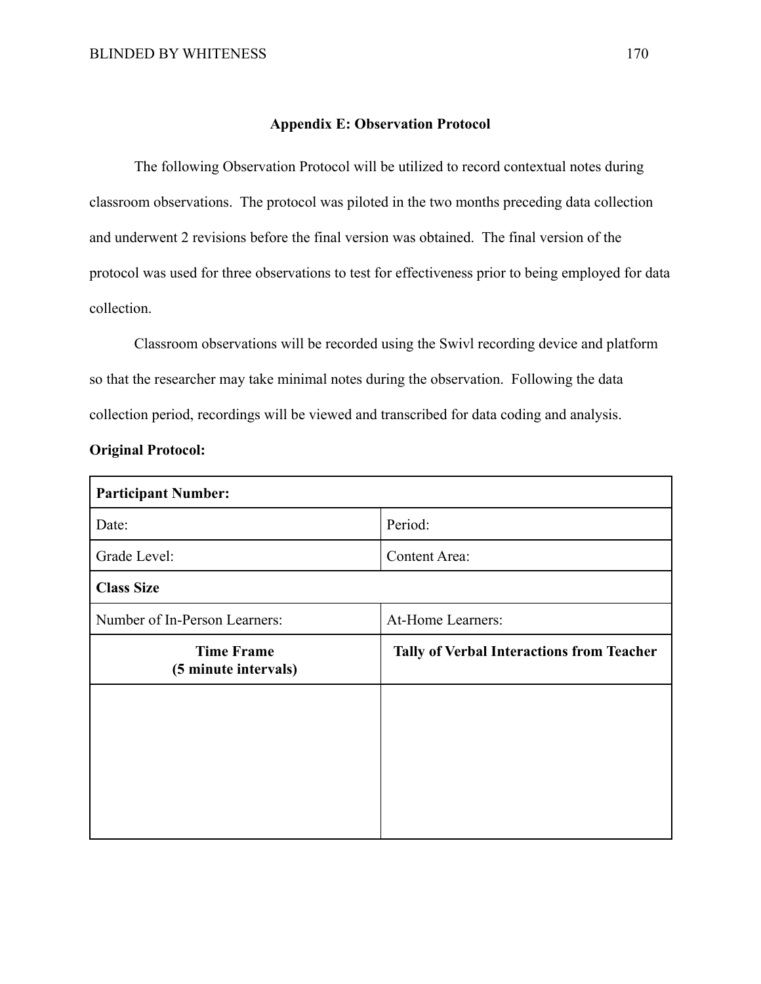#### **Appendix E: Observation Protocol**

The following Observation Protocol will be utilized to record contextual notes during classroom observations. The protocol was piloted in the two months preceding data collection and underwent 2 revisions before the final version was obtained. The final version of the protocol was used for three observations to test for effectiveness prior to being employed for data collection.

Classroom observations will be recorded using the Swivl recording device and platform so that the researcher may take minimal notes during the observation. Following the data collection period, recordings will be viewed and transcribed for data coding and analysis.

#### **Original Protocol:**

| <b>Participant Number:</b>                |                                                  |  |  |  |
|-------------------------------------------|--------------------------------------------------|--|--|--|
| Date:                                     | Period:                                          |  |  |  |
| Grade Level:                              | <b>Content Area:</b>                             |  |  |  |
| <b>Class Size</b>                         |                                                  |  |  |  |
| Number of In-Person Learners:             | At-Home Learners:                                |  |  |  |
| <b>Time Frame</b><br>(5 minute intervals) | <b>Tally of Verbal Interactions from Teacher</b> |  |  |  |
|                                           |                                                  |  |  |  |
|                                           |                                                  |  |  |  |
|                                           |                                                  |  |  |  |
|                                           |                                                  |  |  |  |
|                                           |                                                  |  |  |  |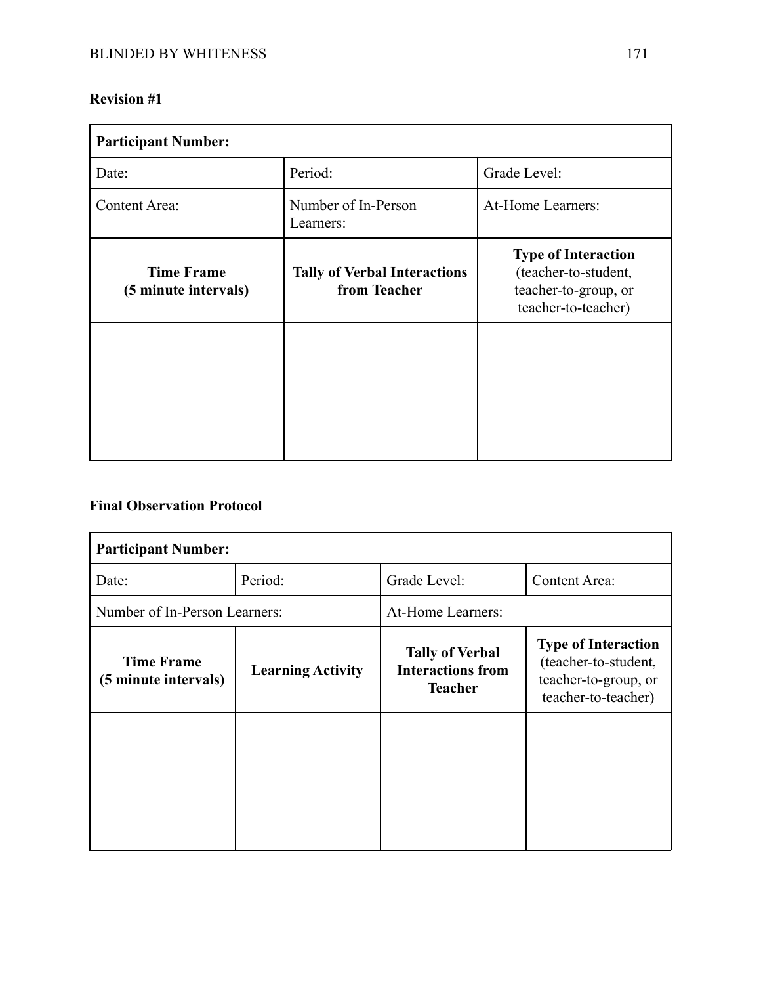# **Revision #1**

| <b>Participant Number:</b>                |                                                     |                                                                                                   |  |
|-------------------------------------------|-----------------------------------------------------|---------------------------------------------------------------------------------------------------|--|
| Date:                                     | Period:                                             | Grade Level:                                                                                      |  |
| <b>Content Area:</b>                      | Number of In-Person<br>Learners:                    | At-Home Learners:                                                                                 |  |
| <b>Time Frame</b><br>(5 minute intervals) | <b>Tally of Verbal Interactions</b><br>from Teacher | <b>Type of Interaction</b><br>(teacher-to-student,<br>teacher-to-group, or<br>teacher-to-teacher) |  |
|                                           |                                                     |                                                                                                   |  |

# **Final Observation Protocol**

| <b>Participant Number:</b>                |                          |                                                                      |                                                                                                   |  |
|-------------------------------------------|--------------------------|----------------------------------------------------------------------|---------------------------------------------------------------------------------------------------|--|
| Date:                                     | Period:                  | Grade Level:                                                         | <b>Content Area:</b>                                                                              |  |
| Number of In-Person Learners:             |                          | At-Home Learners:                                                    |                                                                                                   |  |
| <b>Time Frame</b><br>(5 minute intervals) | <b>Learning Activity</b> | <b>Tally of Verbal</b><br><b>Interactions from</b><br><b>Teacher</b> | <b>Type of Interaction</b><br>(teacher-to-student,<br>teacher-to-group, or<br>teacher-to-teacher) |  |
|                                           |                          |                                                                      |                                                                                                   |  |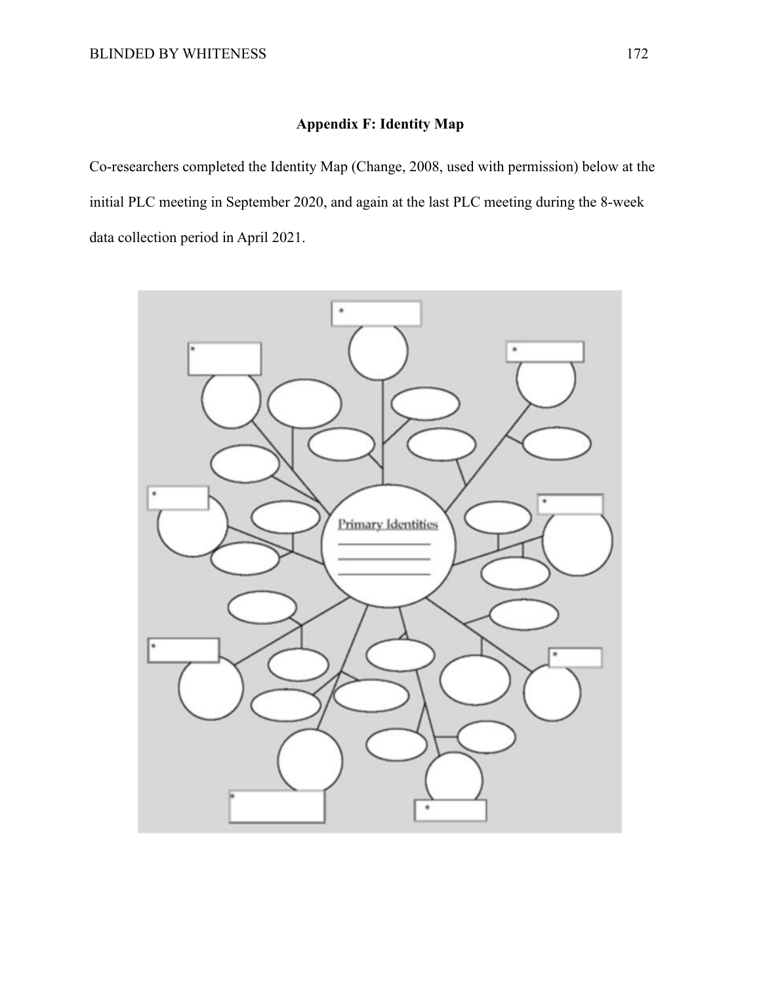## **Appendix F: Identity Map**

Co-researchers completed the Identity Map (Change, 2008, used with permission) below at the initial PLC meeting in September 2020, and again at the last PLC meeting during the 8-week data collection period in April 2021.

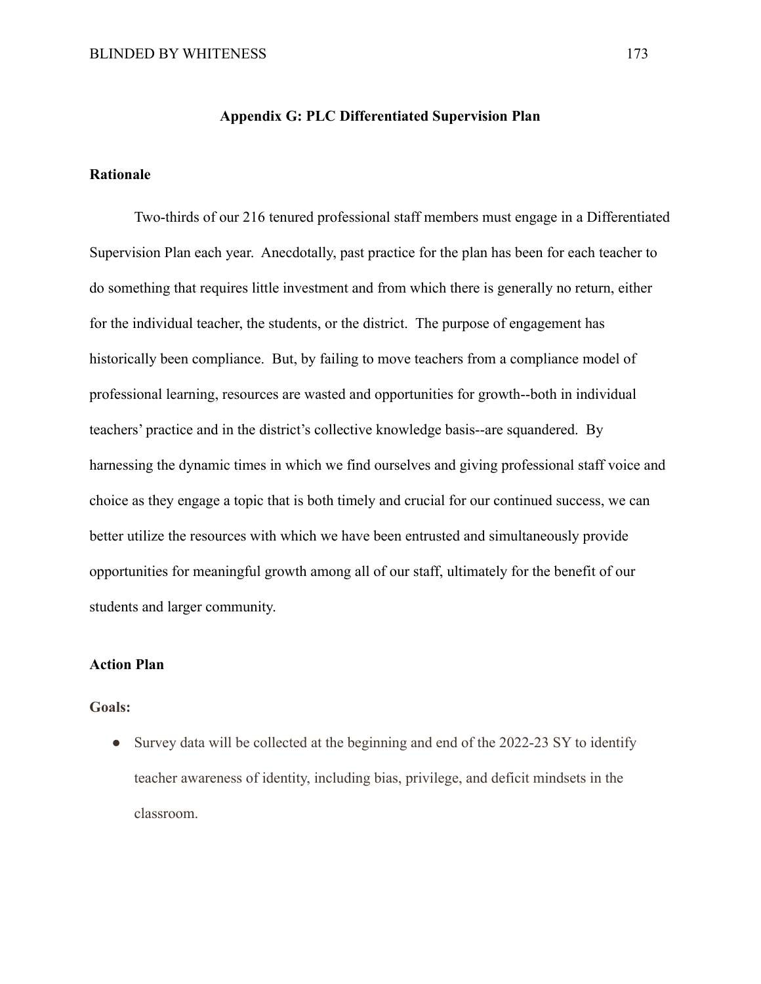## **Appendix G: PLC Differentiated Supervision Plan**

## **Rationale**

Two-thirds of our 216 tenured professional staff members must engage in a Differentiated Supervision Plan each year. Anecdotally, past practice for the plan has been for each teacher to do something that requires little investment and from which there is generally no return, either for the individual teacher, the students, or the district. The purpose of engagement has historically been compliance. But, by failing to move teachers from a compliance model of professional learning, resources are wasted and opportunities for growth--both in individual teachers' practice and in the district's collective knowledge basis--are squandered. By harnessing the dynamic times in which we find ourselves and giving professional staff voice and choice as they engage a topic that is both timely and crucial for our continued success, we can better utilize the resources with which we have been entrusted and simultaneously provide opportunities for meaningful growth among all of our staff, ultimately for the benefit of our students and larger community.

## **Action Plan**

## **Goals:**

• Survey data will be collected at the beginning and end of the 2022-23 SY to identify teacher awareness of identity, including bias, privilege, and deficit mindsets in the classroom.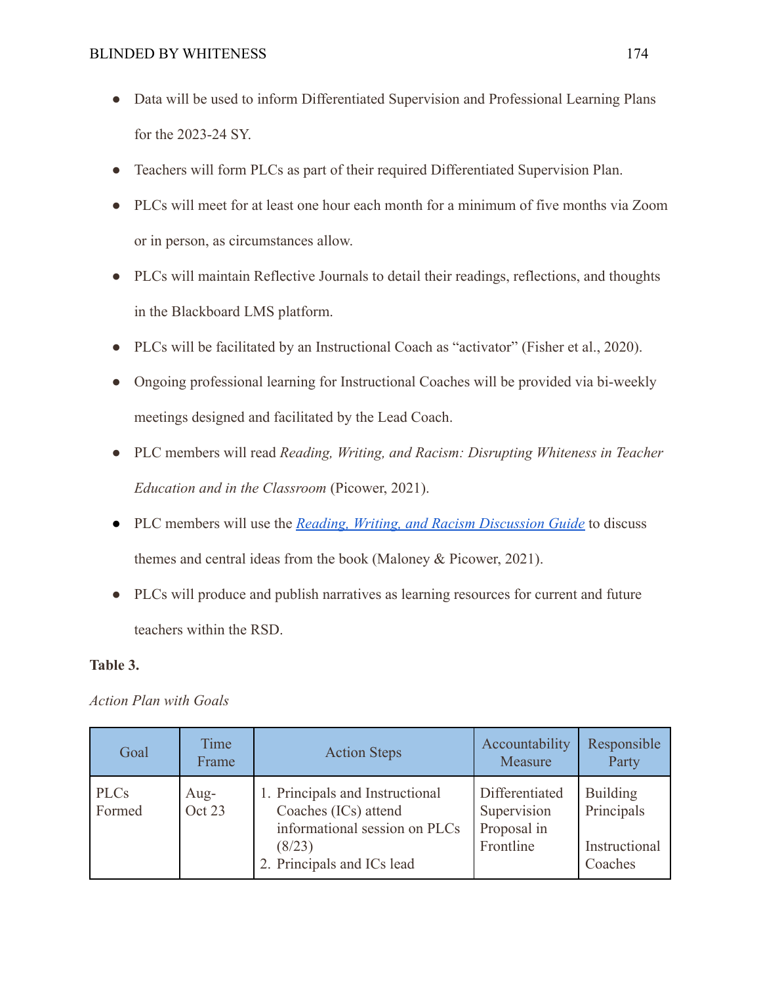- Data will be used to inform Differentiated Supervision and Professional Learning Plans for the 2023-24 SY.
- Teachers will form PLCs as part of their required Differentiated Supervision Plan.
- PLCs will meet for at least one hour each month for a minimum of five months via Zoom or in person, as circumstances allow.
- PLCs will maintain Reflective Journals to detail their readings, reflections, and thoughts in the Blackboard LMS platform.
- PLCs will be facilitated by an Instructional Coach as "activator" (Fisher et al., 2020).
- Ongoing professional learning for Instructional Coaches will be provided via bi-weekly meetings designed and facilitated by the Lead Coach.
- PLC members will read *Reading, Writing, and Racism: Disrupting Whiteness in Teacher Education and in the Classroom* (Picower, 2021).
- PLC members will use the *[Reading, Writing, and Racism](https://drive.google.com/file/d/1a8z-6QxQhLG3WRKWQj1ko3MNN8TvgVvN/view?usp=sharing) Discussion Guide* to discuss themes and central ideas from the book (Maloney & Picower, 2021).
- PLCs will produce and publish narratives as learning resources for current and future teachers within the RSD.

## **Table 3.**

*Action Plan with Goals*

| Goal                  | Time<br>Frame  | <b>Action Steps</b>                                                                                                              | Accountability<br>Measure                                 | Responsible<br>Party                                      |
|-----------------------|----------------|----------------------------------------------------------------------------------------------------------------------------------|-----------------------------------------------------------|-----------------------------------------------------------|
| <b>PLCs</b><br>Formed | Aug-<br>Oct 23 | 1. Principals and Instructional<br>Coaches (ICs) attend<br>informational session on PLCs<br>(8/23)<br>2. Principals and ICs lead | Differentiated<br>Supervision<br>Proposal in<br>Frontline | <b>Building</b><br>Principals<br>Instructional<br>Coaches |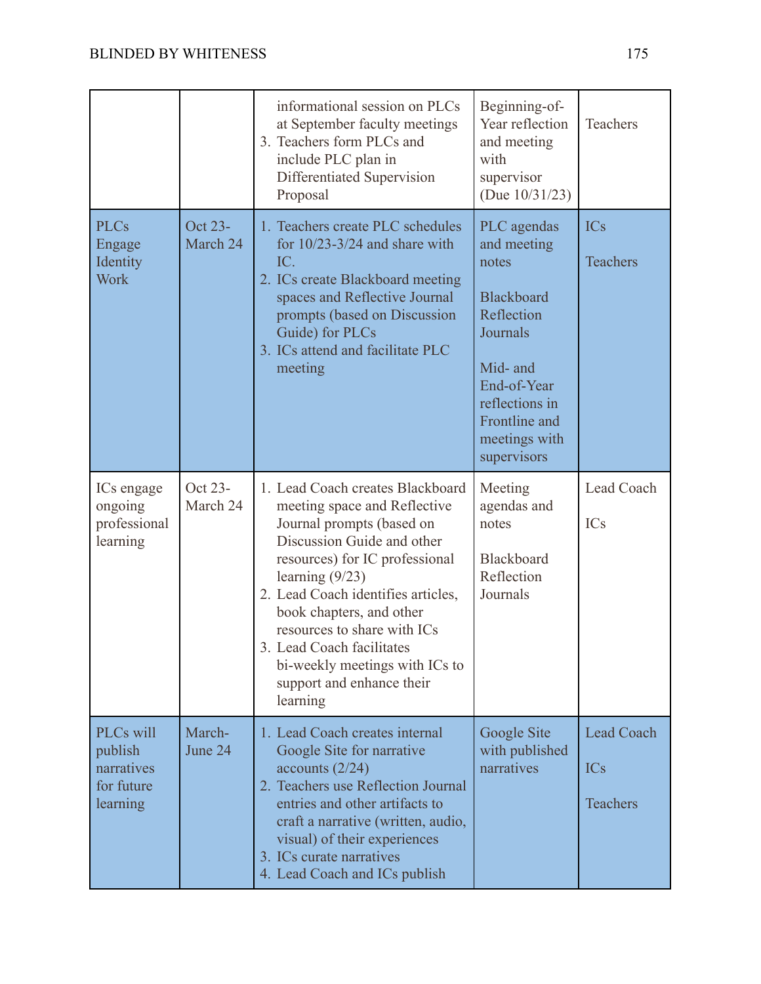|                                                              |                     | informational session on PLCs<br>at September faculty meetings<br>3. Teachers form PLCs and<br>include PLC plan in<br>Differentiated Supervision<br>Proposal                                                                                                                                                                                                                                | Beginning-of-<br>Year reflection<br>and meeting<br>with<br>supervisor<br>(Due $10/31/23$ )                                                                                | Teachers                                    |
|--------------------------------------------------------------|---------------------|---------------------------------------------------------------------------------------------------------------------------------------------------------------------------------------------------------------------------------------------------------------------------------------------------------------------------------------------------------------------------------------------|---------------------------------------------------------------------------------------------------------------------------------------------------------------------------|---------------------------------------------|
| <b>PLCs</b><br>Engage<br>Identity<br>Work                    | Oct 23-<br>March 24 | 1. Teachers create PLC schedules<br>for $10/23 - 3/24$ and share with<br>IC.<br>2. ICs create Blackboard meeting<br>spaces and Reflective Journal<br>prompts (based on Discussion<br>Guide) for PLCs<br>3. ICs attend and facilitate PLC<br>meeting                                                                                                                                         | PLC agendas<br>and meeting<br>notes<br>Blackboard<br>Reflection<br>Journals<br>Mid- and<br>End-of-Year<br>reflections in<br>Frontline and<br>meetings with<br>supervisors | <b>ICs</b><br><b>Teachers</b>               |
| ICs engage<br>ongoing<br>professional<br>learning            | Oct 23-<br>March 24 | 1. Lead Coach creates Blackboard<br>meeting space and Reflective<br>Journal prompts (based on<br>Discussion Guide and other<br>resources) for IC professional<br>learning $(9/23)$<br>2. Lead Coach identifies articles,<br>book chapters, and other<br>resources to share with ICs<br>3. Lead Coach facilitates<br>bi-weekly meetings with ICs to<br>support and enhance their<br>learning | Meeting<br>agendas and<br>notes<br>Blackboard<br>Reflection<br>Journals                                                                                                   | Lead Coach<br>ICs                           |
| PLCs will<br>publish<br>narratives<br>for future<br>learning | March-<br>June 24   | 1. Lead Coach creates internal<br>Google Site for narrative<br>accounts $(2/24)$<br>2. Teachers use Reflection Journal<br>entries and other artifacts to<br>craft a narrative (written, audio,<br>visual) of their experiences<br>3. ICs curate narratives<br>4. Lead Coach and ICs publish                                                                                                 | Google Site<br>with published<br>narratives                                                                                                                               | <b>Lead Coach</b><br><b>ICs</b><br>Teachers |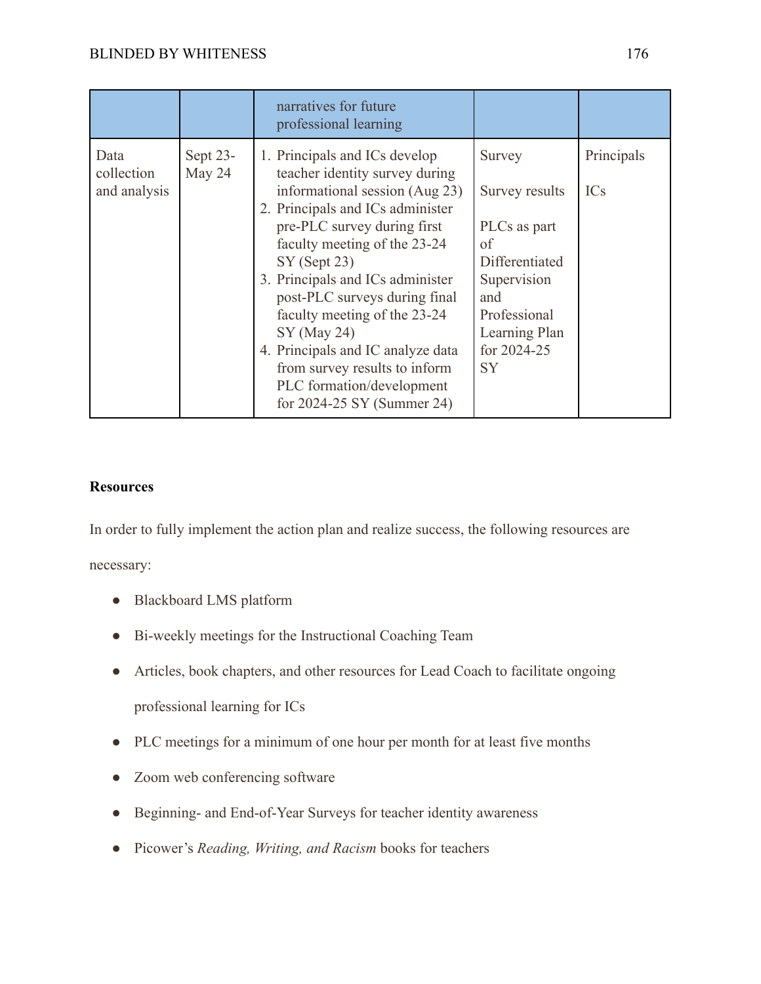|                                    |                    | narratives for future<br>professional learning                                                                                                                                                                                                                                                                                                                                                                                                                                |                                                                                                                                                     |                          |
|------------------------------------|--------------------|-------------------------------------------------------------------------------------------------------------------------------------------------------------------------------------------------------------------------------------------------------------------------------------------------------------------------------------------------------------------------------------------------------------------------------------------------------------------------------|-----------------------------------------------------------------------------------------------------------------------------------------------------|--------------------------|
| Data<br>collection<br>and analysis | Sept 23-<br>May 24 | 1. Principals and ICs develop<br>teacher identity survey during<br>informational session (Aug 23)<br>2. Principals and ICs administer<br>pre-PLC survey during first<br>faculty meeting of the 23-24<br>$SY$ (Sept 23)<br>3. Principals and ICs administer<br>post-PLC surveys during final<br>faculty meeting of the 23-24<br>$SY$ (May 24)<br>4. Principals and IC analyze data<br>from survey results to inform<br>PLC formation/development<br>for 2024-25 SY (Summer 24) | Survey<br>Survey results<br>PLCs as part<br>of<br>Differentiated<br>Supervision<br>and<br>Professional<br>Learning Plan<br>for 2024-25<br><b>SY</b> | Principals<br><b>ICs</b> |

## **Resources**

In order to fully implement the action plan and realize success, the following resources are

necessary:

- Blackboard LMS platform
- Bi-weekly meetings for the Instructional Coaching Team
- Articles, book chapters, and other resources for Lead Coach to facilitate ongoing professional learning for ICs
- PLC meetings for a minimum of one hour per month for at least five months
- Zoom web conferencing software
- Beginning- and End-of-Year Surveys for teacher identity awareness
- Picower's *Reading, Writing, and Racism* books for teachers